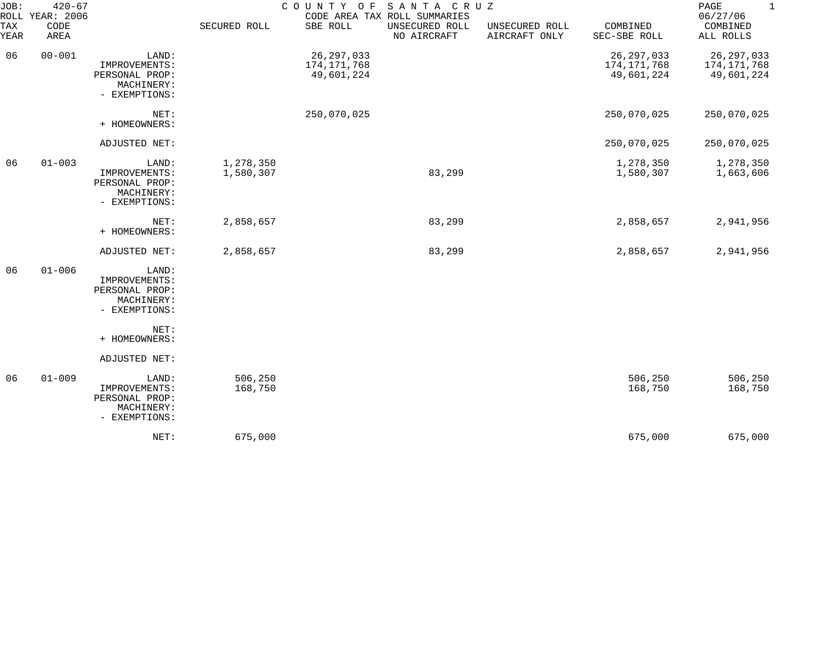| JOB:        | $420 - 67$<br>ROLL YEAR: 2006 | COUNTY OF SANTA CRUZ<br>CODE AREA TAX ROLL SUMMARIES                    |                        |                                           |                               |                                 |                                           |                                           |
|-------------|-------------------------------|-------------------------------------------------------------------------|------------------------|-------------------------------------------|-------------------------------|---------------------------------|-------------------------------------------|-------------------------------------------|
| TAX<br>YEAR | CODE<br>AREA                  |                                                                         | SECURED ROLL           | SBE ROLL                                  | UNSECURED ROLL<br>NO AIRCRAFT | UNSECURED ROLL<br>AIRCRAFT ONLY | COMBINED<br>SEC-SBE ROLL                  | COMBINED<br>ALL ROLLS                     |
| 06          | $00 - 001$                    | LAND:<br>IMPROVEMENTS:<br>PERSONAL PROP:<br>MACHINERY:<br>- EXEMPTIONS: |                        | 26, 297, 033<br>174,171,768<br>49,601,224 |                               |                                 | 26, 297, 033<br>174,171,768<br>49,601,224 | 26, 297, 033<br>174,171,768<br>49,601,224 |
|             |                               | NET:<br>+ HOMEOWNERS:                                                   |                        | 250,070,025                               |                               |                                 | 250,070,025                               | 250,070,025                               |
|             |                               | ADJUSTED NET:                                                           |                        |                                           |                               |                                 | 250,070,025                               | 250,070,025                               |
| 06          | $01 - 003$                    | LAND:<br>IMPROVEMENTS:<br>PERSONAL PROP:<br>MACHINERY:<br>- EXEMPTIONS: | 1,278,350<br>1,580,307 |                                           | 83,299                        |                                 | 1,278,350<br>1,580,307                    | 1,278,350<br>1,663,606                    |
|             |                               | NET:<br>+ HOMEOWNERS:                                                   | 2,858,657              |                                           | 83,299                        |                                 | 2,858,657                                 | 2,941,956                                 |
|             |                               | ADJUSTED NET:                                                           | 2,858,657              |                                           | 83,299                        |                                 | 2,858,657                                 | 2,941,956                                 |
| 06          | $01 - 006$                    | LAND:<br>IMPROVEMENTS:<br>PERSONAL PROP:<br>MACHINERY:<br>- EXEMPTIONS: |                        |                                           |                               |                                 |                                           |                                           |
|             |                               | NET:<br>+ HOMEOWNERS:                                                   |                        |                                           |                               |                                 |                                           |                                           |
|             |                               | ADJUSTED NET:                                                           |                        |                                           |                               |                                 |                                           |                                           |
| 06          | $01 - 009$                    | LAND:<br>IMPROVEMENTS:<br>PERSONAL PROP:<br>MACHINERY:<br>- EXEMPTIONS: | 506,250<br>168,750     |                                           |                               |                                 | 506,250<br>168,750                        | 506,250<br>168,750                        |
|             |                               | NET:                                                                    | 675,000                |                                           |                               |                                 | 675,000                                   | 675,000                                   |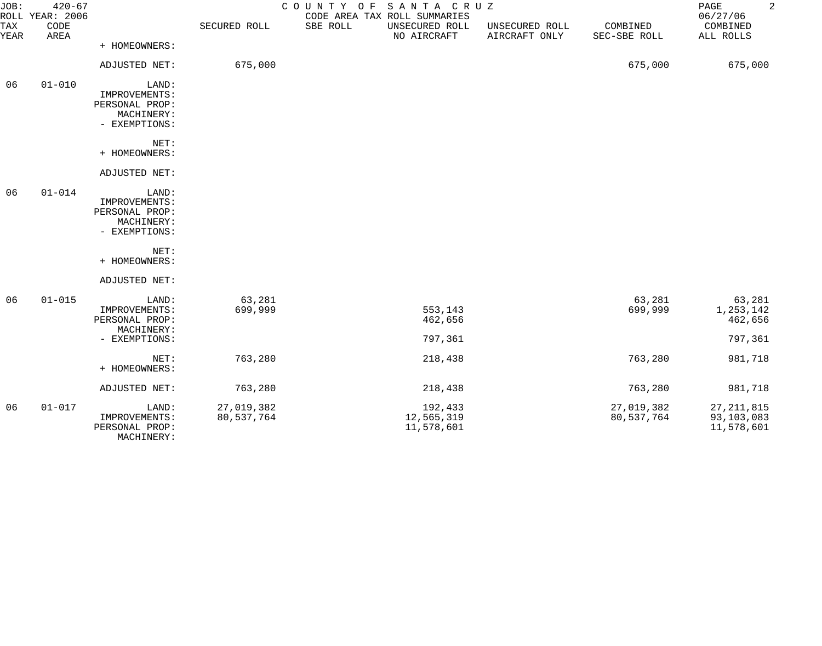| JOB:        | $420 - 67$<br>ROLL YEAR: 2006 |                                                                         |                          | COUNTY OF SANTA CRUZ | CODE AREA TAX ROLL SUMMARIES        |                                 |                          | $\overline{a}$<br>PAGE<br>06/27/06       |
|-------------|-------------------------------|-------------------------------------------------------------------------|--------------------------|----------------------|-------------------------------------|---------------------------------|--------------------------|------------------------------------------|
| TAX<br>YEAR | CODE<br>AREA                  |                                                                         | SECURED ROLL             | SBE ROLL             | UNSECURED ROLL<br>NO AIRCRAFT       | UNSECURED ROLL<br>AIRCRAFT ONLY | COMBINED<br>SEC-SBE ROLL | COMBINED<br>ALL ROLLS                    |
|             |                               | + HOMEOWNERS:                                                           |                          |                      |                                     |                                 |                          |                                          |
|             |                               | ADJUSTED NET:                                                           | 675,000                  |                      |                                     |                                 | 675,000                  | 675,000                                  |
| 06          | $01 - 010$                    | LAND:<br>IMPROVEMENTS:<br>PERSONAL PROP:<br>MACHINERY:<br>- EXEMPTIONS: |                          |                      |                                     |                                 |                          |                                          |
|             |                               | NET:<br>+ HOMEOWNERS:                                                   |                          |                      |                                     |                                 |                          |                                          |
|             |                               | ADJUSTED NET:                                                           |                          |                      |                                     |                                 |                          |                                          |
| 06          | $01 - 014$                    | LAND:<br>IMPROVEMENTS:<br>PERSONAL PROP:<br>MACHINERY:<br>- EXEMPTIONS: |                          |                      |                                     |                                 |                          |                                          |
|             |                               | NET:<br>+ HOMEOWNERS:                                                   |                          |                      |                                     |                                 |                          |                                          |
|             |                               | ADJUSTED NET:                                                           |                          |                      |                                     |                                 |                          |                                          |
| 06          | $01 - 015$                    | LAND:<br>IMPROVEMENTS:<br>PERSONAL PROP:<br>MACHINERY:                  | 63,281<br>699,999        |                      | 553,143<br>462,656                  |                                 | 63,281<br>699,999        | 63,281<br>1,253,142<br>462,656           |
|             |                               | - EXEMPTIONS:                                                           |                          |                      | 797,361                             |                                 |                          | 797,361                                  |
|             |                               | NET:<br>+ HOMEOWNERS:                                                   | 763,280                  |                      | 218,438                             |                                 | 763,280                  | 981,718                                  |
|             |                               | ADJUSTED NET:                                                           | 763,280                  |                      | 218,438                             |                                 | 763,280                  | 981,718                                  |
| 06          | $01 - 017$                    | LAND:<br>IMPROVEMENTS:<br>PERSONAL PROP:<br>MACHINERY:                  | 27,019,382<br>80,537,764 |                      | 192,433<br>12,565,319<br>11,578,601 |                                 | 27,019,382<br>80,537,764 | 27, 211, 815<br>93,103,083<br>11,578,601 |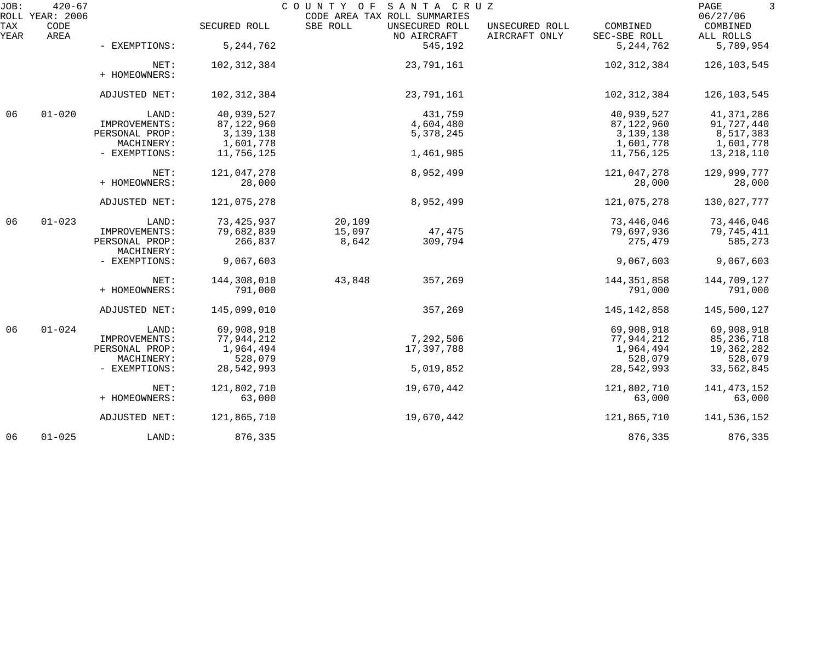| JOB:        | $420 - 67$<br>ROLL YEAR: 2006 |                       |              | COUNTY OF | SANTA CRUZ<br>CODE AREA TAX ROLL SUMMARIES |                                 |                          | PAGE<br>3<br>06/27/06 |
|-------------|-------------------------------|-----------------------|--------------|-----------|--------------------------------------------|---------------------------------|--------------------------|-----------------------|
| TAX<br>YEAR | CODE<br>AREA                  |                       | SECURED ROLL | SBE ROLL  | UNSECURED ROLL<br>NO AIRCRAFT              | UNSECURED ROLL<br>AIRCRAFT ONLY | COMBINED<br>SEC-SBE ROLL | COMBINED<br>ALL ROLLS |
|             |                               | - EXEMPTIONS:         | 5, 244, 762  |           | 545,192                                    |                                 | 5, 244, 762              | 5,789,954             |
|             |                               | NET:<br>+ HOMEOWNERS: | 102,312,384  |           | 23,791,161                                 |                                 | 102,312,384              | 126,103,545           |
|             |                               | ADJUSTED NET:         | 102,312,384  |           | 23,791,161                                 |                                 | 102,312,384              | 126, 103, 545         |
| 06          | $01 - 020$                    | LAND:                 | 40,939,527   |           | 431,759                                    |                                 | 40,939,527               | 41,371,286            |
|             |                               | IMPROVEMENTS:         | 87, 122, 960 |           | 4,604,480                                  |                                 | 87,122,960               | 91,727,440            |
|             |                               | PERSONAL PROP:        | 3, 139, 138  |           | 5,378,245                                  |                                 | 3, 139, 138              | 8,517,383             |
|             |                               | MACHINERY:            | 1,601,778    |           |                                            |                                 | 1,601,778                | 1,601,778             |
|             |                               | - EXEMPTIONS:         | 11,756,125   |           | 1,461,985                                  |                                 | 11,756,125               | 13,218,110            |
|             |                               | NET:                  | 121,047,278  |           | 8,952,499                                  |                                 | 121,047,278              | 129,999,777           |
|             |                               | + HOMEOWNERS:         | 28,000       |           |                                            |                                 | 28,000                   | 28,000                |
|             |                               |                       |              |           |                                            |                                 |                          |                       |
|             |                               | ADJUSTED NET:         | 121,075,278  |           | 8,952,499                                  |                                 | 121,075,278              | 130,027,777           |
| 06          | $01 - 023$                    | LAND:                 | 73, 425, 937 | 20,109    |                                            |                                 | 73,446,046               | 73,446,046            |
|             |                               | IMPROVEMENTS:         | 79,682,839   | 15,097    | 47,475                                     |                                 | 79,697,936               | 79,745,411            |
|             |                               | PERSONAL PROP:        | 266,837      | 8,642     | 309,794                                    |                                 | 275,479                  | 585,273               |
|             |                               | MACHINERY:            |              |           |                                            |                                 |                          |                       |
|             |                               | - EXEMPTIONS:         | 9,067,603    |           |                                            |                                 | 9,067,603                | 9,067,603             |
|             |                               | NET:                  | 144,308,010  | 43,848    | 357,269                                    |                                 | 144, 351, 858            | 144,709,127           |
|             |                               | + HOMEOWNERS:         | 791,000      |           |                                            |                                 | 791,000                  | 791,000               |
|             |                               | ADJUSTED NET:         | 145,099,010  |           | 357,269                                    |                                 | 145,142,858              | 145,500,127           |
| 06          | $01 - 024$                    | LAND:                 | 69,908,918   |           |                                            |                                 | 69,908,918               | 69,908,918            |
|             |                               | IMPROVEMENTS:         | 77,944,212   |           | 7,292,506                                  |                                 | 77,944,212               | 85,236,718            |
|             |                               | PERSONAL PROP:        | 1,964,494    |           | 17,397,788                                 |                                 | 1,964,494                | 19,362,282            |
|             |                               | MACHINERY:            | 528,079      |           |                                            |                                 | 528,079                  | 528,079               |
|             |                               |                       |              |           |                                            |                                 |                          |                       |
|             |                               | - EXEMPTIONS:         | 28,542,993   |           | 5,019,852                                  |                                 | 28,542,993               | 33,562,845            |
|             |                               | NET:                  | 121,802,710  |           | 19,670,442                                 |                                 | 121,802,710              | 141, 473, 152         |
|             |                               | + HOMEOWNERS:         | 63,000       |           |                                            |                                 | 63,000                   | 63,000                |
|             |                               | ADJUSTED NET:         | 121,865,710  |           | 19,670,442                                 |                                 | 121,865,710              | 141,536,152           |
| 06          | $01 - 025$                    | LAND:                 | 876,335      |           |                                            |                                 | 876,335                  | 876,335               |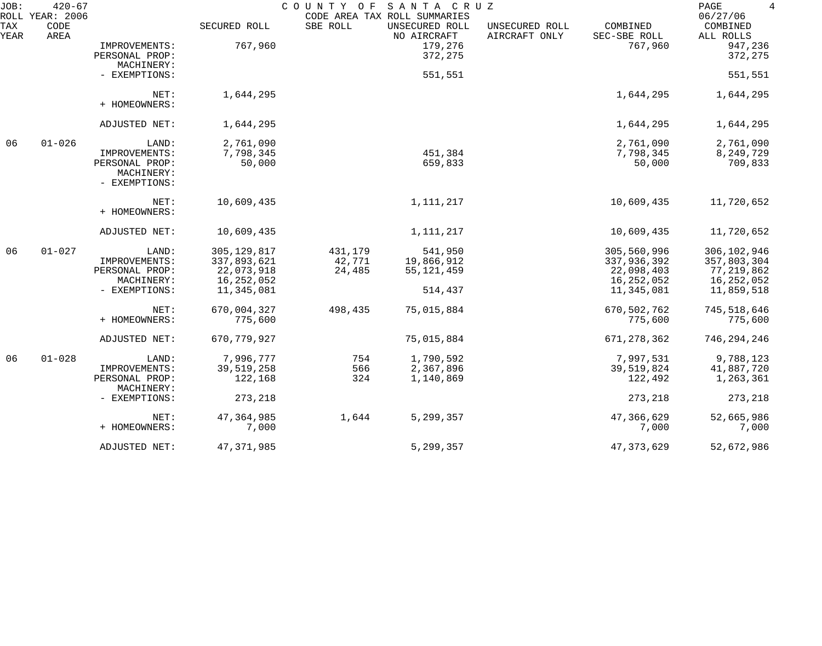| JOB:<br>ROLL | $420 - 67$<br>YEAR: 2006 |                                               |               | COUNTY OF | SANTA CRUZ<br>CODE AREA TAX ROLL SUMMARIES |                                 |                          | PAGE<br>$\overline{4}$<br>06/27/06 |
|--------------|--------------------------|-----------------------------------------------|---------------|-----------|--------------------------------------------|---------------------------------|--------------------------|------------------------------------|
| TAX<br>YEAR  | CODE<br>AREA             |                                               | SECURED ROLL  | SBE ROLL  | UNSECURED ROLL<br>NO AIRCRAFT              | UNSECURED ROLL<br>AIRCRAFT ONLY | COMBINED<br>SEC-SBE ROLL | COMBINED<br>ALL ROLLS              |
|              |                          | IMPROVEMENTS:<br>PERSONAL PROP:               | 767,960       |           | 179,276<br>372,275                         |                                 | 767,960                  | 947,236<br>372,275                 |
|              |                          | MACHINERY:<br>- EXEMPTIONS:                   |               |           | 551,551                                    |                                 |                          | 551,551                            |
|              |                          | NET:<br>+ HOMEOWNERS:                         | 1,644,295     |           |                                            |                                 | 1,644,295                | 1,644,295                          |
|              |                          | ADJUSTED NET:                                 | 1,644,295     |           |                                            |                                 | 1,644,295                | 1,644,295                          |
| 06           | $01 - 026$               | LAND:                                         | 2,761,090     |           |                                            |                                 | 2,761,090                | 2,761,090                          |
|              |                          | IMPROVEMENTS:                                 | 7,798,345     |           | 451,384                                    |                                 | 7,798,345                | 8,249,729                          |
|              |                          | PERSONAL PROP:<br>MACHINERY:<br>- EXEMPTIONS: | 50,000        |           | 659,833                                    |                                 | 50,000                   | 709,833                            |
|              |                          | NET:<br>+ HOMEOWNERS:                         | 10,609,435    |           | 1, 111, 217                                |                                 | 10,609,435               | 11,720,652                         |
|              |                          | ADJUSTED NET:                                 | 10,609,435    |           | 1,111,217                                  |                                 | 10,609,435               | 11,720,652                         |
| 06           | $01 - 027$               | LAND:                                         | 305, 129, 817 | 431,179   | 541,950                                    |                                 | 305,560,996              | 306,102,946                        |
|              |                          | IMPROVEMENTS:                                 | 337,893,621   | 42,771    | 19,866,912                                 |                                 | 337,936,392              | 357,803,304                        |
|              |                          | PERSONAL PROP:                                | 22,073,918    | 24,485    | 55, 121, 459                               |                                 | 22,098,403               | 77,219,862                         |
|              |                          | MACHINERY:                                    | 16,252,052    |           |                                            |                                 | 16,252,052               | 16,252,052                         |
|              |                          | - EXEMPTIONS:                                 | 11,345,081    |           | 514,437                                    |                                 | 11,345,081               | 11,859,518                         |
|              |                          | NET:                                          | 670,004,327   | 498,435   | 75,015,884                                 |                                 | 670,502,762              | 745,518,646                        |
|              |                          | + HOMEOWNERS:                                 | 775,600       |           |                                            |                                 | 775,600                  | 775,600                            |
|              |                          | ADJUSTED NET:                                 | 670,779,927   |           | 75,015,884                                 |                                 | 671, 278, 362            | 746,294,246                        |
| 06           | $01 - 028$               | LAND:                                         | 7,996,777     | 754       | 1,790,592                                  |                                 | 7,997,531                | 9,788,123                          |
|              |                          | IMPROVEMENTS:                                 | 39,519,258    | 566       | 2,367,896                                  |                                 | 39,519,824               | 41,887,720                         |
|              |                          | PERSONAL PROP:<br>MACHINERY:                  | 122,168       | 324       | 1,140,869                                  |                                 | 122,492                  | 1,263,361                          |
|              |                          | - EXEMPTIONS:                                 | 273,218       |           |                                            |                                 | 273,218                  | 273,218                            |
|              |                          | NET:                                          | 47, 364, 985  | 1,644     | 5,299,357                                  |                                 | 47,366,629               | 52,665,986                         |
|              |                          | + HOMEOWNERS:                                 | 7,000         |           |                                            |                                 | 7,000                    | 7,000                              |
|              |                          | ADJUSTED NET:                                 | 47, 371, 985  |           | 5,299,357                                  |                                 | 47, 373, 629             | 52,672,986                         |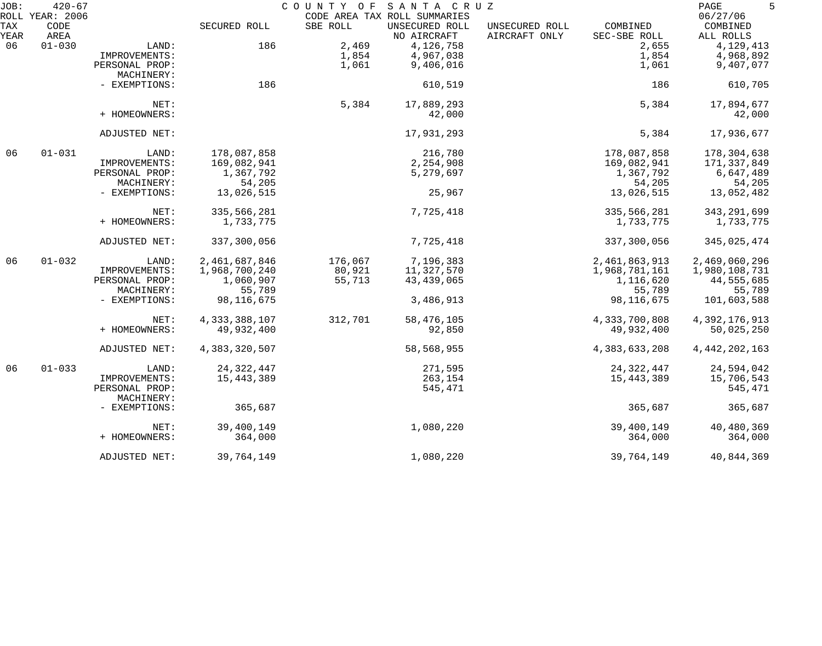| JOB:        | $420 - 67$<br>ROLL YEAR: 2006 |                              |                  | COUNTY OF | SANTA CRUZ<br>CODE AREA TAX ROLL SUMMARIES |                                 |                          | 5<br>PAGE<br>06/27/06 |
|-------------|-------------------------------|------------------------------|------------------|-----------|--------------------------------------------|---------------------------------|--------------------------|-----------------------|
| TAX<br>YEAR | CODE<br>AREA                  |                              | SECURED ROLL     | SBE ROLL  | UNSECURED ROLL<br>NO AIRCRAFT              | UNSECURED ROLL<br>AIRCRAFT ONLY | COMBINED<br>SEC-SBE ROLL | COMBINED<br>ALL ROLLS |
| 06          | $01 - 030$                    | LAND:                        | 186              | 2,469     | 4,126,758                                  |                                 | 2,655                    | 4,129,413             |
|             |                               | IMPROVEMENTS:                |                  | 1,854     | 4,967,038                                  |                                 | 1,854                    | 4,968,892             |
|             |                               | PERSONAL PROP:               |                  | 1,061     | 9,406,016                                  |                                 | 1,061                    | 9,407,077             |
|             |                               | MACHINERY:                   |                  |           |                                            |                                 |                          |                       |
|             |                               | - EXEMPTIONS:                | 186              |           | 610,519                                    |                                 | 186                      | 610,705               |
|             |                               | NET:                         |                  | 5,384     | 17,889,293                                 |                                 | 5,384                    | 17,894,677            |
|             |                               | + HOMEOWNERS:                |                  |           | 42,000                                     |                                 |                          | 42,000                |
|             |                               | ADJUSTED NET:                |                  |           | 17,931,293                                 |                                 | 5,384                    | 17,936,677            |
| 06          | $01 - 031$                    | LAND:                        | 178,087,858      |           | 216,780                                    |                                 | 178,087,858              | 178,304,638           |
|             |                               | IMPROVEMENTS:                | 169,082,941      |           | 2,254,908                                  |                                 | 169,082,941              | 171,337,849           |
|             |                               | PERSONAL PROP:               | 1,367,792        |           | 5,279,697                                  |                                 | 1,367,792                | 6,647,489             |
|             |                               | MACHINERY:                   | 54,205           |           |                                            |                                 | 54,205                   | 54,205                |
|             |                               | - EXEMPTIONS:                | 13,026,515       |           | 25,967                                     |                                 | 13,026,515               | 13,052,482            |
|             |                               | NET:                         | 335,566,281      |           | 7,725,418                                  |                                 | 335,566,281              | 343, 291, 699         |
|             |                               | + HOMEOWNERS:                | 1,733,775        |           |                                            |                                 | 1,733,775                | 1,733,775             |
|             |                               | ADJUSTED NET:                | 337,300,056      |           | 7,725,418                                  |                                 | 337,300,056              | 345,025,474           |
| 06          | $01 - 032$                    | LAND:                        | 2,461,687,846    | 176,067   | 7,196,383                                  |                                 | 2,461,863,913            | 2,469,060,296         |
|             |                               | IMPROVEMENTS:                | 1,968,700,240    | 80,921    | 11,327,570                                 |                                 | 1,968,781,161            | 1,980,108,731         |
|             |                               | PERSONAL PROP:               | 1,060,907        | 55,713    | 43, 439, 065                               |                                 | 1,116,620                | 44,555,685            |
|             |                               | MACHINERY:                   | 55,789           |           |                                            |                                 | 55,789                   | 55,789                |
|             |                               | - EXEMPTIONS:                | 98, 116, 675     |           | 3,486,913                                  |                                 | 98, 116, 675             | 101,603,588           |
|             |                               | NET:                         | 4, 333, 388, 107 | 312,701   | 58,476,105                                 |                                 | 4,333,700,808            | 4,392,176,913         |
|             |                               | + HOMEOWNERS:                | 49,932,400       |           | 92,850                                     |                                 | 49,932,400               | 50,025,250            |
|             |                               | ADJUSTED NET:                | 4,383,320,507    |           | 58,568,955                                 |                                 | 4, 383, 633, 208         | 4, 442, 202, 163      |
| 06          | $01 - 033$                    | LAND:                        | 24, 322, 447     |           | 271,595                                    |                                 | 24, 322, 447             | 24,594,042            |
|             |                               | IMPROVEMENTS:                | 15,443,389       |           | 263,154                                    |                                 | 15,443,389               | 15,706,543            |
|             |                               | PERSONAL PROP:<br>MACHINERY: |                  |           | 545,471                                    |                                 |                          | 545,471               |
|             |                               | - EXEMPTIONS:                | 365,687          |           |                                            |                                 | 365,687                  | 365,687               |
|             |                               | NET:                         | 39,400,149       |           | 1,080,220                                  |                                 | 39,400,149               | 40,480,369            |
|             |                               | + HOMEOWNERS:                | 364,000          |           |                                            |                                 | 364,000                  | 364,000               |
|             |                               | ADJUSTED NET:                | 39,764,149       |           | 1,080,220                                  |                                 | 39,764,149               | 40,844,369            |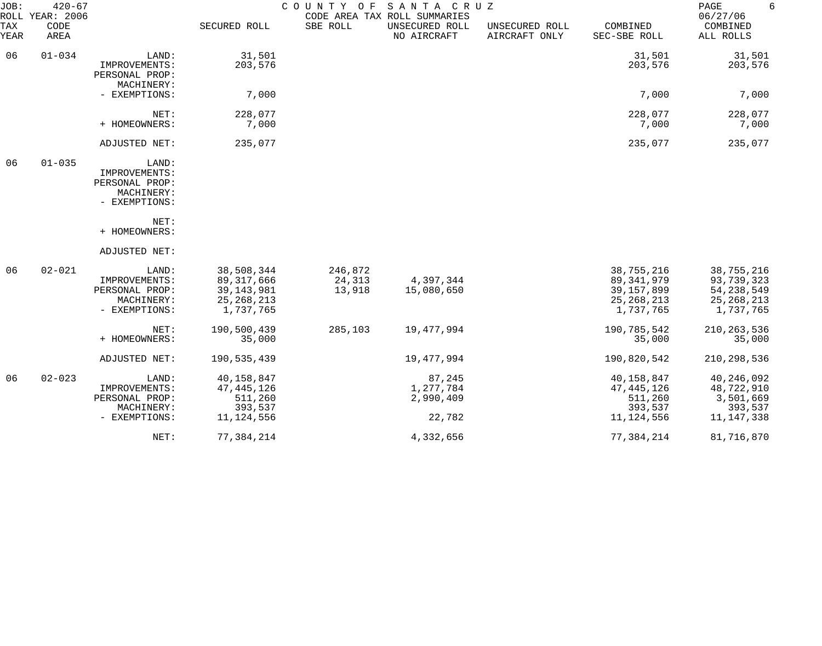| JOB:<br>$420 - 67$<br>ROLL YEAR: 2006 |              |                                                                         |                                                                         | 6<br>PAGE<br>06/27/06       |                                                               |                                 |                                                                         |                                                                       |
|---------------------------------------|--------------|-------------------------------------------------------------------------|-------------------------------------------------------------------------|-----------------------------|---------------------------------------------------------------|---------------------------------|-------------------------------------------------------------------------|-----------------------------------------------------------------------|
| TAX<br>YEAR                           | CODE<br>AREA |                                                                         | SECURED ROLL                                                            | SBE ROLL                    | CODE AREA TAX ROLL SUMMARIES<br>UNSECURED ROLL<br>NO AIRCRAFT | UNSECURED ROLL<br>AIRCRAFT ONLY | COMBINED<br>SEC-SBE ROLL                                                | COMBINED<br>ALL ROLLS                                                 |
| 06                                    | $01 - 034$   | LAND:                                                                   | 31,501                                                                  |                             |                                                               |                                 | 31,501                                                                  | 31,501                                                                |
|                                       |              | IMPROVEMENTS:<br>PERSONAL PROP:<br>MACHINERY:                           | 203,576                                                                 |                             |                                                               |                                 | 203,576                                                                 | 203,576                                                               |
|                                       |              | - EXEMPTIONS:                                                           | 7,000                                                                   |                             |                                                               |                                 | 7,000                                                                   | 7,000                                                                 |
|                                       |              | NET:                                                                    | 228,077                                                                 |                             |                                                               |                                 | 228,077                                                                 | 228,077                                                               |
|                                       |              | + HOMEOWNERS:                                                           | 7,000                                                                   |                             |                                                               |                                 | 7,000                                                                   | 7,000                                                                 |
|                                       |              | ADJUSTED NET:                                                           | 235,077                                                                 |                             |                                                               |                                 | 235,077                                                                 | 235,077                                                               |
| 06                                    | $01 - 035$   | LAND:<br>IMPROVEMENTS:<br>PERSONAL PROP:<br>MACHINERY:<br>- EXEMPTIONS: |                                                                         |                             |                                                               |                                 |                                                                         |                                                                       |
|                                       |              | NET:<br>+ HOMEOWNERS:                                                   |                                                                         |                             |                                                               |                                 |                                                                         |                                                                       |
|                                       |              | ADJUSTED NET:                                                           |                                                                         |                             |                                                               |                                 |                                                                         |                                                                       |
| 06                                    | $02 - 021$   | LAND:<br>IMPROVEMENTS:<br>PERSONAL PROP:<br>MACHINERY:<br>- EXEMPTIONS: | 38,508,344<br>89, 317, 666<br>39, 143, 981<br>25, 268, 213<br>1,737,765 | 246,872<br>24,313<br>13,918 | 4,397,344<br>15,080,650                                       |                                 | 38,755,216<br>89, 341, 979<br>39, 157, 899<br>25, 268, 213<br>1,737,765 | 38,755,216<br>93,739,323<br>54, 238, 549<br>25, 268, 213<br>1,737,765 |
|                                       |              | NET:<br>+ HOMEOWNERS:                                                   | 190,500,439<br>35,000                                                   | 285,103                     | 19,477,994                                                    |                                 | 190,785,542<br>35,000                                                   | 210, 263, 536<br>35,000                                               |
|                                       |              | ADJUSTED NET:                                                           | 190,535,439                                                             |                             | 19,477,994                                                    |                                 | 190,820,542                                                             | 210,298,536                                                           |
| 06                                    | $02 - 023$   | LAND:<br>IMPROVEMENTS:<br>PERSONAL PROP:<br>MACHINERY:<br>- EXEMPTIONS: | 40,158,847<br>47, 445, 126<br>511,260<br>393,537<br>11, 124, 556        |                             | 87,245<br>1,277,784<br>2,990,409<br>22,782                    |                                 | 40,158,847<br>47,445,126<br>511,260<br>393,537<br>11, 124, 556          | 40,246,092<br>48,722,910<br>3,501,669<br>393,537<br>11, 147, 338      |
|                                       |              | NET:                                                                    | 77,384,214                                                              |                             | 4,332,656                                                     |                                 | 77,384,214                                                              | 81,716,870                                                            |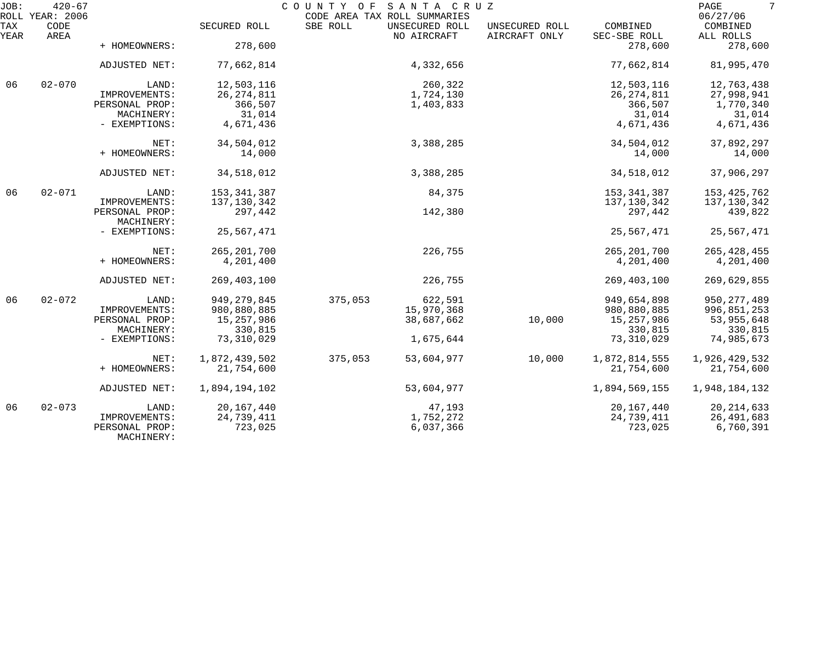| JOB:        | $420 - 67$<br>ROLL YEAR: 2006 |                              |               | COUNTY OF<br>CODE AREA TAX ROLL SUMMARIES | SANTA CRUZ                    |                                 |                          | 7<br>PAGE<br>06/27/06 |
|-------------|-------------------------------|------------------------------|---------------|-------------------------------------------|-------------------------------|---------------------------------|--------------------------|-----------------------|
| TAX<br>YEAR | CODE<br>AREA                  |                              | SECURED ROLL  | SBE ROLL                                  | UNSECURED ROLL<br>NO AIRCRAFT | UNSECURED ROLL<br>AIRCRAFT ONLY | COMBINED<br>SEC-SBE ROLL | COMBINED<br>ALL ROLLS |
|             |                               | + HOMEOWNERS:                | 278,600       |                                           |                               |                                 | 278,600                  | 278,600               |
|             |                               | ADJUSTED NET:                | 77,662,814    |                                           | 4,332,656                     |                                 | 77,662,814               | 81,995,470            |
| 06          | $02 - 070$                    | LAND:                        | 12,503,116    |                                           | 260,322                       |                                 | 12,503,116               | 12,763,438            |
|             |                               | IMPROVEMENTS:                | 26, 274, 811  |                                           | 1,724,130                     |                                 | 26, 274, 811             | 27,998,941            |
|             |                               | PERSONAL PROP:               | 366,507       |                                           | 1,403,833                     |                                 | 366,507                  | 1,770,340             |
|             |                               | MACHINERY:                   | 31,014        |                                           |                               |                                 | 31,014                   | 31,014                |
|             |                               | - EXEMPTIONS:                | 4,671,436     |                                           |                               |                                 | 4,671,436                | 4,671,436             |
|             |                               | NET:                         | 34,504,012    |                                           | 3,388,285                     |                                 | 34,504,012               | 37,892,297            |
|             |                               | + HOMEOWNERS:                | 14,000        |                                           |                               |                                 | 14,000                   | 14,000                |
|             |                               | ADJUSTED NET:                | 34,518,012    |                                           | 3,388,285                     |                                 | 34,518,012               | 37,906,297            |
| 06          | $02 - 071$                    | LAND:                        | 153, 341, 387 |                                           | 84,375                        |                                 | 153, 341, 387            | 153, 425, 762         |
|             |                               | IMPROVEMENTS:                | 137,130,342   |                                           |                               |                                 | 137,130,342              | 137,130,342           |
|             |                               | PERSONAL PROP:<br>MACHINERY: | 297,442       |                                           | 142,380                       |                                 | 297,442                  | 439,822               |
|             |                               | - EXEMPTIONS:                | 25,567,471    |                                           |                               |                                 | 25,567,471               | 25,567,471            |
|             |                               | NET:                         | 265, 201, 700 |                                           | 226,755                       |                                 | 265, 201, 700            | 265, 428, 455         |
|             |                               | + HOMEOWNERS:                | 4,201,400     |                                           |                               |                                 | 4,201,400                | 4,201,400             |
|             |                               | ADJUSTED NET:                | 269, 403, 100 |                                           | 226,755                       |                                 | 269,403,100              | 269,629,855           |
| 06          | $02 - 072$                    | LAND:                        | 949, 279, 845 | 375,053                                   | 622,591                       |                                 | 949,654,898              | 950, 277, 489         |
|             |                               | IMPROVEMENTS:                | 980,880,885   |                                           | 15,970,368                    |                                 | 980,880,885              | 996,851,253           |
|             |                               | PERSONAL PROP:               | 15,257,986    |                                           | 38,687,662                    | 10,000                          | 15,257,986               | 53,955,648            |
|             |                               | MACHINERY:                   | 330,815       |                                           |                               |                                 | 330,815                  | 330,815               |
|             |                               | - EXEMPTIONS:                | 73,310,029    |                                           | 1,675,644                     |                                 | 73,310,029               | 74,985,673            |
|             |                               | NET:                         | 1,872,439,502 | 375,053                                   | 53,604,977                    | 10,000                          | 1,872,814,555            | 1,926,429,532         |
|             |                               | + HOMEOWNERS:                | 21,754,600    |                                           |                               |                                 | 21,754,600               | 21,754,600            |
|             |                               |                              |               |                                           |                               |                                 |                          |                       |
|             |                               | ADJUSTED NET:                | 1,894,194,102 |                                           | 53,604,977                    |                                 | 1,894,569,155            | 1,948,184,132         |
| 06          | $02 - 073$                    | LAND:                        | 20, 167, 440  |                                           | 47,193                        |                                 | 20, 167, 440             | 20, 214, 633          |
|             |                               | IMPROVEMENTS:                | 24,739,411    |                                           | 1,752,272                     |                                 | 24,739,411               | 26,491,683            |
|             |                               | PERSONAL PROP:<br>MACHINERY: | 723,025       |                                           | 6,037,366                     |                                 | 723,025                  | 6,760,391             |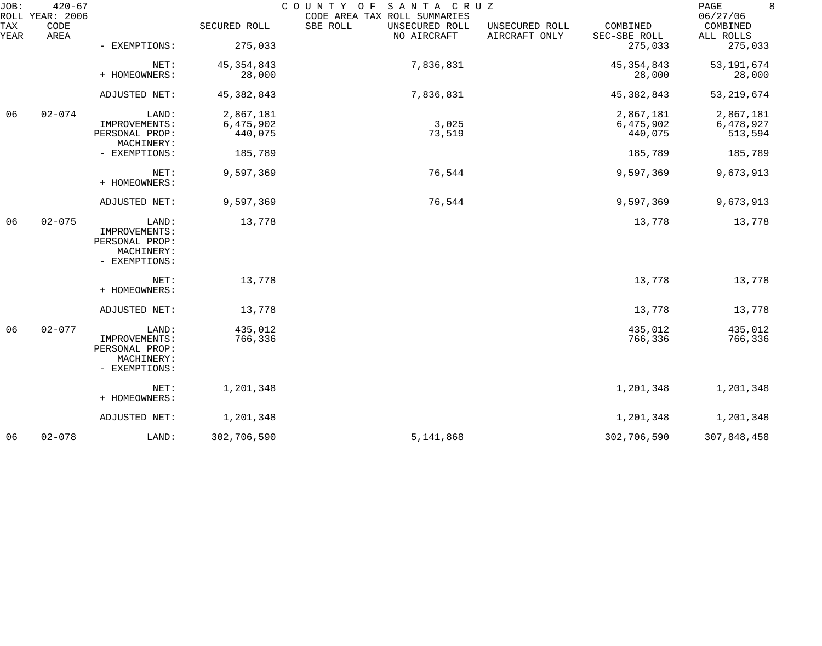| JOB:        | $420 - 67$<br>ROLL YEAR: 2006 |                                                                         |                    | COUNTY OF<br>SANTA CRUZ<br>CODE AREA TAX ROLL SUMMARIES |                                 |                          | 8<br>PAGE<br>06/27/06 |
|-------------|-------------------------------|-------------------------------------------------------------------------|--------------------|---------------------------------------------------------|---------------------------------|--------------------------|-----------------------|
| TAX<br>YEAR | CODE<br>AREA                  |                                                                         | SECURED ROLL       | SBE ROLL<br>UNSECURED ROLL<br>NO AIRCRAFT               | UNSECURED ROLL<br>AIRCRAFT ONLY | COMBINED<br>SEC-SBE ROLL | COMBINED<br>ALL ROLLS |
|             |                               | - EXEMPTIONS:                                                           | 275,033            |                                                         |                                 | 275,033                  | 275,033               |
|             |                               | NET:                                                                    | 45, 354, 843       | 7,836,831                                               |                                 | 45, 354, 843             | 53, 191, 674          |
|             |                               | + HOMEOWNERS:                                                           | 28,000             |                                                         |                                 | 28,000                   | 28,000                |
|             |                               | ADJUSTED NET:                                                           | 45, 382, 843       | 7,836,831                                               |                                 | 45, 382, 843             | 53, 219, 674          |
| 06          | $02 - 074$                    | LAND:                                                                   | 2,867,181          |                                                         |                                 | 2,867,181                | 2,867,181             |
|             |                               | IMPROVEMENTS:                                                           | 6,475,902          | 3,025                                                   |                                 | 6,475,902                | 6,478,927             |
|             |                               | PERSONAL PROP:<br>MACHINERY:                                            | 440,075            | 73,519                                                  |                                 | 440,075                  | 513,594               |
|             |                               | - EXEMPTIONS:                                                           | 185,789            |                                                         |                                 | 185,789                  | 185,789               |
|             |                               | NET:<br>+ HOMEOWNERS:                                                   | 9,597,369          | 76,544                                                  |                                 | 9,597,369                | 9,673,913             |
|             |                               | ADJUSTED NET:                                                           | 9,597,369          | 76,544                                                  |                                 | 9,597,369                | 9,673,913             |
| 06          | $02 - 075$                    | LAND:<br>IMPROVEMENTS:<br>PERSONAL PROP:<br>MACHINERY:<br>- EXEMPTIONS: | 13,778             |                                                         |                                 | 13,778                   | 13,778                |
|             |                               | NET:<br>+ HOMEOWNERS:                                                   | 13,778             |                                                         |                                 | 13,778                   | 13,778                |
|             |                               | ADJUSTED NET:                                                           | 13,778             |                                                         |                                 | 13,778                   | 13,778                |
| 06          | $02 - 077$                    | LAND:<br>IMPROVEMENTS:<br>PERSONAL PROP:<br>MACHINERY:<br>- EXEMPTIONS: | 435,012<br>766,336 |                                                         |                                 | 435,012<br>766,336       | 435,012<br>766,336    |
|             |                               | NET:<br>+ HOMEOWNERS:                                                   | 1,201,348          |                                                         |                                 | 1,201,348                | 1,201,348             |
|             |                               | ADJUSTED NET:                                                           | 1,201,348          |                                                         |                                 | 1,201,348                | 1,201,348             |
| 06          | $02 - 078$                    | LAND:                                                                   | 302,706,590        | 5,141,868                                               |                                 | 302,706,590              | 307,848,458           |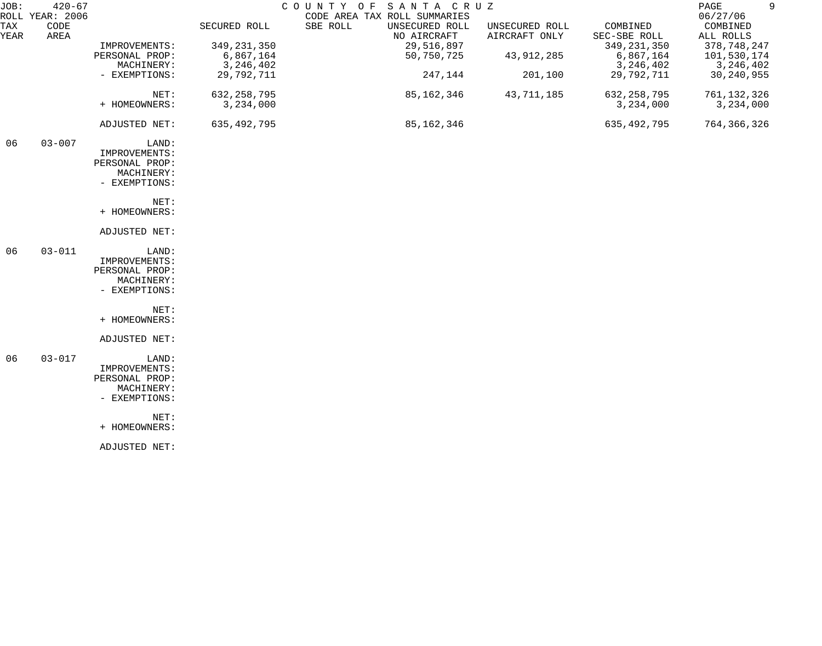| JOB:        | $420 - 67$                      |                |               | SANTA CRUZ<br>COUNTY OF                                                   |         |                                 |                          | 9<br>PAGE                         |
|-------------|---------------------------------|----------------|---------------|---------------------------------------------------------------------------|---------|---------------------------------|--------------------------|-----------------------------------|
| TAX<br>YEAR | ROLL YEAR: 2006<br>CODE<br>AREA |                | SECURED ROLL  | CODE AREA TAX ROLL SUMMARIES<br>SBE ROLL<br>UNSECURED ROLL<br>NO AIRCRAFT |         | UNSECURED ROLL<br>AIRCRAFT ONLY | COMBINED<br>SEC-SBE ROLL | 06/27/06<br>COMBINED<br>ALL ROLLS |
|             |                                 | IMPROVEMENTS:  | 349, 231, 350 | 29,516,897                                                                |         |                                 | 349, 231, 350            | 378,748,247                       |
|             |                                 | PERSONAL PROP: | 6,867,164     | 50,750,725                                                                |         | 43,912,285                      | 6,867,164                | 101,530,174                       |
|             |                                 | MACHINERY:     | 3, 246, 402   |                                                                           |         |                                 | 3, 246, 402              | 3,246,402                         |
|             |                                 | - EXEMPTIONS:  | 29,792,711    |                                                                           | 247,144 | 201,100                         | 29,792,711               | 30, 240, 955                      |
|             |                                 | NET:           | 632, 258, 795 | 85,162,346                                                                |         | 43,711,185                      | 632, 258, 795            | 761, 132, 326                     |
|             |                                 | + HOMEOWNERS:  | 3,234,000     |                                                                           |         |                                 | 3,234,000                | 3,234,000                         |
|             |                                 | ADJUSTED NET:  | 635, 492, 795 | 85,162,346                                                                |         |                                 | 635,492,795              | 764, 366, 326                     |
| 06          | $03 - 007$                      | LAND:          |               |                                                                           |         |                                 |                          |                                   |
|             |                                 | IMPROVEMENTS:  |               |                                                                           |         |                                 |                          |                                   |
|             |                                 | PERSONAL PROP: |               |                                                                           |         |                                 |                          |                                   |
|             |                                 | MACHINERY:     |               |                                                                           |         |                                 |                          |                                   |
|             |                                 | - EXEMPTIONS:  |               |                                                                           |         |                                 |                          |                                   |
|             |                                 | NET:           |               |                                                                           |         |                                 |                          |                                   |
|             |                                 | + HOMEOWNERS:  |               |                                                                           |         |                                 |                          |                                   |
|             |                                 | ADJUSTED NET:  |               |                                                                           |         |                                 |                          |                                   |
| 06          | $03 - 011$                      | LAND:          |               |                                                                           |         |                                 |                          |                                   |
|             |                                 | IMPROVEMENTS:  |               |                                                                           |         |                                 |                          |                                   |
|             |                                 | PERSONAL PROP: |               |                                                                           |         |                                 |                          |                                   |
|             |                                 | MACHINERY:     |               |                                                                           |         |                                 |                          |                                   |
|             |                                 | - EXEMPTIONS:  |               |                                                                           |         |                                 |                          |                                   |
|             |                                 | NET:           |               |                                                                           |         |                                 |                          |                                   |
|             |                                 | + HOMEOWNERS:  |               |                                                                           |         |                                 |                          |                                   |
|             |                                 | ADJUSTED NET:  |               |                                                                           |         |                                 |                          |                                   |
| 06          | $03 - 017$                      | LAND:          |               |                                                                           |         |                                 |                          |                                   |
|             |                                 | IMPROVEMENTS:  |               |                                                                           |         |                                 |                          |                                   |
|             |                                 | PERSONAL PROP: |               |                                                                           |         |                                 |                          |                                   |
|             |                                 | MACHINERY:     |               |                                                                           |         |                                 |                          |                                   |
|             |                                 | - EXEMPTIONS:  |               |                                                                           |         |                                 |                          |                                   |
|             |                                 | NET:           |               |                                                                           |         |                                 |                          |                                   |
|             |                                 | + HOMEOWNERS:  |               |                                                                           |         |                                 |                          |                                   |
|             |                                 | ADJUSTED NET:  |               |                                                                           |         |                                 |                          |                                   |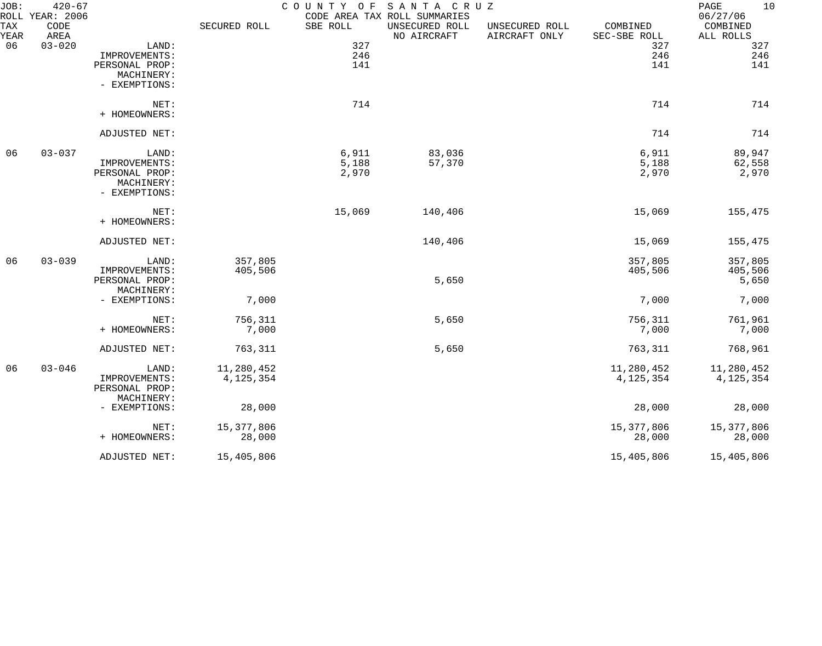| JOB:<br>ROLL | $420 - 67$<br>YEAR: 2006 |                |              | COUNTY OF SANTA CRUZ | CODE AREA TAX ROLL SUMMARIES  |                                 |                          | 10<br>PAGE<br>06/27/06 |
|--------------|--------------------------|----------------|--------------|----------------------|-------------------------------|---------------------------------|--------------------------|------------------------|
| TAX<br>YEAR  | CODE<br>AREA             |                | SECURED ROLL | SBE ROLL             | UNSECURED ROLL<br>NO AIRCRAFT | UNSECURED ROLL<br>AIRCRAFT ONLY | COMBINED<br>SEC-SBE ROLL | COMBINED<br>ALL ROLLS  |
| 06           | $03 - 020$               | LAND:          |              | 327                  |                               |                                 | 327                      | 327                    |
|              |                          | IMPROVEMENTS:  |              | 246                  |                               |                                 | 246                      | 246                    |
|              |                          | PERSONAL PROP: |              | 141                  |                               |                                 | 141                      | 141                    |
|              |                          | MACHINERY:     |              |                      |                               |                                 |                          |                        |
|              |                          | - EXEMPTIONS:  |              |                      |                               |                                 |                          |                        |
|              |                          | NET:           |              | 714                  |                               |                                 | 714                      | 714                    |
|              |                          | + HOMEOWNERS:  |              |                      |                               |                                 |                          |                        |
|              |                          | ADJUSTED NET:  |              |                      |                               |                                 | 714                      | 714                    |
| 06           | $03 - 037$               | LAND:          |              | 6,911                | 83,036                        |                                 | 6,911                    | 89,947                 |
|              |                          | IMPROVEMENTS:  |              | 5,188                | 57,370                        |                                 | 5,188                    | 62,558                 |
|              |                          | PERSONAL PROP: |              | 2,970                |                               |                                 | 2,970                    | 2,970                  |
|              |                          | MACHINERY:     |              |                      |                               |                                 |                          |                        |
|              |                          | - EXEMPTIONS:  |              |                      |                               |                                 |                          |                        |
|              |                          | NET:           |              | 15,069               | 140,406                       |                                 | 15,069                   | 155,475                |
|              |                          | + HOMEOWNERS:  |              |                      |                               |                                 |                          |                        |
|              |                          | ADJUSTED NET:  |              |                      | 140,406                       |                                 | 15,069                   | 155,475                |
| 06           | $03 - 039$               | LAND:          | 357,805      |                      |                               |                                 | 357,805                  | 357,805                |
|              |                          | IMPROVEMENTS:  | 405,506      |                      |                               |                                 | 405,506                  | 405,506                |
|              |                          | PERSONAL PROP: |              |                      | 5,650                         |                                 |                          | 5,650                  |
|              |                          | MACHINERY:     |              |                      |                               |                                 |                          |                        |
|              |                          | - EXEMPTIONS:  | 7,000        |                      |                               |                                 | 7,000                    | 7,000                  |
|              |                          | NET:           | 756,311      |                      | 5,650                         |                                 | 756,311                  | 761,961                |
|              |                          | + HOMEOWNERS:  | 7,000        |                      |                               |                                 | 7,000                    | 7,000                  |
|              |                          |                |              |                      |                               |                                 |                          |                        |
|              |                          | ADJUSTED NET:  | 763,311      |                      | 5,650                         |                                 | 763,311                  | 768,961                |
| 06           | $03 - 046$               | LAND:          | 11,280,452   |                      |                               |                                 | 11,280,452               | 11,280,452             |
|              |                          | IMPROVEMENTS:  | 4, 125, 354  |                      |                               |                                 | 4, 125, 354              | 4, 125, 354            |
|              |                          | PERSONAL PROP: |              |                      |                               |                                 |                          |                        |
|              |                          | MACHINERY:     |              |                      |                               |                                 |                          |                        |
|              |                          | - EXEMPTIONS:  | 28,000       |                      |                               |                                 | 28,000                   | 28,000                 |
|              |                          | NET:           | 15, 377, 806 |                      |                               |                                 | 15,377,806               | 15,377,806             |
|              |                          | + HOMEOWNERS:  | 28,000       |                      |                               |                                 | 28,000                   | 28,000                 |
|              |                          | ADJUSTED NET:  | 15,405,806   |                      |                               |                                 | 15,405,806               | 15,405,806             |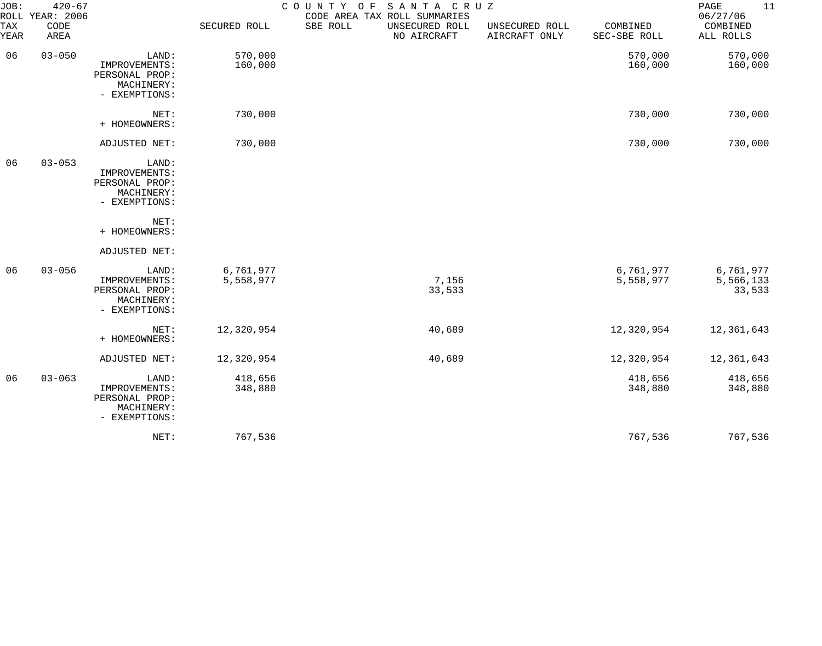| JOB:             | $420 - 67$<br>ROLL YEAR: 2006 |                                                                         |                        | SANTA CRUZ<br>COUNTY OF<br>CODE AREA TAX ROLL SUMMARIES |                                 |                          | 11<br>PAGE<br>06/27/06           |
|------------------|-------------------------------|-------------------------------------------------------------------------|------------------------|---------------------------------------------------------|---------------------------------|--------------------------|----------------------------------|
| TAX<br>YEAR      | CODE<br>AREA                  |                                                                         | SECURED ROLL           | SBE ROLL<br>UNSECURED ROLL<br>NO AIRCRAFT               | UNSECURED ROLL<br>AIRCRAFT ONLY | COMBINED<br>SEC-SBE ROLL | COMBINED<br>ALL ROLLS            |
| $03 - 050$<br>06 |                               | LAND:<br>IMPROVEMENTS:<br>PERSONAL PROP:<br>MACHINERY:<br>- EXEMPTIONS: | 570,000<br>160,000     |                                                         |                                 | 570,000<br>160,000       | 570,000<br>160,000               |
|                  |                               | NET:<br>+ HOMEOWNERS:                                                   | 730,000                |                                                         |                                 | 730,000                  | 730,000                          |
|                  |                               | ADJUSTED NET:                                                           | 730,000                |                                                         |                                 | 730,000                  | 730,000                          |
| 06               | $03 - 053$                    | LAND:<br>IMPROVEMENTS:<br>PERSONAL PROP:<br>MACHINERY:<br>- EXEMPTIONS: |                        |                                                         |                                 |                          |                                  |
|                  |                               | NET:<br>+ HOMEOWNERS:                                                   |                        |                                                         |                                 |                          |                                  |
|                  |                               | ADJUSTED NET:                                                           |                        |                                                         |                                 |                          |                                  |
| 06               | $03 - 056$                    | LAND:<br>IMPROVEMENTS:<br>PERSONAL PROP:<br>MACHINERY:<br>- EXEMPTIONS: | 6,761,977<br>5,558,977 | 7,156<br>33,533                                         |                                 | 6,761,977<br>5,558,977   | 6,761,977<br>5,566,133<br>33,533 |
|                  |                               | NET:<br>+ HOMEOWNERS:                                                   | 12,320,954             | 40,689                                                  |                                 | 12,320,954               | 12,361,643                       |
|                  |                               | ADJUSTED NET:                                                           | 12,320,954             | 40,689                                                  |                                 | 12,320,954               | 12,361,643                       |
| 06               | $03 - 063$                    | LAND:<br>IMPROVEMENTS:<br>PERSONAL PROP:<br>MACHINERY:<br>- EXEMPTIONS: | 418,656<br>348,880     |                                                         |                                 | 418,656<br>348,880       | 418,656<br>348,880               |
|                  |                               | NET:                                                                    | 767,536                |                                                         |                                 | 767,536                  | 767,536                          |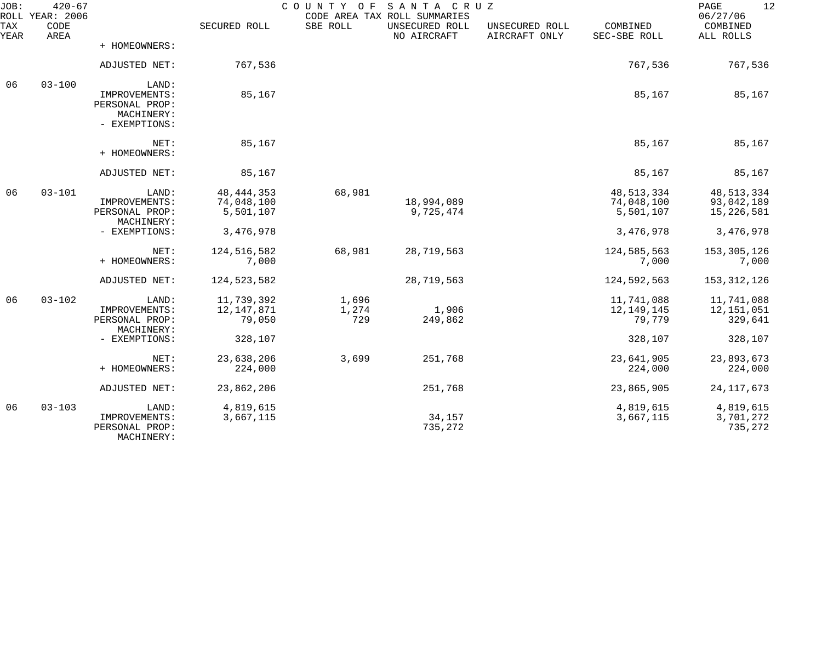| JOB:        | $420 - 67$<br>ROLL YEAR: 2006 |                                                                         |                                         | COUNTY OF             | SANTA CRUZ<br>CODE AREA TAX ROLL SUMMARIES |                                 |                                         | 12<br>PAGE<br>06/27/06                   |
|-------------|-------------------------------|-------------------------------------------------------------------------|-----------------------------------------|-----------------------|--------------------------------------------|---------------------------------|-----------------------------------------|------------------------------------------|
| TAX<br>YEAR | CODE<br>AREA                  |                                                                         | SECURED ROLL                            | SBE ROLL              | UNSECURED ROLL<br>NO AIRCRAFT              | UNSECURED ROLL<br>AIRCRAFT ONLY | COMBINED<br>SEC-SBE ROLL                | COMBINED<br>ALL ROLLS                    |
|             |                               | + HOMEOWNERS:                                                           |                                         |                       |                                            |                                 |                                         |                                          |
|             |                               | ADJUSTED NET:                                                           | 767,536                                 |                       |                                            |                                 | 767,536                                 | 767,536                                  |
| 06          | $03 - 100$                    | LAND:<br>IMPROVEMENTS:<br>PERSONAL PROP:<br>MACHINERY:<br>- EXEMPTIONS: | 85,167                                  |                       |                                            |                                 | 85,167                                  | 85,167                                   |
|             |                               | NET:<br>+ HOMEOWNERS:                                                   | 85,167                                  |                       |                                            |                                 | 85,167                                  | 85,167                                   |
|             |                               | ADJUSTED NET:                                                           | 85,167                                  |                       |                                            |                                 | 85,167                                  | 85,167                                   |
| 06          | $03 - 101$                    | LAND:<br>IMPROVEMENTS:<br>PERSONAL PROP:<br>MACHINERY:                  | 48, 444, 353<br>74,048,100<br>5,501,107 | 68,981                | 18,994,089<br>9,725,474                    |                                 | 48, 513, 334<br>74,048,100<br>5,501,107 | 48, 513, 334<br>93,042,189<br>15,226,581 |
|             |                               | - EXEMPTIONS:                                                           | 3,476,978                               |                       |                                            |                                 | 3,476,978                               | 3,476,978                                |
|             |                               | NET:<br>+ HOMEOWNERS:                                                   | 124,516,582<br>7,000                    | 68,981                | 28,719,563                                 |                                 | 124,585,563<br>7,000                    | 153, 305, 126<br>7,000                   |
|             |                               | ADJUSTED NET:                                                           | 124, 523, 582                           |                       | 28,719,563                                 |                                 | 124,592,563                             | 153, 312, 126                            |
| 06          | $03 - 102$                    | LAND:<br>IMPROVEMENTS:<br>PERSONAL PROP:<br>MACHINERY:                  | 11,739,392<br>12, 147, 871<br>79,050    | 1,696<br>1,274<br>729 | 1,906<br>249,862                           |                                 | 11,741,088<br>12,149,145<br>79,779      | 11,741,088<br>12,151,051<br>329,641      |
|             |                               | - EXEMPTIONS:                                                           | 328,107                                 |                       |                                            |                                 | 328,107                                 | 328,107                                  |
|             |                               | NET:<br>+ HOMEOWNERS:                                                   | 23,638,206<br>224,000                   | 3,699                 | 251,768                                    |                                 | 23,641,905<br>224,000                   | 23,893,673<br>224,000                    |
|             |                               | ADJUSTED NET:                                                           | 23,862,206                              |                       | 251,768                                    |                                 | 23,865,905                              | 24, 117, 673                             |
| 06          | $03 - 103$                    | LAND:<br>IMPROVEMENTS:<br>PERSONAL PROP:<br>MACHINERY:                  | 4,819,615<br>3,667,115                  |                       | 34,157<br>735,272                          |                                 | 4,819,615<br>3,667,115                  | 4,819,615<br>3,701,272<br>735,272        |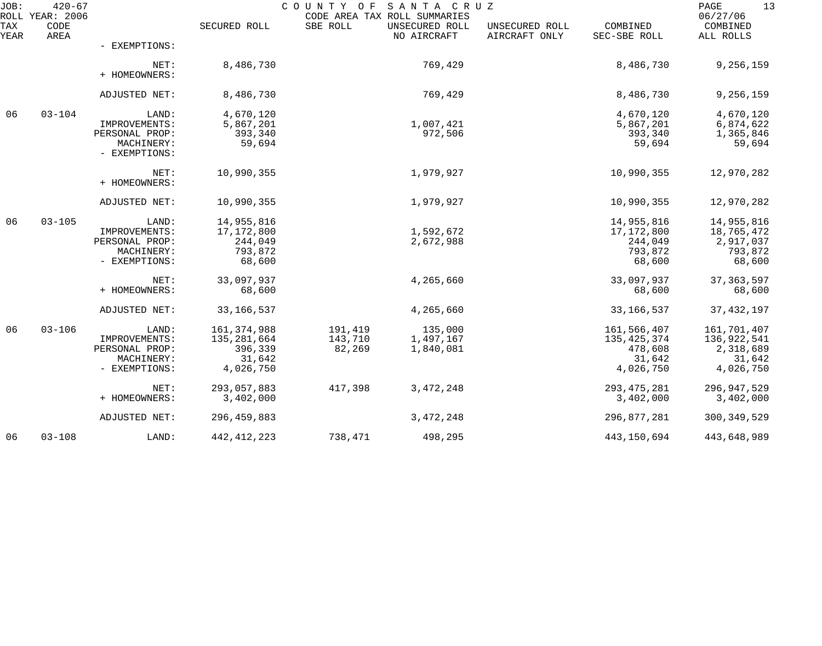| JOB:        | $420 - 67$<br>ROLL YEAR: 2006 |                                                                         |                                                                | SANTA CRUZ<br>COUNTY OF<br>CODE AREA TAX ROLL SUMMARIES | 13<br>PAGE<br>06/27/06            |                                 |                                                              |                                                                |
|-------------|-------------------------------|-------------------------------------------------------------------------|----------------------------------------------------------------|---------------------------------------------------------|-----------------------------------|---------------------------------|--------------------------------------------------------------|----------------------------------------------------------------|
| TAX<br>YEAR | CODE<br>AREA                  |                                                                         | SECURED ROLL                                                   | SBE ROLL                                                | UNSECURED ROLL<br>NO AIRCRAFT     | UNSECURED ROLL<br>AIRCRAFT ONLY | COMBINED<br>SEC-SBE ROLL                                     | COMBINED<br>ALL ROLLS                                          |
|             |                               | - EXEMPTIONS:                                                           |                                                                |                                                         |                                   |                                 |                                                              |                                                                |
|             |                               | NET:<br>+ HOMEOWNERS:                                                   | 8,486,730                                                      |                                                         | 769,429                           |                                 | 8,486,730                                                    | 9,256,159                                                      |
|             |                               | ADJUSTED NET:                                                           | 8,486,730                                                      |                                                         | 769,429                           |                                 | 8,486,730                                                    | 9,256,159                                                      |
| 06          | $03 - 104$                    | LAND:<br>IMPROVEMENTS:<br>PERSONAL PROP:<br>MACHINERY:<br>- EXEMPTIONS: | 4,670,120<br>5,867,201<br>393,340<br>59,694                    |                                                         | 1,007,421<br>972,506              |                                 | 4,670,120<br>5,867,201<br>393,340<br>59,694                  | 4,670,120<br>6,874,622<br>1,365,846<br>59,694                  |
|             |                               | NET:<br>+ HOMEOWNERS:                                                   | 10,990,355                                                     |                                                         | 1,979,927                         |                                 | 10,990,355                                                   | 12,970,282                                                     |
|             |                               | ADJUSTED NET:                                                           | 10,990,355                                                     |                                                         | 1,979,927                         |                                 | 10,990,355                                                   | 12,970,282                                                     |
| 06          | $03 - 105$                    | LAND:<br>IMPROVEMENTS:<br>PERSONAL PROP:<br>MACHINERY:<br>- EXEMPTIONS: | 14,955,816<br>17,172,800<br>244,049<br>793,872<br>68,600       |                                                         | 1,592,672<br>2,672,988            |                                 | 14,955,816<br>17,172,800<br>244,049<br>793,872<br>68,600     | 14,955,816<br>18,765,472<br>2,917,037<br>793,872<br>68,600     |
|             |                               | NET:<br>+ HOMEOWNERS:                                                   | 33,097,937<br>68,600                                           |                                                         | 4,265,660                         |                                 | 33,097,937<br>68,600                                         | 37, 363, 597<br>68,600                                         |
|             |                               | ADJUSTED NET:                                                           | 33, 166, 537                                                   |                                                         | 4,265,660                         |                                 | 33, 166, 537                                                 | 37, 432, 197                                                   |
| 06          | $03 - 106$                    | LAND:<br>IMPROVEMENTS:<br>PERSONAL PROP:<br>MACHINERY:<br>- EXEMPTIONS: | 161, 374, 988<br>135,281,664<br>396,339<br>31,642<br>4,026,750 | 191,419<br>143,710<br>82,269                            | 135,000<br>1,497,167<br>1,840,081 |                                 | 161,566,407<br>135,425,374<br>478,608<br>31,642<br>4,026,750 | 161,701,407<br>136,922,541<br>2,318,689<br>31,642<br>4,026,750 |
|             |                               | NET:<br>+ HOMEOWNERS:                                                   | 293,057,883<br>3,402,000                                       | 417,398                                                 | 3, 472, 248                       |                                 | 293, 475, 281<br>3,402,000                                   | 296, 947, 529<br>3,402,000                                     |
|             |                               | ADJUSTED NET:                                                           | 296, 459, 883                                                  |                                                         | 3, 472, 248                       |                                 | 296,877,281                                                  | 300, 349, 529                                                  |
| 06          | $03 - 108$                    | LAND:                                                                   | 442, 412, 223                                                  | 738,471                                                 | 498,295                           |                                 | 443,150,694                                                  | 443,648,989                                                    |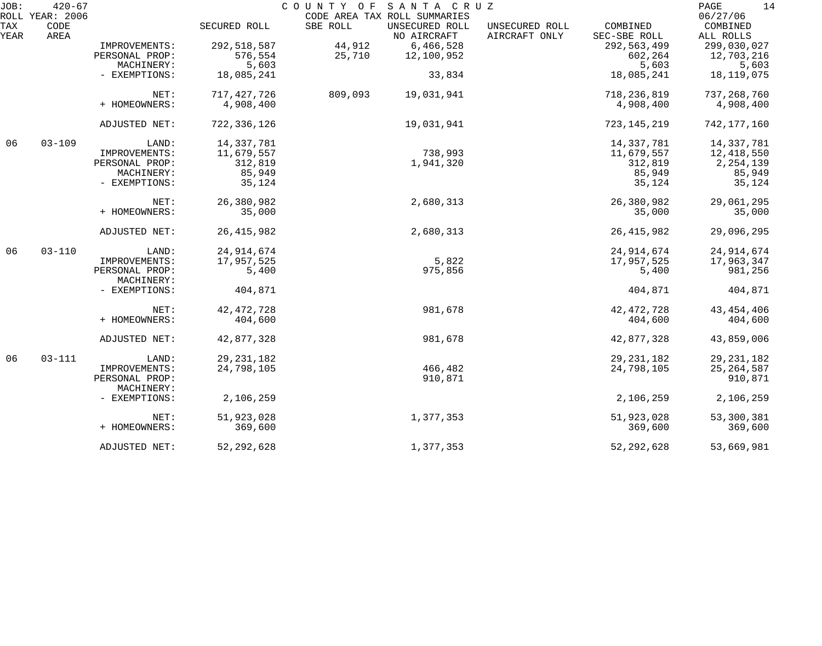| JOB:        | $420 - 67$                      |                              |               | COUNTY OF | SANTA CRUZ                                                    |                                 |                          | 14<br>PAGE                        |
|-------------|---------------------------------|------------------------------|---------------|-----------|---------------------------------------------------------------|---------------------------------|--------------------------|-----------------------------------|
| TAX<br>YEAR | ROLL YEAR: 2006<br>CODE<br>AREA |                              | SECURED ROLL  | SBE ROLL  | CODE AREA TAX ROLL SUMMARIES<br>UNSECURED ROLL<br>NO AIRCRAFT | UNSECURED ROLL<br>AIRCRAFT ONLY | COMBINED<br>SEC-SBE ROLL | 06/27/06<br>COMBINED<br>ALL ROLLS |
|             |                                 | IMPROVEMENTS:                | 292,518,587   | 44,912    | 6,466,528                                                     |                                 | 292,563,499              | 299,030,027                       |
|             |                                 | PERSONAL PROP:               | 576,554       | 25,710    | 12,100,952                                                    |                                 | 602,264                  | 12,703,216                        |
|             |                                 | MACHINERY:                   | 5,603         |           |                                                               |                                 | 5,603                    | 5,603                             |
|             |                                 | - EXEMPTIONS:                | 18,085,241    |           | 33,834                                                        |                                 | 18,085,241               | 18,119,075                        |
|             |                                 | NET:                         | 717, 427, 726 | 809,093   | 19,031,941                                                    |                                 | 718,236,819              | 737, 268, 760                     |
|             |                                 | + HOMEOWNERS:                | 4,908,400     |           |                                                               |                                 | 4,908,400                | 4,908,400                         |
|             |                                 | ADJUSTED NET:                | 722,336,126   |           | 19,031,941                                                    |                                 | 723, 145, 219            | 742,177,160                       |
| 06          | $03 - 109$                      | LAND:                        | 14,337,781    |           |                                                               |                                 | 14,337,781               | 14,337,781                        |
|             |                                 | IMPROVEMENTS:                | 11,679,557    |           | 738,993                                                       |                                 | 11,679,557               | 12,418,550                        |
|             |                                 | PERSONAL PROP:               | 312,819       |           | 1,941,320                                                     |                                 | 312,819                  | 2, 254, 139                       |
|             |                                 | MACHINERY:                   | 85,949        |           |                                                               |                                 | 85,949                   | 85,949                            |
|             |                                 | - EXEMPTIONS:                | 35,124        |           |                                                               |                                 | 35,124                   | 35,124                            |
|             |                                 | NET:                         | 26,380,982    |           | 2,680,313                                                     |                                 | 26,380,982               | 29,061,295                        |
|             |                                 | + HOMEOWNERS:                | 35,000        |           |                                                               |                                 | 35,000                   | 35,000                            |
|             |                                 | ADJUSTED NET:                | 26, 415, 982  |           | 2,680,313                                                     |                                 | 26, 415, 982             | 29,096,295                        |
| 06          | $03 - 110$                      | LAND:                        | 24, 914, 674  |           |                                                               |                                 | 24,914,674               | 24,914,674                        |
|             |                                 | IMPROVEMENTS:                | 17,957,525    |           | 5,822                                                         |                                 | 17,957,525               | 17,963,347                        |
|             |                                 | PERSONAL PROP:<br>MACHINERY: | 5,400         |           | 975,856                                                       |                                 | 5,400                    | 981,256                           |
|             |                                 | - EXEMPTIONS:                | 404,871       |           |                                                               |                                 | 404,871                  | 404,871                           |
|             |                                 | NET:                         | 42, 472, 728  |           | 981,678                                                       |                                 | 42, 472, 728             | 43, 454, 406                      |
|             |                                 | + HOMEOWNERS:                | 404,600       |           |                                                               |                                 | 404,600                  | 404,600                           |
|             |                                 | ADJUSTED NET:                | 42,877,328    |           | 981,678                                                       |                                 | 42,877,328               | 43,859,006                        |
| 06          | $03 - 111$                      | LAND:                        | 29, 231, 182  |           |                                                               |                                 | 29, 231, 182             | 29, 231, 182                      |
|             |                                 | IMPROVEMENTS:                | 24,798,105    |           | 466,482                                                       |                                 | 24,798,105               | 25, 264, 587                      |
|             |                                 | PERSONAL PROP:<br>MACHINERY: |               |           | 910,871                                                       |                                 |                          | 910,871                           |
|             |                                 | - EXEMPTIONS:                | 2,106,259     |           |                                                               |                                 | 2,106,259                | 2,106,259                         |
|             |                                 | NET:                         | 51,923,028    |           | 1,377,353                                                     |                                 | 51,923,028               | 53,300,381                        |
|             |                                 | + HOMEOWNERS:                | 369,600       |           |                                                               |                                 | 369,600                  | 369,600                           |
|             |                                 | ADJUSTED NET:                | 52, 292, 628  |           | 1,377,353                                                     |                                 | 52, 292, 628             | 53,669,981                        |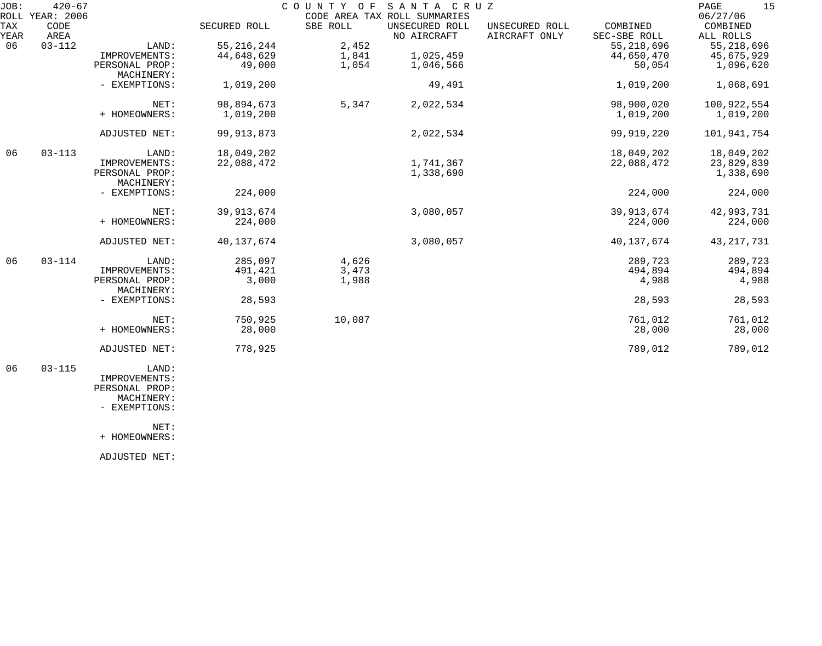| JOB: | $420 - 67$      |                |              |          | COUNTY OF SANTA CRUZ         |                |              | 15<br>PAGE   |
|------|-----------------|----------------|--------------|----------|------------------------------|----------------|--------------|--------------|
|      | ROLL YEAR: 2006 |                |              |          | CODE AREA TAX ROLL SUMMARIES |                |              | 06/27/06     |
| TAX  | CODE            |                | SECURED ROLL | SBE ROLL | UNSECURED ROLL               | UNSECURED ROLL | COMBINED     | COMBINED     |
| YEAR | AREA            |                |              |          | NO AIRCRAFT                  | AIRCRAFT ONLY  | SEC-SBE ROLL | ALL ROLLS    |
| 06   | $03 - 112$      | LAND:          | 55, 216, 244 | 2,452    |                              |                | 55, 218, 696 | 55, 218, 696 |
|      |                 | IMPROVEMENTS:  | 44,648,629   | 1,841    | 1,025,459                    |                | 44,650,470   | 45,675,929   |
|      |                 | PERSONAL PROP: | 49,000       | 1,054    | 1,046,566                    |                | 50,054       | 1,096,620    |
|      |                 | MACHINERY:     |              |          |                              |                |              |              |
|      |                 | - EXEMPTIONS:  | 1,019,200    |          | 49,491                       |                | 1,019,200    | 1,068,691    |
|      |                 | NET:           | 98,894,673   | 5,347    | 2,022,534                    |                | 98,900,020   | 100,922,554  |
|      |                 | + HOMEOWNERS:  | 1,019,200    |          |                              |                | 1,019,200    | 1,019,200    |
|      |                 | ADJUSTED NET:  | 99, 913, 873 |          | 2,022,534                    |                | 99,919,220   | 101,941,754  |
| 06   | $03 - 113$      | LAND:          | 18,049,202   |          |                              |                | 18,049,202   | 18,049,202   |
|      |                 | IMPROVEMENTS:  | 22,088,472   |          | 1,741,367                    |                | 22,088,472   | 23,829,839   |
|      |                 | PERSONAL PROP: |              |          | 1,338,690                    |                |              | 1,338,690    |
|      |                 | MACHINERY:     |              |          |                              |                |              |              |
|      |                 | - EXEMPTIONS:  | 224,000      |          |                              |                | 224,000      | 224,000      |
|      |                 | NET:           | 39, 913, 674 |          | 3,080,057                    |                | 39,913,674   | 42,993,731   |
|      |                 | + HOMEOWNERS:  | 224,000      |          |                              |                | 224,000      | 224,000      |
|      |                 |                |              |          |                              |                |              |              |
|      |                 | ADJUSTED NET:  | 40, 137, 674 |          | 3,080,057                    |                | 40, 137, 674 | 43, 217, 731 |
| 06   | $03 - 114$      | LAND:          | 285,097      | 4,626    |                              |                | 289,723      | 289,723      |
|      |                 | IMPROVEMENTS:  | 491,421      | 3,473    |                              |                | 494,894      | 494,894      |
|      |                 | PERSONAL PROP: | 3,000        | 1,988    |                              |                | 4,988        | 4,988        |
|      |                 | MACHINERY:     |              |          |                              |                |              |              |
|      |                 | - EXEMPTIONS:  | 28,593       |          |                              |                | 28,593       | 28,593       |
|      |                 | NET:           | 750,925      | 10,087   |                              |                | 761,012      | 761,012      |
|      |                 | + HOMEOWNERS:  | 28,000       |          |                              |                | 28,000       | 28,000       |
|      |                 |                |              |          |                              |                |              |              |
|      |                 | ADJUSTED NET:  | 778,925      |          |                              |                | 789,012      | 789,012      |
|      |                 |                |              |          |                              |                |              |              |

 06 03-115 LAND: IMPROVEMENTS: PERSONAL PROP: MACHINERY:

- EXEMPTIONS:

NET:

+ HOMEOWNERS:

ADJUSTED NET: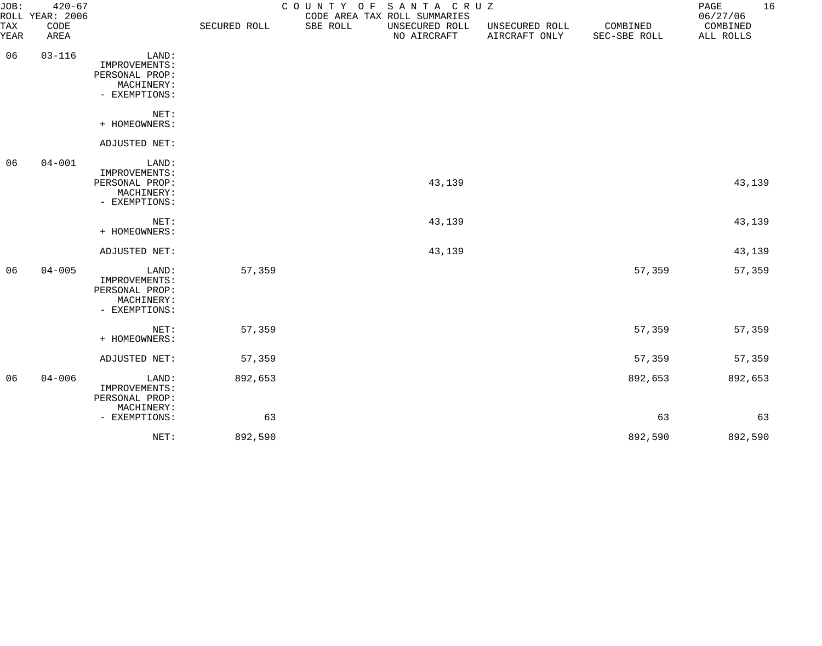| JOB:        | $420 - 67$<br>ROLL YEAR: 2006 |                                                                         |              |          | COUNTY OF SANTA CRUZ<br>CODE AREA TAX ROLL SUMMARIES |                                 |                          | 16<br>PAGE<br>06/27/06 |
|-------------|-------------------------------|-------------------------------------------------------------------------|--------------|----------|------------------------------------------------------|---------------------------------|--------------------------|------------------------|
| TAX<br>YEAR | CODE<br>AREA                  |                                                                         | SECURED ROLL | SBE ROLL | UNSECURED ROLL<br>NO AIRCRAFT                        | UNSECURED ROLL<br>AIRCRAFT ONLY | COMBINED<br>SEC-SBE ROLL | COMBINED<br>ALL ROLLS  |
| 06          | $03 - 116$                    | LAND:<br>IMPROVEMENTS:<br>PERSONAL PROP:<br>MACHINERY:<br>- EXEMPTIONS: |              |          |                                                      |                                 |                          |                        |
|             |                               | NET:<br>+ HOMEOWNERS:                                                   |              |          |                                                      |                                 |                          |                        |
|             |                               | ADJUSTED NET:                                                           |              |          |                                                      |                                 |                          |                        |
| 06          | $04 - 001$                    | LAND:<br>IMPROVEMENTS:<br>PERSONAL PROP:<br>MACHINERY:<br>- EXEMPTIONS: |              |          | 43,139                                               |                                 |                          | 43,139                 |
|             |                               | NET:<br>+ HOMEOWNERS:                                                   |              |          | 43,139                                               |                                 |                          | 43,139                 |
|             |                               | ADJUSTED NET:                                                           |              |          | 43,139                                               |                                 |                          | 43,139                 |
| 06          | $04 - 005$                    | LAND:<br>IMPROVEMENTS:<br>PERSONAL PROP:<br>MACHINERY:<br>- EXEMPTIONS: | 57,359       |          |                                                      |                                 | 57,359                   | 57,359                 |
|             |                               | NET:<br>+ HOMEOWNERS:                                                   | 57,359       |          |                                                      |                                 | 57,359                   | 57,359                 |
|             |                               | ADJUSTED NET:                                                           | 57,359       |          |                                                      |                                 | 57,359                   | 57,359                 |
| 06          | $04 - 006$                    | LAND:<br>IMPROVEMENTS:<br>PERSONAL PROP:<br>MACHINERY:                  | 892,653      |          |                                                      |                                 | 892,653                  | 892,653                |
|             |                               | - EXEMPTIONS:                                                           | 63           |          |                                                      |                                 | 63                       | 63                     |
|             |                               | NET:                                                                    | 892,590      |          |                                                      |                                 | 892,590                  | 892,590                |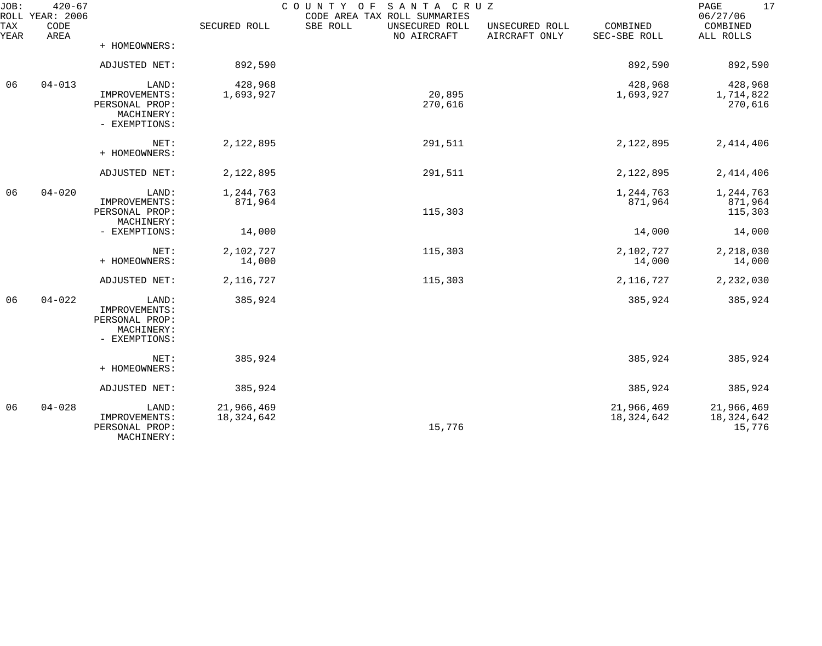| JOB:        | $420 - 67$<br>ROLL YEAR: 2006 |                                                                         |                          | COUNTY OF<br>SANTA CRUZ<br>CODE AREA TAX ROLL SUMMARIES |                                 |                          | 17<br>PAGE<br>06/27/06             |
|-------------|-------------------------------|-------------------------------------------------------------------------|--------------------------|---------------------------------------------------------|---------------------------------|--------------------------|------------------------------------|
| TAX<br>YEAR | CODE<br>AREA                  |                                                                         | SECURED ROLL             | SBE ROLL<br>UNSECURED ROLL<br>NO AIRCRAFT               | UNSECURED ROLL<br>AIRCRAFT ONLY | COMBINED<br>SEC-SBE ROLL | COMBINED<br>ALL ROLLS              |
|             |                               | + HOMEOWNERS:                                                           |                          |                                                         |                                 |                          |                                    |
|             |                               | ADJUSTED NET:                                                           | 892,590                  |                                                         |                                 | 892,590                  | 892,590                            |
| 06          | $04 - 013$                    | LAND:<br>IMPROVEMENTS:<br>PERSONAL PROP:<br>MACHINERY:<br>- EXEMPTIONS: | 428,968<br>1,693,927     | 20,895<br>270,616                                       |                                 | 428,968<br>1,693,927     | 428,968<br>1,714,822<br>270,616    |
|             |                               | NET:<br>+ HOMEOWNERS:                                                   | 2,122,895                | 291,511                                                 |                                 | 2,122,895                | 2, 414, 406                        |
|             |                               | ADJUSTED NET:                                                           | 2,122,895                | 291,511                                                 |                                 | 2,122,895                | 2,414,406                          |
| 06          | $04 - 020$                    | LAND:<br>IMPROVEMENTS:<br>PERSONAL PROP:<br>MACHINERY:                  | 1,244,763<br>871,964     | 115,303                                                 |                                 | 1,244,763<br>871,964     | 1,244,763<br>871,964<br>115,303    |
|             |                               | - EXEMPTIONS:                                                           | 14,000                   |                                                         |                                 | 14,000                   | 14,000                             |
|             |                               | NET:<br>+ HOMEOWNERS:                                                   | 2,102,727<br>14,000      | 115,303                                                 |                                 | 2,102,727<br>14,000      | 2,218,030<br>14,000                |
|             |                               | ADJUSTED NET:                                                           | 2, 116, 727              | 115,303                                                 |                                 | 2,116,727                | 2,232,030                          |
| 06          | $04 - 022$                    | LAND:<br>IMPROVEMENTS:<br>PERSONAL PROP:<br>MACHINERY:<br>- EXEMPTIONS: | 385,924                  |                                                         |                                 | 385,924                  | 385,924                            |
|             |                               | NET:<br>+ HOMEOWNERS:                                                   | 385,924                  |                                                         |                                 | 385,924                  | 385,924                            |
|             |                               | ADJUSTED NET:                                                           | 385,924                  |                                                         |                                 | 385,924                  | 385,924                            |
| 06          | $04 - 028$                    | LAND:<br>IMPROVEMENTS:<br>PERSONAL PROP:<br>MACHINERY:                  | 21,966,469<br>18,324,642 | 15,776                                                  |                                 | 21,966,469<br>18,324,642 | 21,966,469<br>18,324,642<br>15,776 |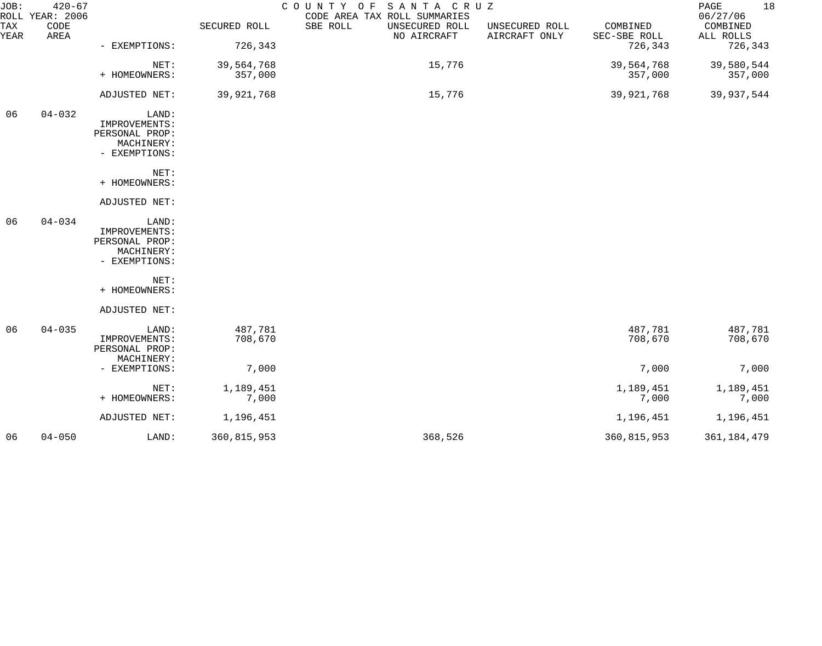| JOB:        | $420 - 67$<br>ROLL YEAR: 2006 |                                                                         |                       | SANTA CRUZ<br>COUNTY OF<br>CODE AREA TAX ROLL SUMMARIES |                                 |                          | 18<br>PAGE<br>06/27/06 |
|-------------|-------------------------------|-------------------------------------------------------------------------|-----------------------|---------------------------------------------------------|---------------------------------|--------------------------|------------------------|
| TAX<br>YEAR | CODE<br>AREA                  |                                                                         | SECURED ROLL          | SBE ROLL<br>UNSECURED ROLL<br>NO AIRCRAFT               | UNSECURED ROLL<br>AIRCRAFT ONLY | COMBINED<br>SEC-SBE ROLL | COMBINED<br>ALL ROLLS  |
|             |                               | - EXEMPTIONS:                                                           | 726,343               |                                                         |                                 | 726,343                  | 726,343                |
|             |                               | NET:<br>+ HOMEOWNERS:                                                   | 39,564,768<br>357,000 | 15,776                                                  |                                 | 39,564,768<br>357,000    | 39,580,544<br>357,000  |
|             |                               | ADJUSTED NET:                                                           | 39,921,768            | 15,776                                                  |                                 | 39,921,768               | 39,937,544             |
| 06          | $04 - 032$                    | LAND:<br>IMPROVEMENTS:<br>PERSONAL PROP:<br>MACHINERY:<br>- EXEMPTIONS: |                       |                                                         |                                 |                          |                        |
|             |                               | NET:<br>+ HOMEOWNERS:                                                   |                       |                                                         |                                 |                          |                        |
|             |                               | ADJUSTED NET:                                                           |                       |                                                         |                                 |                          |                        |
| 06          | $04 - 034$                    | LAND:<br>IMPROVEMENTS:<br>PERSONAL PROP:<br>MACHINERY:<br>- EXEMPTIONS: |                       |                                                         |                                 |                          |                        |
|             |                               | NET:<br>+ HOMEOWNERS:                                                   |                       |                                                         |                                 |                          |                        |
|             |                               | ADJUSTED NET:                                                           |                       |                                                         |                                 |                          |                        |
| 06          | $04 - 035$                    | LAND:<br>IMPROVEMENTS:<br>PERSONAL PROP:<br>MACHINERY:                  | 487,781<br>708,670    |                                                         |                                 | 487,781<br>708,670       | 487,781<br>708,670     |
|             |                               | - EXEMPTIONS:                                                           | 7,000                 |                                                         |                                 | 7,000                    | 7,000                  |
|             |                               | NET:<br>+ HOMEOWNERS:                                                   | 1,189,451<br>7,000    |                                                         |                                 | 1,189,451<br>7,000       | 1,189,451<br>7,000     |
|             |                               | ADJUSTED NET:                                                           | 1,196,451             |                                                         |                                 | 1,196,451                | 1,196,451              |
| 06          | $04 - 050$                    | LAND:                                                                   | 360,815,953           | 368,526                                                 |                                 | 360,815,953              | 361, 184, 479          |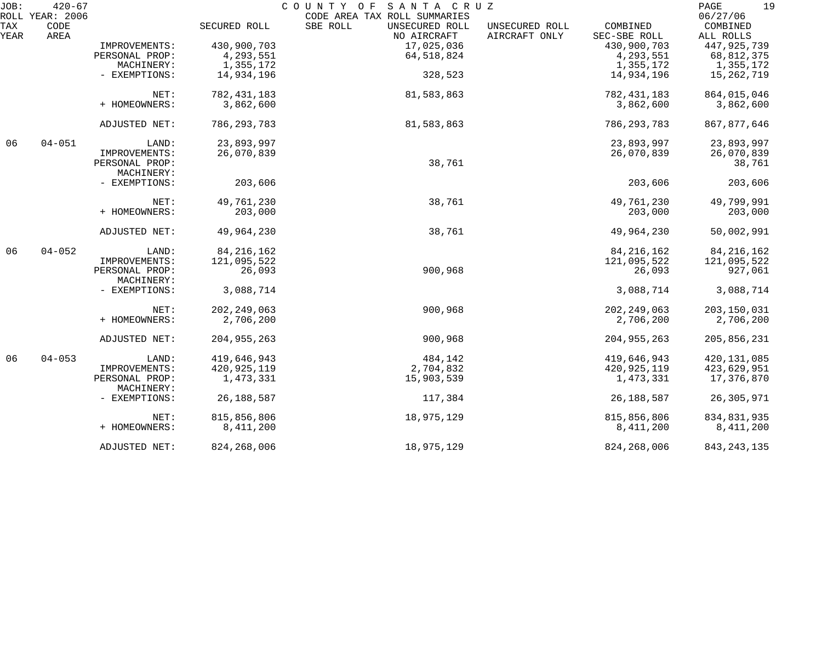| JOB:        | $420 - 67$<br>ROLL YEAR: 2006 |                              |               | COUNTY OF SANTA CRUZ<br>CODE AREA TAX ROLL SUMMARIES |                                 |                          | 19<br>PAGE<br>06/27/06 |
|-------------|-------------------------------|------------------------------|---------------|------------------------------------------------------|---------------------------------|--------------------------|------------------------|
| TAX<br>YEAR | CODE<br>AREA                  |                              | SECURED ROLL  | SBE ROLL<br>UNSECURED ROLL<br>NO AIRCRAFT            | UNSECURED ROLL<br>AIRCRAFT ONLY | COMBINED<br>SEC-SBE ROLL | COMBINED<br>ALL ROLLS  |
|             |                               | IMPROVEMENTS:                | 430,900,703   | 17,025,036                                           |                                 | 430,900,703              | 447, 925, 739          |
|             |                               | PERSONAL PROP:               | 4,293,551     | 64, 518, 824                                         |                                 | 4,293,551                | 68,812,375             |
|             |                               | MACHINERY:                   | 1,355,172     |                                                      |                                 | 1,355,172                | 1,355,172              |
|             |                               | - EXEMPTIONS:                | 14,934,196    | 328,523                                              |                                 | 14,934,196               | 15,262,719             |
|             |                               | NET:                         | 782, 431, 183 | 81,583,863                                           |                                 | 782, 431, 183            | 864,015,046            |
|             |                               | + HOMEOWNERS:                | 3,862,600     |                                                      |                                 | 3,862,600                | 3,862,600              |
|             |                               | ADJUSTED NET:                | 786, 293, 783 | 81,583,863                                           |                                 | 786, 293, 783            | 867, 877, 646          |
| 06          | $04 - 051$                    | LAND:                        | 23,893,997    |                                                      |                                 | 23,893,997               | 23,893,997             |
|             |                               | IMPROVEMENTS:                | 26,070,839    |                                                      |                                 | 26,070,839               | 26,070,839             |
|             |                               | PERSONAL PROP:<br>MACHINERY: |               | 38,761                                               |                                 |                          | 38,761                 |
|             |                               | - EXEMPTIONS:                | 203,606       |                                                      |                                 | 203,606                  | 203,606                |
|             |                               | NET:                         | 49,761,230    | 38,761                                               |                                 | 49,761,230               | 49,799,991             |
|             |                               | + HOMEOWNERS:                | 203,000       |                                                      |                                 | 203,000                  | 203,000                |
|             |                               | ADJUSTED NET:                | 49,964,230    | 38,761                                               |                                 | 49,964,230               | 50,002,991             |
| 06          | $04 - 052$                    | LAND:                        | 84, 216, 162  |                                                      |                                 | 84, 216, 162             | 84, 216, 162           |
|             |                               | IMPROVEMENTS:                | 121,095,522   |                                                      |                                 | 121,095,522              | 121,095,522            |
|             |                               | PERSONAL PROP:<br>MACHINERY: | 26,093        | 900,968                                              |                                 | 26,093                   | 927,061                |
|             |                               | - EXEMPTIONS:                | 3,088,714     |                                                      |                                 | 3,088,714                | 3,088,714              |
|             |                               | NET:                         | 202, 249, 063 | 900,968                                              |                                 | 202, 249, 063            | 203, 150, 031          |
|             |                               | + HOMEOWNERS:                | 2,706,200     |                                                      |                                 | 2,706,200                | 2,706,200              |
|             |                               | ADJUSTED NET:                | 204, 955, 263 | 900,968                                              |                                 | 204, 955, 263            | 205,856,231            |
| 06          | $04 - 053$                    | LAND:                        | 419,646,943   | 484,142                                              |                                 | 419,646,943              | 420, 131, 085          |
|             |                               | IMPROVEMENTS:                | 420, 925, 119 | 2,704,832                                            |                                 | 420, 925, 119            | 423,629,951            |
|             |                               | PERSONAL PROP:<br>MACHINERY: | 1,473,331     | 15,903,539                                           |                                 | 1,473,331                | 17,376,870             |
|             |                               | - EXEMPTIONS:                | 26, 188, 587  | 117,384                                              |                                 | 26, 188, 587             | 26, 305, 971           |
|             |                               | NET:                         | 815,856,806   | 18,975,129                                           |                                 | 815,856,806              | 834, 831, 935          |
|             |                               | + HOMEOWNERS:                | 8,411,200     |                                                      |                                 | 8,411,200                | 8,411,200              |
|             |                               | ADJUSTED NET:                | 824, 268, 006 | 18,975,129                                           |                                 | 824, 268, 006            | 843, 243, 135          |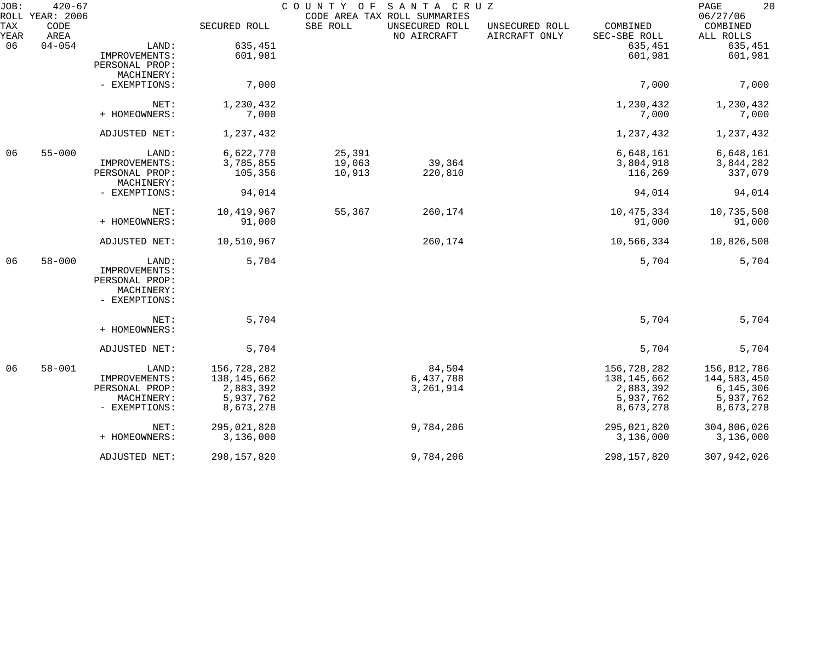| JOB:        | $420 - 67$<br>ROLL YEAR: 2006 |                |               | COUNTY OF SANTA CRUZ | CODE AREA TAX ROLL SUMMARIES  |                                 |                          | 20<br>PAGE<br>06/27/06 |
|-------------|-------------------------------|----------------|---------------|----------------------|-------------------------------|---------------------------------|--------------------------|------------------------|
| TAX<br>YEAR | CODE<br>AREA                  |                | SECURED ROLL  | SBE ROLL             | UNSECURED ROLL<br>NO AIRCRAFT | UNSECURED ROLL<br>AIRCRAFT ONLY | COMBINED<br>SEC-SBE ROLL | COMBINED<br>ALL ROLLS  |
| 06          | $04 - 054$                    | LAND:          | 635,451       |                      |                               |                                 | 635,451                  | 635,451                |
|             |                               | IMPROVEMENTS:  | 601,981       |                      |                               |                                 | 601,981                  | 601,981                |
|             |                               | PERSONAL PROP: |               |                      |                               |                                 |                          |                        |
|             |                               | MACHINERY:     |               |                      |                               |                                 |                          |                        |
|             |                               | - EXEMPTIONS:  | 7,000         |                      |                               |                                 | 7,000                    | 7,000                  |
|             |                               | NET:           | 1,230,432     |                      |                               |                                 | 1,230,432                | 1,230,432              |
|             |                               | + HOMEOWNERS:  | 7,000         |                      |                               |                                 | 7,000                    | 7,000                  |
|             |                               | ADJUSTED NET:  | 1,237,432     |                      |                               |                                 | 1,237,432                | 1,237,432              |
| 06          | $55 - 000$                    | LAND:          | 6,622,770     | 25,391               |                               |                                 | 6,648,161                | 6,648,161              |
|             |                               | IMPROVEMENTS:  | 3,785,855     | 19,063               | 39,364                        |                                 | 3,804,918                | 3,844,282              |
|             |                               | PERSONAL PROP: | 105,356       | 10,913               | 220,810                       |                                 | 116,269                  | 337,079                |
|             |                               | MACHINERY:     |               |                      |                               |                                 |                          |                        |
|             |                               | - EXEMPTIONS:  | 94,014        |                      |                               |                                 | 94,014                   | 94,014                 |
|             |                               | NET:           | 10,419,967    | 55,367               | 260,174                       |                                 | 10,475,334               | 10,735,508             |
|             |                               | + HOMEOWNERS:  | 91,000        |                      |                               |                                 | 91,000                   | 91,000                 |
|             |                               | ADJUSTED NET:  | 10,510,967    |                      | 260,174                       |                                 | 10,566,334               | 10,826,508             |
| 06          | $58 - 000$                    | LAND:          | 5,704         |                      |                               |                                 | 5,704                    | 5,704                  |
|             |                               | IMPROVEMENTS:  |               |                      |                               |                                 |                          |                        |
|             |                               | PERSONAL PROP: |               |                      |                               |                                 |                          |                        |
|             |                               | MACHINERY:     |               |                      |                               |                                 |                          |                        |
|             |                               | - EXEMPTIONS:  |               |                      |                               |                                 |                          |                        |
|             |                               | NET:           | 5,704         |                      |                               |                                 | 5,704                    | 5,704                  |
|             |                               | + HOMEOWNERS:  |               |                      |                               |                                 |                          |                        |
|             |                               | ADJUSTED NET:  | 5,704         |                      |                               |                                 | 5,704                    | 5,704                  |
| 06          | $58 - 001$                    | LAND:          | 156,728,282   |                      | 84,504                        |                                 | 156,728,282              | 156,812,786            |
|             |                               | IMPROVEMENTS:  | 138,145,662   |                      | 6,437,788                     |                                 | 138, 145, 662            | 144,583,450            |
|             |                               | PERSONAL PROP: | 2,883,392     |                      | 3, 261, 914                   |                                 | 2,883,392                | 6, 145, 306            |
|             |                               | MACHINERY:     | 5,937,762     |                      |                               |                                 | 5,937,762                | 5,937,762              |
|             |                               | - EXEMPTIONS:  | 8,673,278     |                      |                               |                                 | 8,673,278                | 8,673,278              |
|             |                               | NET:           | 295,021,820   |                      | 9,784,206                     |                                 | 295,021,820              | 304,806,026            |
|             |                               | + HOMEOWNERS:  | 3,136,000     |                      |                               |                                 | 3,136,000                | 3,136,000              |
|             |                               | ADJUSTED NET:  | 298, 157, 820 |                      | 9,784,206                     |                                 | 298, 157, 820            | 307,942,026            |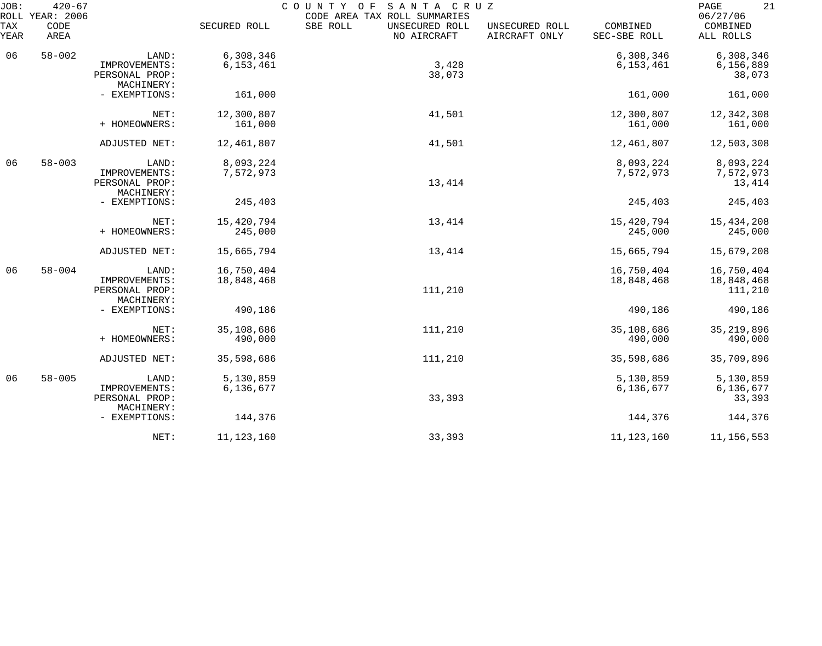| JOB:             | $420 - 67$<br>ROLL YEAR: 2006 |                                                        |                          | SANTA CRUZ<br>COUNTY OF<br>CODE AREA TAX ROLL SUMMARIES |                                 |                          | 21<br>PAGE<br>06/27/06              |
|------------------|-------------------------------|--------------------------------------------------------|--------------------------|---------------------------------------------------------|---------------------------------|--------------------------|-------------------------------------|
| TAX<br>YEAR      | CODE<br>AREA                  |                                                        | SECURED ROLL             | SBE ROLL<br>UNSECURED ROLL<br>NO AIRCRAFT               | UNSECURED ROLL<br>AIRCRAFT ONLY | COMBINED<br>SEC-SBE ROLL | COMBINED<br>ALL ROLLS               |
| 06               | $58 - 002$                    | LAND:<br>IMPROVEMENTS:<br>PERSONAL PROP:<br>MACHINERY: | 6,308,346<br>6,153,461   | 3,428<br>38,073                                         |                                 | 6,308,346<br>6, 153, 461 | 6,308,346<br>6,156,889<br>38,073    |
|                  |                               | - EXEMPTIONS:                                          | 161,000                  |                                                         |                                 | 161,000                  | 161,000                             |
|                  |                               | NET:<br>+ HOMEOWNERS:                                  | 12,300,807<br>161,000    | 41,501                                                  |                                 | 12,300,807<br>161,000    | 12,342,308<br>161,000               |
|                  |                               | ADJUSTED NET:                                          | 12,461,807               | 41,501                                                  |                                 | 12,461,807               | 12,503,308                          |
| 06<br>$58 - 003$ |                               | LAND:<br>IMPROVEMENTS:<br>PERSONAL PROP:<br>MACHINERY: | 8,093,224<br>7,572,973   | 13,414                                                  |                                 | 8,093,224<br>7,572,973   | 8,093,224<br>7,572,973<br>13,414    |
|                  |                               | - EXEMPTIONS:                                          | 245,403                  |                                                         |                                 | 245,403                  | 245,403                             |
|                  |                               | NET:<br>+ HOMEOWNERS:                                  | 15,420,794<br>245,000    | 13,414                                                  |                                 | 15,420,794<br>245,000    | 15,434,208<br>245,000               |
|                  |                               | ADJUSTED NET:                                          | 15,665,794               | 13,414                                                  |                                 | 15,665,794               | 15,679,208                          |
| 06               | $58 - 004$                    | LAND:<br>IMPROVEMENTS:<br>PERSONAL PROP:<br>MACHINERY: | 16,750,404<br>18,848,468 | 111,210                                                 |                                 | 16,750,404<br>18,848,468 | 16,750,404<br>18,848,468<br>111,210 |
|                  |                               | - EXEMPTIONS:                                          | 490,186                  |                                                         |                                 | 490,186                  | 490,186                             |
|                  |                               | NET:<br>+ HOMEOWNERS:                                  | 35,108,686<br>490,000    | 111,210                                                 |                                 | 35,108,686<br>490,000    | 35, 219, 896<br>490,000             |
|                  |                               | ADJUSTED NET:                                          | 35,598,686               | 111,210                                                 |                                 | 35,598,686               | 35,709,896                          |
| 06               | $58 - 005$                    | LAND:<br>IMPROVEMENTS:<br>PERSONAL PROP:<br>MACHINERY: | 5,130,859<br>6,136,677   | 33,393                                                  |                                 | 5,130,859<br>6,136,677   | 5,130,859<br>6,136,677<br>33,393    |
|                  |                               | - EXEMPTIONS:                                          | 144,376                  |                                                         |                                 | 144,376                  | 144,376                             |
|                  |                               | NET:                                                   | 11, 123, 160             | 33,393                                                  |                                 | 11, 123, 160             | 11,156,553                          |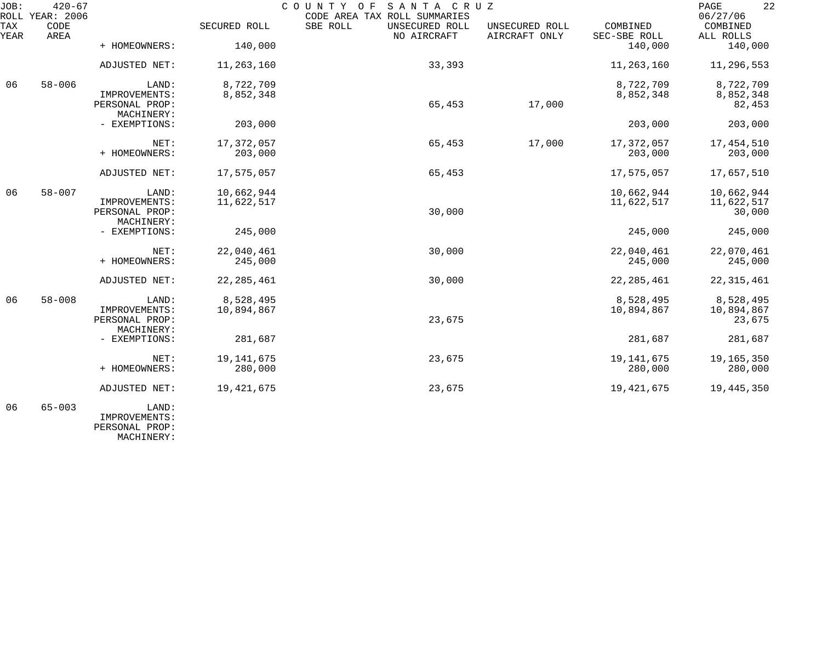| JOB:             | $420 - 67$<br>COUNTY OF<br>SANTA CRUZ<br>ROLL YEAR: 2006<br>CODE AREA TAX ROLL SUMMARIES |                                                        |                          |                                           |                                 |                          | 22<br>PAGE<br>06/27/06             |
|------------------|------------------------------------------------------------------------------------------|--------------------------------------------------------|--------------------------|-------------------------------------------|---------------------------------|--------------------------|------------------------------------|
| TAX<br>YEAR      | CODE<br>AREA                                                                             |                                                        | SECURED ROLL             | SBE ROLL<br>UNSECURED ROLL<br>NO AIRCRAFT | UNSECURED ROLL<br>AIRCRAFT ONLY | COMBINED<br>SEC-SBE ROLL | COMBINED<br>ALL ROLLS              |
|                  |                                                                                          | + HOMEOWNERS:                                          | 140,000                  |                                           |                                 | 140,000                  | 140,000                            |
|                  |                                                                                          | ADJUSTED NET:                                          | 11,263,160               | 33,393                                    |                                 | 11,263,160               | 11,296,553                         |
| 06<br>$58 - 006$ |                                                                                          | LAND:<br>IMPROVEMENTS:<br>PERSONAL PROP:<br>MACHINERY: | 8,722,709<br>8,852,348   | 65,453                                    | 17,000                          | 8,722,709<br>8,852,348   | 8,722,709<br>8,852,348<br>82,453   |
|                  |                                                                                          | - EXEMPTIONS:                                          | 203,000                  |                                           |                                 | 203,000                  | 203,000                            |
|                  |                                                                                          | NET:<br>+ HOMEOWNERS:                                  | 17,372,057<br>203,000    | 65,453                                    | 17,000                          | 17,372,057<br>203,000    | 17, 454, 510<br>203,000            |
|                  |                                                                                          | ADJUSTED NET:                                          | 17,575,057               | 65,453                                    |                                 | 17,575,057               | 17,657,510                         |
| 06               | $58 - 007$                                                                               | LAND:<br>IMPROVEMENTS:<br>PERSONAL PROP:<br>MACHINERY: | 10,662,944<br>11,622,517 | 30,000                                    |                                 | 10,662,944<br>11,622,517 | 10,662,944<br>11,622,517<br>30,000 |
|                  |                                                                                          | - EXEMPTIONS:                                          | 245,000                  |                                           |                                 | 245,000                  | 245,000                            |
|                  |                                                                                          | NET:<br>+ HOMEOWNERS:                                  | 22,040,461<br>245,000    | 30,000                                    |                                 | 22,040,461<br>245,000    | 22,070,461<br>245,000              |
|                  |                                                                                          | ADJUSTED NET:                                          | 22, 285, 461             | 30,000                                    |                                 | 22, 285, 461             | 22, 315, 461                       |
| 06               | $58 - 008$                                                                               | LAND:<br>IMPROVEMENTS:<br>PERSONAL PROP:<br>MACHINERY: | 8,528,495<br>10,894,867  | 23,675                                    |                                 | 8,528,495<br>10,894,867  | 8,528,495<br>10,894,867<br>23,675  |
|                  |                                                                                          | - EXEMPTIONS:                                          | 281,687                  |                                           |                                 | 281,687                  | 281,687                            |
|                  |                                                                                          | NET:<br>+ HOMEOWNERS:                                  | 19, 141, 675<br>280,000  | 23,675                                    |                                 | 19, 141, 675<br>280,000  | 19,165,350<br>280,000              |
|                  |                                                                                          | ADJUSTED NET:                                          | 19, 421, 675             | 23,675                                    |                                 | 19, 421, 675             | 19,445,350                         |
| 06               | $65 - 003$                                                                               | LAND:<br>TMDDOVLEMENTC .                               |                          |                                           |                                 |                          |                                    |

 IMPROVEMENTS: PERSONAL PROP: MACHINERY: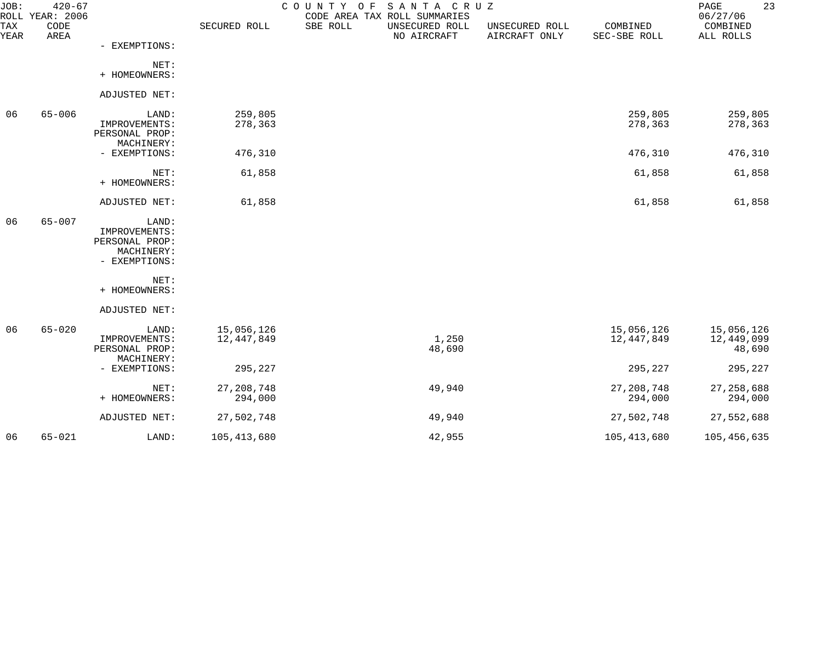| JOB:        | $420 - 67$<br>ROLL YEAR: 2006 |                                                                         |                          |          | COUNTY OF SANTA CRUZ<br>CODE AREA TAX ROLL SUMMARIES |                                 |                          | 23<br>PAGE<br>06/27/06             |
|-------------|-------------------------------|-------------------------------------------------------------------------|--------------------------|----------|------------------------------------------------------|---------------------------------|--------------------------|------------------------------------|
| TAX<br>YEAR | CODE<br>AREA                  |                                                                         | SECURED ROLL             | SBE ROLL | UNSECURED ROLL<br>NO AIRCRAFT                        | UNSECURED ROLL<br>AIRCRAFT ONLY | COMBINED<br>SEC-SBE ROLL | COMBINED<br>ALL ROLLS              |
|             |                               | - EXEMPTIONS:                                                           |                          |          |                                                      |                                 |                          |                                    |
|             |                               | NET:<br>+ HOMEOWNERS:                                                   |                          |          |                                                      |                                 |                          |                                    |
|             |                               | ADJUSTED NET:                                                           |                          |          |                                                      |                                 |                          |                                    |
| 06          | $65 - 006$                    | LAND:<br>IMPROVEMENTS:<br>PERSONAL PROP:<br>MACHINERY:                  | 259,805<br>278,363       |          |                                                      |                                 | 259,805<br>278,363       | 259,805<br>278,363                 |
|             |                               | - EXEMPTIONS:                                                           | 476,310                  |          |                                                      |                                 | 476,310                  | 476,310                            |
|             |                               | NET:<br>+ HOMEOWNERS:                                                   | 61,858                   |          |                                                      |                                 | 61,858                   | 61,858                             |
|             |                               | ADJUSTED NET:                                                           | 61,858                   |          |                                                      |                                 | 61,858                   | 61,858                             |
| 06          | $65 - 007$                    | LAND:<br>IMPROVEMENTS:<br>PERSONAL PROP:<br>MACHINERY:<br>- EXEMPTIONS: |                          |          |                                                      |                                 |                          |                                    |
|             |                               | NET:<br>+ HOMEOWNERS:                                                   |                          |          |                                                      |                                 |                          |                                    |
|             |                               | ADJUSTED NET:                                                           |                          |          |                                                      |                                 |                          |                                    |
| 06          | $65 - 020$                    | LAND:<br>IMPROVEMENTS:<br>PERSONAL PROP:<br>MACHINERY:                  | 15,056,126<br>12,447,849 |          | 1,250<br>48,690                                      |                                 | 15,056,126<br>12,447,849 | 15,056,126<br>12,449,099<br>48,690 |
|             |                               | - EXEMPTIONS:                                                           | 295,227                  |          |                                                      |                                 | 295,227                  | 295,227                            |
|             |                               | NET:<br>+ HOMEOWNERS:                                                   | 27, 208, 748<br>294,000  |          | 49,940                                               |                                 | 27, 208, 748<br>294,000  | 27, 258, 688<br>294,000            |
|             |                               | ADJUSTED NET:                                                           | 27,502,748               |          | 49,940                                               |                                 | 27,502,748               | 27,552,688                         |
| 06          | $65 - 021$                    | LAND:                                                                   | 105, 413, 680            |          | 42,955                                               |                                 | 105, 413, 680            | 105,456,635                        |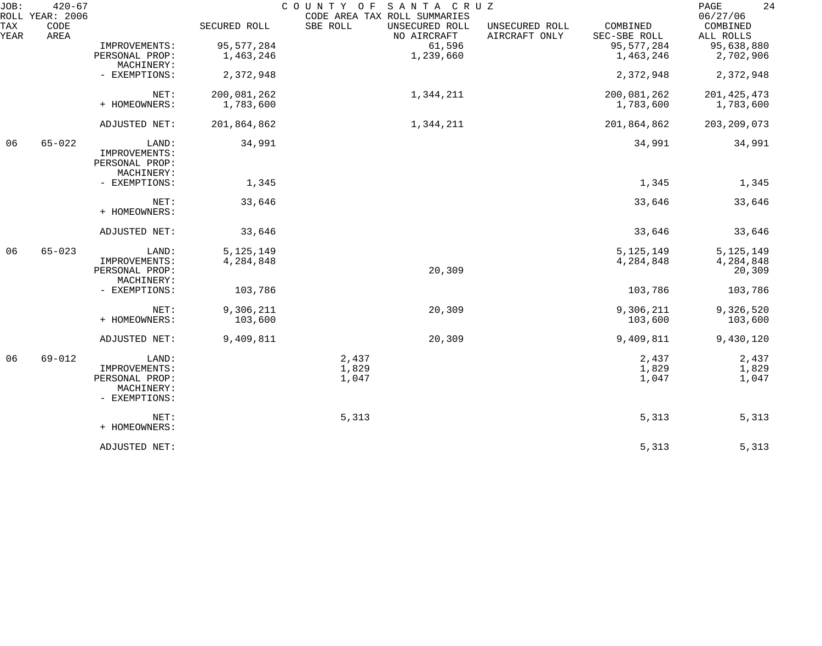| JOB:        | $420 - 67$<br>ROLL YEAR: 2006 |                                                                         |                          | SANTA CRUZ<br>COUNTY OF<br>CODE AREA TAX ROLL SUMMARIES |                                 |                          | 24<br>PAGE<br>06/27/06             |
|-------------|-------------------------------|-------------------------------------------------------------------------|--------------------------|---------------------------------------------------------|---------------------------------|--------------------------|------------------------------------|
| TAX<br>YEAR | CODE<br>AREA                  |                                                                         | SECURED ROLL             | SBE ROLL<br>UNSECURED ROLL<br>NO AIRCRAFT               | UNSECURED ROLL<br>AIRCRAFT ONLY | COMBINED<br>SEC-SBE ROLL | COMBINED<br>ALL ROLLS              |
|             |                               | IMPROVEMENTS:                                                           | 95, 577, 284             | 61,596                                                  |                                 | 95,577,284               | 95,638,880                         |
|             |                               | PERSONAL PROP:<br>MACHINERY:                                            | 1,463,246                | 1,239,660                                               |                                 | 1,463,246                | 2,702,906                          |
|             |                               | - EXEMPTIONS:                                                           | 2,372,948                |                                                         |                                 | 2,372,948                | 2,372,948                          |
|             |                               | NET:                                                                    | 200,081,262              | 1,344,211                                               |                                 | 200,081,262              | 201, 425, 473                      |
|             |                               | + HOMEOWNERS:                                                           | 1,783,600                |                                                         |                                 | 1,783,600                | 1,783,600                          |
|             |                               | ADJUSTED NET:                                                           | 201,864,862              | 1,344,211                                               |                                 | 201,864,862              | 203, 209, 073                      |
| 06          | $65 - 022$                    | LAND:<br>IMPROVEMENTS:<br>PERSONAL PROP:<br>MACHINERY:                  | 34,991                   |                                                         |                                 | 34,991                   | 34,991                             |
|             |                               | - EXEMPTIONS:                                                           | 1,345                    |                                                         |                                 | 1,345                    | 1,345                              |
|             |                               | NET:<br>+ HOMEOWNERS:                                                   | 33,646                   |                                                         |                                 | 33,646                   | 33,646                             |
|             |                               | ADJUSTED NET:                                                           | 33,646                   |                                                         |                                 | 33,646                   | 33,646                             |
| 06          | $65 - 023$                    | LAND:<br>IMPROVEMENTS:<br>PERSONAL PROP:<br>MACHINERY:                  | 5, 125, 149<br>4,284,848 | 20,309                                                  |                                 | 5, 125, 149<br>4,284,848 | 5, 125, 149<br>4,284,848<br>20,309 |
|             |                               | - EXEMPTIONS:                                                           | 103,786                  |                                                         |                                 | 103,786                  | 103,786                            |
|             |                               | NET:<br>+ HOMEOWNERS:                                                   | 9,306,211<br>103,600     | 20,309                                                  |                                 | 9,306,211<br>103,600     | 9,326,520<br>103,600               |
|             |                               | ADJUSTED NET:                                                           | 9,409,811                | 20,309                                                  |                                 | 9,409,811                | 9,430,120                          |
| 06          | $69 - 012$                    | LAND:<br>IMPROVEMENTS:<br>PERSONAL PROP:<br>MACHINERY:<br>- EXEMPTIONS: |                          | 2,437<br>1,829<br>1,047                                 |                                 | 2,437<br>1,829<br>1,047  | 2,437<br>1,829<br>1,047            |
|             |                               | NET:<br>+ HOMEOWNERS:                                                   |                          | 5,313                                                   |                                 | 5,313                    | 5,313                              |
|             |                               | ADJUSTED NET:                                                           |                          |                                                         |                                 | 5,313                    | 5,313                              |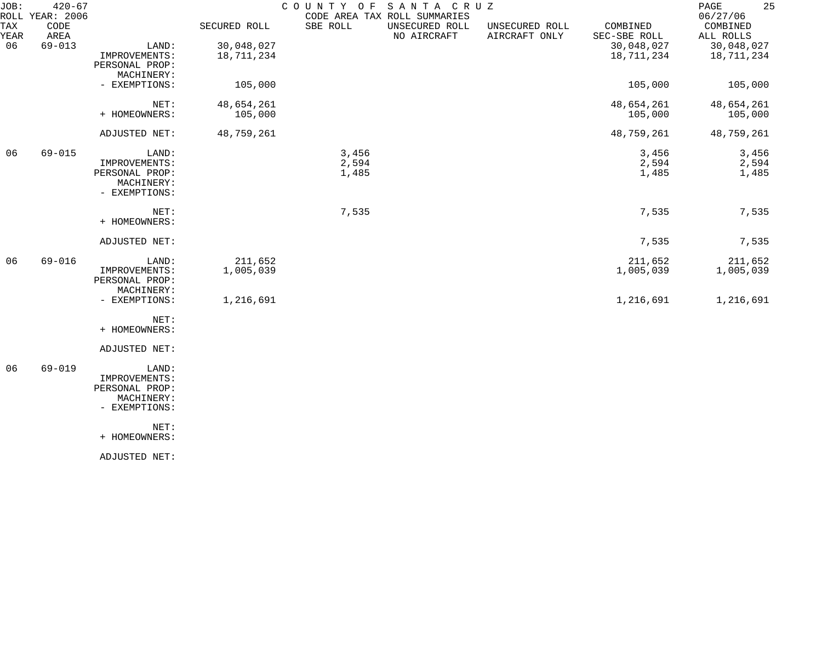| JOB:        | $420 - 67$<br>ROLL YEAR: 2006 |                                                                         |                          | COUNTY OF               | SANTA CRUZ<br>CODE AREA TAX ROLL SUMMARIES |                                 |                          | 25<br>PAGE<br>06/27/06   |
|-------------|-------------------------------|-------------------------------------------------------------------------|--------------------------|-------------------------|--------------------------------------------|---------------------------------|--------------------------|--------------------------|
| TAX<br>YEAR | CODE<br>AREA                  |                                                                         | SECURED ROLL             | SBE ROLL                | UNSECURED ROLL<br>NO AIRCRAFT              | UNSECURED ROLL<br>AIRCRAFT ONLY | COMBINED<br>SEC-SBE ROLL | COMBINED<br>ALL ROLLS    |
| 06          | $69 - 013$                    | LAND:<br>IMPROVEMENTS:<br>PERSONAL PROP:<br>MACHINERY:                  | 30,048,027<br>18,711,234 |                         |                                            |                                 | 30,048,027<br>18,711,234 | 30,048,027<br>18,711,234 |
|             |                               | - EXEMPTIONS:                                                           | 105,000                  |                         |                                            |                                 | 105,000                  | 105,000                  |
|             |                               | NET:<br>+ HOMEOWNERS:                                                   | 48,654,261<br>105,000    |                         |                                            |                                 | 48,654,261<br>105,000    | 48,654,261<br>105,000    |
|             |                               | ADJUSTED NET:                                                           | 48,759,261               |                         |                                            |                                 | 48,759,261               | 48,759,261               |
| 06          | $69 - 015$                    | LAND:<br>IMPROVEMENTS:<br>PERSONAL PROP:<br>MACHINERY:<br>- EXEMPTIONS: |                          | 3,456<br>2,594<br>1,485 |                                            |                                 | 3,456<br>2,594<br>1,485  | 3,456<br>2,594<br>1,485  |
|             |                               | NET:<br>+ HOMEOWNERS:                                                   |                          | 7,535                   |                                            |                                 | 7,535                    | 7,535                    |
|             |                               | ADJUSTED NET:                                                           |                          |                         |                                            |                                 | 7,535                    | 7,535                    |
| 06          | $69 - 016$                    | LAND:<br>IMPROVEMENTS:<br>PERSONAL PROP:<br>MACHINERY:                  | 211,652<br>1,005,039     |                         |                                            |                                 | 211,652<br>1,005,039     | 211,652<br>1,005,039     |
|             |                               | - EXEMPTIONS:                                                           | 1,216,691                |                         |                                            |                                 | 1,216,691                | 1,216,691                |
|             |                               | NET:<br>+ HOMEOWNERS:                                                   |                          |                         |                                            |                                 |                          |                          |
|             |                               | ADJUSTED NET:                                                           |                          |                         |                                            |                                 |                          |                          |
| 06          | $69 - 019$                    | LAND:<br>IMPROVEMENTS:<br>PERSONAL PROP:<br>MACHINERY:<br>- EXEMPTIONS: |                          |                         |                                            |                                 |                          |                          |
|             |                               | NET:<br>+ HOMEOWNERS:                                                   |                          |                         |                                            |                                 |                          |                          |
|             |                               | ADJUSTED NET:                                                           |                          |                         |                                            |                                 |                          |                          |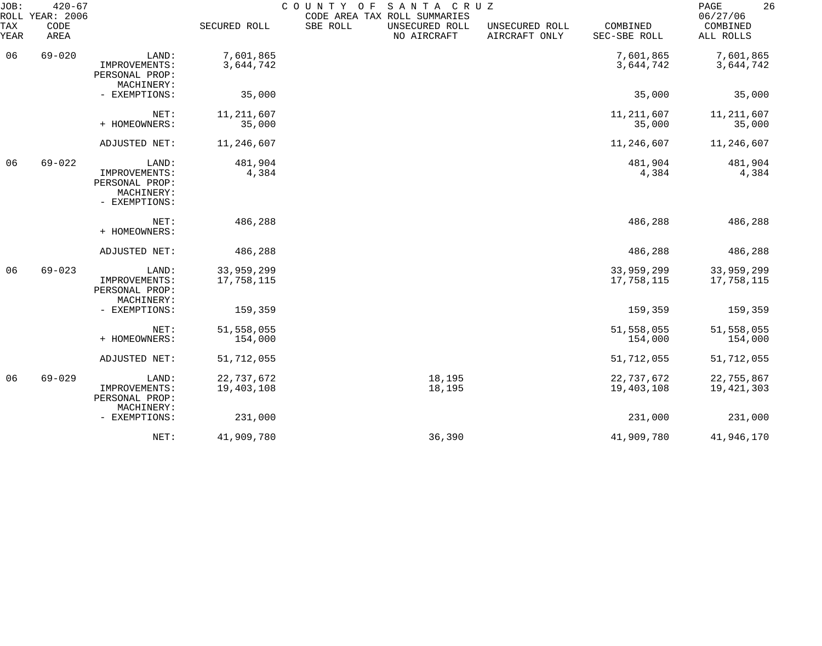| JOB:        | $420 - 67$<br>ROLL YEAR: 2006 |                                                                         |                          | COUNTY OF | SANTA CRUZ<br>CODE AREA TAX ROLL SUMMARIES |                                 |                          | 26<br>PAGE<br>06/27/06   |
|-------------|-------------------------------|-------------------------------------------------------------------------|--------------------------|-----------|--------------------------------------------|---------------------------------|--------------------------|--------------------------|
| TAX<br>YEAR | CODE<br>AREA                  |                                                                         | SECURED ROLL             | SBE ROLL  | UNSECURED ROLL<br>NO AIRCRAFT              | UNSECURED ROLL<br>AIRCRAFT ONLY | COMBINED<br>SEC-SBE ROLL | COMBINED<br>ALL ROLLS    |
| 06          | $69 - 020$                    | LAND:<br>IMPROVEMENTS:<br>PERSONAL PROP:<br>MACHINERY:                  | 7,601,865<br>3,644,742   |           |                                            |                                 | 7,601,865<br>3,644,742   | 7,601,865<br>3,644,742   |
|             |                               | - EXEMPTIONS:                                                           | 35,000                   |           |                                            |                                 | 35,000                   | 35,000                   |
|             |                               | NET:<br>+ HOMEOWNERS:                                                   | 11, 211, 607<br>35,000   |           |                                            |                                 | 11, 211, 607<br>35,000   | 11, 211, 607<br>35,000   |
|             |                               | ADJUSTED NET:                                                           | 11,246,607               |           |                                            |                                 | 11,246,607               | 11,246,607               |
| 06          | $69 - 022$                    | LAND:<br>IMPROVEMENTS:<br>PERSONAL PROP:<br>MACHINERY:<br>- EXEMPTIONS: | 481,904<br>4,384         |           |                                            |                                 | 481,904<br>4,384         | 481,904<br>4,384         |
|             |                               | NET:<br>+ HOMEOWNERS:                                                   | 486,288                  |           |                                            |                                 | 486,288                  | 486,288                  |
|             |                               | ADJUSTED NET:                                                           | 486,288                  |           |                                            |                                 | 486,288                  | 486,288                  |
| 06          | $69 - 023$                    | LAND:<br>IMPROVEMENTS:<br>PERSONAL PROP:<br>MACHINERY:                  | 33,959,299<br>17,758,115 |           |                                            |                                 | 33,959,299<br>17,758,115 | 33,959,299<br>17,758,115 |
|             |                               | - EXEMPTIONS:                                                           | 159,359                  |           |                                            |                                 | 159,359                  | 159,359                  |
|             |                               | NET:<br>+ HOMEOWNERS:                                                   | 51,558,055<br>154,000    |           |                                            |                                 | 51,558,055<br>154,000    | 51,558,055<br>154,000    |
|             |                               | ADJUSTED NET:                                                           | 51,712,055               |           |                                            |                                 | 51,712,055               | 51,712,055               |
| 06          | $69 - 029$                    | LAND:<br>IMPROVEMENTS:<br>PERSONAL PROP:                                | 22,737,672<br>19,403,108 |           | 18,195<br>18,195                           |                                 | 22,737,672<br>19,403,108 | 22,755,867<br>19,421,303 |
|             |                               | MACHINERY:<br>- EXEMPTIONS:                                             | 231,000                  |           |                                            |                                 | 231,000                  | 231,000                  |
|             |                               | NET:                                                                    | 41,909,780               |           | 36,390                                     |                                 | 41,909,780               | 41,946,170               |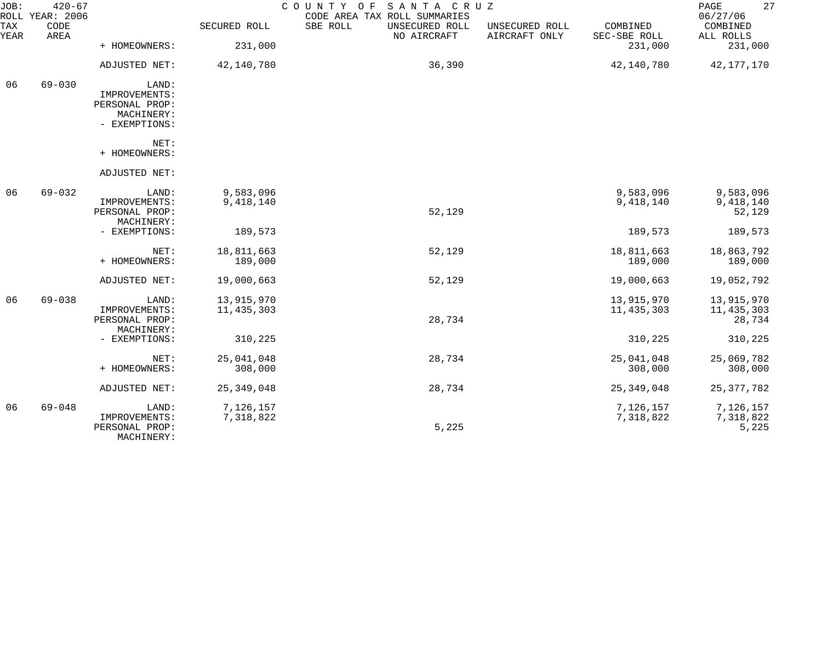| JOB:        | $420 - 67$<br>ROLL YEAR: 2006 |                                                                         |                            | COUNTY<br>SANTA CRUZ<br>O F<br>CODE AREA TAX ROLL SUMMARIES |                                 |                            | 27<br>PAGE<br>06/27/06             |
|-------------|-------------------------------|-------------------------------------------------------------------------|----------------------------|-------------------------------------------------------------|---------------------------------|----------------------------|------------------------------------|
| TAX<br>YEAR | CODE<br>AREA                  |                                                                         | SECURED ROLL               | SBE ROLL<br>UNSECURED ROLL<br>NO AIRCRAFT                   | UNSECURED ROLL<br>AIRCRAFT ONLY | COMBINED<br>SEC-SBE ROLL   | COMBINED<br>ALL ROLLS              |
|             |                               | + HOMEOWNERS:                                                           | 231,000                    |                                                             |                                 | 231,000                    | 231,000                            |
|             |                               | ADJUSTED NET:                                                           | 42,140,780                 | 36,390                                                      |                                 | 42,140,780                 | 42,177,170                         |
| 06          | $69 - 030$                    | LAND:<br>IMPROVEMENTS:<br>PERSONAL PROP:<br>MACHINERY:<br>- EXEMPTIONS: |                            |                                                             |                                 |                            |                                    |
|             |                               | NET:<br>+ HOMEOWNERS:                                                   |                            |                                                             |                                 |                            |                                    |
|             |                               | ADJUSTED NET:                                                           |                            |                                                             |                                 |                            |                                    |
| 06          | $69 - 032$                    | LAND:<br>IMPROVEMENTS:<br>PERSONAL PROP:<br>MACHINERY:                  | 9,583,096<br>9,418,140     | 52,129                                                      |                                 | 9,583,096<br>9,418,140     | 9,583,096<br>9,418,140<br>52,129   |
|             |                               | - EXEMPTIONS:                                                           | 189,573                    |                                                             |                                 | 189,573                    | 189,573                            |
|             |                               | NET:<br>+ HOMEOWNERS:                                                   | 18,811,663<br>189,000      | 52,129                                                      |                                 | 18,811,663<br>189,000      | 18,863,792<br>189,000              |
|             |                               | ADJUSTED NET:                                                           | 19,000,663                 | 52,129                                                      |                                 | 19,000,663                 | 19,052,792                         |
| 06          | $69 - 038$                    | LAND:<br>IMPROVEMENTS:<br>PERSONAL PROP:<br>MACHINERY:                  | 13,915,970<br>11, 435, 303 | 28,734                                                      |                                 | 13,915,970<br>11, 435, 303 | 13,915,970<br>11,435,303<br>28,734 |
|             |                               | - EXEMPTIONS:                                                           | 310,225                    |                                                             |                                 | 310,225                    | 310,225                            |
|             |                               | NET:<br>+ HOMEOWNERS:                                                   | 25,041,048<br>308,000      | 28,734                                                      |                                 | 25,041,048<br>308,000      | 25,069,782<br>308,000              |
|             |                               | ADJUSTED NET:                                                           | 25, 349, 048               | 28,734                                                      |                                 | 25, 349, 048               | 25, 377, 782                       |
| 06          | $69 - 048$                    | LAND:<br>IMPROVEMENTS:<br>PERSONAL PROP:<br>MACHINERY:                  | 7,126,157<br>7,318,822     | 5,225                                                       |                                 | 7,126,157<br>7,318,822     | 7,126,157<br>7,318,822<br>5,225    |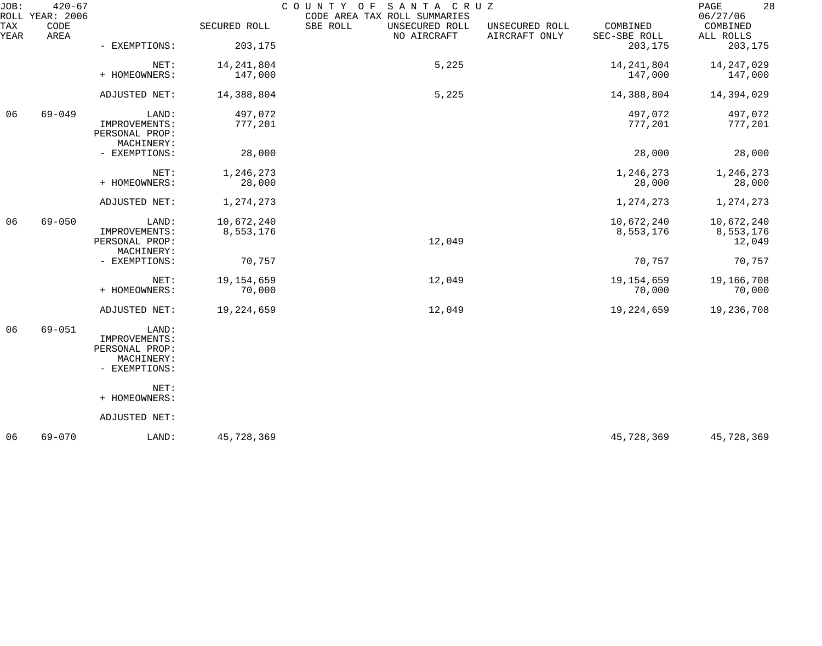| JOB:        | $420 - 67$<br>ROLL YEAR: 2006 |                                                                         |                         | COUNTY<br>SANTA CRUZ<br>O F<br>CODE AREA TAX ROLL SUMMARIES |                                 |                          | 28<br>PAGE<br>06/27/06            |
|-------------|-------------------------------|-------------------------------------------------------------------------|-------------------------|-------------------------------------------------------------|---------------------------------|--------------------------|-----------------------------------|
| TAX<br>YEAR | CODE<br>AREA                  |                                                                         | SECURED ROLL            | SBE ROLL<br>UNSECURED ROLL<br>NO AIRCRAFT                   | UNSECURED ROLL<br>AIRCRAFT ONLY | COMBINED<br>SEC-SBE ROLL | COMBINED<br>ALL ROLLS             |
|             |                               | - EXEMPTIONS:                                                           | 203,175                 |                                                             |                                 | 203,175                  | 203,175                           |
|             |                               | NET:<br>+ HOMEOWNERS:                                                   | 14, 241, 804<br>147,000 | 5,225                                                       |                                 | 14, 241, 804<br>147,000  | 14, 247, 029<br>147,000           |
|             |                               | ADJUSTED NET:                                                           | 14,388,804              | 5,225                                                       |                                 | 14,388,804               | 14,394,029                        |
| 06          | $69 - 049$                    | LAND:<br>IMPROVEMENTS:<br>PERSONAL PROP:<br>MACHINERY:                  | 497,072<br>777,201      |                                                             |                                 | 497,072<br>777,201       | 497,072<br>777,201                |
|             |                               | - EXEMPTIONS:                                                           | 28,000                  |                                                             |                                 | 28,000                   | 28,000                            |
|             |                               | NET:<br>+ HOMEOWNERS:                                                   | 1,246,273<br>28,000     |                                                             |                                 | 1,246,273<br>28,000      | 1,246,273<br>28,000               |
|             |                               | ADJUSTED NET:                                                           | 1,274,273               |                                                             |                                 | 1,274,273                | 1,274,273                         |
| 06          | $69 - 050$                    | LAND:<br>IMPROVEMENTS:<br>PERSONAL PROP:<br>MACHINERY:                  | 10,672,240<br>8,553,176 | 12,049                                                      |                                 | 10,672,240<br>8,553,176  | 10,672,240<br>8,553,176<br>12,049 |
|             |                               | - EXEMPTIONS:                                                           | 70,757                  |                                                             |                                 | 70,757                   | 70,757                            |
|             |                               | NET:<br>+ HOMEOWNERS:                                                   | 19, 154, 659<br>70,000  | 12,049                                                      |                                 | 19,154,659<br>70,000     | 19,166,708<br>70,000              |
|             |                               | ADJUSTED NET:                                                           | 19,224,659              | 12,049                                                      |                                 | 19,224,659               | 19,236,708                        |
| 06          | $69 - 051$                    | LAND:<br>IMPROVEMENTS:<br>PERSONAL PROP:<br>MACHINERY:<br>- EXEMPTIONS: |                         |                                                             |                                 |                          |                                   |
|             |                               | NET:<br>+ HOMEOWNERS:                                                   |                         |                                                             |                                 |                          |                                   |
|             |                               | ADJUSTED NET:                                                           |                         |                                                             |                                 |                          |                                   |
| 06          | $69 - 070$                    | LAND:                                                                   | 45,728,369              |                                                             |                                 | 45,728,369               | 45,728,369                        |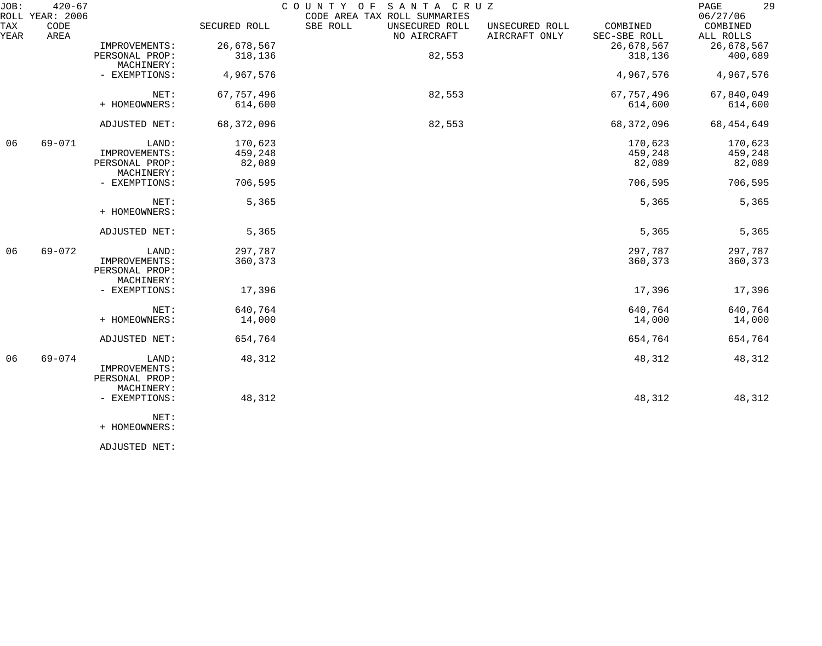| JOB:        | $420 - 67$<br>ROLL YEAR: 2006 |                                                        |              | COUNTY OF<br>CODE AREA TAX ROLL SUMMARIES | SANTA CRUZ                    |                                 |                          | 29<br>PAGE<br>06/27/06 |
|-------------|-------------------------------|--------------------------------------------------------|--------------|-------------------------------------------|-------------------------------|---------------------------------|--------------------------|------------------------|
| TAX<br>YEAR | CODE<br>AREA                  |                                                        | SECURED ROLL | SBE ROLL                                  | UNSECURED ROLL<br>NO AIRCRAFT | UNSECURED ROLL<br>AIRCRAFT ONLY | COMBINED<br>SEC-SBE ROLL | COMBINED<br>ALL ROLLS  |
|             |                               | IMPROVEMENTS:                                          | 26,678,567   |                                           |                               |                                 | 26,678,567               | 26,678,567             |
|             |                               | PERSONAL PROP:<br>MACHINERY:                           | 318,136      |                                           | 82,553                        |                                 | 318,136                  | 400,689                |
|             |                               | - EXEMPTIONS:                                          | 4,967,576    |                                           |                               |                                 | 4,967,576                | 4,967,576              |
|             |                               | NET:                                                   | 67, 757, 496 |                                           | 82,553                        |                                 | 67, 757, 496             | 67,840,049             |
|             |                               | + HOMEOWNERS:                                          | 614,600      |                                           |                               |                                 | 614,600                  | 614,600                |
|             |                               | ADJUSTED NET:                                          | 68,372,096   |                                           | 82,553                        |                                 | 68, 372, 096             | 68, 454, 649           |
| 06          | 69-071                        | LAND:                                                  | 170,623      |                                           |                               |                                 | 170,623                  | 170,623                |
|             |                               | IMPROVEMENTS:                                          | 459,248      |                                           |                               |                                 | 459,248                  | 459,248                |
|             |                               | PERSONAL PROP:<br>MACHINERY:                           | 82,089       |                                           |                               |                                 | 82,089                   | 82,089                 |
|             |                               | - EXEMPTIONS:                                          | 706,595      |                                           |                               |                                 | 706,595                  | 706,595                |
|             |                               | NET:<br>+ HOMEOWNERS:                                  | 5,365        |                                           |                               |                                 | 5,365                    | 5,365                  |
|             |                               | ADJUSTED NET:                                          | 5,365        |                                           |                               |                                 | 5,365                    | 5,365                  |
| 06          | $69 - 072$                    | LAND:                                                  | 297,787      |                                           |                               |                                 | 297,787                  | 297,787                |
|             |                               | IMPROVEMENTS:<br>PERSONAL PROP:<br>MACHINERY:          | 360,373      |                                           |                               |                                 | 360,373                  | 360,373                |
|             |                               | - EXEMPTIONS:                                          | 17,396       |                                           |                               |                                 | 17,396                   | 17,396                 |
|             |                               | NET:                                                   | 640,764      |                                           |                               |                                 | 640,764                  | 640,764                |
|             |                               | + HOMEOWNERS:                                          | 14,000       |                                           |                               |                                 | 14,000                   | 14,000                 |
|             |                               | ADJUSTED NET:                                          | 654,764      |                                           |                               |                                 | 654,764                  | 654,764                |
| 06          | $69 - 074$                    | LAND:<br>IMPROVEMENTS:<br>PERSONAL PROP:<br>MACHINERY: | 48,312       |                                           |                               |                                 | 48,312                   | 48,312                 |
|             |                               | - EXEMPTIONS:                                          | 48,312       |                                           |                               |                                 | 48,312                   | 48,312                 |
|             |                               | NET:<br>+ HOMEOWNERS:                                  |              |                                           |                               |                                 |                          |                        |

ADJUSTED NET: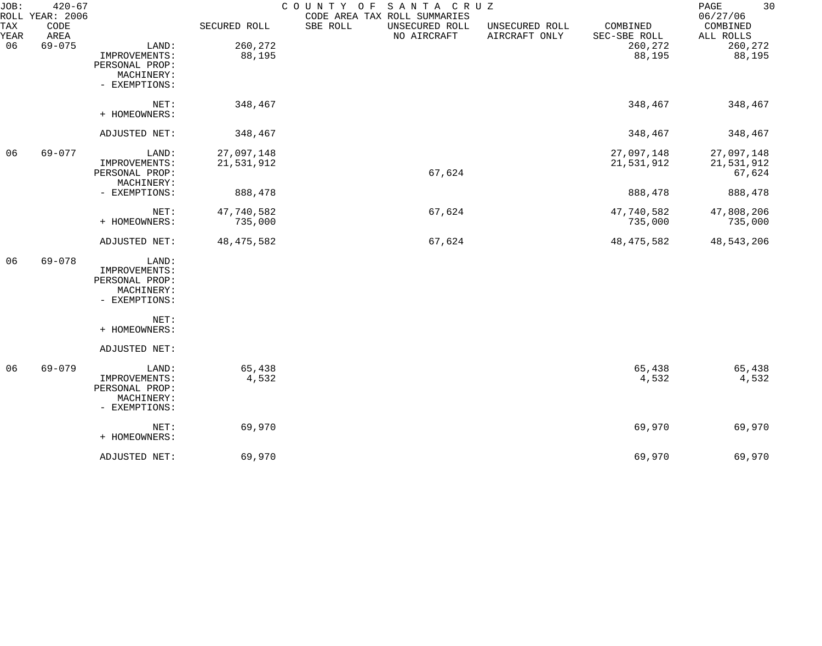| JOB:        | $420 - 67$<br>ROLL YEAR: 2006 |                |              | COUNTY OF<br>SANTA CRUZ<br>CODE AREA TAX ROLL SUMMARIES |                                 |                          | 30<br>$\mathop{\mathrm{PAGE}}$<br>06/27/06 |
|-------------|-------------------------------|----------------|--------------|---------------------------------------------------------|---------------------------------|--------------------------|--------------------------------------------|
| TAX<br>YEAR | CODE<br>AREA                  |                | SECURED ROLL | SBE ROLL<br>UNSECURED ROLL<br>NO AIRCRAFT               | UNSECURED ROLL<br>AIRCRAFT ONLY | COMBINED<br>SEC-SBE ROLL | COMBINED<br>ALL ROLLS                      |
| 06          | $69 - 075$                    | LAND:          | 260,272      |                                                         |                                 | 260,272                  | 260,272                                    |
|             |                               | IMPROVEMENTS:  | 88,195       |                                                         |                                 | 88,195                   | 88,195                                     |
|             |                               | PERSONAL PROP: |              |                                                         |                                 |                          |                                            |
|             |                               | MACHINERY:     |              |                                                         |                                 |                          |                                            |
|             |                               | - EXEMPTIONS:  |              |                                                         |                                 |                          |                                            |
|             |                               | NET:           | 348,467      |                                                         |                                 | 348,467                  | 348,467                                    |
|             |                               | + HOMEOWNERS:  |              |                                                         |                                 |                          |                                            |
|             |                               | ADJUSTED NET:  | 348,467      |                                                         |                                 | 348,467                  | 348,467                                    |
| 06          | 69-077                        | LAND:          | 27,097,148   |                                                         |                                 | 27,097,148               | 27,097,148                                 |
|             |                               | IMPROVEMENTS:  | 21,531,912   |                                                         |                                 | 21,531,912               | 21,531,912                                 |
|             |                               | PERSONAL PROP: |              | 67,624                                                  |                                 |                          | 67,624                                     |
|             |                               | MACHINERY:     |              |                                                         |                                 |                          |                                            |
|             |                               | - EXEMPTIONS:  | 888,478      |                                                         |                                 | 888,478                  | 888,478                                    |
|             |                               | NET:           | 47,740,582   | 67,624                                                  |                                 | 47,740,582               | 47,808,206                                 |
|             |                               | + HOMEOWNERS:  | 735,000      |                                                         |                                 | 735,000                  | 735,000                                    |
|             |                               | ADJUSTED NET:  | 48, 475, 582 | 67,624                                                  |                                 | 48, 475, 582             | 48,543,206                                 |
| 06          | $69 - 078$                    | LAND:          |              |                                                         |                                 |                          |                                            |
|             |                               | IMPROVEMENTS:  |              |                                                         |                                 |                          |                                            |
|             |                               | PERSONAL PROP: |              |                                                         |                                 |                          |                                            |
|             |                               | MACHINERY:     |              |                                                         |                                 |                          |                                            |
|             |                               | - EXEMPTIONS:  |              |                                                         |                                 |                          |                                            |
|             |                               | NET:           |              |                                                         |                                 |                          |                                            |
|             |                               | + HOMEOWNERS:  |              |                                                         |                                 |                          |                                            |
|             |                               | ADJUSTED NET:  |              |                                                         |                                 |                          |                                            |
| 06          | 69-079                        | LAND:          | 65,438       |                                                         |                                 | 65,438                   | 65,438                                     |
|             |                               | IMPROVEMENTS:  | 4,532        |                                                         |                                 | 4,532                    | 4,532                                      |
|             |                               | PERSONAL PROP: |              |                                                         |                                 |                          |                                            |
|             |                               | MACHINERY:     |              |                                                         |                                 |                          |                                            |
|             |                               | - EXEMPTIONS:  |              |                                                         |                                 |                          |                                            |
|             |                               | NET:           | 69,970       |                                                         |                                 | 69,970                   | 69,970                                     |
|             |                               | + HOMEOWNERS:  |              |                                                         |                                 |                          |                                            |
|             |                               | ADJUSTED NET:  | 69,970       |                                                         |                                 | 69,970                   | 69,970                                     |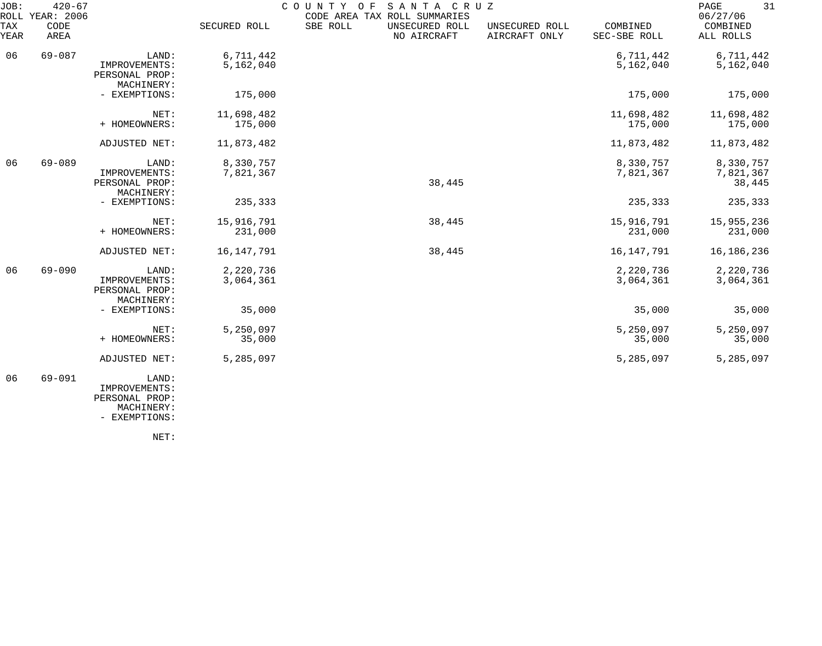| JOB:             | $420 - 67$<br>ROLL YEAR: 2006                          |                                                        |                        | COUNTY OF SANTA CRUZ<br>CODE AREA TAX ROLL SUMMARIES |                                 |                                  | 31<br>PAGE<br>06/27/06 |
|------------------|--------------------------------------------------------|--------------------------------------------------------|------------------------|------------------------------------------------------|---------------------------------|----------------------------------|------------------------|
| TAX<br>YEAR      | CODE<br>AREA                                           |                                                        | SECURED ROLL           | SBE ROLL<br>UNSECURED ROLL<br>NO AIRCRAFT            | UNSECURED ROLL<br>AIRCRAFT ONLY | COMBINED<br>SEC-SBE ROLL         | COMBINED<br>ALL ROLLS  |
| 06               | $69 - 087$                                             | LAND:<br>IMPROVEMENTS:<br>PERSONAL PROP:<br>MACHINERY: | 6,711,442<br>5,162,040 |                                                      |                                 | 6,711,442<br>5,162,040           | 6,711,442<br>5,162,040 |
|                  |                                                        | - EXEMPTIONS:                                          | 175,000                |                                                      |                                 | 175,000                          | 175,000                |
|                  |                                                        | NET:<br>+ HOMEOWNERS:                                  | 11,698,482<br>175,000  |                                                      |                                 | 11,698,482<br>175,000            | 11,698,482<br>175,000  |
|                  |                                                        | ADJUSTED NET:                                          | 11,873,482             |                                                      |                                 | 11,873,482                       | 11,873,482             |
| 06<br>$69 - 089$ | LAND:<br>IMPROVEMENTS:<br>PERSONAL PROP:<br>MACHINERY: | 8,330,757<br>7,821,367                                 | 38,445                 |                                                      | 8,330,757<br>7,821,367          | 8,330,757<br>7,821,367<br>38,445 |                        |
|                  |                                                        | - EXEMPTIONS:                                          | 235,333                |                                                      |                                 | 235,333                          | 235,333                |
|                  |                                                        | NET:<br>+ HOMEOWNERS:                                  | 15,916,791<br>231,000  | 38,445                                               |                                 | 15,916,791<br>231,000            | 15,955,236<br>231,000  |
|                  |                                                        | ADJUSTED NET:                                          | 16, 147, 791           | 38,445                                               |                                 | 16, 147, 791                     | 16,186,236             |
| 06               | $69 - 090$                                             | LAND:<br>IMPROVEMENTS:<br>PERSONAL PROP:<br>MACHINERY: | 2,220,736<br>3,064,361 |                                                      |                                 | 2,220,736<br>3,064,361           | 2,220,736<br>3,064,361 |
|                  |                                                        | - EXEMPTIONS:                                          | 35,000                 |                                                      |                                 | 35,000                           | 35,000                 |
|                  |                                                        | NET:<br>+ HOMEOWNERS:                                  | 5,250,097<br>35,000    |                                                      |                                 | 5,250,097<br>35,000              | 5,250,097<br>35,000    |
|                  |                                                        | ADJUSTED NET:                                          | 5,285,097              |                                                      |                                 | 5,285,097                        | 5,285,097              |
| 06               | $69 - 091$                                             | LAND:<br>IMPROVEMENTS:<br>PERSONAL PROP:<br>MACHINERY: |                        |                                                      |                                 |                                  |                        |

- EXEMPTIONS:

NET: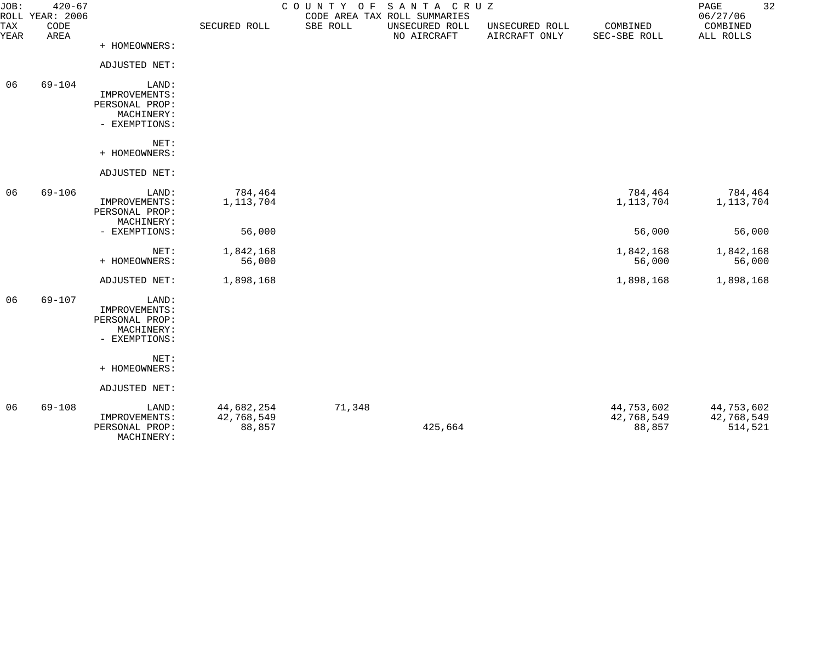| JOB:        | $420 - 67$<br>ROLL YEAR: 2006 |                                                                         |                                    | COUNTY OF SANTA CRUZ | CODE AREA TAX ROLL SUMMARIES  |                                 |                                    | 32<br>PAGE<br>06/27/06              |
|-------------|-------------------------------|-------------------------------------------------------------------------|------------------------------------|----------------------|-------------------------------|---------------------------------|------------------------------------|-------------------------------------|
| TAX<br>YEAR | CODE<br>AREA                  |                                                                         | SECURED ROLL                       | SBE ROLL             | UNSECURED ROLL<br>NO AIRCRAFT | UNSECURED ROLL<br>AIRCRAFT ONLY | COMBINED<br>SEC-SBE ROLL           | COMBINED<br>ALL ROLLS               |
|             |                               | + HOMEOWNERS:                                                           |                                    |                      |                               |                                 |                                    |                                     |
|             |                               | ADJUSTED NET:                                                           |                                    |                      |                               |                                 |                                    |                                     |
| 06          | $69 - 104$                    | LAND:<br>IMPROVEMENTS:<br>PERSONAL PROP:<br>MACHINERY:<br>- EXEMPTIONS: |                                    |                      |                               |                                 |                                    |                                     |
|             |                               | NET:<br>+ HOMEOWNERS:                                                   |                                    |                      |                               |                                 |                                    |                                     |
|             |                               | ADJUSTED NET:                                                           |                                    |                      |                               |                                 |                                    |                                     |
| 06          | $69 - 106$                    | LAND:<br>IMPROVEMENTS:<br>PERSONAL PROP:<br>MACHINERY:                  | 784,464<br>1, 113, 704             |                      |                               |                                 | 784,464<br>1, 113, 704             | 784,464<br>1, 113, 704              |
|             |                               | - EXEMPTIONS:                                                           | 56,000                             |                      |                               |                                 | 56,000                             | 56,000                              |
|             |                               | NET:<br>+ HOMEOWNERS:                                                   | 1,842,168<br>56,000                |                      |                               |                                 | 1,842,168<br>56,000                | 1,842,168<br>56,000                 |
|             |                               | ADJUSTED NET:                                                           | 1,898,168                          |                      |                               |                                 | 1,898,168                          | 1,898,168                           |
| 06          | $69 - 107$                    | LAND:<br>IMPROVEMENTS:<br>PERSONAL PROP:<br>MACHINERY:<br>- EXEMPTIONS: |                                    |                      |                               |                                 |                                    |                                     |
|             |                               | NET:<br>+ HOMEOWNERS:                                                   |                                    |                      |                               |                                 |                                    |                                     |
|             |                               | ADJUSTED NET:                                                           |                                    |                      |                               |                                 |                                    |                                     |
| 06          | $69 - 108$                    | LAND:<br>IMPROVEMENTS:<br>PERSONAL PROP:<br>MACHINERY:                  | 44,682,254<br>42,768,549<br>88,857 | 71,348               | 425,664                       |                                 | 44,753,602<br>42,768,549<br>88,857 | 44,753,602<br>42,768,549<br>514,521 |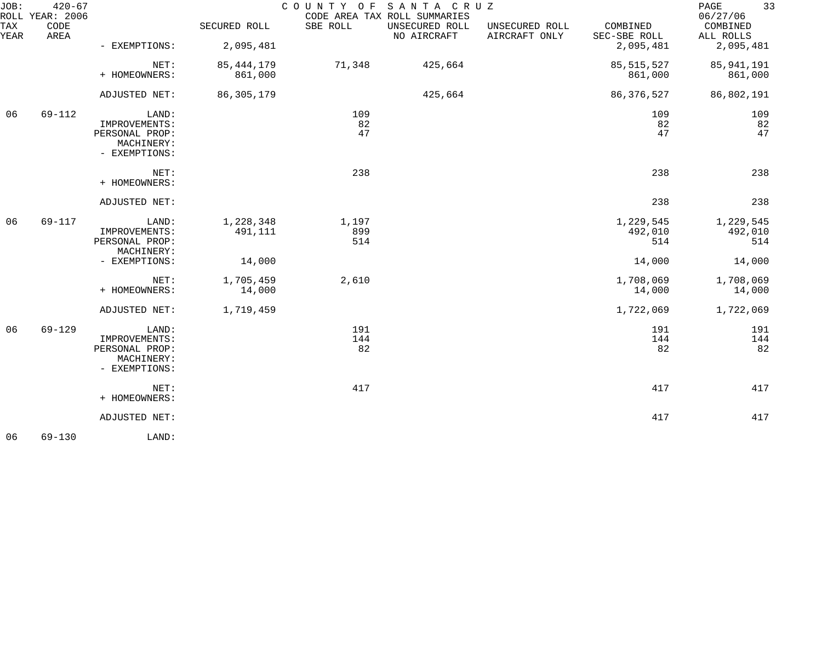| JOB:        | $420 - 67$<br>ROLL YEAR: 2006 |                                                                         |                         | COUNTY OF SANTA CRUZ | CODE AREA TAX ROLL SUMMARIES  |                                 |                             | 33<br>PAGE<br>06/27/06      |
|-------------|-------------------------------|-------------------------------------------------------------------------|-------------------------|----------------------|-------------------------------|---------------------------------|-----------------------------|-----------------------------|
| TAX<br>YEAR | CODE<br>AREA                  |                                                                         | SECURED ROLL            | SBE ROLL             | UNSECURED ROLL<br>NO AIRCRAFT | UNSECURED ROLL<br>AIRCRAFT ONLY | COMBINED<br>SEC-SBE ROLL    | COMBINED<br>ALL ROLLS       |
|             |                               | - EXEMPTIONS:                                                           | 2,095,481               |                      |                               |                                 | 2,095,481                   | 2,095,481                   |
|             |                               | NET:<br>+ HOMEOWNERS:                                                   | 85, 444, 179<br>861,000 | 71,348               | 425,664                       |                                 | 85, 515, 527<br>861,000     | 85, 941, 191<br>861,000     |
|             |                               | ADJUSTED NET:                                                           | 86,305,179              |                      | 425,664                       |                                 | 86, 376, 527                | 86,802,191                  |
| 06          | 69-112                        | LAND:<br>IMPROVEMENTS:<br>PERSONAL PROP:<br>MACHINERY:<br>- EXEMPTIONS: |                         | 109<br>82<br>47      |                               |                                 | 109<br>82<br>47             | 109<br>82<br>47             |
|             |                               | NET:<br>+ HOMEOWNERS:                                                   |                         | 238                  |                               |                                 | 238                         | 238                         |
|             |                               | ADJUSTED NET:                                                           |                         |                      |                               |                                 | 238                         | 238                         |
| 06          | 69-117                        | LAND:<br>IMPROVEMENTS:<br>PERSONAL PROP:<br>MACHINERY:                  | 1,228,348<br>491,111    | 1,197<br>899<br>514  |                               |                                 | 1,229,545<br>492,010<br>514 | 1,229,545<br>492,010<br>514 |
|             |                               | - EXEMPTIONS:                                                           | 14,000                  |                      |                               |                                 | 14,000                      | 14,000                      |
|             |                               | NET:<br>+ HOMEOWNERS:                                                   | 1,705,459<br>14,000     | 2,610                |                               |                                 | 1,708,069<br>14,000         | 1,708,069<br>14,000         |
|             |                               | ADJUSTED NET:                                                           | 1,719,459               |                      |                               |                                 | 1,722,069                   | 1,722,069                   |
| 06          | $69 - 129$                    | LAND:<br>IMPROVEMENTS:<br>PERSONAL PROP:<br>MACHINERY:<br>- EXEMPTIONS: |                         | 191<br>144<br>82     |                               |                                 | 191<br>144<br>82            | 191<br>144<br>82            |
|             |                               | NET:<br>+ HOMEOWNERS:                                                   |                         | 417                  |                               |                                 | 417                         | 417                         |
|             |                               | ADJUSTED NET:                                                           |                         |                      |                               |                                 | 417                         | 417                         |
| 06          | $69 - 130$                    | LAND:                                                                   |                         |                      |                               |                                 |                             |                             |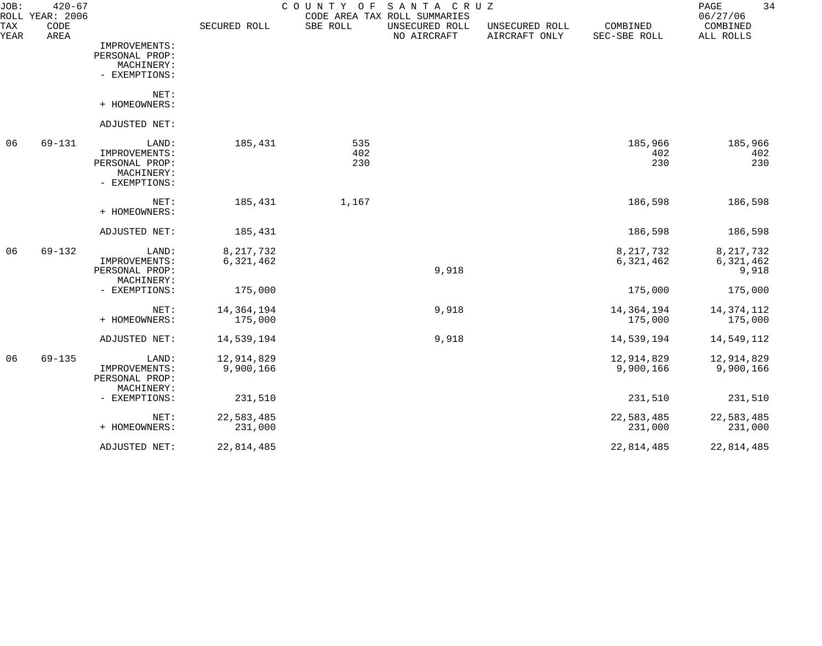| JOB:<br>ROLL | $420 - 67$<br><b>YEAR: 2006</b> |                                                                         |                          | COUNTY<br>O F     | SANTA CRUZ<br>CODE AREA TAX ROLL SUMMARIES |                                 |                          | 34<br>PAGE<br>06/27/06            |
|--------------|---------------------------------|-------------------------------------------------------------------------|--------------------------|-------------------|--------------------------------------------|---------------------------------|--------------------------|-----------------------------------|
| TAX<br>YEAR  | CODE<br>AREA                    |                                                                         | SECURED ROLL             | SBE ROLL          | UNSECURED ROLL<br>NO AIRCRAFT              | UNSECURED ROLL<br>AIRCRAFT ONLY | COMBINED<br>SEC-SBE ROLL | COMBINED<br>ALL ROLLS             |
|              |                                 | IMPROVEMENTS:<br>PERSONAL PROP:<br>MACHINERY:<br>- EXEMPTIONS:          |                          |                   |                                            |                                 |                          |                                   |
|              |                                 | NET:<br>+ HOMEOWNERS:                                                   |                          |                   |                                            |                                 |                          |                                   |
|              |                                 | ADJUSTED NET:                                                           |                          |                   |                                            |                                 |                          |                                   |
| 06           | $69 - 131$                      | LAND:<br>IMPROVEMENTS:<br>PERSONAL PROP:<br>MACHINERY:<br>- EXEMPTIONS: | 185,431                  | 535<br>402<br>230 |                                            |                                 | 185,966<br>402<br>230    | 185,966<br>402<br>230             |
|              |                                 | NET:<br>+ HOMEOWNERS:                                                   | 185,431                  | 1,167             |                                            |                                 | 186,598                  | 186,598                           |
|              |                                 | ADJUSTED NET:                                                           | 185,431                  |                   |                                            |                                 | 186,598                  | 186,598                           |
| 06           | $69 - 132$                      | LAND:<br>IMPROVEMENTS:<br>PERSONAL PROP:<br>MACHINERY:                  | 8, 217, 732<br>6,321,462 |                   | 9,918                                      |                                 | 8, 217, 732<br>6,321,462 | 8, 217, 732<br>6,321,462<br>9,918 |
|              |                                 | - EXEMPTIONS:                                                           | 175,000                  |                   |                                            |                                 | 175,000                  | 175,000                           |
|              |                                 | NET:<br>+ HOMEOWNERS:                                                   | 14, 364, 194<br>175,000  |                   | 9,918                                      |                                 | 14,364,194<br>175,000    | 14, 374, 112<br>175,000           |
|              |                                 | ADJUSTED NET:                                                           | 14,539,194               |                   | 9,918                                      |                                 | 14,539,194               | 14,549,112                        |
| 06           | $69 - 135$                      | LAND:<br>IMPROVEMENTS:<br>PERSONAL PROP:<br>MACHINERY:                  | 12,914,829<br>9,900,166  |                   |                                            |                                 | 12,914,829<br>9,900,166  | 12,914,829<br>9,900,166           |
|              |                                 | - EXEMPTIONS:                                                           | 231,510                  |                   |                                            |                                 | 231,510                  | 231,510                           |
|              |                                 | NET:<br>+ HOMEOWNERS:                                                   | 22,583,485<br>231,000    |                   |                                            |                                 | 22,583,485<br>231,000    | 22,583,485<br>231,000             |
|              |                                 | ADJUSTED NET:                                                           | 22,814,485               |                   |                                            |                                 | 22,814,485               | 22,814,485                        |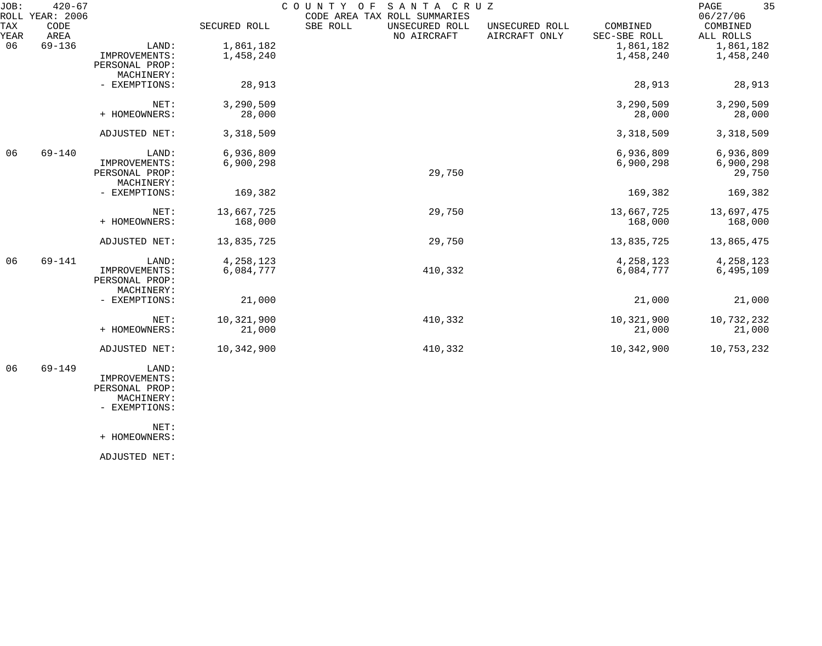| JOB:        | $420 - 67$<br>ROLL YEAR: 2006 |                                                        |                        | COUNTY OF | SANTA CRUZ<br>CODE AREA TAX ROLL SUMMARIES |                                 |                          | 35<br>PAGE<br>06/27/06           |
|-------------|-------------------------------|--------------------------------------------------------|------------------------|-----------|--------------------------------------------|---------------------------------|--------------------------|----------------------------------|
| TAX<br>YEAR | CODE<br>AREA                  |                                                        | SECURED ROLL           | SBE ROLL  | UNSECURED ROLL<br>NO AIRCRAFT              | UNSECURED ROLL<br>AIRCRAFT ONLY | COMBINED<br>SEC-SBE ROLL | COMBINED<br>ALL ROLLS            |
| 06          | $69 - 136$                    | LAND:<br>IMPROVEMENTS:<br>PERSONAL PROP:<br>MACHINERY: | 1,861,182<br>1,458,240 |           |                                            |                                 | 1,861,182<br>1,458,240   | 1,861,182<br>1,458,240           |
|             |                               | - EXEMPTIONS:                                          | 28,913                 |           |                                            |                                 | 28,913                   | 28,913                           |
|             |                               | NET:<br>+ HOMEOWNERS:                                  | 3,290,509<br>28,000    |           |                                            |                                 | 3,290,509<br>28,000      | 3,290,509<br>28,000              |
|             |                               | ADJUSTED NET:                                          | 3,318,509              |           |                                            |                                 | 3,318,509                | 3,318,509                        |
| 06          | $69 - 140$                    | LAND:<br>IMPROVEMENTS:<br>PERSONAL PROP:<br>MACHINERY: | 6,936,809<br>6,900,298 |           | 29,750                                     |                                 | 6,936,809<br>6,900,298   | 6,936,809<br>6,900,298<br>29,750 |
|             |                               | - EXEMPTIONS:                                          | 169,382                |           |                                            |                                 | 169,382                  | 169,382                          |
|             |                               | NET:<br>+ HOMEOWNERS:                                  | 13,667,725<br>168,000  |           | 29,750                                     |                                 | 13,667,725<br>168,000    | 13,697,475<br>168,000            |
|             |                               | ADJUSTED NET:                                          | 13,835,725             |           | 29,750                                     |                                 | 13,835,725               | 13,865,475                       |
| 06          | 69-141                        | LAND:<br>IMPROVEMENTS:<br>PERSONAL PROP:<br>MACHINERY: | 4,258,123<br>6,084,777 |           | 410,332                                    |                                 | 4,258,123<br>6,084,777   | 4,258,123<br>6,495,109           |
|             |                               | - EXEMPTIONS:                                          | 21,000                 |           |                                            |                                 | 21,000                   | 21,000                           |
|             |                               | NET:<br>+ HOMEOWNERS:                                  | 10,321,900<br>21,000   |           | 410,332                                    |                                 | 10,321,900<br>21,000     | 10,732,232<br>21,000             |
|             |                               | ADJUSTED NET:                                          | 10,342,900             |           | 410,332                                    |                                 | 10,342,900               | 10,753,232                       |
|             |                               |                                                        |                        |           |                                            |                                 |                          |                                  |

 06 69-149 LAND: IMPROVEMENTS: PERSONAL PROP: MACHINERY:

- EXEMPTIONS:

NET:

+ HOMEOWNERS:

ADJUSTED NET: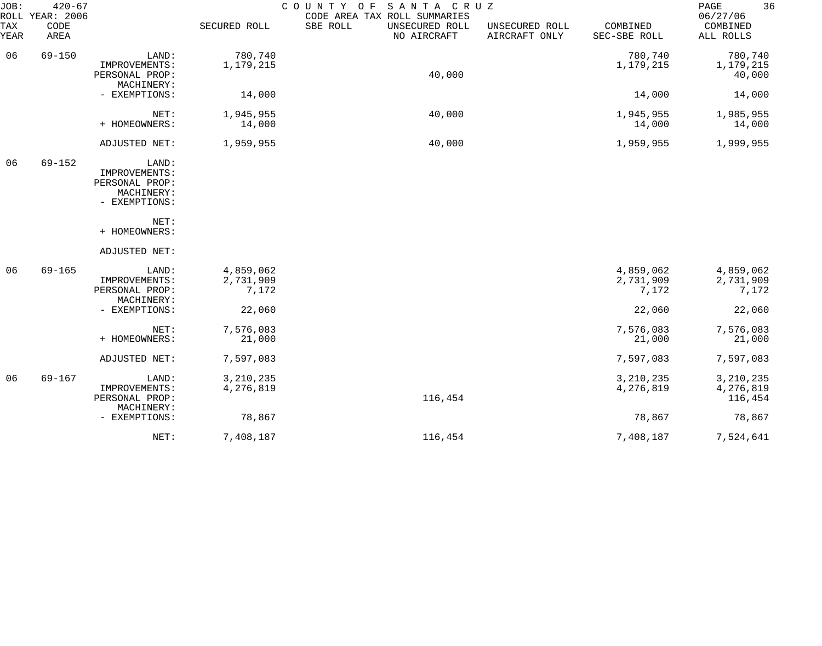| JOB:        | $420 - 67$<br>ROLL YEAR: 2006 |                                                                         |                                 | COUNTY OF<br>SANTA CRUZ<br>CODE AREA TAX ROLL SUMMARIES |                                 |                                 | 36<br>PAGE<br>06/27/06              |
|-------------|-------------------------------|-------------------------------------------------------------------------|---------------------------------|---------------------------------------------------------|---------------------------------|---------------------------------|-------------------------------------|
| TAX<br>YEAR | CODE<br>AREA                  |                                                                         | SECURED ROLL                    | SBE ROLL<br>UNSECURED ROLL<br>NO AIRCRAFT               | UNSECURED ROLL<br>AIRCRAFT ONLY | COMBINED<br>SEC-SBE ROLL        | COMBINED<br>ALL ROLLS               |
| 06          | $69 - 150$                    | LAND:<br>IMPROVEMENTS:<br>PERSONAL PROP:<br>MACHINERY:                  | 780,740<br>1,179,215            | 40,000                                                  |                                 | 780,740<br>1,179,215            | 780,740<br>1,179,215<br>40,000      |
|             |                               | - EXEMPTIONS:                                                           | 14,000                          |                                                         |                                 | 14,000                          | 14,000                              |
|             |                               | NET:<br>+ HOMEOWNERS:                                                   | 1,945,955<br>14,000             | 40,000                                                  |                                 | 1,945,955<br>14,000             | 1,985,955<br>14,000                 |
|             |                               | ADJUSTED NET:                                                           | 1,959,955                       | 40,000                                                  |                                 | 1,959,955                       | 1,999,955                           |
| 06          | $69 - 152$                    | LAND:<br>IMPROVEMENTS:<br>PERSONAL PROP:<br>MACHINERY:<br>- EXEMPTIONS: |                                 |                                                         |                                 |                                 |                                     |
|             |                               | NET:<br>+ HOMEOWNERS:                                                   |                                 |                                                         |                                 |                                 |                                     |
|             |                               | ADJUSTED NET:                                                           |                                 |                                                         |                                 |                                 |                                     |
| 06          | $69 - 165$                    | LAND:<br>IMPROVEMENTS:<br>PERSONAL PROP:<br>MACHINERY:                  | 4,859,062<br>2,731,909<br>7,172 |                                                         |                                 | 4,859,062<br>2,731,909<br>7,172 | 4,859,062<br>2,731,909<br>7,172     |
|             |                               | - EXEMPTIONS:                                                           | 22,060                          |                                                         |                                 | 22,060                          | 22,060                              |
|             |                               | NET:<br>+ HOMEOWNERS:                                                   | 7,576,083<br>21,000             |                                                         |                                 | 7,576,083<br>21,000             | 7,576,083<br>21,000                 |
|             |                               | ADJUSTED NET:                                                           | 7,597,083                       |                                                         |                                 | 7,597,083                       | 7,597,083                           |
| 06          | $69 - 167$                    | LAND:<br>IMPROVEMENTS:<br>PERSONAL PROP:                                | 3, 210, 235<br>4,276,819        | 116,454                                                 |                                 | 3, 210, 235<br>4,276,819        | 3, 210, 235<br>4,276,819<br>116,454 |
|             |                               | MACHINERY:<br>- EXEMPTIONS:                                             | 78,867                          |                                                         |                                 | 78,867                          | 78,867                              |
|             |                               | NET:                                                                    | 7,408,187                       | 116,454                                                 |                                 | 7,408,187                       | 7,524,641                           |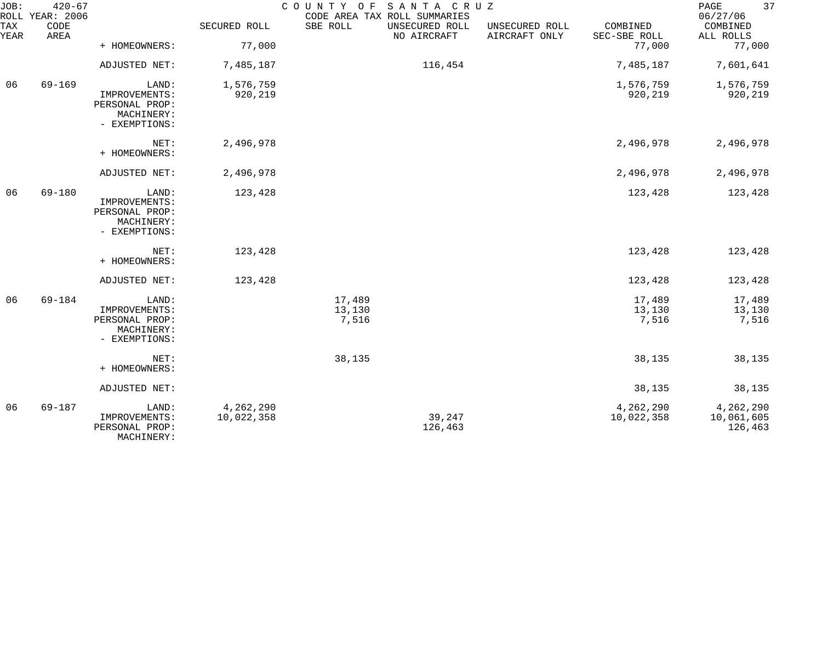| JOB:        | $420 - 67$<br>ROLL YEAR: 2006 |                                                                         |                         | COUNTY OF SANTA CRUZ      | CODE AREA TAX ROLL SUMMARIES  |                                 |                           | 37<br>PAGE<br>06/27/06             |
|-------------|-------------------------------|-------------------------------------------------------------------------|-------------------------|---------------------------|-------------------------------|---------------------------------|---------------------------|------------------------------------|
| TAX<br>YEAR | CODE<br>AREA                  |                                                                         | SECURED ROLL            | SBE ROLL                  | UNSECURED ROLL<br>NO AIRCRAFT | UNSECURED ROLL<br>AIRCRAFT ONLY | COMBINED<br>SEC-SBE ROLL  | COMBINED<br>ALL ROLLS              |
|             |                               | + HOMEOWNERS:                                                           | 77,000                  |                           |                               |                                 | 77,000                    | 77,000                             |
|             |                               | ADJUSTED NET:                                                           | 7,485,187               |                           | 116,454                       |                                 | 7,485,187                 | 7,601,641                          |
| 06          | $69 - 169$                    | LAND:<br>IMPROVEMENTS:<br>PERSONAL PROP:<br>MACHINERY:<br>- EXEMPTIONS: | 1,576,759<br>920,219    |                           |                               |                                 | 1,576,759<br>920,219      | 1,576,759<br>920,219               |
|             |                               | NET:<br>+ HOMEOWNERS:                                                   | 2,496,978               |                           |                               |                                 | 2,496,978                 | 2,496,978                          |
|             |                               | ADJUSTED NET:                                                           | 2,496,978               |                           |                               |                                 | 2,496,978                 | 2,496,978                          |
| 06          | 69-180                        | LAND:<br>IMPROVEMENTS:<br>PERSONAL PROP:<br>MACHINERY:<br>- EXEMPTIONS: | 123,428                 |                           |                               |                                 | 123,428                   | 123,428                            |
|             |                               | NET:<br>+ HOMEOWNERS:                                                   | 123,428                 |                           |                               |                                 | 123,428                   | 123,428                            |
|             |                               | ADJUSTED NET:                                                           | 123,428                 |                           |                               |                                 | 123,428                   | 123,428                            |
| 06          | $69 - 184$                    | LAND:<br>IMPROVEMENTS:<br>PERSONAL PROP:<br>MACHINERY:<br>- EXEMPTIONS: |                         | 17,489<br>13,130<br>7,516 |                               |                                 | 17,489<br>13,130<br>7,516 | 17,489<br>13,130<br>7,516          |
|             |                               | NET:<br>+ HOMEOWNERS:                                                   |                         | 38,135                    |                               |                                 | 38,135                    | 38,135                             |
|             |                               | ADJUSTED NET:                                                           |                         |                           |                               |                                 | 38,135                    | 38,135                             |
| 06          | $69 - 187$                    | LAND:<br>IMPROVEMENTS:<br>PERSONAL PROP:<br>MACHINERY:                  | 4,262,290<br>10,022,358 |                           | 39,247<br>126,463             |                                 | 4,262,290<br>10,022,358   | 4,262,290<br>10,061,605<br>126,463 |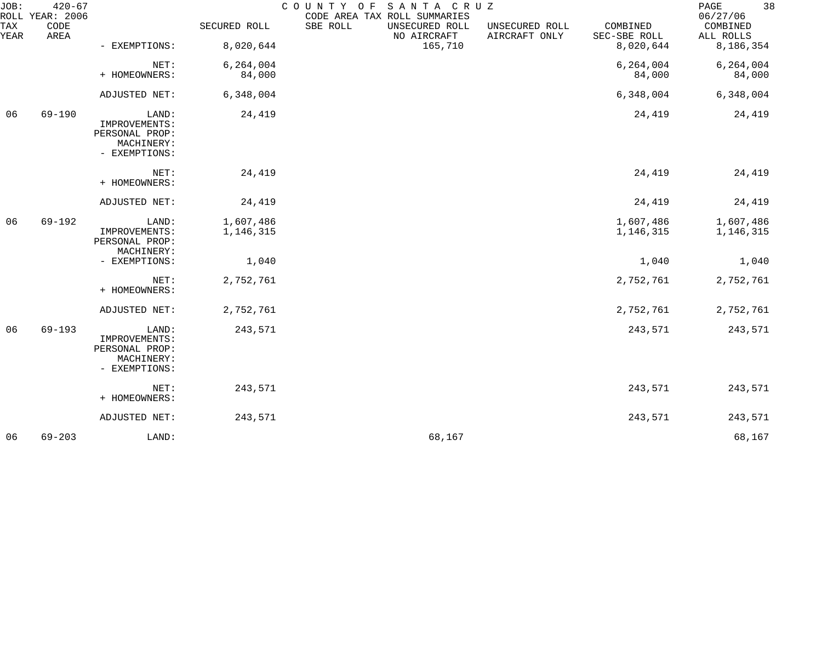| JOB:        | $420 - 67$<br>ROLL YEAR: 2006 |                                                                         |                        | COUNTY OF | SANTA CRUZ<br>CODE AREA TAX ROLL SUMMARIES |                                 |                          | 38<br>PAGE<br>06/27/06 |
|-------------|-------------------------------|-------------------------------------------------------------------------|------------------------|-----------|--------------------------------------------|---------------------------------|--------------------------|------------------------|
| TAX<br>YEAR | CODE<br>AREA                  |                                                                         | SECURED ROLL           | SBE ROLL  | UNSECURED ROLL<br>NO AIRCRAFT              | UNSECURED ROLL<br>AIRCRAFT ONLY | COMBINED<br>SEC-SBE ROLL | COMBINED<br>ALL ROLLS  |
|             |                               | - EXEMPTIONS:                                                           | 8,020,644              |           | 165,710                                    |                                 | 8,020,644                | 8,186,354              |
|             |                               | NET:<br>+ HOMEOWNERS:                                                   | 6, 264, 004<br>84,000  |           |                                            |                                 | 6, 264, 004<br>84,000    | 6,264,004<br>84,000    |
|             |                               | ADJUSTED NET:                                                           | 6,348,004              |           |                                            |                                 | 6,348,004                | 6,348,004              |
| 06          | $69 - 190$                    | LAND:<br>IMPROVEMENTS:<br>PERSONAL PROP:<br>MACHINERY:<br>- EXEMPTIONS: | 24,419                 |           |                                            |                                 | 24,419                   | 24,419                 |
|             |                               | NET:<br>+ HOMEOWNERS:                                                   | 24,419                 |           |                                            |                                 | 24,419                   | 24,419                 |
|             |                               | ADJUSTED NET:                                                           | 24,419                 |           |                                            |                                 | 24,419                   | 24,419                 |
| 06          | $69 - 192$                    | LAND:<br>IMPROVEMENTS:<br>PERSONAL PROP:<br>MACHINERY:                  | 1,607,486<br>1,146,315 |           |                                            |                                 | 1,607,486<br>1,146,315   | 1,607,486<br>1,146,315 |
|             |                               | - EXEMPTIONS:                                                           | 1,040                  |           |                                            |                                 | 1,040                    | 1,040                  |
|             |                               | NET:<br>+ HOMEOWNERS:                                                   | 2,752,761              |           |                                            |                                 | 2,752,761                | 2,752,761              |
|             |                               | ADJUSTED NET:                                                           | 2,752,761              |           |                                            |                                 | 2,752,761                | 2,752,761              |
| 06          | $69 - 193$                    | LAND:<br>IMPROVEMENTS:<br>PERSONAL PROP:<br>MACHINERY:<br>- EXEMPTIONS: | 243,571                |           |                                            |                                 | 243,571                  | 243,571                |
|             |                               | NET:<br>+ HOMEOWNERS:                                                   | 243,571                |           |                                            |                                 | 243,571                  | 243,571                |
|             |                               | ADJUSTED NET:                                                           | 243,571                |           |                                            |                                 | 243,571                  | 243,571                |
| 06          | $69 - 203$                    | LAND:                                                                   |                        |           | 68,167                                     |                                 |                          | 68,167                 |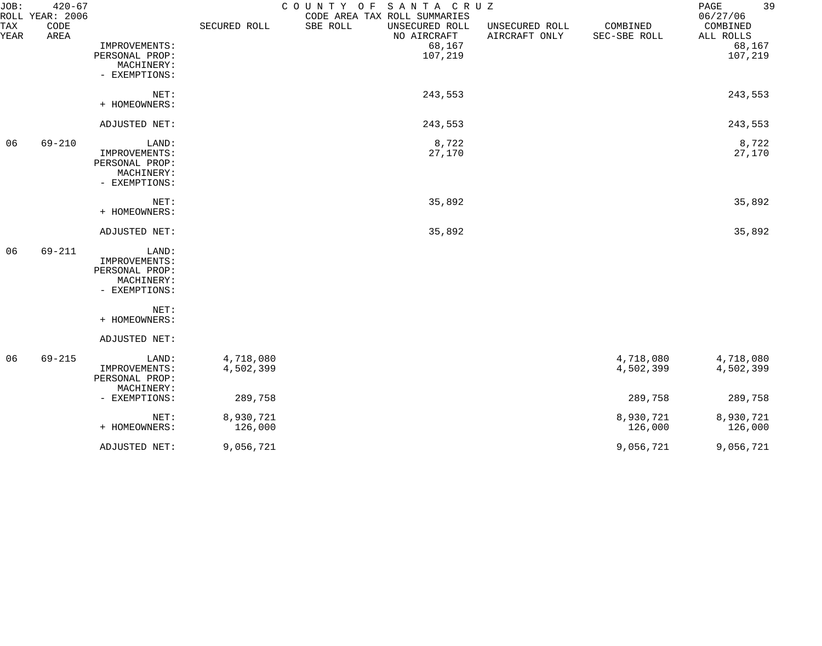| JOB:        | $420 - 67$<br>ROLL YEAR: 2006 |                                                        |                        | COUNTY OF SANTA CRUZ<br>CODE AREA TAX ROLL SUMMARIES |                                 |                          | 39<br>PAGE<br>06/27/06 |
|-------------|-------------------------------|--------------------------------------------------------|------------------------|------------------------------------------------------|---------------------------------|--------------------------|------------------------|
| TAX<br>YEAR | CODE<br>AREA                  |                                                        | SECURED ROLL           | SBE ROLL<br>UNSECURED ROLL<br>NO AIRCRAFT            | UNSECURED ROLL<br>AIRCRAFT ONLY | COMBINED<br>SEC-SBE ROLL | COMBINED<br>ALL ROLLS  |
|             |                               | IMPROVEMENTS:<br>PERSONAL PROP:                        |                        | 68,167<br>107,219                                    |                                 |                          | 68,167<br>107,219      |
|             |                               | MACHINERY:<br>- EXEMPTIONS:                            |                        |                                                      |                                 |                          |                        |
|             |                               | NET:<br>+ HOMEOWNERS:                                  |                        | 243,553                                              |                                 |                          | 243,553                |
|             |                               | ADJUSTED NET:                                          |                        | 243,553                                              |                                 |                          | 243,553                |
| 06          | $69 - 210$                    | LAND:<br>IMPROVEMENTS:                                 |                        | 8,722<br>27,170                                      |                                 |                          | 8,722<br>27,170        |
|             |                               | PERSONAL PROP:<br>MACHINERY:<br>- EXEMPTIONS:          |                        |                                                      |                                 |                          |                        |
|             |                               | NET:                                                   |                        | 35,892                                               |                                 |                          | 35,892                 |
|             |                               | + HOMEOWNERS:                                          |                        |                                                      |                                 |                          |                        |
|             |                               | ADJUSTED NET:                                          |                        | 35,892                                               |                                 |                          | 35,892                 |
| 06          | $69 - 211$                    | LAND:<br>IMPROVEMENTS:                                 |                        |                                                      |                                 |                          |                        |
|             |                               | PERSONAL PROP:<br>MACHINERY:                           |                        |                                                      |                                 |                          |                        |
|             |                               | - EXEMPTIONS:                                          |                        |                                                      |                                 |                          |                        |
|             |                               | NET:<br>+ HOMEOWNERS:                                  |                        |                                                      |                                 |                          |                        |
|             |                               | ADJUSTED NET:                                          |                        |                                                      |                                 |                          |                        |
| 06          | $69 - 215$                    | LAND:<br>IMPROVEMENTS:<br>PERSONAL PROP:<br>MACHINERY: | 4,718,080<br>4,502,399 |                                                      |                                 | 4,718,080<br>4,502,399   | 4,718,080<br>4,502,399 |
|             |                               | - EXEMPTIONS:                                          | 289,758                |                                                      |                                 | 289,758                  | 289,758                |
|             |                               | NET:<br>+ HOMEOWNERS:                                  | 8,930,721<br>126,000   |                                                      |                                 | 8,930,721<br>126,000     | 8,930,721<br>126,000   |
|             |                               | ADJUSTED NET:                                          | 9,056,721              |                                                      |                                 | 9,056,721                | 9,056,721              |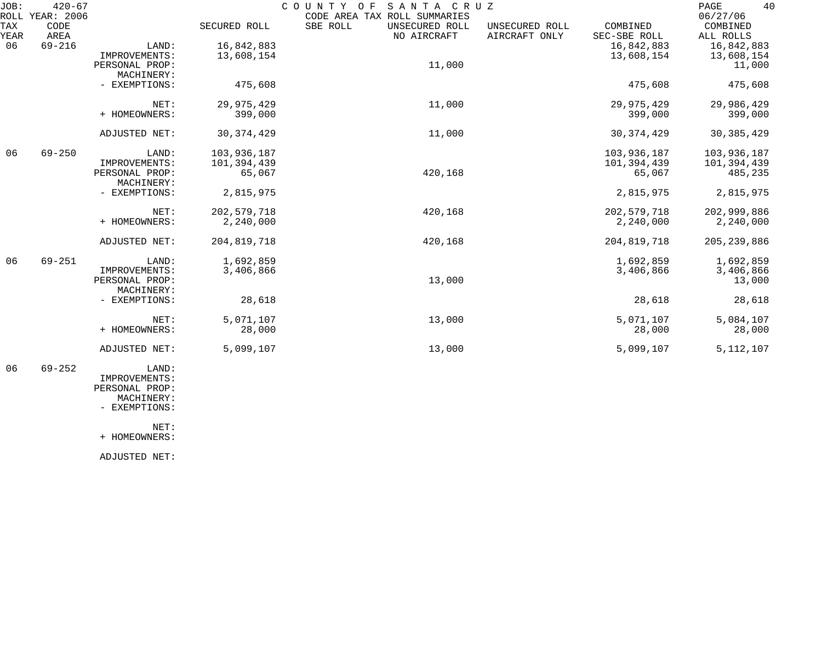| JOB:        | $420 - 67$<br>ROLL YEAR: 2006 |                |               | COUNTY OF<br>SANTA CRUZ<br>CODE AREA TAX ROLL SUMMARIES |                                 |                          | 40<br>PAGE<br>06/27/06 |
|-------------|-------------------------------|----------------|---------------|---------------------------------------------------------|---------------------------------|--------------------------|------------------------|
| TAX<br>YEAR | CODE<br>AREA                  |                | SECURED ROLL  | SBE ROLL<br>UNSECURED ROLL<br>NO AIRCRAFT               | UNSECURED ROLL<br>AIRCRAFT ONLY | COMBINED<br>SEC-SBE ROLL | COMBINED<br>ALL ROLLS  |
| 06          | $69 - 216$                    | LAND:          | 16,842,883    |                                                         |                                 | 16,842,883               | 16,842,883             |
|             |                               | IMPROVEMENTS:  | 13,608,154    |                                                         |                                 | 13,608,154               | 13,608,154             |
|             |                               | PERSONAL PROP: |               | 11,000                                                  |                                 |                          | 11,000                 |
|             |                               | MACHINERY:     |               |                                                         |                                 |                          |                        |
|             |                               | - EXEMPTIONS:  | 475,608       |                                                         |                                 | 475,608                  | 475,608                |
|             |                               | NET:           | 29,975,429    | 11,000                                                  |                                 | 29,975,429               | 29,986,429             |
|             |                               | + HOMEOWNERS:  | 399,000       |                                                         |                                 | 399,000                  | 399,000                |
|             |                               | ADJUSTED NET:  | 30, 374, 429  | 11,000                                                  |                                 | 30, 374, 429             | 30, 385, 429           |
| 06          | $69 - 250$                    | LAND:          | 103,936,187   |                                                         |                                 | 103,936,187              | 103,936,187            |
|             |                               | IMPROVEMENTS:  | 101,394,439   |                                                         |                                 | 101,394,439              | 101,394,439            |
|             |                               | PERSONAL PROP: | 65,067        | 420,168                                                 |                                 | 65,067                   | 485,235                |
|             |                               | MACHINERY:     |               |                                                         |                                 |                          |                        |
|             |                               | - EXEMPTIONS:  | 2,815,975     |                                                         |                                 | 2,815,975                | 2,815,975              |
|             |                               | NET:           | 202, 579, 718 | 420,168                                                 |                                 | 202, 579, 718            | 202,999,886            |
|             |                               | + HOMEOWNERS:  | 2,240,000     |                                                         |                                 | 2,240,000                | 2,240,000              |
|             |                               | ADJUSTED NET:  | 204,819,718   | 420,168                                                 |                                 | 204,819,718              | 205, 239, 886          |
| 06          | $69 - 251$                    | LAND:          | 1,692,859     |                                                         |                                 | 1,692,859                | 1,692,859              |
|             |                               | IMPROVEMENTS:  | 3,406,866     |                                                         |                                 | 3,406,866                | 3,406,866              |
|             |                               | PERSONAL PROP: |               | 13,000                                                  |                                 |                          | 13,000                 |
|             |                               | MACHINERY:     |               |                                                         |                                 |                          |                        |
|             |                               | - EXEMPTIONS:  | 28,618        |                                                         |                                 | 28,618                   | 28,618                 |
|             |                               | NET:           | 5,071,107     | 13,000                                                  |                                 | 5,071,107                | 5,084,107              |
|             |                               | + HOMEOWNERS:  | 28,000        |                                                         |                                 | 28,000                   | 28,000                 |
|             |                               | ADJUSTED NET:  | 5,099,107     | 13,000                                                  |                                 | 5,099,107                | 5, 112, 107            |
|             |                               |                |               |                                                         |                                 |                          |                        |

 06 69-252 LAND: IMPROVEMENTS: PERSONAL PROP: MACHINERY:

- EXEMPTIONS:

NET:

+ HOMEOWNERS:

ADJUSTED NET: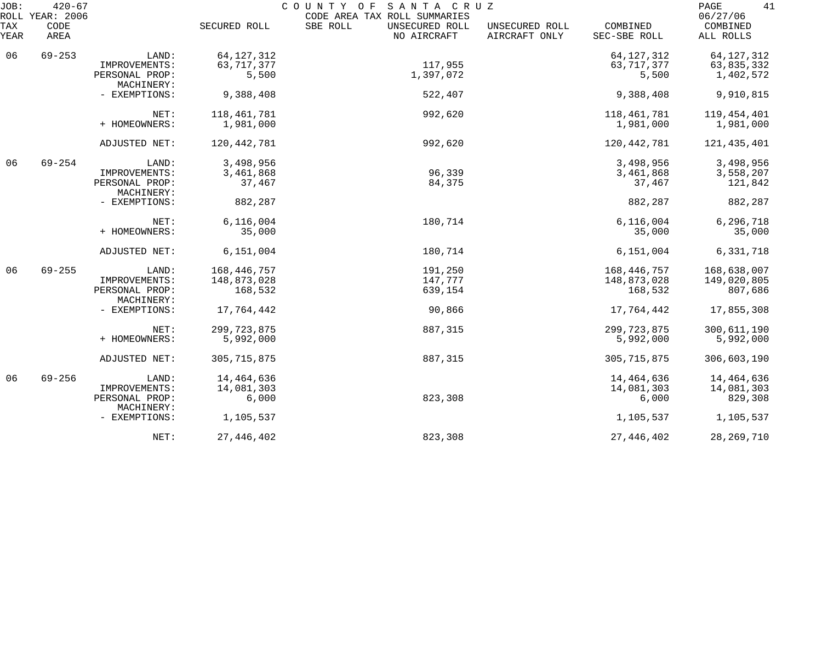| JOB:        | $420 - 67$<br>ROLL YEAR: 2006 |                              |               | COUNTY OF SANTA CRUZ<br>CODE AREA TAX ROLL SUMMARIES |                                 |                          | 41<br>PAGE<br>06/27/06 |
|-------------|-------------------------------|------------------------------|---------------|------------------------------------------------------|---------------------------------|--------------------------|------------------------|
| TAX<br>YEAR | CODE<br>AREA                  |                              | SECURED ROLL  | SBE ROLL<br>UNSECURED ROLL<br>NO AIRCRAFT            | UNSECURED ROLL<br>AIRCRAFT ONLY | COMBINED<br>SEC-SBE ROLL | COMBINED<br>ALL ROLLS  |
| 06          | $69 - 253$                    | LAND:                        | 64, 127, 312  |                                                      |                                 | 64, 127, 312             | 64, 127, 312           |
|             |                               | IMPROVEMENTS:                | 63, 717, 377  | 117,955                                              |                                 | 63,717,377               | 63,835,332             |
|             |                               | PERSONAL PROP:<br>MACHINERY: | 5,500         | 1,397,072                                            |                                 | 5,500                    | 1,402,572              |
|             |                               | - EXEMPTIONS:                | 9,388,408     | 522,407                                              |                                 | 9,388,408                | 9,910,815              |
|             |                               | NET:                         | 118,461,781   | 992,620                                              |                                 | 118,461,781              | 119,454,401            |
|             |                               | + HOMEOWNERS:                | 1,981,000     |                                                      |                                 | 1,981,000                | 1,981,000              |
|             |                               | ADJUSTED NET:                | 120, 442, 781 | 992,620                                              |                                 | 120,442,781              | 121,435,401            |
| 06          | $69 - 254$                    | LAND:                        | 3,498,956     |                                                      |                                 | 3,498,956                | 3,498,956              |
|             |                               | IMPROVEMENTS:                | 3,461,868     | 96,339                                               |                                 | 3,461,868                | 3,558,207              |
|             |                               | PERSONAL PROP:<br>MACHINERY: | 37,467        | 84,375                                               |                                 | 37,467                   | 121,842                |
|             |                               | - EXEMPTIONS:                | 882,287       |                                                      |                                 | 882,287                  | 882,287                |
|             |                               | NET:                         | 6,116,004     | 180,714                                              |                                 | 6,116,004                | 6,296,718              |
|             |                               | + HOMEOWNERS:                | 35,000        |                                                      |                                 | 35,000                   | 35,000                 |
|             |                               | ADJUSTED NET:                | 6,151,004     | 180,714                                              |                                 | 6,151,004                | 6,331,718              |
| 06          | $69 - 255$                    | LAND:                        | 168,446,757   | 191,250                                              |                                 | 168,446,757              | 168,638,007            |
|             |                               | IMPROVEMENTS:                | 148,873,028   | 147,777                                              |                                 | 148,873,028              | 149,020,805            |
|             |                               | PERSONAL PROP:<br>MACHINERY: | 168,532       | 639,154                                              |                                 | 168,532                  | 807,686                |
|             |                               | - EXEMPTIONS:                | 17,764,442    | 90,866                                               |                                 | 17,764,442               | 17,855,308             |
|             |                               | NET:                         | 299, 723, 875 | 887,315                                              |                                 | 299, 723, 875            | 300,611,190            |
|             |                               | + HOMEOWNERS:                | 5,992,000     |                                                      |                                 | 5,992,000                | 5,992,000              |
|             |                               | ADJUSTED NET:                | 305, 715, 875 | 887,315                                              |                                 | 305, 715, 875            | 306,603,190            |
| 06          | $69 - 256$                    | LAND:                        | 14,464,636    |                                                      |                                 | 14,464,636               | 14,464,636             |
|             |                               | IMPROVEMENTS:                | 14,081,303    |                                                      |                                 | 14,081,303               | 14,081,303             |
|             |                               | PERSONAL PROP:<br>MACHINERY: | 6,000         | 823,308                                              |                                 | 6,000                    | 829,308                |
|             |                               | - EXEMPTIONS:                | 1,105,537     |                                                      |                                 | 1,105,537                | 1,105,537              |
|             |                               | NET:                         | 27, 446, 402  | 823,308                                              |                                 | 27, 446, 402             | 28, 269, 710           |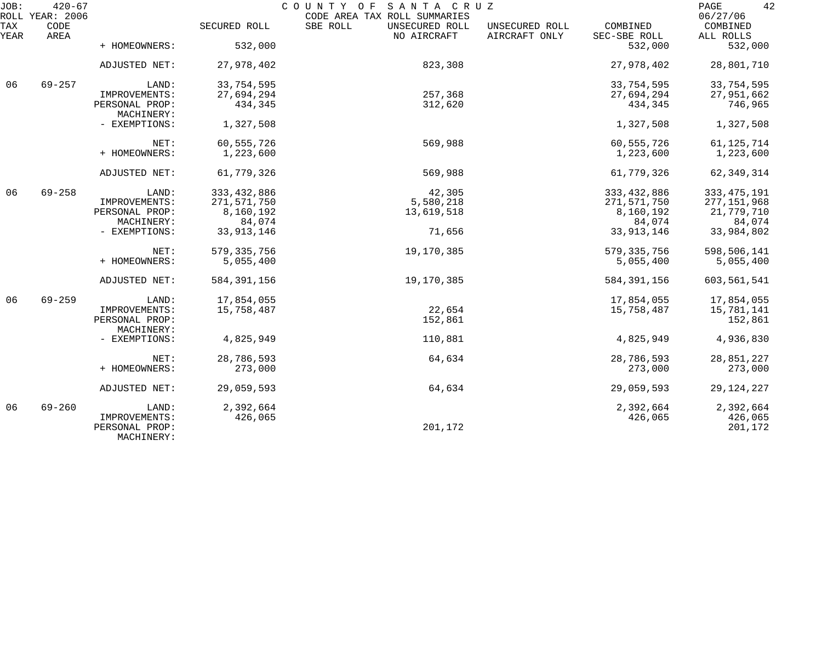| JOB:        | $420 - 67$<br>ROLL YEAR: 2006 |                                               |               | COUNTY OF SANTA CRUZ<br>CODE AREA TAX ROLL SUMMARIES |                                 |                          | 42<br>PAGE<br>06/27/06 |
|-------------|-------------------------------|-----------------------------------------------|---------------|------------------------------------------------------|---------------------------------|--------------------------|------------------------|
| TAX<br>YEAR | CODE<br>AREA                  |                                               | SECURED ROLL  | SBE ROLL<br>UNSECURED ROLL<br>NO AIRCRAFT            | UNSECURED ROLL<br>AIRCRAFT ONLY | COMBINED<br>SEC-SBE ROLL | COMBINED<br>ALL ROLLS  |
|             |                               | + HOMEOWNERS:                                 | 532,000       |                                                      |                                 | 532,000                  | 532,000                |
|             |                               | ADJUSTED NET:                                 | 27,978,402    | 823,308                                              |                                 | 27,978,402               | 28,801,710             |
| 06          | $69 - 257$                    | LAND:                                         | 33,754,595    |                                                      |                                 | 33,754,595               | 33,754,595             |
|             |                               | IMPROVEMENTS:                                 | 27,694,294    | 257,368                                              |                                 | 27,694,294               | 27,951,662             |
|             |                               | PERSONAL PROP:<br>MACHINERY:                  | 434,345       | 312,620                                              |                                 | 434,345                  | 746,965                |
|             |                               | - EXEMPTIONS:                                 | 1,327,508     |                                                      |                                 | 1,327,508                | 1,327,508              |
|             |                               | NET:                                          | 60,555,726    | 569,988                                              |                                 | 60,555,726               | 61, 125, 714           |
|             |                               | + HOMEOWNERS:                                 | 1,223,600     |                                                      |                                 | 1,223,600                | 1,223,600              |
|             |                               | ADJUSTED NET:                                 | 61,779,326    | 569,988                                              |                                 | 61,779,326               | 62, 349, 314           |
| 06          | $69 - 258$                    | LAND:                                         | 333, 432, 886 | 42,305                                               |                                 | 333, 432, 886            | 333, 475, 191          |
|             |                               | IMPROVEMENTS:                                 | 271,571,750   | 5,580,218                                            |                                 | 271,571,750              | 277, 151, 968          |
|             |                               | PERSONAL PROP:                                | 8,160,192     | 13,619,518                                           |                                 | 8,160,192                | 21,779,710             |
|             |                               | MACHINERY:                                    | 84,074        |                                                      |                                 | 84,074                   | 84,074                 |
|             |                               | - EXEMPTIONS:                                 | 33, 913, 146  | 71,656                                               |                                 | 33, 913, 146             | 33,984,802             |
|             |                               | NET:                                          | 579, 335, 756 | 19,170,385                                           |                                 | 579, 335, 756            | 598,506,141            |
|             |                               | + HOMEOWNERS:                                 | 5,055,400     |                                                      |                                 | 5,055,400                | 5,055,400              |
|             |                               | ADJUSTED NET:                                 | 584, 391, 156 | 19,170,385                                           |                                 | 584, 391, 156            | 603,561,541            |
| 06          | $69 - 259$                    | LAND:                                         | 17,854,055    |                                                      |                                 | 17,854,055               | 17,854,055             |
|             |                               | IMPROVEMENTS:                                 | 15,758,487    | 22,654                                               |                                 | 15,758,487               | 15,781,141             |
|             |                               | PERSONAL PROP:<br>MACHINERY:                  |               | 152,861                                              |                                 |                          | 152,861                |
|             |                               | - EXEMPTIONS:                                 | 4,825,949     | 110,881                                              |                                 | 4,825,949                | 4,936,830              |
|             |                               | NET:                                          | 28,786,593    | 64,634                                               |                                 | 28,786,593               | 28,851,227             |
|             |                               | + HOMEOWNERS:                                 | 273,000       |                                                      |                                 | 273,000                  | 273,000                |
|             |                               | ADJUSTED NET:                                 | 29,059,593    | 64,634                                               |                                 | 29,059,593               | 29, 124, 227           |
| 06          | $69 - 260$                    | LAND:                                         | 2,392,664     |                                                      |                                 | 2,392,664                | 2,392,664              |
|             |                               | IMPROVEMENTS:<br>PERSONAL PROP:<br>MACHINERY: | 426,065       | 201,172                                              |                                 | 426,065                  | 426,065<br>201,172     |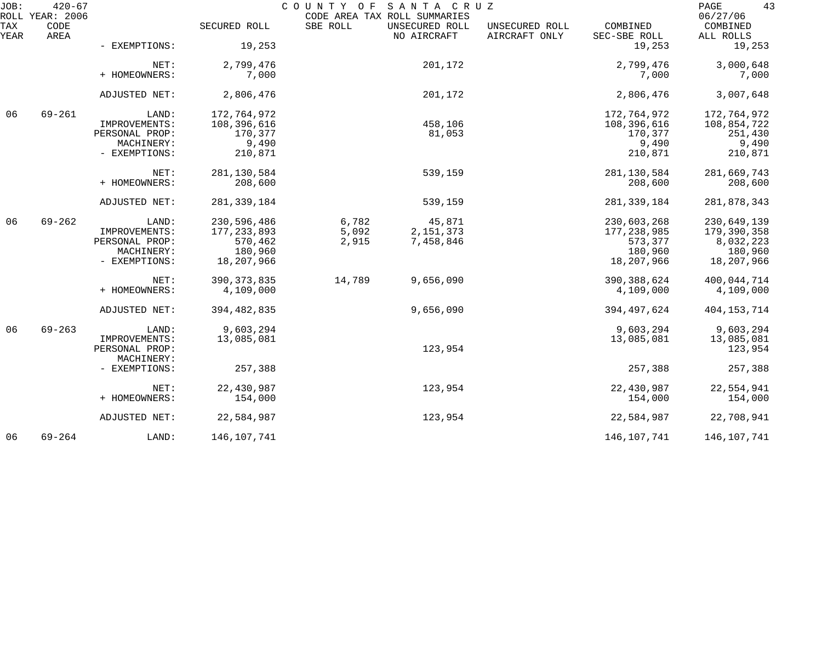| JOB:        | $420 - 67$<br>ROLL YEAR: 2006 |                |               |          | COUNTY OF SANTA CRUZ<br>CODE AREA TAX ROLL SUMMARIES |                                 |                          | 43<br>PAGE<br>06/27/06 |
|-------------|-------------------------------|----------------|---------------|----------|------------------------------------------------------|---------------------------------|--------------------------|------------------------|
| TAX<br>YEAR | CODE<br>AREA                  |                | SECURED ROLL  | SBE ROLL | UNSECURED ROLL<br>NO AIRCRAFT                        | UNSECURED ROLL<br>AIRCRAFT ONLY | COMBINED<br>SEC-SBE ROLL | COMBINED<br>ALL ROLLS  |
|             |                               | - EXEMPTIONS:  | 19,253        |          |                                                      |                                 | 19,253                   | 19,253                 |
|             |                               | NET:           | 2,799,476     |          | 201,172                                              |                                 | 2,799,476                | 3,000,648              |
|             |                               | + HOMEOWNERS:  | 7,000         |          |                                                      |                                 | 7,000                    | 7,000                  |
|             |                               | ADJUSTED NET:  | 2,806,476     |          | 201,172                                              |                                 | 2,806,476                | 3,007,648              |
| 06          | $69 - 261$                    | LAND:          | 172,764,972   |          |                                                      |                                 | 172,764,972              | 172,764,972            |
|             |                               | IMPROVEMENTS:  | 108,396,616   |          | 458,106                                              |                                 | 108,396,616              | 108,854,722            |
|             |                               | PERSONAL PROP: | 170,377       |          | 81,053                                               |                                 | 170,377                  | 251,430                |
|             |                               | MACHINERY:     | 9,490         |          |                                                      |                                 | 9,490                    | 9,490                  |
|             |                               | - EXEMPTIONS:  | 210,871       |          |                                                      |                                 | 210,871                  | 210,871                |
|             |                               | NET:           | 281, 130, 584 |          | 539,159                                              |                                 | 281, 130, 584            | 281,669,743            |
|             |                               | + HOMEOWNERS:  | 208,600       |          |                                                      |                                 | 208,600                  | 208,600                |
|             |                               | ADJUSTED NET:  | 281, 339, 184 |          | 539,159                                              |                                 | 281, 339, 184            | 281,878,343            |
| 06          | $69 - 262$                    | LAND:          | 230,596,486   | 6,782    | 45,871                                               |                                 | 230,603,268              | 230,649,139            |
|             |                               | IMPROVEMENTS:  | 177, 233, 893 | 5,092    | 2, 151, 373                                          |                                 | 177, 238, 985            | 179,390,358            |
|             |                               | PERSONAL PROP: | 570,462       | 2,915    | 7,458,846                                            |                                 | 573,377                  | 8,032,223              |
|             |                               | MACHINERY:     | 180,960       |          |                                                      |                                 | 180,960                  | 180,960                |
|             |                               | - EXEMPTIONS:  | 18,207,966    |          |                                                      |                                 | 18,207,966               | 18,207,966             |
|             |                               | NET:           | 390, 373, 835 | 14,789   | 9,656,090                                            |                                 | 390, 388, 624            | 400,044,714            |
|             |                               | + HOMEOWNERS:  | 4,109,000     |          |                                                      |                                 | 4,109,000                | 4,109,000              |
|             |                               | ADJUSTED NET:  | 394, 482, 835 |          | 9,656,090                                            |                                 | 394, 497, 624            | 404, 153, 714          |
| 06          | $69 - 263$                    | LAND:          | 9,603,294     |          |                                                      |                                 | 9,603,294                | 9,603,294              |
|             |                               | IMPROVEMENTS:  | 13,085,081    |          |                                                      |                                 | 13,085,081               | 13,085,081             |
|             |                               | PERSONAL PROP: |               |          | 123,954                                              |                                 |                          | 123,954                |
|             |                               | MACHINERY:     |               |          |                                                      |                                 |                          |                        |
|             |                               | - EXEMPTIONS:  | 257,388       |          |                                                      |                                 | 257,388                  | 257,388                |
|             |                               | NET:           | 22,430,987    |          | 123,954                                              |                                 | 22,430,987               | 22,554,941             |
|             |                               | + HOMEOWNERS:  | 154,000       |          |                                                      |                                 | 154,000                  | 154,000                |
|             |                               | ADJUSTED NET:  | 22,584,987    |          | 123,954                                              |                                 | 22,584,987               | 22,708,941             |
| 06          | $69 - 264$                    | LAND:          | 146,107,741   |          |                                                      |                                 | 146,107,741              | 146,107,741            |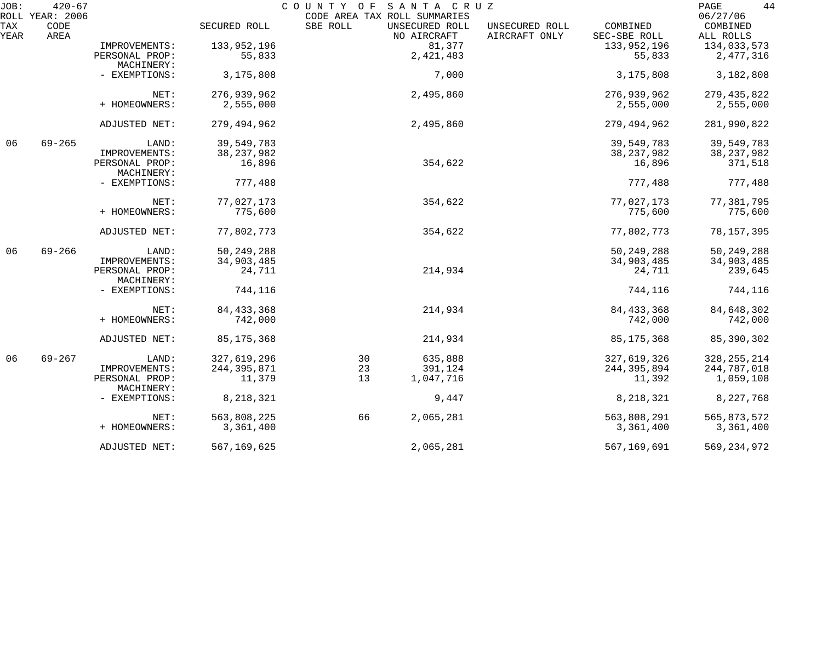| JOB:        | $420 - 67$                      |                              |               | COUNTY OF                                | SANTA CRUZ                    |                                 |                          | 44<br>PAGE                        |
|-------------|---------------------------------|------------------------------|---------------|------------------------------------------|-------------------------------|---------------------------------|--------------------------|-----------------------------------|
| TAX<br>YEAR | ROLL YEAR: 2006<br>CODE<br>AREA |                              | SECURED ROLL  | CODE AREA TAX ROLL SUMMARIES<br>SBE ROLL | UNSECURED ROLL<br>NO AIRCRAFT | UNSECURED ROLL<br>AIRCRAFT ONLY | COMBINED<br>SEC-SBE ROLL | 06/27/06<br>COMBINED<br>ALL ROLLS |
|             |                                 | IMPROVEMENTS:                | 133,952,196   |                                          | 81,377                        |                                 | 133,952,196              | 134,033,573                       |
|             |                                 |                              |               |                                          | 2,421,483                     |                                 |                          | 2,477,316                         |
|             |                                 | PERSONAL PROP:<br>MACHINERY: | 55,833        |                                          |                               |                                 | 55,833                   |                                   |
|             |                                 | - EXEMPTIONS:                | 3,175,808     |                                          | 7,000                         |                                 | 3,175,808                | 3,182,808                         |
|             |                                 | NET:                         | 276,939,962   |                                          | 2,495,860                     |                                 | 276,939,962              | 279, 435, 822                     |
|             |                                 | + HOMEOWNERS:                | 2,555,000     |                                          |                               |                                 | 2,555,000                | 2,555,000                         |
|             |                                 | ADJUSTED NET:                | 279, 494, 962 |                                          | 2,495,860                     |                                 | 279,494,962              | 281,990,822                       |
| 06          | $69 - 265$                      | LAND:                        | 39,549,783    |                                          |                               |                                 | 39,549,783               | 39,549,783                        |
|             |                                 | IMPROVEMENTS:                | 38, 237, 982  |                                          |                               |                                 | 38, 237, 982             | 38, 237, 982                      |
|             |                                 | PERSONAL PROP:<br>MACHINERY: | 16,896        |                                          | 354,622                       |                                 | 16,896                   | 371,518                           |
|             |                                 | - EXEMPTIONS:                | 777,488       |                                          |                               |                                 | 777,488                  | 777,488                           |
|             |                                 | NET:                         | 77,027,173    |                                          | 354,622                       |                                 | 77,027,173               | 77,381,795                        |
|             |                                 | + HOMEOWNERS:                | 775,600       |                                          |                               |                                 | 775,600                  | 775,600                           |
|             |                                 | ADJUSTED NET:                | 77,802,773    |                                          | 354,622                       |                                 | 77,802,773               | 78, 157, 395                      |
| 06          | $69 - 266$                      | LAND:                        | 50, 249, 288  |                                          |                               |                                 | 50, 249, 288             | 50, 249, 288                      |
|             |                                 | IMPROVEMENTS:                | 34,903,485    |                                          |                               |                                 | 34,903,485               | 34,903,485                        |
|             |                                 | PERSONAL PROP:<br>MACHINERY: | 24,711        |                                          | 214,934                       |                                 | 24,711                   | 239,645                           |
|             |                                 | - EXEMPTIONS:                | 744,116       |                                          |                               |                                 | 744,116                  | 744,116                           |
|             |                                 | NET:                         | 84, 433, 368  |                                          | 214,934                       |                                 | 84, 433, 368             | 84,648,302                        |
|             |                                 | + HOMEOWNERS:                | 742,000       |                                          |                               |                                 | 742,000                  | 742,000                           |
|             |                                 | ADJUSTED NET:                | 85, 175, 368  |                                          | 214,934                       |                                 | 85, 175, 368             | 85,390,302                        |
| 06          | $69 - 267$                      | LAND:                        | 327,619,296   | 30                                       | 635,888                       |                                 | 327,619,326              | 328, 255, 214                     |
|             |                                 | IMPROVEMENTS:                | 244, 395, 871 | 23                                       | 391,124                       |                                 | 244, 395, 894            | 244,787,018                       |
|             |                                 | PERSONAL PROP:<br>MACHINERY: | 11,379        | 13                                       | 1,047,716                     |                                 | 11,392                   | 1,059,108                         |
|             |                                 | - EXEMPTIONS:                | 8, 218, 321   |                                          | 9,447                         |                                 | 8,218,321                | 8,227,768                         |
|             |                                 | NET:                         | 563,808,225   | 66                                       | 2,065,281                     |                                 | 563,808,291              | 565,873,572                       |
|             |                                 | + HOMEOWNERS:                | 3,361,400     |                                          |                               |                                 | 3,361,400                | 3,361,400                         |
|             |                                 | ADJUSTED NET:                | 567, 169, 625 |                                          | 2,065,281                     |                                 | 567, 169, 691            | 569, 234, 972                     |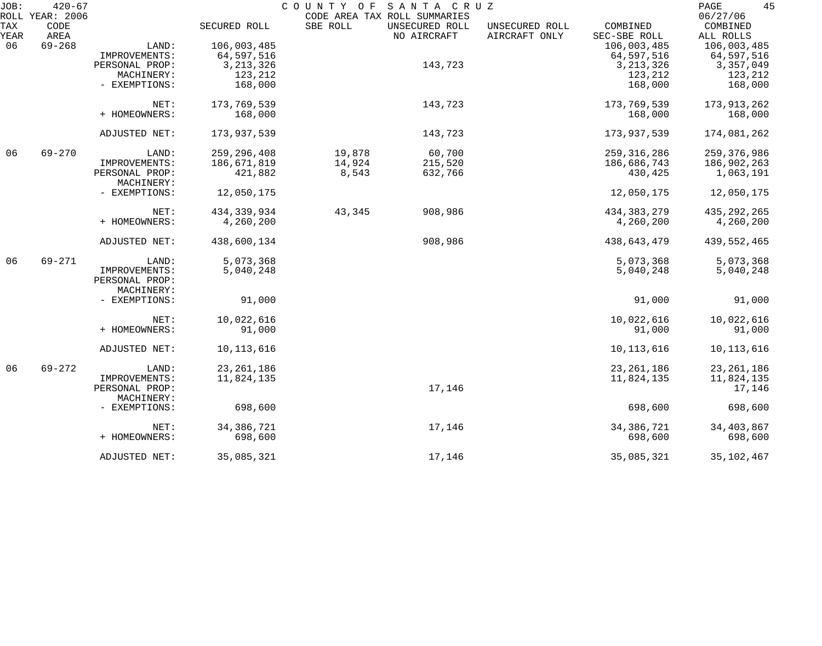| JOB:        | $420 - 67$<br>ROLL YEAR: 2006 |                |               | COUNTY OF | SANTA CRUZ<br>CODE AREA TAX ROLL SUMMARIES |                                 |                          | 45<br>PAGE<br>06/27/06 |
|-------------|-------------------------------|----------------|---------------|-----------|--------------------------------------------|---------------------------------|--------------------------|------------------------|
| TAX<br>YEAR | CODE<br>AREA                  |                | SECURED ROLL  | SBE ROLL  | UNSECURED ROLL<br>NO AIRCRAFT              | UNSECURED ROLL<br>AIRCRAFT ONLY | COMBINED<br>SEC-SBE ROLL | COMBINED<br>ALL ROLLS  |
| 06          | $69 - 268$                    | LAND:          | 106,003,485   |           |                                            |                                 | 106,003,485              | 106,003,485            |
|             |                               | IMPROVEMENTS:  | 64,597,516    |           |                                            |                                 | 64,597,516               | 64,597,516             |
|             |                               | PERSONAL PROP: | 3, 213, 326   |           | 143,723                                    |                                 | 3, 213, 326              | 3,357,049              |
|             |                               |                |               |           |                                            |                                 |                          |                        |
|             |                               | MACHINERY:     | 123,212       |           |                                            |                                 | 123,212                  | 123,212                |
|             |                               | - EXEMPTIONS:  | 168,000       |           |                                            |                                 | 168,000                  | 168,000                |
|             |                               | NET:           | 173,769,539   |           | 143,723                                    |                                 | 173,769,539              | 173,913,262            |
|             |                               | + HOMEOWNERS:  | 168,000       |           |                                            |                                 | 168,000                  | 168,000                |
|             |                               |                |               |           |                                            |                                 |                          |                        |
|             |                               | ADJUSTED NET:  | 173,937,539   |           | 143,723                                    |                                 | 173,937,539              | 174,081,262            |
| 06          | $69 - 270$                    | LAND:          | 259, 296, 408 | 19,878    | 60,700                                     |                                 | 259, 316, 286            | 259, 376, 986          |
|             |                               | IMPROVEMENTS:  | 186,671,819   | 14,924    | 215,520                                    |                                 | 186,686,743              | 186,902,263            |
|             |                               | PERSONAL PROP: | 421,882       | 8,543     | 632,766                                    |                                 | 430,425                  | 1,063,191              |
|             |                               | MACHINERY:     |               |           |                                            |                                 |                          |                        |
|             |                               | - EXEMPTIONS:  | 12,050,175    |           |                                            |                                 | 12,050,175               | 12,050,175             |
|             |                               | NET:           | 434, 339, 934 | 43,345    | 908,986                                    |                                 | 434, 383, 279            | 435, 292, 265          |
|             |                               | + HOMEOWNERS:  | 4,260,200     |           |                                            |                                 | 4,260,200                | 4,260,200              |
|             |                               |                |               |           |                                            |                                 |                          |                        |
|             |                               | ADJUSTED NET:  | 438,600,134   |           | 908,986                                    |                                 | 438,643,479              | 439,552,465            |
| 06          | $69 - 271$                    | LAND:          | 5,073,368     |           |                                            |                                 | 5,073,368                | 5,073,368              |
|             |                               | IMPROVEMENTS:  | 5,040,248     |           |                                            |                                 | 5,040,248                | 5,040,248              |
|             |                               | PERSONAL PROP: |               |           |                                            |                                 |                          |                        |
|             |                               | MACHINERY:     |               |           |                                            |                                 |                          |                        |
|             |                               | - EXEMPTIONS:  | 91,000        |           |                                            |                                 | 91,000                   | 91,000                 |
|             |                               | NET:           | 10,022,616    |           |                                            |                                 | 10,022,616               | 10,022,616             |
|             |                               | + HOMEOWNERS:  | 91,000        |           |                                            |                                 | 91,000                   | 91,000                 |
|             |                               | ADJUSTED NET:  | 10,113,616    |           |                                            |                                 | 10, 113, 616             | 10, 113, 616           |
| 06          | $69 - 272$                    | LAND:          | 23, 261, 186  |           |                                            |                                 | 23, 261, 186             | 23, 261, 186           |
|             |                               | IMPROVEMENTS:  | 11,824,135    |           |                                            |                                 | 11,824,135               | 11,824,135             |
|             |                               | PERSONAL PROP: |               |           | 17,146                                     |                                 |                          | 17,146                 |
|             |                               | MACHINERY:     |               |           |                                            |                                 |                          |                        |
|             |                               |                | 698,600       |           |                                            |                                 | 698,600                  |                        |
|             |                               | - EXEMPTIONS:  |               |           |                                            |                                 |                          | 698,600                |
|             |                               | NET:           | 34,386,721    |           | 17,146                                     |                                 | 34, 386, 721             | 34,403,867             |
|             |                               | + HOMEOWNERS:  | 698,600       |           |                                            |                                 | 698,600                  | 698,600                |
|             |                               | ADJUSTED NET:  | 35,085,321    |           | 17,146                                     |                                 | 35,085,321               | 35, 102, 467           |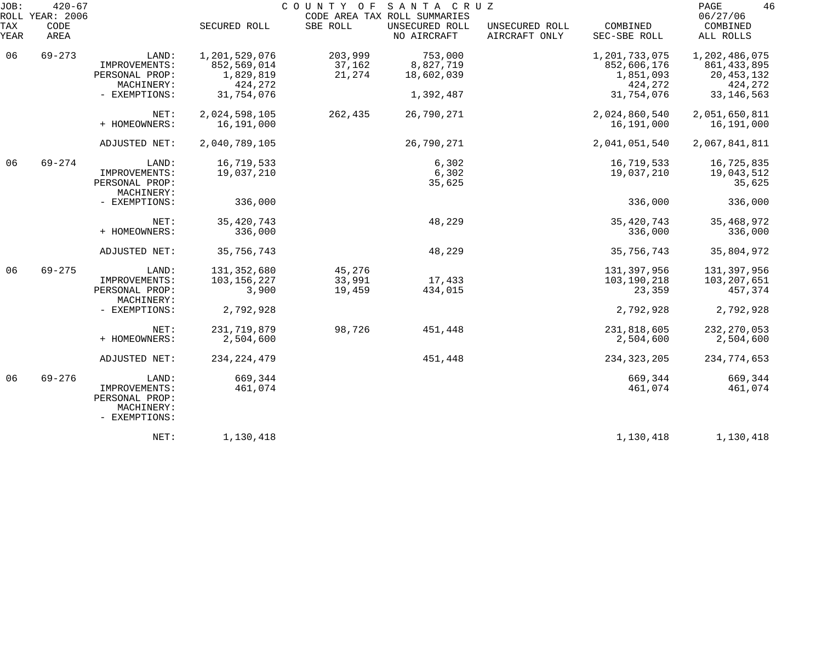| JOB:        | $420 - 67$<br>ROLL YEAR: 2006 |                                                                         |                                           | COUNTY OF SANTA CRUZ        | CODE AREA TAX ROLL SUMMARIES       |                                 |                                           | 46<br>PAGE<br>06/27/06                         |
|-------------|-------------------------------|-------------------------------------------------------------------------|-------------------------------------------|-----------------------------|------------------------------------|---------------------------------|-------------------------------------------|------------------------------------------------|
| TAX<br>YEAR | CODE<br>AREA                  |                                                                         | SECURED ROLL                              | SBE ROLL                    | UNSECURED ROLL<br>NO AIRCRAFT      | UNSECURED ROLL<br>AIRCRAFT ONLY | COMBINED<br>SEC-SBE ROLL                  | COMBINED<br>ALL ROLLS                          |
| 06          | $69 - 273$                    | LAND:<br>IMPROVEMENTS:<br>PERSONAL PROP:                                | 1,201,529,076<br>852,569,014<br>1,829,819 | 203,999<br>37,162<br>21,274 | 753,000<br>8,827,719<br>18,602,039 |                                 | 1,201,733,075<br>852,606,176<br>1,851,093 | 1,202,486,075<br>861, 433, 895<br>20, 453, 132 |
|             |                               | MACHINERY:<br>- EXEMPTIONS:                                             | 424,272<br>31,754,076                     |                             | 1,392,487                          |                                 | 424,272<br>31,754,076                     | 424,272<br>33, 146, 563                        |
|             |                               | NET:<br>+ HOMEOWNERS:                                                   | 2,024,598,105<br>16,191,000               | 262,435                     | 26,790,271                         |                                 | 2,024,860,540<br>16,191,000               | 2,051,650,811<br>16,191,000                    |
|             |                               | ADJUSTED NET:                                                           | 2,040,789,105                             |                             | 26,790,271                         |                                 | 2,041,051,540                             | 2,067,841,811                                  |
| 06          | $69 - 274$                    | LAND:<br>IMPROVEMENTS:<br>PERSONAL PROP:<br>MACHINERY:                  | 16,719,533<br>19,037,210                  |                             | 6,302<br>6,302<br>35,625           |                                 | 16,719,533<br>19,037,210                  | 16,725,835<br>19,043,512<br>35,625             |
|             |                               | - EXEMPTIONS:                                                           | 336,000                                   |                             |                                    |                                 | 336,000                                   | 336,000                                        |
|             |                               | NET:<br>+ HOMEOWNERS:                                                   | 35, 420, 743<br>336,000                   |                             | 48,229                             |                                 | 35, 420, 743<br>336,000                   | 35, 468, 972<br>336,000                        |
|             |                               | ADJUSTED NET:                                                           | 35,756,743                                |                             | 48,229                             |                                 | 35,756,743                                | 35,804,972                                     |
| 06          | $69 - 275$                    | LAND:<br>IMPROVEMENTS:<br>PERSONAL PROP:<br>MACHINERY:                  | 131, 352, 680<br>103, 156, 227<br>3,900   | 45,276<br>33,991<br>19,459  | 17,433<br>434,015                  |                                 | 131,397,956<br>103,190,218<br>23,359      | 131,397,956<br>103,207,651<br>457,374          |
|             |                               | - EXEMPTIONS:                                                           | 2,792,928                                 |                             |                                    |                                 | 2,792,928                                 | 2,792,928                                      |
|             |                               | NET:<br>+ HOMEOWNERS:                                                   | 231,719,879<br>2,504,600                  | 98,726                      | 451,448                            |                                 | 231,818,605<br>2,504,600                  | 232, 270, 053<br>2,504,600                     |
|             |                               | ADJUSTED NET:                                                           | 234, 224, 479                             |                             | 451,448                            |                                 | 234, 323, 205                             | 234,774,653                                    |
| 06          | $69 - 276$                    | LAND:<br>IMPROVEMENTS:<br>PERSONAL PROP:<br>MACHINERY:<br>- EXEMPTIONS: | 669,344<br>461,074                        |                             |                                    |                                 | 669,344<br>461,074                        | 669,344<br>461,074                             |
|             |                               | NET:                                                                    | 1,130,418                                 |                             |                                    |                                 | 1,130,418                                 | 1,130,418                                      |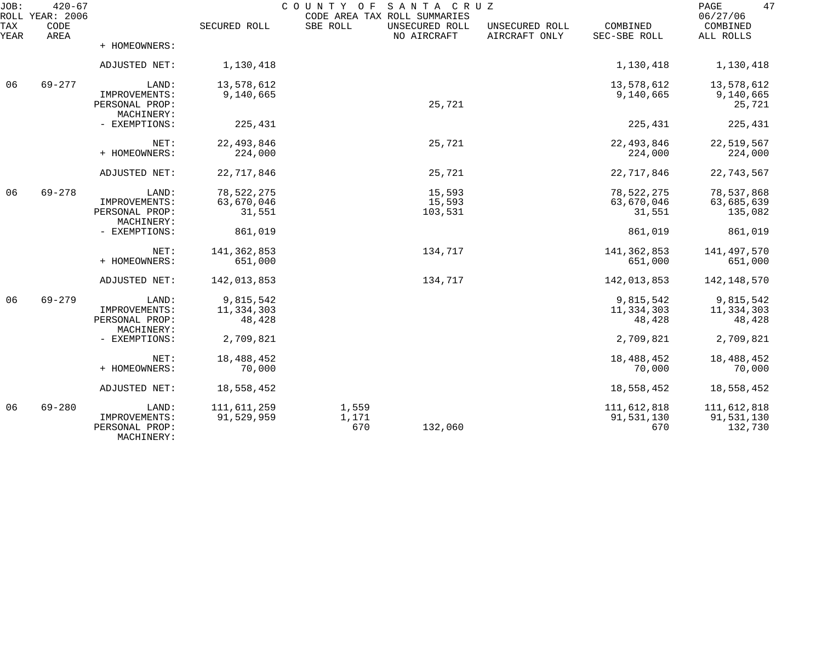| JOB:        | $420 - 67$<br>ROLL YEAR: 2006 |                                               |              | COUNTY OF SANTA CRUZ<br>CODE AREA TAX ROLL SUMMARIES |                               |                                 |                          | 47<br>PAGE<br>06/27/06 |
|-------------|-------------------------------|-----------------------------------------------|--------------|------------------------------------------------------|-------------------------------|---------------------------------|--------------------------|------------------------|
| TAX<br>YEAR | CODE<br>AREA                  |                                               | SECURED ROLL | SBE ROLL                                             | UNSECURED ROLL<br>NO AIRCRAFT | UNSECURED ROLL<br>AIRCRAFT ONLY | COMBINED<br>SEC-SBE ROLL | COMBINED<br>ALL ROLLS  |
|             |                               | + HOMEOWNERS:                                 |              |                                                      |                               |                                 |                          |                        |
|             |                               | ADJUSTED NET:                                 | 1,130,418    |                                                      |                               |                                 | 1,130,418                | 1,130,418              |
| 06          | $69 - 277$                    | LAND:                                         | 13,578,612   |                                                      |                               |                                 | 13,578,612               | 13,578,612             |
|             |                               | IMPROVEMENTS:<br>PERSONAL PROP:<br>MACHINERY: | 9,140,665    |                                                      | 25,721                        |                                 | 9,140,665                | 9,140,665<br>25,721    |
|             |                               | - EXEMPTIONS:                                 | 225,431      |                                                      |                               |                                 | 225,431                  | 225,431                |
|             |                               | NET:                                          | 22, 493, 846 |                                                      | 25,721                        |                                 | 22, 493, 846             | 22,519,567             |
|             |                               | + HOMEOWNERS:                                 | 224,000      |                                                      |                               |                                 | 224,000                  | 224,000                |
|             |                               | ADJUSTED NET:                                 | 22,717,846   |                                                      | 25,721                        |                                 | 22,717,846               | 22,743,567             |
| 06          | $69 - 278$                    | LAND:                                         | 78,522,275   |                                                      | 15,593                        |                                 | 78,522,275               | 78,537,868             |
|             |                               | IMPROVEMENTS:                                 | 63,670,046   |                                                      | 15,593                        |                                 | 63,670,046               | 63,685,639             |
|             |                               | PERSONAL PROP:<br>MACHINERY:                  | 31,551       |                                                      | 103,531                       |                                 | 31,551                   | 135,082                |
|             |                               | - EXEMPTIONS:                                 | 861,019      |                                                      |                               |                                 | 861,019                  | 861,019                |
|             |                               | NET:                                          | 141,362,853  |                                                      | 134,717                       |                                 | 141, 362, 853            | 141,497,570            |
|             |                               | + HOMEOWNERS:                                 | 651,000      |                                                      |                               |                                 | 651,000                  | 651,000                |
|             |                               | ADJUSTED NET:                                 | 142,013,853  |                                                      | 134,717                       |                                 | 142,013,853              | 142, 148, 570          |
| 06          | $69 - 279$                    | LAND:                                         | 9,815,542    |                                                      |                               |                                 | 9,815,542                | 9,815,542              |
|             |                               | IMPROVEMENTS:                                 | 11,334,303   |                                                      |                               |                                 | 11,334,303               | 11,334,303             |
|             |                               | PERSONAL PROP:<br>MACHINERY:                  | 48,428       |                                                      |                               |                                 | 48,428                   | 48,428                 |
|             |                               | - EXEMPTIONS:                                 | 2,709,821    |                                                      |                               |                                 | 2,709,821                | 2,709,821              |
|             |                               | NET:                                          | 18,488,452   |                                                      |                               |                                 | 18,488,452               | 18,488,452             |
|             |                               | + HOMEOWNERS:                                 | 70,000       |                                                      |                               |                                 | 70,000                   | 70,000                 |
|             |                               | ADJUSTED NET:                                 | 18,558,452   |                                                      |                               |                                 | 18,558,452               | 18,558,452             |
| 06          | $69 - 280$                    | LAND:                                         | 111,611,259  | 1,559                                                |                               |                                 | 111,612,818              | 111,612,818            |
|             |                               | IMPROVEMENTS:<br>PERSONAL PROP:<br>MACHINERY: | 91,529,959   | 1,171<br>670                                         | 132,060                       |                                 | 91,531,130<br>670        | 91,531,130<br>132,730  |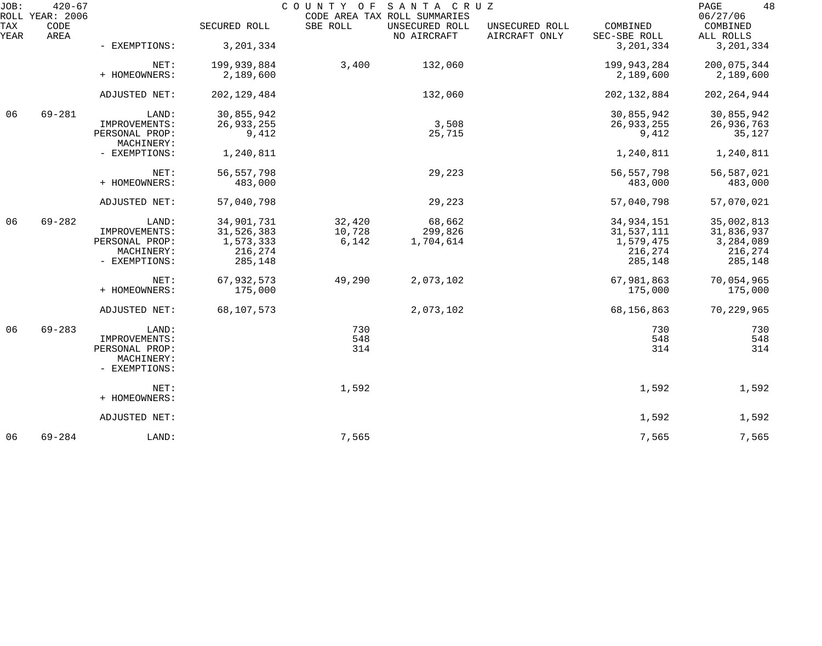| JOB:        | $420 - 67$<br>ROLL YEAR: 2006 |                              |               |          | COUNTY OF SANTA CRUZ<br>CODE AREA TAX ROLL SUMMARIES |                                 |                          | 48<br>PAGE<br>06/27/06 |
|-------------|-------------------------------|------------------------------|---------------|----------|------------------------------------------------------|---------------------------------|--------------------------|------------------------|
| TAX<br>YEAR | CODE<br>AREA                  |                              | SECURED ROLL  | SBE ROLL | UNSECURED ROLL<br>NO AIRCRAFT                        | UNSECURED ROLL<br>AIRCRAFT ONLY | COMBINED<br>SEC-SBE ROLL | COMBINED<br>ALL ROLLS  |
|             |                               | - EXEMPTIONS:                | 3, 201, 334   |          |                                                      |                                 | 3, 201, 334              | 3, 201, 334            |
|             |                               | NET:                         | 199,939,884   | 3,400    | 132,060                                              |                                 | 199,943,284              | 200,075,344            |
|             |                               | + HOMEOWNERS:                | 2,189,600     |          |                                                      |                                 | 2,189,600                | 2,189,600              |
|             |                               | ADJUSTED NET:                | 202, 129, 484 |          | 132,060                                              |                                 | 202, 132, 884            | 202, 264, 944          |
| 06          | $69 - 281$                    | LAND:                        | 30,855,942    |          |                                                      |                                 | 30,855,942               | 30,855,942             |
|             |                               | IMPROVEMENTS:                | 26,933,255    |          | 3,508                                                |                                 | 26,933,255               | 26,936,763             |
|             |                               | PERSONAL PROP:<br>MACHINERY: | 9,412         |          | 25,715                                               |                                 | 9,412                    | 35,127                 |
|             |                               | - EXEMPTIONS:                | 1,240,811     |          |                                                      |                                 | 1,240,811                | 1,240,811              |
|             |                               | NET:                         | 56, 557, 798  |          | 29,223                                               |                                 | 56, 557, 798             | 56,587,021             |
|             |                               | + HOMEOWNERS:                | 483,000       |          |                                                      |                                 | 483,000                  | 483,000                |
|             |                               | ADJUSTED NET:                | 57,040,798    |          | 29,223                                               |                                 | 57,040,798               | 57,070,021             |
| 06          | $69 - 282$                    | LAND:                        | 34,901,731    | 32,420   | 68,662                                               |                                 | 34,934,151               | 35,002,813             |
|             |                               | IMPROVEMENTS:                | 31,526,383    | 10,728   | 299,826                                              |                                 | 31,537,111               | 31,836,937             |
|             |                               | PERSONAL PROP:               | 1,573,333     | 6,142    | 1,704,614                                            |                                 | 1,579,475                | 3,284,089              |
|             |                               | MACHINERY:                   | 216,274       |          |                                                      |                                 | 216,274                  | 216,274                |
|             |                               | - EXEMPTIONS:                | 285,148       |          |                                                      |                                 | 285,148                  | 285,148                |
|             |                               | NET:                         | 67,932,573    | 49,290   | 2,073,102                                            |                                 | 67,981,863               | 70,054,965             |
|             |                               | + HOMEOWNERS:                | 175,000       |          |                                                      |                                 | 175,000                  | 175,000                |
|             |                               | ADJUSTED NET:                | 68,107,573    |          | 2,073,102                                            |                                 | 68,156,863               | 70,229,965             |
| 06          | $69 - 283$                    | LAND:                        |               | 730      |                                                      |                                 | 730                      | 730                    |
|             |                               | IMPROVEMENTS:                |               | 548      |                                                      |                                 | 548                      | 548                    |
|             |                               | PERSONAL PROP:               |               | 314      |                                                      |                                 | 314                      | 314                    |
|             |                               | MACHINERY:                   |               |          |                                                      |                                 |                          |                        |
|             |                               | - EXEMPTIONS:                |               |          |                                                      |                                 |                          |                        |
|             |                               | NET:                         |               | 1,592    |                                                      |                                 | 1,592                    | 1,592                  |
|             |                               | + HOMEOWNERS:                |               |          |                                                      |                                 |                          |                        |
|             |                               | ADJUSTED NET:                |               |          |                                                      |                                 | 1,592                    | 1,592                  |
| 06          | $69 - 284$                    | LAND:                        |               | 7,565    |                                                      |                                 | 7,565                    | 7,565                  |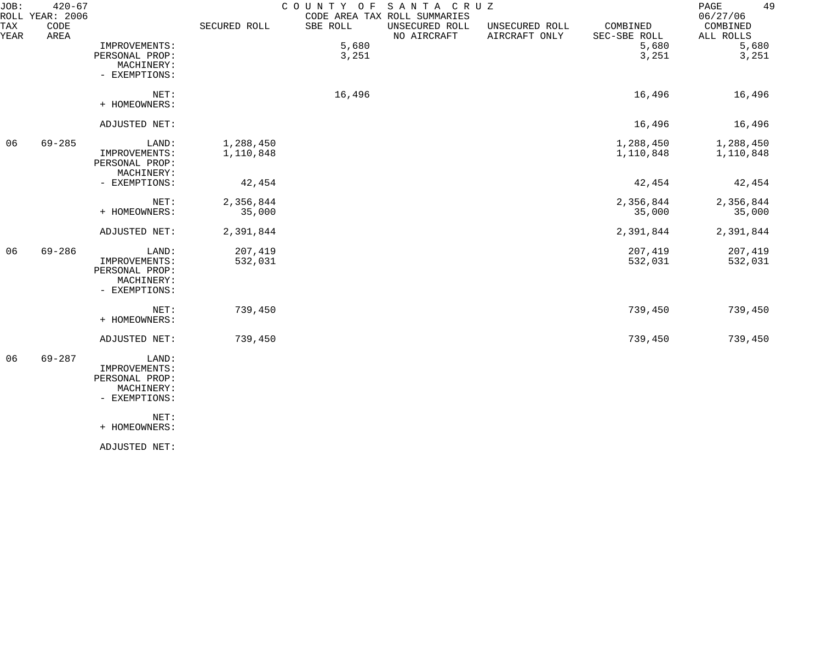| JOB:        | $420 - 67$<br>ROLL YEAR: 2006 |                                                                                                  |                        | COUNTY OF      | SANTA CRUZ<br>CODE AREA TAX ROLL SUMMARIES |                                 |                          | 49<br>PAGE<br>06/27/06 |
|-------------|-------------------------------|--------------------------------------------------------------------------------------------------|------------------------|----------------|--------------------------------------------|---------------------------------|--------------------------|------------------------|
| TAX<br>YEAR | CODE<br>AREA                  |                                                                                                  | SECURED ROLL           | SBE ROLL       | UNSECURED ROLL<br>NO AIRCRAFT              | UNSECURED ROLL<br>AIRCRAFT ONLY | COMBINED<br>SEC-SBE ROLL | COMBINED<br>ALL ROLLS  |
|             |                               | IMPROVEMENTS:<br>PERSONAL PROP:<br>MACHINERY:<br>- EXEMPTIONS:                                   |                        | 5,680<br>3,251 |                                            |                                 | 5,680<br>3,251           | 5,680<br>3,251         |
|             |                               | NET:<br>+ HOMEOWNERS:                                                                            |                        | 16,496         |                                            |                                 | 16,496                   | 16,496                 |
|             |                               | ADJUSTED NET:                                                                                    |                        |                |                                            |                                 | 16,496                   | 16,496                 |
| 06          | $69 - 285$                    | LAND:<br>IMPROVEMENTS:<br>PERSONAL PROP:<br>MACHINERY:                                           | 1,288,450<br>1,110,848 |                |                                            |                                 | 1,288,450<br>1,110,848   | 1,288,450<br>1,110,848 |
|             |                               | - EXEMPTIONS:                                                                                    | 42,454                 |                |                                            |                                 | 42,454                   | 42,454                 |
|             |                               | NET:<br>+ HOMEOWNERS:                                                                            | 2,356,844<br>35,000    |                |                                            |                                 | 2,356,844<br>35,000      | 2,356,844<br>35,000    |
|             |                               | ADJUSTED NET:                                                                                    | 2,391,844              |                |                                            |                                 | 2,391,844                | 2,391,844              |
| 06          | $69 - 286$                    | LAND:<br>IMPROVEMENTS:<br>PERSONAL PROP:<br>MACHINERY:<br>- EXEMPTIONS:                          | 207,419<br>532,031     |                |                                            |                                 | 207,419<br>532,031       | 207,419<br>532,031     |
|             |                               | NET:<br>+ HOMEOWNERS:                                                                            | 739,450                |                |                                            |                                 | 739,450                  | 739,450                |
|             |                               | ADJUSTED NET:                                                                                    | 739,450                |                |                                            |                                 | 739,450                  | 739,450                |
| 06          | $69 - 287$                    | LAND:<br>IMPROVEMENTS:<br>PERSONAL PROP:<br>MACHINERY:<br>- EXEMPTIONS:<br>NET:<br>+ HOMEOWNERS: |                        |                |                                            |                                 |                          |                        |
|             |                               | ADJUSTED NET:                                                                                    |                        |                |                                            |                                 |                          |                        |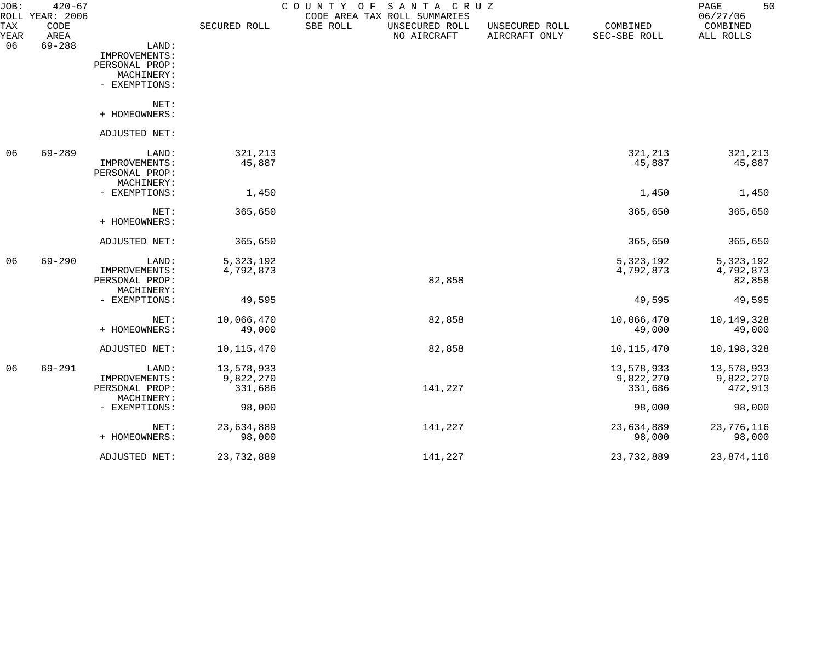| JOB:<br>TAX | $420 - 67$<br>ROLL YEAR: 2006<br>CODE |                              | SECURED ROLL | COUNTY OF<br>SBE ROLL | SANTA CRUZ<br>CODE AREA TAX ROLL SUMMARIES<br>UNSECURED ROLL | UNSECURED ROLL | COMBINED     | 50<br>PAGE<br>06/27/06<br>COMBINED |
|-------------|---------------------------------------|------------------------------|--------------|-----------------------|--------------------------------------------------------------|----------------|--------------|------------------------------------|
| YEAR        | AREA                                  |                              |              |                       | NO AIRCRAFT                                                  | AIRCRAFT ONLY  | SEC-SBE ROLL | ALL ROLLS                          |
| 06          | $69 - 288$                            | LAND:<br>IMPROVEMENTS:       |              |                       |                                                              |                |              |                                    |
|             |                                       | PERSONAL PROP:               |              |                       |                                                              |                |              |                                    |
|             |                                       | MACHINERY:                   |              |                       |                                                              |                |              |                                    |
|             |                                       | - EXEMPTIONS:                |              |                       |                                                              |                |              |                                    |
|             |                                       | NET:                         |              |                       |                                                              |                |              |                                    |
|             |                                       | + HOMEOWNERS:                |              |                       |                                                              |                |              |                                    |
|             |                                       | ADJUSTED NET:                |              |                       |                                                              |                |              |                                    |
| 06          | $69 - 289$                            | LAND:                        | 321,213      |                       |                                                              |                | 321,213      | 321,213                            |
|             |                                       | IMPROVEMENTS:                | 45,887       |                       |                                                              |                | 45,887       | 45,887                             |
|             |                                       | PERSONAL PROP:               |              |                       |                                                              |                |              |                                    |
|             |                                       | MACHINERY:                   |              |                       |                                                              |                |              |                                    |
|             |                                       | - EXEMPTIONS:                | 1,450        |                       |                                                              |                | 1,450        | 1,450                              |
|             |                                       | NET:                         | 365,650      |                       |                                                              |                | 365,650      | 365,650                            |
|             |                                       | + HOMEOWNERS:                |              |                       |                                                              |                |              |                                    |
|             |                                       | ADJUSTED NET:                | 365,650      |                       |                                                              |                | 365,650      | 365,650                            |
| 06          | $69 - 290$                            | LAND:                        | 5,323,192    |                       |                                                              |                | 5, 323, 192  | 5, 323, 192                        |
|             |                                       | IMPROVEMENTS:                | 4,792,873    |                       |                                                              |                | 4,792,873    | 4,792,873                          |
|             |                                       | PERSONAL PROP:               |              |                       | 82,858                                                       |                |              | 82,858                             |
|             |                                       | MACHINERY:                   |              |                       |                                                              |                |              |                                    |
|             |                                       | - EXEMPTIONS:                | 49,595       |                       |                                                              |                | 49,595       | 49,595                             |
|             |                                       | NET:                         | 10,066,470   |                       | 82,858                                                       |                | 10,066,470   | 10,149,328                         |
|             |                                       | + HOMEOWNERS:                | 49,000       |                       |                                                              |                | 49,000       | 49,000                             |
|             |                                       | ADJUSTED NET:                | 10, 115, 470 |                       | 82,858                                                       |                | 10, 115, 470 | 10,198,328                         |
| 06          | $69 - 291$                            | LAND:                        | 13,578,933   |                       |                                                              |                | 13,578,933   | 13,578,933                         |
|             |                                       | IMPROVEMENTS:                | 9,822,270    |                       |                                                              |                | 9,822,270    | 9,822,270                          |
|             |                                       | PERSONAL PROP:<br>MACHINERY: | 331,686      |                       | 141,227                                                      |                | 331,686      | 472,913                            |
|             |                                       | - EXEMPTIONS:                | 98,000       |                       |                                                              |                | 98,000       | 98,000                             |
|             |                                       | NET:                         | 23,634,889   |                       | 141,227                                                      |                | 23,634,889   | 23,776,116                         |
|             |                                       | + HOMEOWNERS:                | 98,000       |                       |                                                              |                | 98,000       | 98,000                             |
|             |                                       | ADJUSTED NET:                | 23,732,889   |                       | 141,227                                                      |                | 23,732,889   | 23,874,116                         |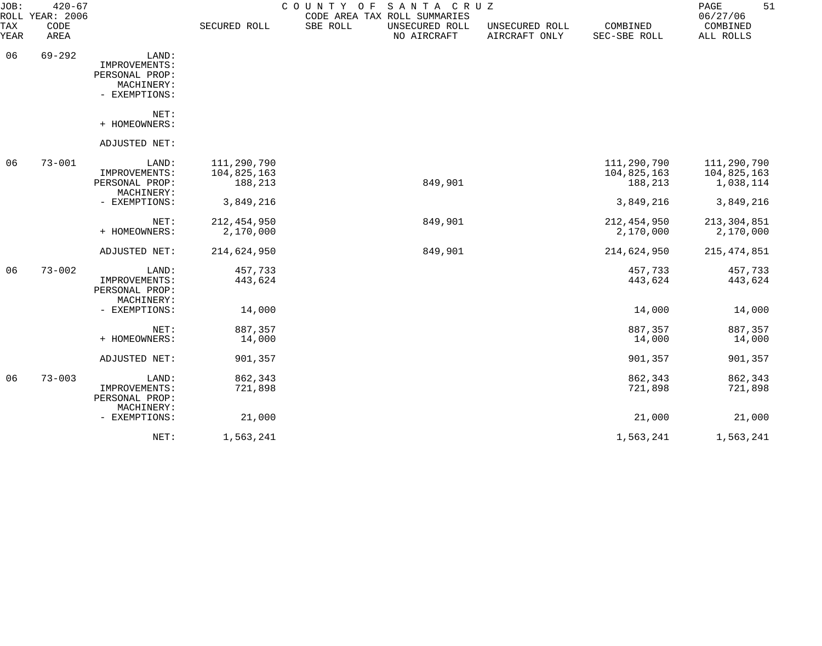| JOB:        | $420 - 67$<br>ROLL YEAR: 2006 |                                                                         |                                       | COUNTY OF<br>SANTA CRUZ<br>CODE AREA TAX ROLL SUMMARIES |                                 |                                       | 51<br>PAGE<br>06/27/06                  |
|-------------|-------------------------------|-------------------------------------------------------------------------|---------------------------------------|---------------------------------------------------------|---------------------------------|---------------------------------------|-----------------------------------------|
| TAX<br>YEAR | CODE<br>AREA                  |                                                                         | SECURED ROLL                          | SBE ROLL<br>UNSECURED ROLL<br>NO AIRCRAFT               | UNSECURED ROLL<br>AIRCRAFT ONLY | COMBINED<br>SEC-SBE ROLL              | COMBINED<br>ALL ROLLS                   |
| 06          | $69 - 292$                    | LAND:<br>IMPROVEMENTS:<br>PERSONAL PROP:<br>MACHINERY:<br>- EXEMPTIONS: |                                       |                                                         |                                 |                                       |                                         |
|             |                               | NET:<br>+ HOMEOWNERS:                                                   |                                       |                                                         |                                 |                                       |                                         |
|             |                               | ADJUSTED NET:                                                           |                                       |                                                         |                                 |                                       |                                         |
| 06          | $73 - 001$                    | LAND:<br>IMPROVEMENTS:<br>PERSONAL PROP:<br>MACHINERY:                  | 111,290,790<br>104,825,163<br>188,213 | 849,901                                                 |                                 | 111,290,790<br>104,825,163<br>188,213 | 111,290,790<br>104,825,163<br>1,038,114 |
|             |                               | - EXEMPTIONS:                                                           | 3,849,216                             |                                                         |                                 | 3,849,216                             | 3,849,216                               |
|             |                               | NET:<br>+ HOMEOWNERS:                                                   | 212, 454, 950<br>2,170,000            | 849,901                                                 |                                 | 212, 454, 950<br>2,170,000            | 213, 304, 851<br>2,170,000              |
|             |                               | ADJUSTED NET:                                                           | 214,624,950                           | 849,901                                                 |                                 | 214,624,950                           | 215, 474, 851                           |
| 06          | $73 - 002$                    | LAND:<br>IMPROVEMENTS:<br>PERSONAL PROP:<br>MACHINERY:                  | 457,733<br>443,624                    |                                                         |                                 | 457,733<br>443,624                    | 457,733<br>443,624                      |
|             |                               | - EXEMPTIONS:                                                           | 14,000                                |                                                         |                                 | 14,000                                | 14,000                                  |
|             |                               | NET:<br>+ HOMEOWNERS:                                                   | 887,357<br>14,000                     |                                                         |                                 | 887,357<br>14,000                     | 887,357<br>14,000                       |
|             |                               | ADJUSTED NET:                                                           | 901,357                               |                                                         |                                 | 901,357                               | 901,357                                 |
| 06          | $73 - 003$                    | LAND:<br>IMPROVEMENTS:<br>PERSONAL PROP:                                | 862,343<br>721,898                    |                                                         |                                 | 862,343<br>721,898                    | 862,343<br>721,898                      |
|             |                               | MACHINERY:<br>- EXEMPTIONS:                                             | 21,000                                |                                                         |                                 | 21,000                                | 21,000                                  |
|             |                               | NET:                                                                    | 1,563,241                             |                                                         |                                 | 1,563,241                             | 1,563,241                               |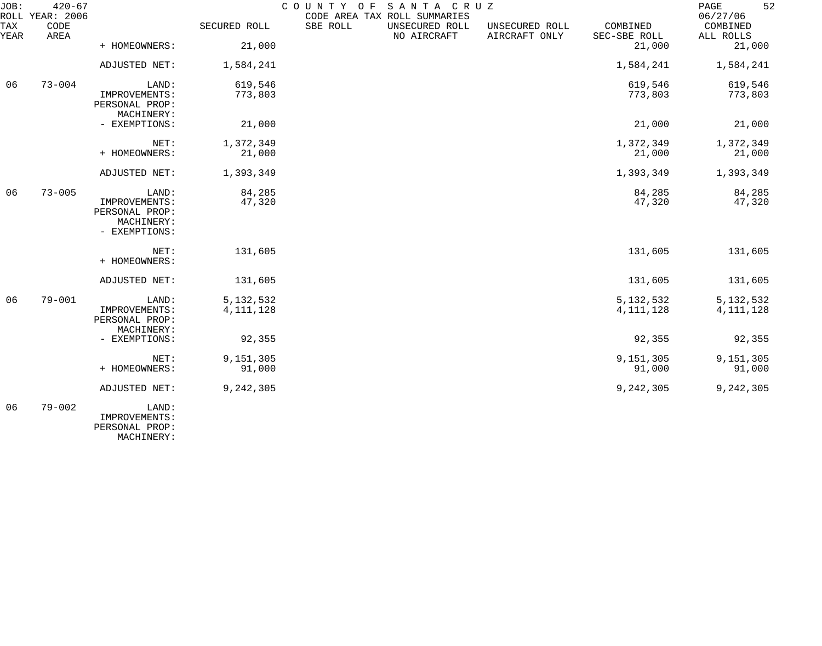| JOB:        | $420 - 67$<br>ROLL YEAR: 2006 |                                                                |                            |          | COUNTY OF SANTA CRUZ<br>CODE AREA TAX ROLL SUMMARIES |                                 |                            | 52<br>PAGE<br>06/27/06     |
|-------------|-------------------------------|----------------------------------------------------------------|----------------------------|----------|------------------------------------------------------|---------------------------------|----------------------------|----------------------------|
| TAX<br>YEAR | CODE<br>AREA                  |                                                                | SECURED ROLL               | SBE ROLL | UNSECURED ROLL<br>NO AIRCRAFT                        | UNSECURED ROLL<br>AIRCRAFT ONLY | COMBINED<br>SEC-SBE ROLL   | COMBINED<br>ALL ROLLS      |
|             |                               | + HOMEOWNERS:                                                  | 21,000                     |          |                                                      |                                 | 21,000                     | 21,000                     |
|             |                               | ADJUSTED NET:                                                  | 1,584,241                  |          |                                                      |                                 | 1,584,241                  | 1,584,241                  |
| 06          | $73 - 004$                    | LAND:                                                          | 619,546                    |          |                                                      |                                 | 619,546                    | 619,546                    |
|             |                               | IMPROVEMENTS:<br>PERSONAL PROP:<br>MACHINERY:                  | 773,803                    |          |                                                      |                                 | 773,803                    | 773,803                    |
|             |                               | - EXEMPTIONS:                                                  | 21,000                     |          |                                                      |                                 | 21,000                     | 21,000                     |
|             |                               | NET:                                                           | 1,372,349                  |          |                                                      |                                 | 1,372,349                  | 1,372,349                  |
|             |                               | + HOMEOWNERS:                                                  | 21,000                     |          |                                                      |                                 | 21,000                     | 21,000                     |
|             |                               | ADJUSTED NET:                                                  | 1,393,349                  |          |                                                      |                                 | 1,393,349                  | 1,393,349                  |
| 06          | $73 - 005$                    | LAND:                                                          | 84,285                     |          |                                                      |                                 | 84,285                     | 84,285                     |
|             |                               | IMPROVEMENTS:<br>PERSONAL PROP:<br>MACHINERY:<br>- EXEMPTIONS: | 47,320                     |          |                                                      |                                 | 47,320                     | 47,320                     |
|             |                               | NET:<br>+ HOMEOWNERS:                                          | 131,605                    |          |                                                      |                                 | 131,605                    | 131,605                    |
|             |                               | ADJUSTED NET:                                                  | 131,605                    |          |                                                      |                                 | 131,605                    | 131,605                    |
| 06          | $79 - 001$                    | LAND:<br>IMPROVEMENTS:<br>PERSONAL PROP:<br>MACHINERY:         | 5, 132, 532<br>4, 111, 128 |          |                                                      |                                 | 5, 132, 532<br>4, 111, 128 | 5, 132, 532<br>4, 111, 128 |
|             |                               | - EXEMPTIONS:                                                  | 92,355                     |          |                                                      |                                 | 92,355                     | 92,355                     |
|             |                               | NET:<br>+ HOMEOWNERS:                                          | 9,151,305<br>91,000        |          |                                                      |                                 | 9,151,305<br>91,000        | 9,151,305<br>91,000        |
|             |                               | ADJUSTED NET:                                                  | 9,242,305                  |          |                                                      |                                 | 9,242,305                  | 9,242,305                  |
| 06          | $79 - 002$                    | LAND:<br>IMPROVEMENTS:                                         |                            |          |                                                      |                                 |                            |                            |

PERSONAL PROP:

MACHINERY: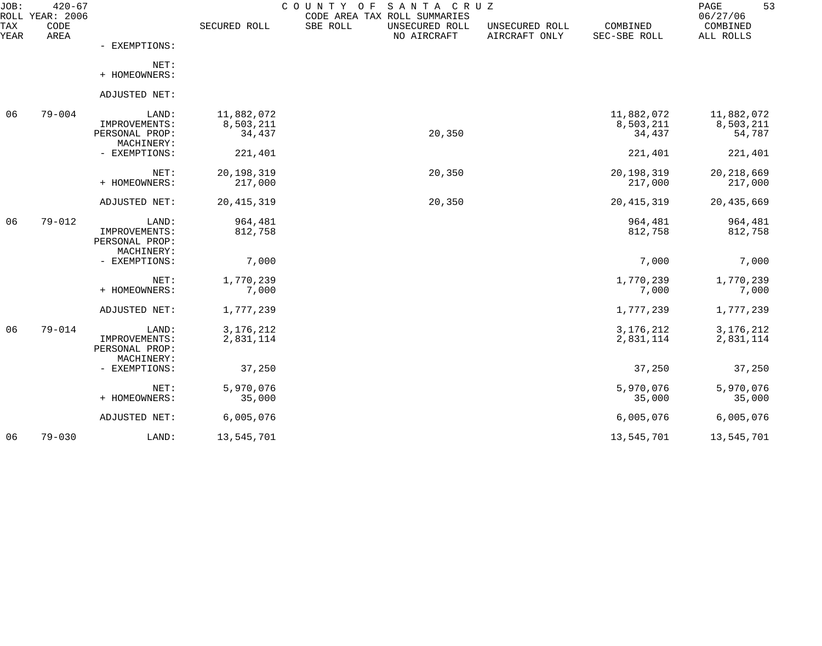| JOB:<br><b>ROLL</b> | $420 - 67$<br>YEAR: 2006 |                                                        |                                   | SANTA CRUZ<br>COUNTY<br>O F<br>CODE AREA TAX ROLL SUMMARIES |                                 |                                   | 53<br>PAGE<br>06/27/06            |
|---------------------|--------------------------|--------------------------------------------------------|-----------------------------------|-------------------------------------------------------------|---------------------------------|-----------------------------------|-----------------------------------|
| TAX<br>YEAR         | CODE<br>AREA             |                                                        | SECURED ROLL                      | SBE ROLL<br>UNSECURED ROLL<br>NO AIRCRAFT                   | UNSECURED ROLL<br>AIRCRAFT ONLY | COMBINED<br>SEC-SBE ROLL          | COMBINED<br>ALL ROLLS             |
|                     |                          | - EXEMPTIONS:                                          |                                   |                                                             |                                 |                                   |                                   |
|                     |                          | NET:<br>+ HOMEOWNERS:                                  |                                   |                                                             |                                 |                                   |                                   |
|                     |                          | ADJUSTED NET:                                          |                                   |                                                             |                                 |                                   |                                   |
| 06                  | $79 - 004$               | LAND:<br>IMPROVEMENTS:<br>PERSONAL PROP:               | 11,882,072<br>8,503,211<br>34,437 | 20,350                                                      |                                 | 11,882,072<br>8,503,211<br>34,437 | 11,882,072<br>8,503,211<br>54,787 |
|                     |                          | MACHINERY:<br>- EXEMPTIONS:                            | 221,401                           |                                                             |                                 | 221,401                           | 221,401                           |
|                     |                          | NET:<br>+ HOMEOWNERS:                                  | 20, 198, 319<br>217,000           | 20,350                                                      |                                 | 20,198,319<br>217,000             | 20, 218, 669<br>217,000           |
|                     |                          | ADJUSTED NET:                                          | 20, 415, 319                      | 20,350                                                      |                                 | 20, 415, 319                      | 20,435,669                        |
| 06                  | $79 - 012$               | LAND:<br>IMPROVEMENTS:<br>PERSONAL PROP:<br>MACHINERY: | 964,481<br>812,758                |                                                             |                                 | 964,481<br>812,758                | 964,481<br>812,758                |
|                     |                          | - EXEMPTIONS:                                          | 7,000                             |                                                             |                                 | 7,000                             | 7,000                             |
|                     |                          | NET:<br>+ HOMEOWNERS:                                  | 1,770,239<br>7,000                |                                                             |                                 | 1,770,239<br>7,000                | 1,770,239<br>7,000                |
|                     |                          | ADJUSTED NET:                                          | 1,777,239                         |                                                             |                                 | 1,777,239                         | 1,777,239                         |
| 06                  | $79 - 014$               | LAND:<br>IMPROVEMENTS:<br>PERSONAL PROP:<br>MACHINERY: | 3, 176, 212<br>2,831,114          |                                                             |                                 | 3, 176, 212<br>2,831,114          | 3, 176, 212<br>2,831,114          |
|                     |                          | - EXEMPTIONS:                                          | 37,250                            |                                                             |                                 | 37,250                            | 37,250                            |
|                     |                          | NET:<br>+ HOMEOWNERS:                                  | 5,970,076<br>35,000               |                                                             |                                 | 5,970,076<br>35,000               | 5,970,076<br>35,000               |
|                     |                          | ADJUSTED NET:                                          | 6,005,076                         |                                                             |                                 | 6,005,076                         | 6,005,076                         |
| 06                  | $79 - 030$               | LAND:                                                  | 13,545,701                        |                                                             |                                 | 13,545,701                        | 13,545,701                        |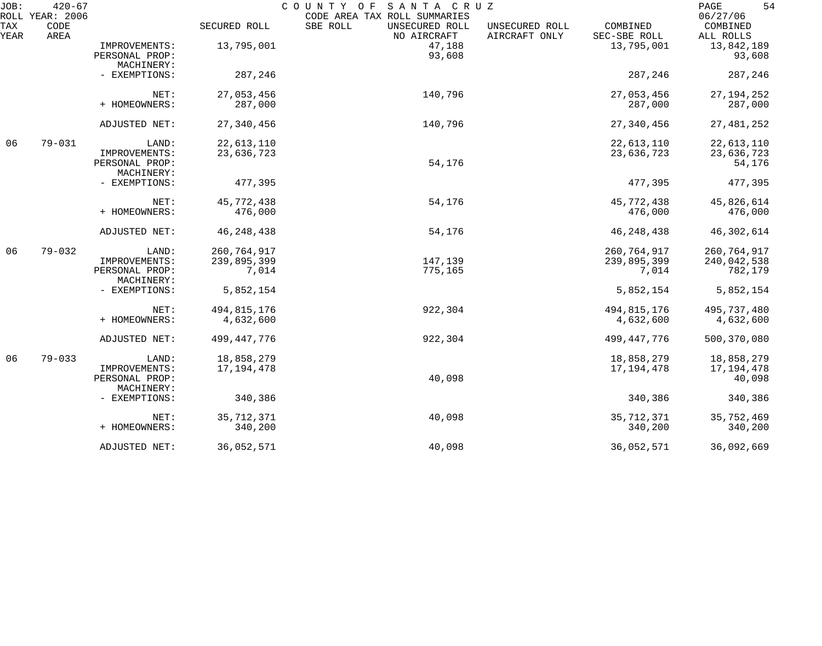| JOB:<br>ROLL | $420 - 67$<br>YEAR: 2006 |                                                        |                                       | COUNTY OF<br>SANTA CRUZ<br>CODE AREA TAX ROLL SUMMARIES |                                                             | 54<br>PAGE<br>06/27/06                |
|--------------|--------------------------|--------------------------------------------------------|---------------------------------------|---------------------------------------------------------|-------------------------------------------------------------|---------------------------------------|
| TAX<br>YEAR  | CODE<br>AREA             |                                                        | SECURED ROLL                          | SBE ROLL<br>UNSECURED ROLL<br>NO AIRCRAFT               | COMBINED<br>UNSECURED ROLL<br>AIRCRAFT ONLY<br>SEC-SBE ROLL | COMBINED<br>ALL ROLLS                 |
|              |                          | IMPROVEMENTS:<br>PERSONAL PROP:                        | 13,795,001                            | 47,188<br>93,608                                        | 13,795,001                                                  | 13,842,189<br>93,608                  |
|              |                          | MACHINERY:<br>- EXEMPTIONS:                            | 287,246                               |                                                         | 287,246                                                     | 287,246                               |
|              |                          | NET:<br>+ HOMEOWNERS:                                  | 27,053,456<br>287,000                 | 140,796                                                 | 27,053,456<br>287,000                                       | 27, 194, 252<br>287,000               |
|              |                          | ADJUSTED NET:                                          | 27,340,456                            | 140,796                                                 | 27,340,456                                                  | 27, 481, 252                          |
| 06           | $79 - 031$               | LAND:                                                  | 22,613,110                            |                                                         | 22,613,110                                                  | 22,613,110                            |
|              |                          | IMPROVEMENTS:<br>PERSONAL PROP:                        | 23,636,723                            | 54,176                                                  | 23,636,723                                                  | 23,636,723<br>54,176                  |
|              |                          | MACHINERY:<br>- EXEMPTIONS:                            | 477,395                               |                                                         | 477,395                                                     | 477,395                               |
|              |                          | NET:<br>+ HOMEOWNERS:                                  | 45,772,438<br>476,000                 | 54,176                                                  | 45,772,438<br>476,000                                       | 45,826,614<br>476,000                 |
|              |                          | ADJUSTED NET:                                          | 46, 248, 438                          | 54,176                                                  | 46, 248, 438                                                | 46,302,614                            |
| 06           | $79 - 032$               | LAND:<br>IMPROVEMENTS:<br>PERSONAL PROP:               | 260, 764, 917<br>239,895,399<br>7,014 | 147,139<br>775,165                                      | 260, 764, 917<br>239,895,399<br>7,014                       | 260,764,917<br>240,042,538<br>782,179 |
|              |                          | MACHINERY:<br>- EXEMPTIONS:                            | 5,852,154                             |                                                         | 5,852,154                                                   | 5,852,154                             |
|              |                          | NET:                                                   | 494,815,176                           | 922,304                                                 | 494,815,176                                                 | 495,737,480                           |
|              |                          | + HOMEOWNERS:                                          | 4,632,600                             |                                                         | 4,632,600                                                   | 4,632,600                             |
|              |                          | ADJUSTED NET:                                          | 499,447,776                           | 922,304                                                 | 499,447,776                                                 | 500,370,080                           |
| 06           | $79 - 033$               | LAND:<br>IMPROVEMENTS:<br>PERSONAL PROP:<br>MACHINERY: | 18,858,279<br>17, 194, 478            | 40,098                                                  | 18,858,279<br>17, 194, 478                                  | 18,858,279<br>17, 194, 478<br>40,098  |
|              |                          | - EXEMPTIONS:                                          | 340,386                               |                                                         | 340,386                                                     | 340,386                               |
|              |                          | NET:<br>+ HOMEOWNERS:                                  | 35, 712, 371<br>340,200               | 40,098                                                  | 35, 712, 371<br>340,200                                     | 35,752,469<br>340,200                 |
|              |                          | ADJUSTED NET:                                          | 36,052,571                            | 40,098                                                  | 36,052,571                                                  | 36,092,669                            |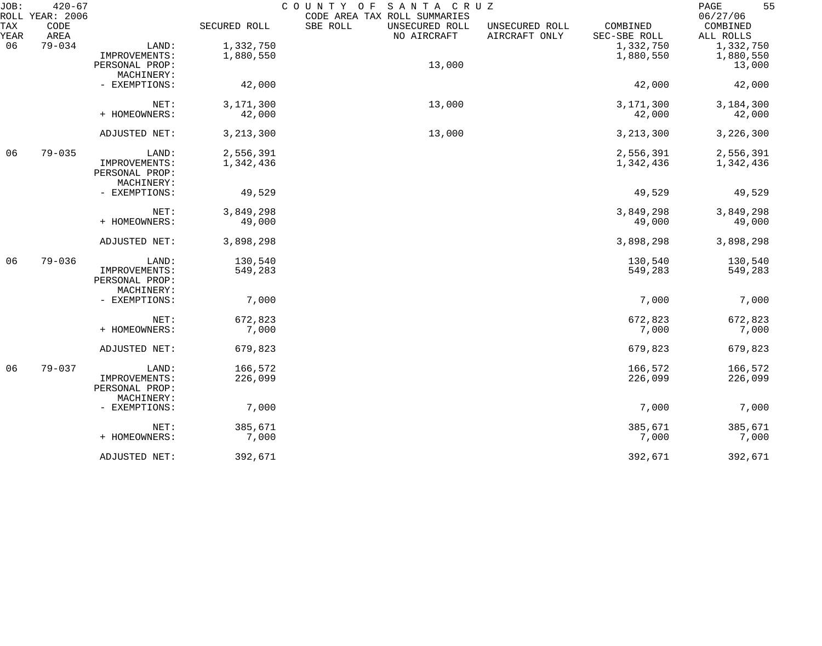| JOB:        | $420 - 67$                      |                |              | COUNTY OF<br>SANTA CRUZ                                                   |                                                             | 55<br>PAGE                        |
|-------------|---------------------------------|----------------|--------------|---------------------------------------------------------------------------|-------------------------------------------------------------|-----------------------------------|
| TAX<br>YEAR | ROLL YEAR: 2006<br>CODE<br>AREA |                | SECURED ROLL | CODE AREA TAX ROLL SUMMARIES<br>SBE ROLL<br>UNSECURED ROLL<br>NO AIRCRAFT | COMBINED<br>UNSECURED ROLL<br>AIRCRAFT ONLY<br>SEC-SBE ROLL | 06/27/06<br>COMBINED<br>ALL ROLLS |
| 06          | $79 - 034$                      | LAND:          | 1,332,750    |                                                                           | 1,332,750                                                   | 1,332,750                         |
|             |                                 | IMPROVEMENTS:  | 1,880,550    |                                                                           | 1,880,550                                                   | 1,880,550                         |
|             |                                 | PERSONAL PROP: |              | 13,000                                                                    |                                                             | 13,000                            |
|             |                                 | MACHINERY:     |              |                                                                           |                                                             |                                   |
|             |                                 |                |              |                                                                           |                                                             |                                   |
|             |                                 | - EXEMPTIONS:  | 42,000       |                                                                           | 42,000                                                      | 42,000                            |
|             |                                 | NET:           | 3,171,300    | 13,000                                                                    | 3,171,300                                                   | 3,184,300                         |
|             |                                 | + HOMEOWNERS:  | 42,000       |                                                                           | 42,000                                                      | 42,000                            |
|             |                                 |                |              |                                                                           |                                                             |                                   |
|             |                                 | ADJUSTED NET:  | 3, 213, 300  | 13,000                                                                    | 3, 213, 300                                                 | 3,226,300                         |
| 06          | $79 - 035$                      | LAND:          | 2,556,391    |                                                                           | 2,556,391                                                   | 2,556,391                         |
|             |                                 | IMPROVEMENTS:  | 1,342,436    |                                                                           | 1,342,436                                                   | 1,342,436                         |
|             |                                 | PERSONAL PROP: |              |                                                                           |                                                             |                                   |
|             |                                 | MACHINERY:     |              |                                                                           |                                                             |                                   |
|             |                                 | - EXEMPTIONS:  | 49,529       |                                                                           | 49,529                                                      | 49,529                            |
|             |                                 | NET:           | 3,849,298    |                                                                           | 3,849,298                                                   | 3,849,298                         |
|             |                                 | + HOMEOWNERS:  | 49,000       |                                                                           | 49,000                                                      | 49,000                            |
|             |                                 | ADJUSTED NET:  | 3,898,298    |                                                                           | 3,898,298                                                   | 3,898,298                         |
| 06          | $79 - 036$                      | LAND:          | 130,540      |                                                                           | 130,540                                                     | 130,540                           |
|             |                                 | IMPROVEMENTS:  | 549,283      |                                                                           | 549,283                                                     | 549,283                           |
|             |                                 | PERSONAL PROP: |              |                                                                           |                                                             |                                   |
|             |                                 | MACHINERY:     |              |                                                                           |                                                             |                                   |
|             |                                 | - EXEMPTIONS:  | 7,000        |                                                                           | 7,000                                                       | 7,000                             |
|             |                                 | NET:           | 672,823      |                                                                           | 672,823                                                     | 672,823                           |
|             |                                 | + HOMEOWNERS:  | 7,000        |                                                                           | 7,000                                                       | 7,000                             |
|             |                                 |                |              |                                                                           |                                                             |                                   |
|             |                                 | ADJUSTED NET:  | 679,823      |                                                                           | 679,823                                                     | 679,823                           |
| 06          | $79 - 037$                      | LAND:          | 166,572      |                                                                           | 166,572                                                     | 166,572                           |
|             |                                 | IMPROVEMENTS:  | 226,099      |                                                                           | 226,099                                                     | 226,099                           |
|             |                                 | PERSONAL PROP: |              |                                                                           |                                                             |                                   |
|             |                                 | MACHINERY:     |              |                                                                           |                                                             |                                   |
|             |                                 | - EXEMPTIONS:  | 7,000        |                                                                           | 7,000                                                       | 7,000                             |
|             |                                 | NET:           | 385,671      |                                                                           | 385,671                                                     | 385,671                           |
|             |                                 | + HOMEOWNERS:  | 7,000        |                                                                           | 7,000                                                       | 7,000                             |
|             |                                 | ADJUSTED NET:  | 392,671      |                                                                           | 392,671                                                     | 392,671                           |
|             |                                 |                |              |                                                                           |                                                             |                                   |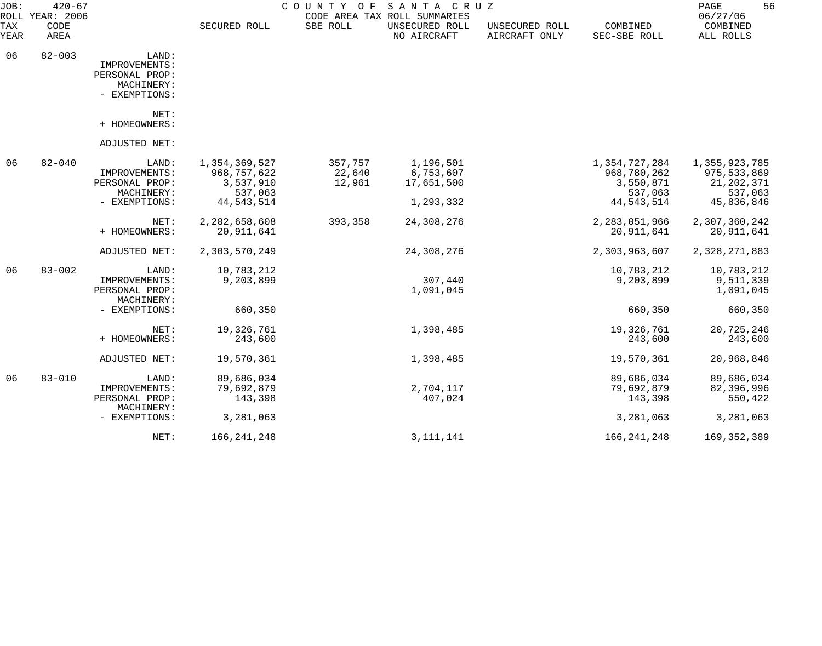| JOB:<br>ROLL       | $420 - 67$<br>YEAR: 2006 |                                                                         |                                                      | COUNTY OF                   | SANTA CRUZ<br>CODE AREA TAX ROLL SUMMARIES |                                 |                                                      | 56<br>PAGE<br>06/27/06                                    |
|--------------------|--------------------------|-------------------------------------------------------------------------|------------------------------------------------------|-----------------------------|--------------------------------------------|---------------------------------|------------------------------------------------------|-----------------------------------------------------------|
| <b>TAX</b><br>YEAR | CODE<br>AREA             |                                                                         | SECURED ROLL                                         | SBE ROLL                    | UNSECURED ROLL<br>NO AIRCRAFT              | UNSECURED ROLL<br>AIRCRAFT ONLY | COMBINED<br>SEC-SBE ROLL                             | COMBINED<br>ALL ROLLS                                     |
| 06                 | $82 - 003$               | LAND:<br>IMPROVEMENTS:<br>PERSONAL PROP:<br>MACHINERY:<br>- EXEMPTIONS: |                                                      |                             |                                            |                                 |                                                      |                                                           |
|                    |                          | NET:<br>+ HOMEOWNERS:                                                   |                                                      |                             |                                            |                                 |                                                      |                                                           |
|                    |                          | ADJUSTED NET:                                                           |                                                      |                             |                                            |                                 |                                                      |                                                           |
| 06                 | $82 - 040$               | LAND:<br>IMPROVEMENTS:<br>PERSONAL PROP:<br>MACHINERY:                  | 1,354,369,527<br>968,757,622<br>3,537,910<br>537,063 | 357,757<br>22,640<br>12,961 | 1,196,501<br>6,753,607<br>17,651,500       |                                 | 1,354,727,284<br>968,780,262<br>3,550,871<br>537,063 | 1,355,923,785<br>975, 533, 869<br>21, 202, 371<br>537,063 |
|                    |                          | - EXEMPTIONS:                                                           | 44, 543, 514                                         |                             | 1,293,332                                  |                                 | 44, 543, 514                                         | 45,836,846                                                |
|                    |                          | NET:<br>+ HOMEOWNERS:                                                   | 2,282,658,608<br>20,911,641                          | 393,358                     | 24,308,276                                 |                                 | 2,283,051,966<br>20, 911, 641                        | 2,307,360,242<br>20,911,641                               |
|                    |                          | ADJUSTED NET:                                                           | 2,303,570,249                                        |                             | 24,308,276                                 |                                 | 2,303,963,607                                        | 2,328,271,883                                             |
| 06                 | $83 - 002$               | LAND:<br>IMPROVEMENTS:<br>PERSONAL PROP:<br>MACHINERY:                  | 10,783,212<br>9,203,899                              |                             | 307,440<br>1,091,045                       |                                 | 10,783,212<br>9,203,899                              | 10,783,212<br>9,511,339<br>1,091,045                      |
|                    |                          | - EXEMPTIONS:                                                           | 660,350                                              |                             |                                            |                                 | 660,350                                              | 660,350                                                   |
|                    |                          | NET:<br>+ HOMEOWNERS:                                                   | 19,326,761<br>243,600                                |                             | 1,398,485                                  |                                 | 19,326,761<br>243,600                                | 20,725,246<br>243,600                                     |
|                    |                          | ADJUSTED NET:                                                           | 19,570,361                                           |                             | 1,398,485                                  |                                 | 19,570,361                                           | 20,968,846                                                |
| 06                 | $83 - 010$               | LAND:<br>IMPROVEMENTS:<br>PERSONAL PROP:<br>MACHINERY:                  | 89,686,034<br>79,692,879<br>143,398                  |                             | 2,704,117<br>407,024                       |                                 | 89,686,034<br>79,692,879<br>143,398                  | 89,686,034<br>82,396,996<br>550,422                       |
|                    |                          | - EXEMPTIONS:                                                           | 3,281,063                                            |                             |                                            |                                 | 3,281,063                                            | 3,281,063                                                 |
|                    |                          | NET:                                                                    | 166, 241, 248                                        |                             | 3, 111, 141                                |                                 | 166, 241, 248                                        | 169, 352, 389                                             |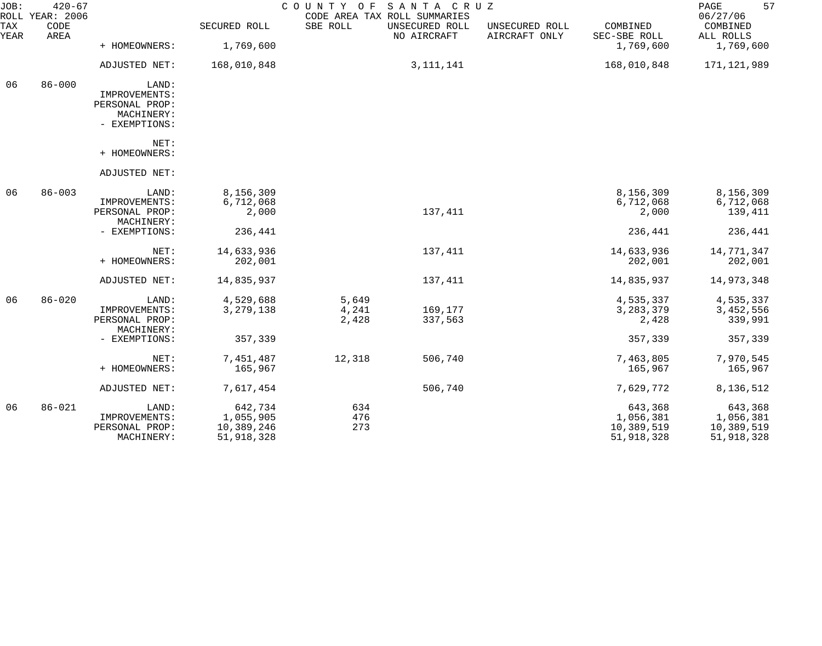| JOB:        | $420 - 67$<br>ROLL YEAR: 2006 |                                 |              | COUNTY<br>O F | SANTA CRUZ<br>CODE AREA TAX ROLL SUMMARIES |                                 |                          | 57<br>PAGE<br>06/27/06 |
|-------------|-------------------------------|---------------------------------|--------------|---------------|--------------------------------------------|---------------------------------|--------------------------|------------------------|
| TAX<br>YEAR | CODE<br>AREA                  |                                 | SECURED ROLL | SBE ROLL      | UNSECURED ROLL<br>NO AIRCRAFT              | UNSECURED ROLL<br>AIRCRAFT ONLY | COMBINED<br>SEC-SBE ROLL | COMBINED<br>ALL ROLLS  |
|             |                               | + HOMEOWNERS:                   | 1,769,600    |               |                                            |                                 | 1,769,600                | 1,769,600              |
|             |                               | ADJUSTED NET:                   | 168,010,848  |               | 3, 111, 141                                |                                 | 168,010,848              | 171,121,989            |
| 06          | $86 - 000$                    | LAND:                           |              |               |                                            |                                 |                          |                        |
|             |                               | IMPROVEMENTS:<br>PERSONAL PROP: |              |               |                                            |                                 |                          |                        |
|             |                               | MACHINERY:                      |              |               |                                            |                                 |                          |                        |
|             |                               | - EXEMPTIONS:                   |              |               |                                            |                                 |                          |                        |
|             |                               | NET:                            |              |               |                                            |                                 |                          |                        |
|             |                               | + HOMEOWNERS:                   |              |               |                                            |                                 |                          |                        |
|             |                               | ADJUSTED NET:                   |              |               |                                            |                                 |                          |                        |
| 06          | $86 - 003$                    | LAND:                           | 8,156,309    |               |                                            |                                 | 8,156,309                | 8,156,309              |
|             |                               | IMPROVEMENTS:                   | 6,712,068    |               |                                            |                                 | 6,712,068                | 6,712,068              |
|             |                               | PERSONAL PROP:<br>MACHINERY:    | 2,000        |               | 137,411                                    |                                 | 2,000                    | 139,411                |
|             |                               | - EXEMPTIONS:                   | 236,441      |               |                                            |                                 | 236,441                  | 236,441                |
|             |                               | NET:                            | 14,633,936   |               | 137,411                                    |                                 | 14,633,936               | 14,771,347             |
|             |                               | + HOMEOWNERS:                   | 202,001      |               |                                            |                                 | 202,001                  | 202,001                |
|             |                               | ADJUSTED NET:                   | 14,835,937   |               | 137,411                                    |                                 | 14,835,937               | 14,973,348             |
| 06          | $86 - 020$                    | LAND:                           | 4,529,688    | 5,649         |                                            |                                 | 4,535,337                | 4,535,337              |
|             |                               | IMPROVEMENTS:                   | 3, 279, 138  | 4,241         | 169,177                                    |                                 | 3, 283, 379              | 3,452,556              |
|             |                               | PERSONAL PROP:<br>MACHINERY:    |              | 2,428         | 337,563                                    |                                 | 2,428                    | 339,991                |
|             |                               | - EXEMPTIONS:                   | 357,339      |               |                                            |                                 | 357,339                  | 357,339                |
|             |                               | NET:                            | 7,451,487    | 12,318        | 506,740                                    |                                 | 7,463,805                | 7,970,545              |
|             |                               | + HOMEOWNERS:                   | 165,967      |               |                                            |                                 | 165,967                  | 165,967                |
|             |                               | ADJUSTED NET:                   | 7,617,454    |               | 506,740                                    |                                 | 7,629,772                | 8,136,512              |
| 06          | $86 - 021$                    | LAND:                           | 642,734      | 634           |                                            |                                 | 643,368                  | 643,368                |
|             |                               | IMPROVEMENTS:                   | 1,055,905    | 476           |                                            |                                 | 1,056,381                | 1,056,381              |
|             |                               | PERSONAL PROP:                  | 10,389,246   | 273           |                                            |                                 | 10,389,519               | 10,389,519             |
|             |                               | MACHINERY:                      | 51,918,328   |               |                                            |                                 | 51,918,328               | 51,918,328             |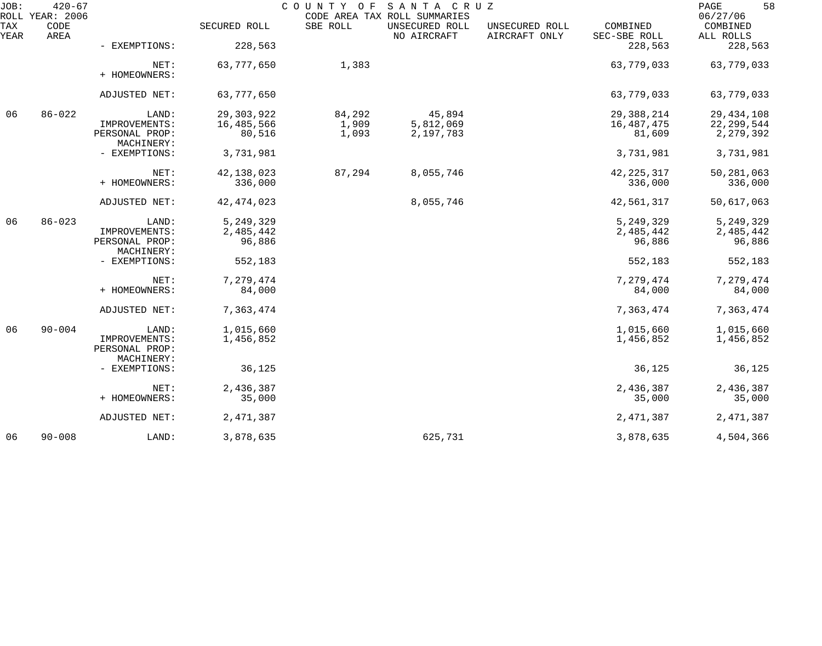| JOB:        | $420 - 67$<br>ROLL YEAR: 2006 |                                                        |                                      | COUNTY OF                | SANTA CRUZ<br>CODE AREA TAX ROLL SUMMARIES |                                 |                                      | 58<br>PAGE<br>06/27/06                    |
|-------------|-------------------------------|--------------------------------------------------------|--------------------------------------|--------------------------|--------------------------------------------|---------------------------------|--------------------------------------|-------------------------------------------|
| TAX<br>YEAR | CODE<br>AREA                  |                                                        | SECURED ROLL                         | SBE ROLL                 | UNSECURED ROLL<br>NO AIRCRAFT              | UNSECURED ROLL<br>AIRCRAFT ONLY | COMBINED<br>SEC-SBE ROLL             | COMBINED<br>ALL ROLLS                     |
|             |                               | - EXEMPTIONS:                                          | 228,563                              |                          |                                            |                                 | 228,563                              | 228,563                                   |
|             |                               | NET:<br>+ HOMEOWNERS:                                  | 63,777,650                           | 1,383                    |                                            |                                 | 63,779,033                           | 63,779,033                                |
|             |                               | ADJUSTED NET:                                          | 63,777,650                           |                          |                                            |                                 | 63,779,033                           | 63,779,033                                |
| 06          | $86 - 022$                    | LAND:<br>IMPROVEMENTS:<br>PERSONAL PROP:               | 29, 303, 922<br>16,485,566<br>80,516 | 84,292<br>1,909<br>1,093 | 45,894<br>5,812,069<br>2,197,783           |                                 | 29, 388, 214<br>16,487,475<br>81,609 | 29, 434, 108<br>22, 299, 544<br>2,279,392 |
|             |                               | MACHINERY:<br>- EXEMPTIONS:                            | 3,731,981                            |                          |                                            |                                 | 3,731,981                            | 3,731,981                                 |
|             |                               | NET:<br>+ HOMEOWNERS:                                  | 42,138,023<br>336,000                | 87,294                   | 8,055,746                                  |                                 | 42, 225, 317<br>336,000              | 50,281,063<br>336,000                     |
|             |                               | ADJUSTED NET:                                          | 42, 474, 023                         |                          | 8,055,746                                  |                                 | 42,561,317                           | 50,617,063                                |
| 06          | $86 - 023$                    | LAND:<br>IMPROVEMENTS:<br>PERSONAL PROP:<br>MACHINERY: | 5,249,329<br>2,485,442<br>96,886     |                          |                                            |                                 | 5,249,329<br>2,485,442<br>96,886     | 5, 249, 329<br>2,485,442<br>96,886        |
|             |                               | - EXEMPTIONS:                                          | 552,183                              |                          |                                            |                                 | 552,183                              | 552,183                                   |
|             |                               | NET:<br>+ HOMEOWNERS:                                  | 7,279,474<br>84,000                  |                          |                                            |                                 | 7,279,474<br>84,000                  | 7,279,474<br>84,000                       |
|             |                               | ADJUSTED NET:                                          | 7,363,474                            |                          |                                            |                                 | 7,363,474                            | 7,363,474                                 |
| 06          | $90 - 004$                    | LAND:<br>IMPROVEMENTS:<br>PERSONAL PROP:<br>MACHINERY: | 1,015,660<br>1,456,852               |                          |                                            |                                 | 1,015,660<br>1,456,852               | 1,015,660<br>1,456,852                    |
|             |                               | - EXEMPTIONS:                                          | 36,125                               |                          |                                            |                                 | 36,125                               | 36,125                                    |
|             |                               | NET:<br>+ HOMEOWNERS:                                  | 2,436,387<br>35,000                  |                          |                                            |                                 | 2,436,387<br>35,000                  | 2,436,387<br>35,000                       |
|             |                               | ADJUSTED NET:                                          | 2,471,387                            |                          |                                            |                                 | 2,471,387                            | 2,471,387                                 |
| 06          | $90 - 008$                    | LAND:                                                  | 3,878,635                            |                          | 625,731                                    |                                 | 3,878,635                            | 4,504,366                                 |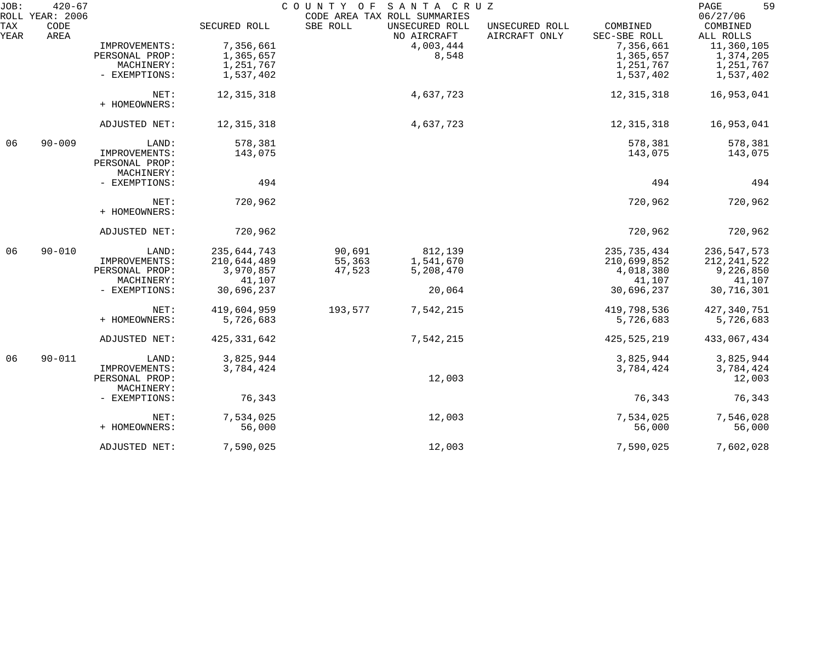| JOB:        | $420 - 67$<br>ROLL YEAR: 2006 |                              |               | COUNTY OF | SANTA CRUZ<br>CODE AREA TAX ROLL SUMMARIES |                                 |                          | 59<br>PAGE<br>06/27/06 |
|-------------|-------------------------------|------------------------------|---------------|-----------|--------------------------------------------|---------------------------------|--------------------------|------------------------|
| TAX<br>YEAR | CODE<br>AREA                  |                              | SECURED ROLL  | SBE ROLL  | UNSECURED ROLL<br>NO AIRCRAFT              | UNSECURED ROLL<br>AIRCRAFT ONLY | COMBINED<br>SEC-SBE ROLL | COMBINED<br>ALL ROLLS  |
|             |                               | IMPROVEMENTS:                | 7,356,661     |           | 4,003,444                                  |                                 | 7,356,661                | 11,360,105             |
|             |                               | PERSONAL PROP:               | 1,365,657     |           | 8,548                                      |                                 | 1,365,657                | 1,374,205              |
|             |                               | MACHINERY:                   | 1,251,767     |           |                                            |                                 | 1,251,767                | 1,251,767              |
|             |                               | - EXEMPTIONS:                | 1,537,402     |           |                                            |                                 | 1,537,402                | 1,537,402              |
|             |                               | NET:<br>+ HOMEOWNERS:        | 12, 315, 318  |           | 4,637,723                                  |                                 | 12, 315, 318             | 16,953,041             |
|             |                               | ADJUSTED NET:                | 12, 315, 318  |           | 4,637,723                                  |                                 | 12,315,318               | 16,953,041             |
| 06          | $90 - 009$                    | LAND:                        | 578,381       |           |                                            |                                 | 578,381                  | 578,381                |
|             |                               | IMPROVEMENTS:                | 143,075       |           |                                            |                                 | 143,075                  | 143,075                |
|             |                               | PERSONAL PROP:<br>MACHINERY: |               |           |                                            |                                 |                          |                        |
|             |                               | - EXEMPTIONS:                | 494           |           |                                            |                                 | 494                      | 494                    |
|             |                               | NET:                         | 720,962       |           |                                            |                                 | 720,962                  | 720,962                |
|             |                               | + HOMEOWNERS:                |               |           |                                            |                                 |                          |                        |
|             |                               | ADJUSTED NET:                | 720,962       |           |                                            |                                 | 720,962                  | 720,962                |
| 06          | $90 - 010$                    | LAND:                        | 235,644,743   | 90,691    | 812,139                                    |                                 | 235, 735, 434            | 236, 547, 573          |
|             |                               | IMPROVEMENTS:                | 210,644,489   | 55,363    | 1,541,670                                  |                                 | 210,699,852              | 212, 241, 522          |
|             |                               | PERSONAL PROP:               | 3,970,857     | 47,523    | 5,208,470                                  |                                 | 4,018,380                | 9,226,850              |
|             |                               | MACHINERY:                   | 41,107        |           |                                            |                                 | 41,107                   | 41,107                 |
|             |                               | - EXEMPTIONS:                | 30,696,237    |           | 20,064                                     |                                 | 30,696,237               | 30,716,301             |
|             |                               | NET:                         | 419,604,959   | 193,577   | 7,542,215                                  |                                 | 419,798,536              | 427,340,751            |
|             |                               | + HOMEOWNERS:                | 5,726,683     |           |                                            |                                 | 5,726,683                | 5,726,683              |
|             |                               | ADJUSTED NET:                | 425, 331, 642 |           | 7,542,215                                  |                                 | 425,525,219              | 433,067,434            |
| 06          | $90 - 011$                    | LAND:                        | 3,825,944     |           |                                            |                                 | 3,825,944                | 3,825,944              |
|             |                               | IMPROVEMENTS:                | 3,784,424     |           |                                            |                                 | 3,784,424                | 3,784,424              |
|             |                               | PERSONAL PROP:               |               |           | 12,003                                     |                                 |                          | 12,003                 |
|             |                               | MACHINERY:                   |               |           |                                            |                                 |                          |                        |
|             |                               | - EXEMPTIONS:                | 76,343        |           |                                            |                                 | 76,343                   | 76,343                 |
|             |                               | NET:                         | 7,534,025     |           | 12,003                                     |                                 | 7,534,025                | 7,546,028              |
|             |                               | + HOMEOWNERS:                | 56,000        |           |                                            |                                 | 56,000                   | 56,000                 |
|             |                               | ADJUSTED NET:                | 7,590,025     |           | 12,003                                     |                                 | 7,590,025                | 7,602,028              |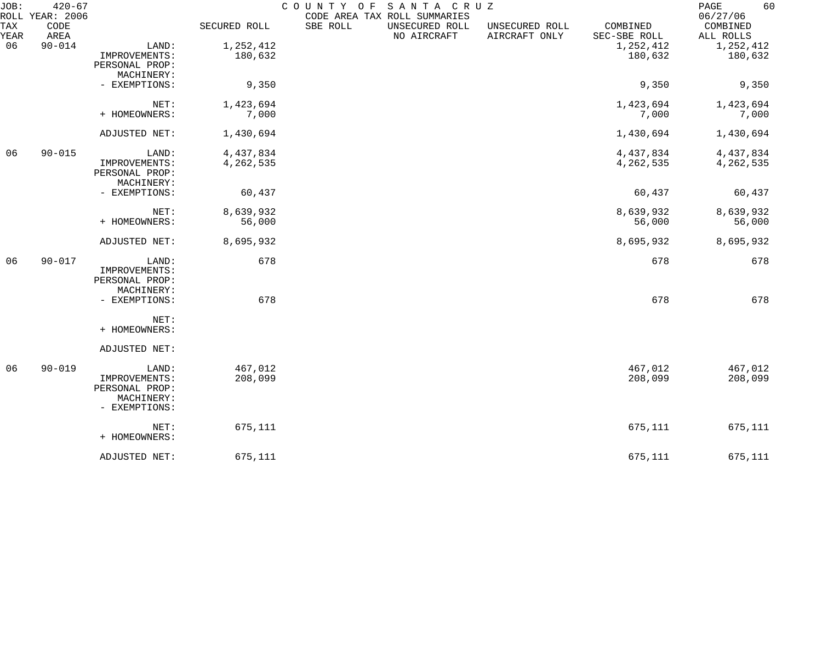| JOB:        | $420 - 67$                      |                |              | COUNTY OF<br>SANTA CRUZ                                                                                                                  | 60<br>PAGE                        |
|-------------|---------------------------------|----------------|--------------|------------------------------------------------------------------------------------------------------------------------------------------|-----------------------------------|
| TAX<br>YEAR | ROLL YEAR: 2006<br>CODE<br>AREA |                | SECURED ROLL | CODE AREA TAX ROLL SUMMARIES<br>SBE ROLL<br>UNSECURED ROLL<br>COMBINED<br>UNSECURED ROLL<br>NO AIRCRAFT<br>AIRCRAFT ONLY<br>SEC-SBE ROLL | 06/27/06<br>COMBINED<br>ALL ROLLS |
| 06          | $90 - 014$                      | LAND:          | 1,252,412    | 1,252,412                                                                                                                                | 1,252,412                         |
|             |                                 | IMPROVEMENTS:  | 180,632      | 180,632                                                                                                                                  | 180,632                           |
|             |                                 | PERSONAL PROP: |              |                                                                                                                                          |                                   |
|             |                                 | MACHINERY:     |              |                                                                                                                                          |                                   |
|             |                                 | - EXEMPTIONS:  | 9,350        | 9,350                                                                                                                                    | 9,350                             |
|             |                                 |                |              |                                                                                                                                          |                                   |
|             |                                 | NET:           | 1,423,694    | 1,423,694                                                                                                                                | 1,423,694                         |
|             |                                 | + HOMEOWNERS:  | 7,000        | 7,000                                                                                                                                    | 7,000                             |
|             |                                 | ADJUSTED NET:  | 1,430,694    | 1,430,694                                                                                                                                | 1,430,694                         |
| 06          | $90 - 015$                      | LAND:          | 4,437,834    | 4,437,834                                                                                                                                | 4,437,834                         |
|             |                                 | IMPROVEMENTS:  | 4,262,535    | 4,262,535                                                                                                                                |                                   |
|             |                                 |                |              |                                                                                                                                          | 4, 262, 535                       |
|             |                                 | PERSONAL PROP: |              |                                                                                                                                          |                                   |
|             |                                 | MACHINERY:     |              |                                                                                                                                          |                                   |
|             |                                 | - EXEMPTIONS:  | 60,437       | 60,437                                                                                                                                   | 60,437                            |
|             |                                 | NET:           | 8,639,932    | 8,639,932                                                                                                                                | 8,639,932                         |
|             |                                 | + HOMEOWNERS:  | 56,000       | 56,000                                                                                                                                   | 56,000                            |
|             |                                 | ADJUSTED NET:  | 8,695,932    | 8,695,932                                                                                                                                | 8,695,932                         |
| 06          | $90 - 017$                      | LAND:          | 678          | 678                                                                                                                                      | 678                               |
|             |                                 | IMPROVEMENTS:  |              |                                                                                                                                          |                                   |
|             |                                 | PERSONAL PROP: |              |                                                                                                                                          |                                   |
|             |                                 | MACHINERY:     |              |                                                                                                                                          |                                   |
|             |                                 | - EXEMPTIONS:  | 678          | 678                                                                                                                                      | 678                               |
|             |                                 | NET:           |              |                                                                                                                                          |                                   |
|             |                                 | + HOMEOWNERS:  |              |                                                                                                                                          |                                   |
|             |                                 | ADJUSTED NET:  |              |                                                                                                                                          |                                   |
| 06          | $90 - 019$                      | LAND:          | 467,012      | 467,012                                                                                                                                  | 467,012                           |
|             |                                 | IMPROVEMENTS:  | 208,099      | 208,099                                                                                                                                  | 208,099                           |
|             |                                 | PERSONAL PROP: |              |                                                                                                                                          |                                   |
|             |                                 |                |              |                                                                                                                                          |                                   |
|             |                                 | MACHINERY:     |              |                                                                                                                                          |                                   |
|             |                                 | - EXEMPTIONS:  |              |                                                                                                                                          |                                   |
|             |                                 | NET:           | 675,111      | 675,111                                                                                                                                  | 675,111                           |
|             |                                 | + HOMEOWNERS:  |              |                                                                                                                                          |                                   |
|             |                                 | ADJUSTED NET:  | 675,111      | 675,111                                                                                                                                  | 675,111                           |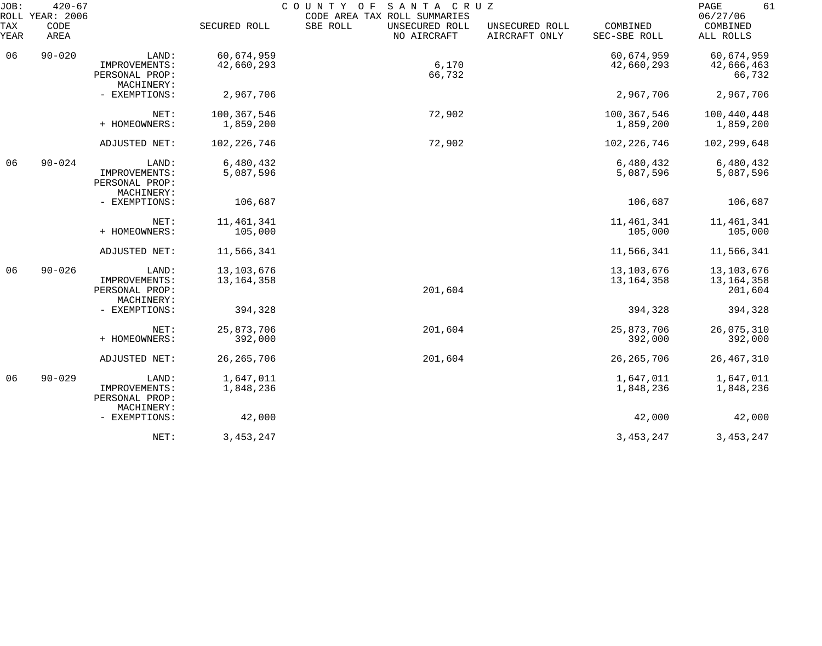| JOB:        | $420 - 67$<br>ROLL YEAR: 2006 |                                                        |                              | COUNTY OF                                 | SANTA CRUZ<br>CODE AREA TAX ROLL SUMMARIES |                              |                                     |
|-------------|-------------------------------|--------------------------------------------------------|------------------------------|-------------------------------------------|--------------------------------------------|------------------------------|-------------------------------------|
| TAX<br>YEAR | CODE<br>AREA                  |                                                        | SECURED ROLL                 | SBE ROLL<br>UNSECURED ROLL<br>NO AIRCRAFT | UNSECURED ROLL<br>AIRCRAFT ONLY            | COMBINED<br>SEC-SBE ROLL     | 06/27/06<br>COMBINED<br>ALL ROLLS   |
| 06          | $90 - 020$                    | LAND:                                                  | 60,674,959                   |                                           |                                            | 60,674,959                   | 60,674,959                          |
|             |                               | IMPROVEMENTS:<br>PERSONAL PROP:<br>MACHINERY:          | 42,660,293                   | 6,170<br>66,732                           |                                            | 42,660,293                   | 42,666,463<br>66,732                |
|             |                               | - EXEMPTIONS:                                          | 2,967,706                    |                                           |                                            | 2,967,706                    | 2,967,706                           |
|             |                               | NET:<br>+ HOMEOWNERS:                                  | 100,367,546<br>1,859,200     | 72,902                                    |                                            | 100,367,546<br>1,859,200     | 100,440,448<br>1,859,200            |
|             |                               | ADJUSTED NET:                                          | 102, 226, 746                | 72,902                                    |                                            | 102, 226, 746                | 102,299,648                         |
| 06          | $90 - 024$                    | LAND:<br>IMPROVEMENTS:<br>PERSONAL PROP:<br>MACHINERY: | 6,480,432<br>5,087,596       |                                           |                                            | 6,480,432<br>5,087,596       | 6,480,432<br>5,087,596              |
|             |                               | - EXEMPTIONS:                                          | 106,687                      |                                           |                                            | 106,687                      | 106,687                             |
|             |                               | NET:<br>+ HOMEOWNERS:                                  | 11, 461, 341<br>105,000      |                                           |                                            | 11, 461, 341<br>105,000      | 11, 461, 341<br>105,000             |
|             |                               | ADJUSTED NET:                                          | 11,566,341                   |                                           |                                            | 11,566,341                   | 11,566,341                          |
| 06          | $90 - 026$                    | LAND:<br>IMPROVEMENTS:<br>PERSONAL PROP:<br>MACHINERY: | 13, 103, 676<br>13, 164, 358 | 201,604                                   |                                            | 13, 103, 676<br>13, 164, 358 | 13,103,676<br>13,164,358<br>201,604 |
|             |                               | - EXEMPTIONS:                                          | 394,328                      |                                           |                                            | 394,328                      | 394,328                             |
|             |                               | NET:<br>+ HOMEOWNERS:                                  | 25,873,706<br>392,000        | 201,604                                   |                                            | 25,873,706<br>392,000        | 26,075,310<br>392,000               |
|             |                               | ADJUSTED NET:                                          | 26, 265, 706                 | 201,604                                   |                                            | 26, 265, 706                 | 26, 467, 310                        |
| 06          | $90 - 029$                    | LAND:<br>IMPROVEMENTS:<br>PERSONAL PROP:<br>MACHINERY: | 1,647,011<br>1,848,236       |                                           |                                            | 1,647,011<br>1,848,236       | 1,647,011<br>1,848,236              |
|             |                               | - EXEMPTIONS:                                          | 42,000                       |                                           |                                            | 42,000                       | 42,000                              |
|             |                               | NET:                                                   | 3, 453, 247                  |                                           |                                            | 3, 453, 247                  | 3, 453, 247                         |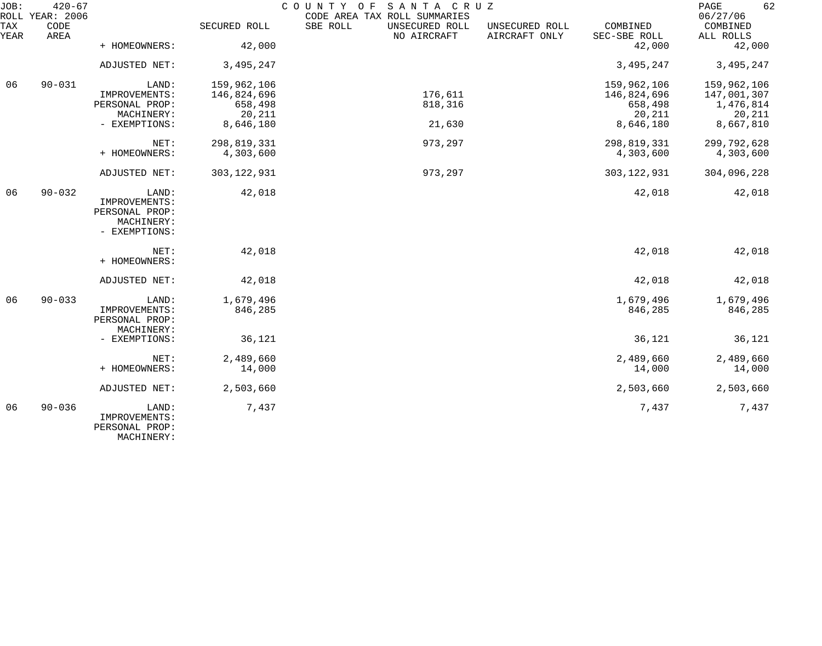| JOB:        | $420 - 67$<br>ROLL YEAR: 2006 |                                          |               | COUNTY<br>SANTA CRUZ<br>O F<br>CODE AREA TAX ROLL SUMMARIES |                                 |                          | 62<br>PAGE<br>06/27/06 |
|-------------|-------------------------------|------------------------------------------|---------------|-------------------------------------------------------------|---------------------------------|--------------------------|------------------------|
| TAX<br>YEAR | CODE<br>AREA                  |                                          | SECURED ROLL  | SBE ROLL<br>UNSECURED ROLL<br>NO AIRCRAFT                   | UNSECURED ROLL<br>AIRCRAFT ONLY | COMBINED<br>SEC-SBE ROLL | COMBINED<br>ALL ROLLS  |
|             |                               | + HOMEOWNERS:                            | 42,000        |                                                             |                                 | 42,000                   | 42,000                 |
|             |                               | ADJUSTED NET:                            | 3,495,247     |                                                             |                                 | 3,495,247                | 3,495,247              |
| 06          | $90 - 031$                    | LAND:                                    | 159,962,106   |                                                             |                                 | 159,962,106              | 159,962,106            |
|             |                               | IMPROVEMENTS:                            | 146,824,696   | 176,611                                                     |                                 | 146,824,696              | 147,001,307            |
|             |                               | PERSONAL PROP:                           | 658,498       | 818,316                                                     |                                 | 658,498                  | 1,476,814              |
|             |                               | MACHINERY:                               | 20,211        |                                                             |                                 | 20,211                   | 20,211                 |
|             |                               | - EXEMPTIONS:                            | 8,646,180     | 21,630                                                      |                                 | 8,646,180                | 8,667,810              |
|             |                               | NET:                                     | 298,819,331   | 973,297                                                     |                                 | 298,819,331              | 299,792,628            |
|             |                               | + HOMEOWNERS:                            | 4,303,600     |                                                             |                                 | 4,303,600                | 4,303,600              |
|             |                               | ADJUSTED NET:                            | 303, 122, 931 | 973,297                                                     |                                 | 303, 122, 931            | 304,096,228            |
| 06          | $90 - 032$                    | LAND:<br>IMPROVEMENTS:                   | 42,018        |                                                             |                                 | 42,018                   | 42,018                 |
|             |                               | PERSONAL PROP:                           |               |                                                             |                                 |                          |                        |
|             |                               | MACHINERY:                               |               |                                                             |                                 |                          |                        |
|             |                               | - EXEMPTIONS:                            |               |                                                             |                                 |                          |                        |
|             |                               | NET:<br>+ HOMEOWNERS:                    | 42,018        |                                                             |                                 | 42,018                   | 42,018                 |
|             |                               | ADJUSTED NET:                            | 42,018        |                                                             |                                 | 42,018                   | 42,018                 |
| 06          | $90 - 033$                    | LAND:                                    | 1,679,496     |                                                             |                                 | 1,679,496                | 1,679,496              |
|             |                               | IMPROVEMENTS:                            | 846,285       |                                                             |                                 | 846,285                  | 846,285                |
|             |                               | PERSONAL PROP:                           |               |                                                             |                                 |                          |                        |
|             |                               | MACHINERY:                               |               |                                                             |                                 |                          |                        |
|             |                               | - EXEMPTIONS:                            | 36,121        |                                                             |                                 | 36,121                   | 36,121                 |
|             |                               | NET:                                     | 2,489,660     |                                                             |                                 | 2,489,660                | 2,489,660              |
|             |                               | + HOMEOWNERS:                            | 14,000        |                                                             |                                 | 14,000                   | 14,000                 |
|             |                               | ADJUSTED NET:                            | 2,503,660     |                                                             |                                 | 2,503,660                | 2,503,660              |
| 06          | $90 - 036$                    | LAND:<br>IMPROVEMENTS:<br>PERSONAL PROP: | 7,437         |                                                             |                                 | 7,437                    | 7,437                  |
|             |                               | MACHINERY:                               |               |                                                             |                                 |                          |                        |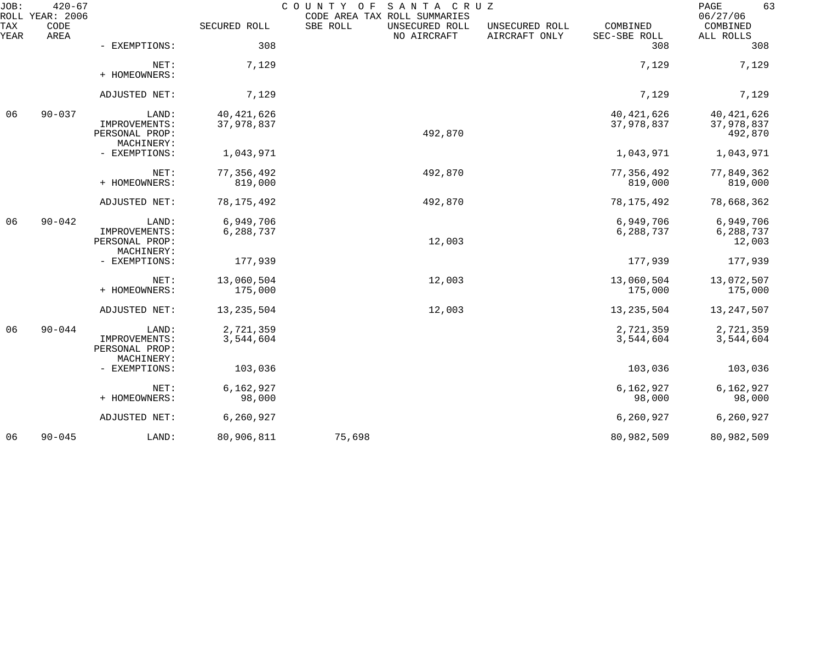| JOB:        | $420 - 67$<br>ROLL YEAR: 2006 |                                                        |                            | COUNTY<br>SANTA CRUZ<br>O F<br>CODE AREA TAX ROLL SUMMARIES |                                 |                            | PAGE<br>63<br>06/27/06                |
|-------------|-------------------------------|--------------------------------------------------------|----------------------------|-------------------------------------------------------------|---------------------------------|----------------------------|---------------------------------------|
| TAX<br>YEAR | CODE<br>AREA                  |                                                        | SECURED ROLL               | SBE ROLL<br>UNSECURED ROLL<br>NO AIRCRAFT                   | UNSECURED ROLL<br>AIRCRAFT ONLY | COMBINED<br>SEC-SBE ROLL   | COMBINED<br>ALL ROLLS                 |
|             |                               | - EXEMPTIONS:                                          | 308                        |                                                             |                                 | 308                        | 308                                   |
|             |                               | NET:<br>+ HOMEOWNERS:                                  | 7,129                      |                                                             |                                 | 7,129                      | 7,129                                 |
|             |                               | ADJUSTED NET:                                          | 7,129                      |                                                             |                                 | 7,129                      | 7,129                                 |
| 06          | $90 - 037$                    | LAND:<br>IMPROVEMENTS:<br>PERSONAL PROP:               | 40, 421, 626<br>37,978,837 | 492,870                                                     |                                 | 40, 421, 626<br>37,978,837 | 40, 421, 626<br>37,978,837<br>492,870 |
|             |                               | MACHINERY:<br>- EXEMPTIONS:                            | 1,043,971                  |                                                             |                                 | 1,043,971                  | 1,043,971                             |
|             |                               | NET:<br>+ HOMEOWNERS:                                  | 77, 356, 492<br>819,000    | 492,870                                                     |                                 | 77, 356, 492<br>819,000    | 77,849,362<br>819,000                 |
|             |                               | ADJUSTED NET:                                          | 78, 175, 492               | 492,870                                                     |                                 | 78, 175, 492               | 78,668,362                            |
| 06          | $90 - 042$                    | LAND:<br>IMPROVEMENTS:<br>PERSONAL PROP:<br>MACHINERY: | 6,949,706<br>6,288,737     | 12,003                                                      |                                 | 6,949,706<br>6,288,737     | 6,949,706<br>6,288,737<br>12,003      |
|             |                               | - EXEMPTIONS:                                          | 177,939                    |                                                             |                                 | 177,939                    | 177,939                               |
|             |                               | NET:<br>+ HOMEOWNERS:                                  | 13,060,504<br>175,000      | 12,003                                                      |                                 | 13,060,504<br>175,000      | 13,072,507<br>175,000                 |
|             |                               | ADJUSTED NET:                                          | 13, 235, 504               | 12,003                                                      |                                 | 13, 235, 504               | 13, 247, 507                          |
| 06          | $90 - 044$                    | LAND:<br>IMPROVEMENTS:<br>PERSONAL PROP:               | 2,721,359<br>3,544,604     |                                                             |                                 | 2,721,359<br>3,544,604     | 2,721,359<br>3,544,604                |
|             |                               | MACHINERY:<br>- EXEMPTIONS:                            | 103,036                    |                                                             |                                 | 103,036                    | 103,036                               |
|             |                               | NET:<br>+ HOMEOWNERS:                                  | 6,162,927<br>98,000        |                                                             |                                 | 6,162,927<br>98,000        | 6,162,927<br>98,000                   |
|             |                               | ADJUSTED NET:                                          | 6,260,927                  |                                                             |                                 | 6,260,927                  | 6,260,927                             |
| 06          | $90 - 045$                    | LAND:                                                  | 80,906,811                 | 75,698                                                      |                                 | 80,982,509                 | 80,982,509                            |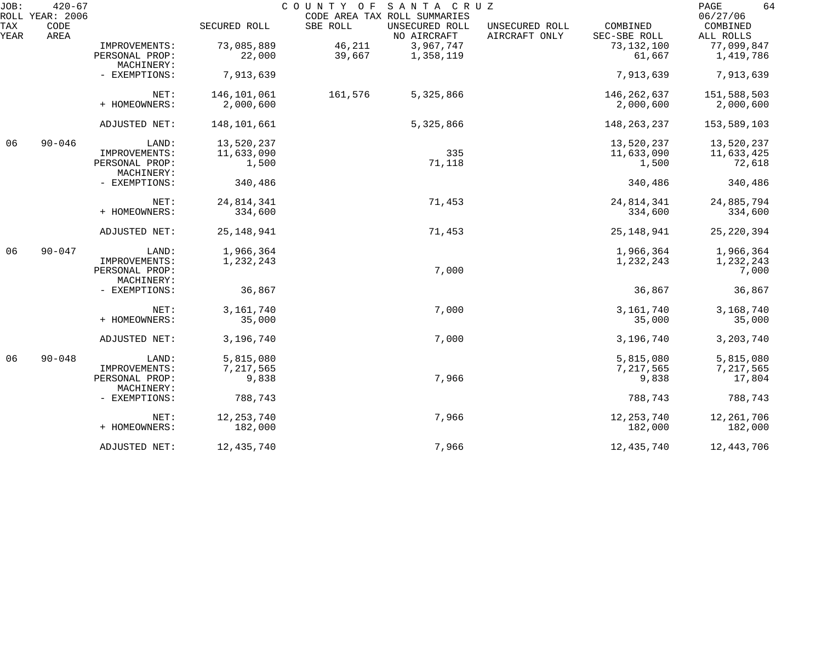| JOB:        | $420 - 67$<br>ROLL YEAR: 2006 |                              |              | COUNTY OF<br>SANTA CRUZ<br>CODE AREA TAX ROLL SUMMARIES |                                                             | 64<br>PAGE<br>06/27/06 |
|-------------|-------------------------------|------------------------------|--------------|---------------------------------------------------------|-------------------------------------------------------------|------------------------|
| TAX<br>YEAR | CODE<br>AREA                  |                              | SECURED ROLL | SBE ROLL<br>UNSECURED ROLL<br>NO AIRCRAFT               | COMBINED<br>UNSECURED ROLL<br>AIRCRAFT ONLY<br>SEC-SBE ROLL | COMBINED<br>ALL ROLLS  |
|             |                               | IMPROVEMENTS:                | 73,085,889   | 46,211<br>3,967,747                                     | 73,132,100                                                  | 77,099,847             |
|             |                               | PERSONAL PROP:               | 22,000       | 39,667<br>1,358,119                                     | 61,667                                                      | 1,419,786              |
|             |                               | MACHINERY:                   |              |                                                         |                                                             |                        |
|             |                               | - EXEMPTIONS:                | 7,913,639    |                                                         | 7,913,639                                                   | 7,913,639              |
|             |                               | NET:                         | 146,101,061  | 161,576<br>5,325,866                                    | 146,262,637                                                 | 151,588,503            |
|             |                               | + HOMEOWNERS:                | 2,000,600    |                                                         | 2,000,600                                                   | 2,000,600              |
|             |                               | ADJUSTED NET:                | 148,101,661  | 5,325,866                                               | 148, 263, 237                                               | 153,589,103            |
| 06          | $90 - 046$                    | LAND:                        | 13,520,237   |                                                         | 13,520,237                                                  | 13,520,237             |
|             |                               | IMPROVEMENTS:                | 11,633,090   | 335                                                     | 11,633,090                                                  | 11,633,425             |
|             |                               | PERSONAL PROP:<br>MACHINERY: | 1,500        | 71,118                                                  | 1,500                                                       | 72,618                 |
|             |                               | - EXEMPTIONS:                | 340,486      |                                                         | 340,486                                                     | 340,486                |
|             |                               | NET:                         | 24,814,341   | 71,453                                                  | 24,814,341                                                  | 24,885,794             |
|             |                               | + HOMEOWNERS:                | 334,600      |                                                         | 334,600                                                     | 334,600                |
|             |                               | ADJUSTED NET:                | 25, 148, 941 | 71,453                                                  | 25, 148, 941                                                | 25, 220, 394           |
| 06          | $90 - 047$                    | LAND:                        | 1,966,364    |                                                         | 1,966,364                                                   | 1,966,364              |
|             |                               | IMPROVEMENTS:                | 1,232,243    |                                                         | 1,232,243                                                   | 1,232,243              |
|             |                               | PERSONAL PROP:               |              | 7,000                                                   |                                                             | 7,000                  |
|             |                               | MACHINERY:                   |              |                                                         |                                                             |                        |
|             |                               | - EXEMPTIONS:                | 36,867       |                                                         | 36,867                                                      | 36,867                 |
|             |                               | NET:                         | 3, 161, 740  | 7,000                                                   | 3, 161, 740                                                 | 3,168,740              |
|             |                               | + HOMEOWNERS:                | 35,000       |                                                         | 35,000                                                      | 35,000                 |
|             |                               | ADJUSTED NET:                | 3,196,740    | 7,000                                                   | 3,196,740                                                   | 3,203,740              |
| 06          | $90 - 048$                    | LAND:                        | 5,815,080    |                                                         | 5,815,080                                                   | 5,815,080              |
|             |                               | IMPROVEMENTS:                | 7,217,565    |                                                         | 7,217,565                                                   | 7,217,565              |
|             |                               | PERSONAL PROP:               | 9,838        | 7,966                                                   | 9,838                                                       | 17,804                 |
|             |                               | MACHINERY:                   |              |                                                         |                                                             |                        |
|             |                               | - EXEMPTIONS:                | 788,743      |                                                         | 788,743                                                     | 788,743                |
|             |                               | NET:                         | 12, 253, 740 | 7,966                                                   | 12, 253, 740                                                | 12,261,706             |
|             |                               | + HOMEOWNERS:                | 182,000      |                                                         | 182,000                                                     | 182,000                |
|             |                               | ADJUSTED NET:                | 12,435,740   | 7,966                                                   | 12,435,740                                                  | 12,443,706             |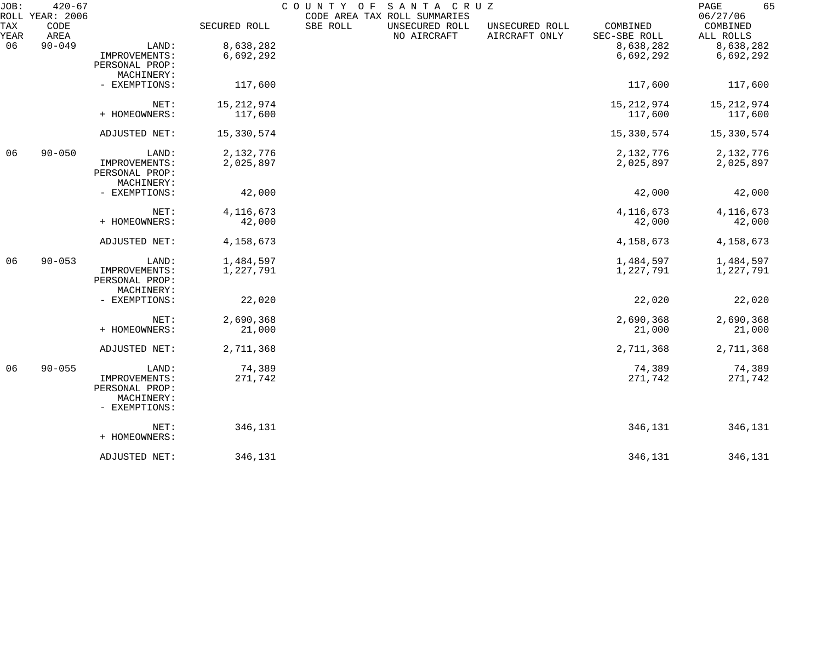| JOB:        | $420 - 67$<br>ROLL YEAR: 2006 |                             |              | COUNTY OF<br>CODE AREA TAX ROLL SUMMARIES | SANTA CRUZ                    |                                 |                          | 65<br>PAGE<br>06/27/06 |
|-------------|-------------------------------|-----------------------------|--------------|-------------------------------------------|-------------------------------|---------------------------------|--------------------------|------------------------|
| TAX<br>YEAR | CODE<br>AREA                  |                             | SECURED ROLL | SBE ROLL                                  | UNSECURED ROLL<br>NO AIRCRAFT | UNSECURED ROLL<br>AIRCRAFT ONLY | COMBINED<br>SEC-SBE ROLL | COMBINED<br>ALL ROLLS  |
| 06          | $90 - 049$                    | LAND:                       | 8,638,282    |                                           |                               |                                 | 8,638,282                | 8,638,282              |
|             |                               | IMPROVEMENTS:               | 6,692,292    |                                           |                               |                                 | 6,692,292                | 6,692,292              |
|             |                               | PERSONAL PROP:              |              |                                           |                               |                                 |                          |                        |
|             |                               | MACHINERY:                  |              |                                           |                               |                                 |                          |                        |
|             |                               | - EXEMPTIONS:               | 117,600      |                                           |                               |                                 | 117,600                  | 117,600                |
|             |                               | NET:                        | 15, 212, 974 |                                           |                               |                                 | 15, 212, 974             | 15, 212, 974           |
|             |                               | + HOMEOWNERS:               | 117,600      |                                           |                               |                                 | 117,600                  | 117,600                |
|             |                               | ADJUSTED NET:               | 15,330,574   |                                           |                               |                                 | 15,330,574               | 15,330,574             |
| 06          | $90 - 050$                    | LAND:                       | 2,132,776    |                                           |                               |                                 | 2,132,776                | 2,132,776              |
|             |                               | IMPROVEMENTS:               | 2,025,897    |                                           |                               |                                 | 2,025,897                | 2,025,897              |
|             |                               | PERSONAL PROP:              |              |                                           |                               |                                 |                          |                        |
|             |                               | MACHINERY:                  |              |                                           |                               |                                 |                          |                        |
|             |                               | - EXEMPTIONS:               | 42,000       |                                           |                               |                                 | 42,000                   | 42,000                 |
|             |                               | NET:                        | 4, 116, 673  |                                           |                               |                                 | 4, 116, 673              | 4, 116, 673            |
|             |                               | + HOMEOWNERS:               | 42,000       |                                           |                               |                                 | 42,000                   | 42,000                 |
|             |                               | ADJUSTED NET:               | 4,158,673    |                                           |                               |                                 | 4,158,673                | 4,158,673              |
| 06          | $90 - 053$                    | LAND:                       | 1,484,597    |                                           |                               |                                 | 1,484,597                | 1,484,597              |
|             |                               | IMPROVEMENTS:               | 1,227,791    |                                           |                               |                                 | 1,227,791                | 1,227,791              |
|             |                               | PERSONAL PROP:              |              |                                           |                               |                                 |                          |                        |
|             |                               | MACHINERY:                  |              |                                           |                               |                                 |                          |                        |
|             |                               | - EXEMPTIONS:               | 22,020       |                                           |                               |                                 | 22,020                   | 22,020                 |
|             |                               | NET:                        | 2,690,368    |                                           |                               |                                 | 2,690,368                | 2,690,368              |
|             |                               | + HOMEOWNERS:               | 21,000       |                                           |                               |                                 | 21,000                   | 21,000                 |
|             |                               | ADJUSTED NET:               | 2,711,368    |                                           |                               |                                 | 2,711,368                | 2,711,368              |
| 06          | $90 - 055$                    | LAND:                       | 74,389       |                                           |                               |                                 | 74,389                   | 74,389                 |
|             |                               | IMPROVEMENTS:               | 271,742      |                                           |                               |                                 | 271,742                  | 271,742                |
|             |                               | PERSONAL PROP:              |              |                                           |                               |                                 |                          |                        |
|             |                               | MACHINERY:<br>- EXEMPTIONS: |              |                                           |                               |                                 |                          |                        |
|             |                               | NET:                        | 346,131      |                                           |                               |                                 | 346,131                  | 346,131                |
|             |                               | + HOMEOWNERS:               |              |                                           |                               |                                 |                          |                        |
|             |                               | ADJUSTED NET:               | 346,131      |                                           |                               |                                 | 346,131                  | 346,131                |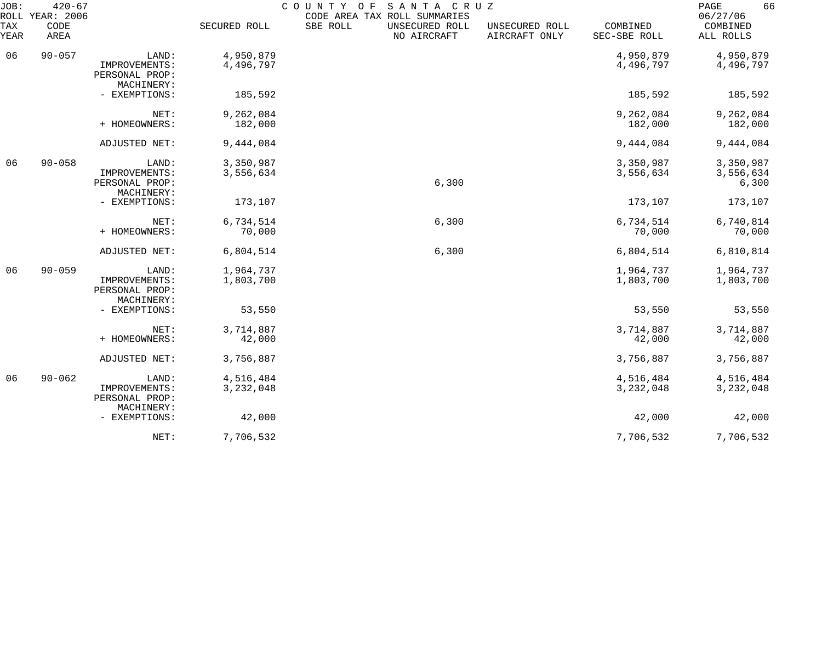| JOB:        | $420 - 67$<br>ROLL YEAR: 2006 |                                                        |                        | SANTA CRUZ<br>COUNTY OF<br>CODE AREA TAX ROLL SUMMARIES |                                 |                          | 66<br>PAGE<br>06/27/06          |
|-------------|-------------------------------|--------------------------------------------------------|------------------------|---------------------------------------------------------|---------------------------------|--------------------------|---------------------------------|
| TAX<br>YEAR | CODE<br>AREA                  |                                                        | SECURED ROLL           | SBE ROLL<br>UNSECURED ROLL<br>NO AIRCRAFT               | UNSECURED ROLL<br>AIRCRAFT ONLY | COMBINED<br>SEC-SBE ROLL | COMBINED<br>ALL ROLLS           |
| 06          | $90 - 057$                    | LAND:                                                  | 4,950,879              |                                                         |                                 | 4,950,879                | 4,950,879                       |
|             |                               | IMPROVEMENTS:<br>PERSONAL PROP:<br>MACHINERY:          | 4,496,797              |                                                         |                                 | 4,496,797                | 4,496,797                       |
|             |                               | - EXEMPTIONS:                                          | 185,592                |                                                         |                                 | 185,592                  | 185,592                         |
|             |                               | NET:<br>+ HOMEOWNERS:                                  | 9,262,084<br>182,000   |                                                         |                                 | 9,262,084<br>182,000     | 9,262,084<br>182,000            |
|             |                               | ADJUSTED NET:                                          | 9,444,084              |                                                         |                                 | 9,444,084                | 9,444,084                       |
| 06          | $90 - 058$                    | LAND:<br>IMPROVEMENTS:<br>PERSONAL PROP:               | 3,350,987<br>3,556,634 | 6,300                                                   |                                 | 3,350,987<br>3,556,634   | 3,350,987<br>3,556,634<br>6,300 |
|             |                               | MACHINERY:<br>- EXEMPTIONS:                            | 173,107                |                                                         |                                 | 173,107                  | 173,107                         |
|             |                               | NET:<br>+ HOMEOWNERS:                                  | 6,734,514<br>70,000    | 6,300                                                   |                                 | 6,734,514<br>70,000      | 6,740,814<br>70,000             |
|             |                               | ADJUSTED NET:                                          | 6,804,514              | 6,300                                                   |                                 | 6,804,514                | 6,810,814                       |
| 06          | $90 - 059$                    | LAND:<br>IMPROVEMENTS:<br>PERSONAL PROP:<br>MACHINERY: | 1,964,737<br>1,803,700 |                                                         |                                 | 1,964,737<br>1,803,700   | 1,964,737<br>1,803,700          |
|             |                               | - EXEMPTIONS:                                          | 53,550                 |                                                         |                                 | 53,550                   | 53,550                          |
|             |                               | NET:<br>+ HOMEOWNERS:                                  | 3,714,887<br>42,000    |                                                         |                                 | 3,714,887<br>42,000      | 3,714,887<br>42,000             |
|             |                               | ADJUSTED NET:                                          | 3,756,887              |                                                         |                                 | 3,756,887                | 3,756,887                       |
| 06          | $90 - 062$                    | LAND:<br>IMPROVEMENTS:<br>PERSONAL PROP:<br>MACHINERY: | 4,516,484<br>3,232,048 |                                                         |                                 | 4,516,484<br>3, 232, 048 | 4,516,484<br>3,232,048          |
|             |                               | - EXEMPTIONS:                                          | 42,000                 |                                                         |                                 | 42,000                   | 42,000                          |
|             |                               | NET:                                                   | 7,706,532              |                                                         |                                 | 7,706,532                | 7,706,532                       |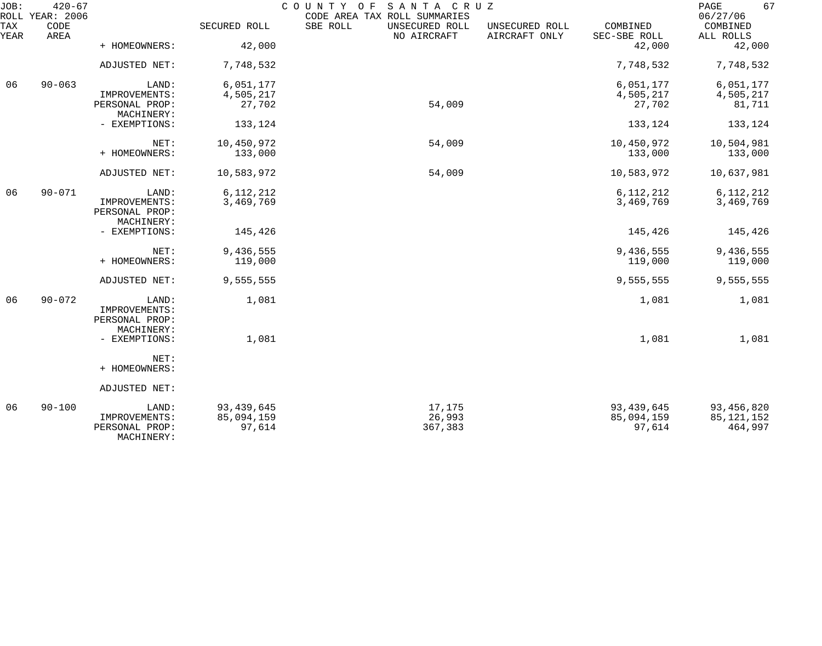| JOB:        | $420 - 67$<br>ROLL YEAR: 2006 |                              |              | COUNTY OF SANTA CRUZ<br>CODE AREA TAX ROLL SUMMARIES |                                 |                          | 67<br>$\mathop{\mathrm{PAGE}}$<br>06/27/06 |
|-------------|-------------------------------|------------------------------|--------------|------------------------------------------------------|---------------------------------|--------------------------|--------------------------------------------|
| TAX<br>YEAR | CODE<br>AREA                  |                              | SECURED ROLL | SBE ROLL<br>UNSECURED ROLL<br>NO AIRCRAFT            | UNSECURED ROLL<br>AIRCRAFT ONLY | COMBINED<br>SEC-SBE ROLL | COMBINED<br>ALL ROLLS                      |
|             |                               | + HOMEOWNERS:                | 42,000       |                                                      |                                 | 42,000                   | 42,000                                     |
|             |                               | ADJUSTED NET:                | 7,748,532    |                                                      |                                 | 7,748,532                | 7,748,532                                  |
| 06          | $90 - 063$                    | LAND:                        | 6,051,177    |                                                      |                                 | 6,051,177                | 6,051,177                                  |
|             |                               | IMPROVEMENTS:                | 4,505,217    |                                                      |                                 | 4,505,217                | 4,505,217                                  |
|             |                               | PERSONAL PROP:<br>MACHINERY: | 27,702       | 54,009                                               |                                 | 27,702                   | 81,711                                     |
|             |                               | - EXEMPTIONS:                | 133,124      |                                                      |                                 | 133,124                  | 133,124                                    |
|             |                               | NET:                         | 10,450,972   | 54,009                                               |                                 | 10,450,972               | 10,504,981                                 |
|             |                               | + HOMEOWNERS:                | 133,000      |                                                      |                                 | 133,000                  | 133,000                                    |
|             |                               | ADJUSTED NET:                | 10,583,972   | 54,009                                               |                                 | 10,583,972               | 10,637,981                                 |
| 06          | $90 - 071$                    | LAND:                        | 6, 112, 212  |                                                      |                                 | 6, 112, 212              | 6, 112, 212                                |
|             |                               | IMPROVEMENTS:                | 3,469,769    |                                                      |                                 | 3,469,769                | 3,469,769                                  |
|             |                               | PERSONAL PROP:               |              |                                                      |                                 |                          |                                            |
|             |                               | MACHINERY:                   |              |                                                      |                                 |                          |                                            |
|             |                               | - EXEMPTIONS:                | 145,426      |                                                      |                                 | 145,426                  | 145,426                                    |
|             |                               | NET:                         | 9,436,555    |                                                      |                                 | 9,436,555                | 9,436,555                                  |
|             |                               | + HOMEOWNERS:                | 119,000      |                                                      |                                 | 119,000                  | 119,000                                    |
|             |                               | ADJUSTED NET:                | 9,555,555    |                                                      |                                 | 9,555,555                | 9,555,555                                  |
| 06          | $90 - 072$                    | LAND:                        | 1,081        |                                                      |                                 | 1,081                    | 1,081                                      |
|             |                               | IMPROVEMENTS:                |              |                                                      |                                 |                          |                                            |
|             |                               | PERSONAL PROP:               |              |                                                      |                                 |                          |                                            |
|             |                               | MACHINERY:                   |              |                                                      |                                 |                          |                                            |
|             |                               | - EXEMPTIONS:                | 1,081        |                                                      |                                 | 1,081                    | 1,081                                      |
|             |                               | NET:                         |              |                                                      |                                 |                          |                                            |
|             |                               | + HOMEOWNERS:                |              |                                                      |                                 |                          |                                            |
|             |                               | ADJUSTED NET:                |              |                                                      |                                 |                          |                                            |
| 06          | $90 - 100$                    | LAND:                        | 93, 439, 645 | 17,175                                               |                                 | 93, 439, 645             | 93, 456, 820                               |
|             |                               | IMPROVEMENTS:                | 85,094,159   | 26,993                                               |                                 | 85,094,159               | 85, 121, 152                               |
|             |                               | PERSONAL PROP:<br>MACHINERY: | 97,614       | 367,383                                              |                                 | 97,614                   | 464,997                                    |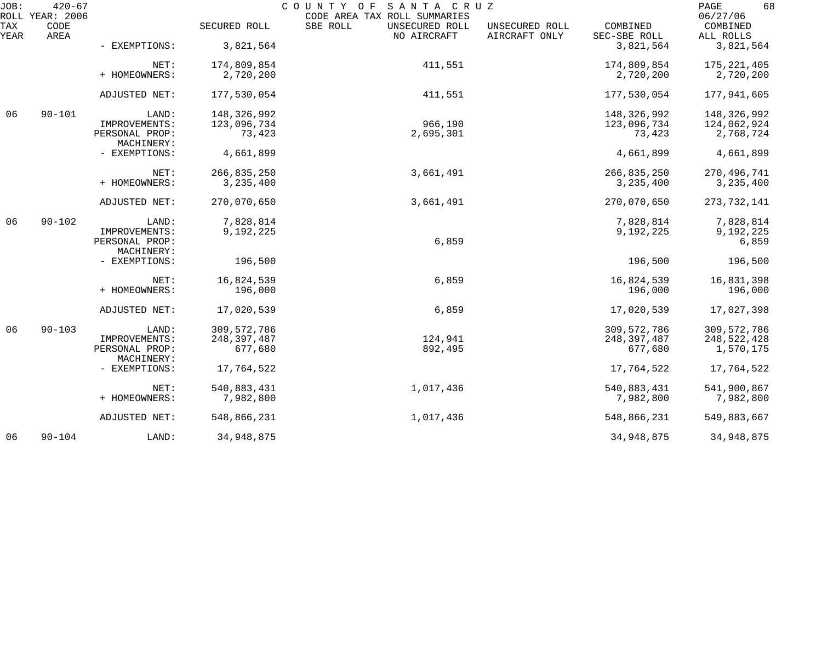| JOB:        | $420 - 67$<br>COUNTY OF SANTA CRUZ<br>ROLL YEAR: 2006<br>CODE AREA TAX ROLL SUMMARIES |                              |               |                                           |                                 |                          | 68<br>PAGE<br>06/27/06 |  |
|-------------|---------------------------------------------------------------------------------------|------------------------------|---------------|-------------------------------------------|---------------------------------|--------------------------|------------------------|--|
| TAX<br>YEAR | CODE<br>AREA                                                                          |                              | SECURED ROLL  | SBE ROLL<br>UNSECURED ROLL<br>NO AIRCRAFT | UNSECURED ROLL<br>AIRCRAFT ONLY | COMBINED<br>SEC-SBE ROLL | COMBINED<br>ALL ROLLS  |  |
|             |                                                                                       | - EXEMPTIONS:                | 3,821,564     |                                           |                                 | 3,821,564                | 3,821,564              |  |
|             |                                                                                       | NET:                         | 174,809,854   | 411,551                                   |                                 | 174,809,854              | 175, 221, 405          |  |
|             |                                                                                       | + HOMEOWNERS:                | 2,720,200     |                                           |                                 | 2,720,200                | 2,720,200              |  |
|             |                                                                                       | ADJUSTED NET:                | 177,530,054   | 411,551                                   |                                 | 177,530,054              | 177,941,605            |  |
| 06          | $90 - 101$                                                                            | LAND:                        | 148,326,992   |                                           |                                 | 148,326,992              | 148,326,992            |  |
|             |                                                                                       | IMPROVEMENTS:                | 123,096,734   | 966,190                                   |                                 | 123,096,734              | 124,062,924            |  |
|             |                                                                                       | PERSONAL PROP:<br>MACHINERY: | 73,423        | 2,695,301                                 |                                 | 73,423                   | 2,768,724              |  |
|             |                                                                                       | - EXEMPTIONS:                | 4,661,899     |                                           |                                 | 4,661,899                | 4,661,899              |  |
|             |                                                                                       | NET:                         | 266,835,250   | 3,661,491                                 |                                 | 266,835,250              | 270, 496, 741          |  |
|             |                                                                                       | + HOMEOWNERS:                | 3, 235, 400   |                                           |                                 | 3,235,400                | 3,235,400              |  |
|             |                                                                                       | ADJUSTED NET:                | 270,070,650   | 3,661,491                                 |                                 | 270,070,650              | 273, 732, 141          |  |
| 06          | $90 - 102$                                                                            | LAND:                        | 7,828,814     |                                           |                                 | 7,828,814                | 7,828,814              |  |
|             |                                                                                       | IMPROVEMENTS:                | 9,192,225     |                                           |                                 | 9,192,225                | 9,192,225              |  |
|             |                                                                                       | PERSONAL PROP:<br>MACHINERY: |               | 6,859                                     |                                 |                          | 6,859                  |  |
|             |                                                                                       | - EXEMPTIONS:                | 196,500       |                                           |                                 | 196,500                  | 196,500                |  |
|             |                                                                                       | NET:                         | 16,824,539    | 6,859                                     |                                 | 16,824,539               | 16,831,398             |  |
|             |                                                                                       | + HOMEOWNERS:                | 196,000       |                                           |                                 | 196,000                  | 196,000                |  |
|             |                                                                                       | ADJUSTED NET:                | 17,020,539    | 6,859                                     |                                 | 17,020,539               | 17,027,398             |  |
| 06          | $90 - 103$                                                                            | LAND:                        | 309, 572, 786 |                                           |                                 | 309, 572, 786            | 309, 572, 786          |  |
|             |                                                                                       | IMPROVEMENTS:                | 248, 397, 487 | 124,941                                   |                                 | 248, 397, 487            | 248,522,428            |  |
|             |                                                                                       | PERSONAL PROP:<br>MACHINERY: | 677,680       | 892,495                                   |                                 | 677,680                  | 1,570,175              |  |
|             |                                                                                       | - EXEMPTIONS:                | 17,764,522    |                                           |                                 | 17,764,522               | 17,764,522             |  |
|             |                                                                                       | NET:                         | 540,883,431   | 1,017,436                                 |                                 | 540,883,431              | 541,900,867            |  |
|             |                                                                                       | + HOMEOWNERS:                | 7,982,800     |                                           |                                 | 7,982,800                | 7,982,800              |  |
|             |                                                                                       | ADJUSTED NET:                | 548,866,231   | 1,017,436                                 |                                 | 548,866,231              | 549,883,667            |  |
| 06          | $90 - 104$                                                                            | LAND:                        | 34,948,875    |                                           |                                 | 34,948,875               | 34,948,875             |  |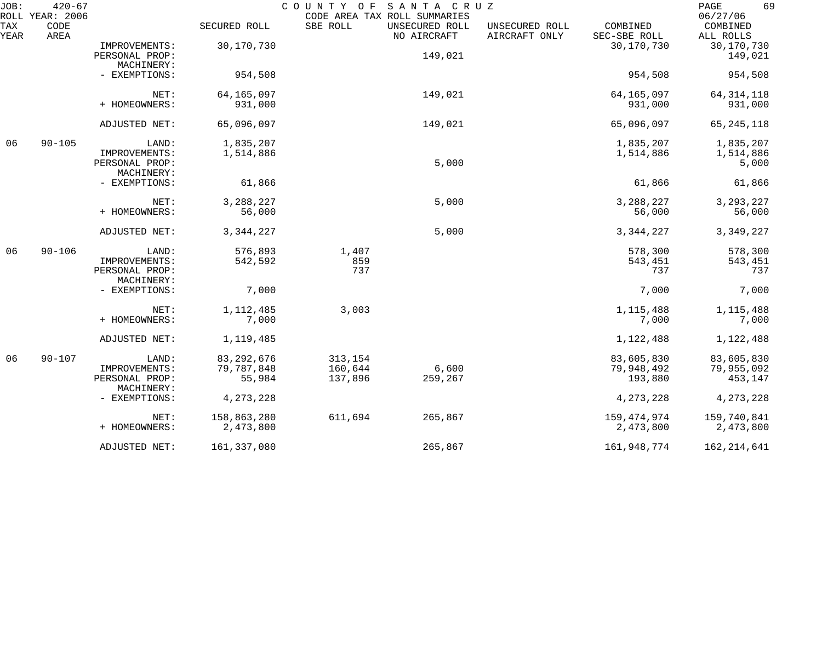| JOB:        | $420 - 67$<br>ROLL YEAR: 2006 |                                                        |                                      | COUNTY OF<br>CODE AREA TAX ROLL SUMMARIES | SANTA CRUZ                    |                                 |                                     | 69<br>PAGE<br>06/27/06              |
|-------------|-------------------------------|--------------------------------------------------------|--------------------------------------|-------------------------------------------|-------------------------------|---------------------------------|-------------------------------------|-------------------------------------|
| TAX<br>YEAR | CODE<br>AREA                  |                                                        | SECURED ROLL                         | SBE ROLL                                  | UNSECURED ROLL<br>NO AIRCRAFT | UNSECURED ROLL<br>AIRCRAFT ONLY | COMBINED<br>SEC-SBE ROLL            | COMBINED<br>ALL ROLLS               |
|             |                               | IMPROVEMENTS:<br>PERSONAL PROP:                        | 30,170,730                           |                                           | 149,021                       |                                 | 30,170,730                          | 30,170,730<br>149,021               |
|             |                               | MACHINERY:<br>- EXEMPTIONS:                            | 954,508                              |                                           |                               |                                 | 954,508                             | 954,508                             |
|             |                               | NET:<br>+ HOMEOWNERS:                                  | 64, 165, 097<br>931,000              |                                           | 149,021                       |                                 | 64, 165, 097<br>931,000             | 64, 314, 118<br>931,000             |
|             |                               | ADJUSTED NET:                                          | 65,096,097                           |                                           | 149,021                       |                                 | 65,096,097                          | 65, 245, 118                        |
| 06          | $90 - 105$                    | LAND:<br>IMPROVEMENTS:<br>PERSONAL PROP:               | 1,835,207<br>1,514,886               |                                           | 5,000                         |                                 | 1,835,207<br>1,514,886              | 1,835,207<br>1,514,886<br>5,000     |
|             |                               | MACHINERY:<br>- EXEMPTIONS:                            | 61,866                               |                                           |                               |                                 | 61,866                              | 61,866                              |
|             |                               | NET:<br>+ HOMEOWNERS:                                  | 3,288,227<br>56,000                  |                                           | 5,000                         |                                 | 3,288,227<br>56,000                 | 3, 293, 227<br>56,000               |
|             |                               | ADJUSTED NET:                                          | 3, 344, 227                          |                                           | 5,000                         |                                 | 3, 344, 227                         | 3,349,227                           |
| 06          | $90 - 106$                    | LAND:<br>IMPROVEMENTS:<br>PERSONAL PROP:<br>MACHINERY: | 576,893<br>542,592                   | 1,407<br>859<br>737                       |                               |                                 | 578,300<br>543,451<br>737           | 578,300<br>543,451<br>737           |
|             |                               | - EXEMPTIONS:                                          | 7,000                                |                                           |                               |                                 | 7,000                               | 7,000                               |
|             |                               | NET:<br>+ HOMEOWNERS:                                  | 1, 112, 485<br>7,000                 | 3,003                                     |                               |                                 | 1, 115, 488<br>7,000                | 1, 115, 488<br>7,000                |
|             |                               | ADJUSTED NET:                                          | 1,119,485                            |                                           |                               |                                 | 1,122,488                           | 1,122,488                           |
| 06          | $90 - 107$                    | LAND:<br>IMPROVEMENTS:<br>PERSONAL PROP:<br>MACHINERY: | 83, 292, 676<br>79,787,848<br>55,984 | 313,154<br>160,644<br>137,896             | 6,600<br>259,267              |                                 | 83,605,830<br>79,948,492<br>193,880 | 83,605,830<br>79,955,092<br>453,147 |
|             |                               | - EXEMPTIONS:                                          | 4, 273, 228                          |                                           |                               |                                 | 4, 273, 228                         | 4, 273, 228                         |
|             |                               | NET:<br>+ HOMEOWNERS:                                  | 158,863,280<br>2,473,800             | 611,694                                   | 265,867                       |                                 | 159, 474, 974<br>2,473,800          | 159,740,841<br>2,473,800            |
|             |                               | ADJUSTED NET:                                          | 161,337,080                          |                                           | 265,867                       |                                 | 161,948,774                         | 162, 214, 641                       |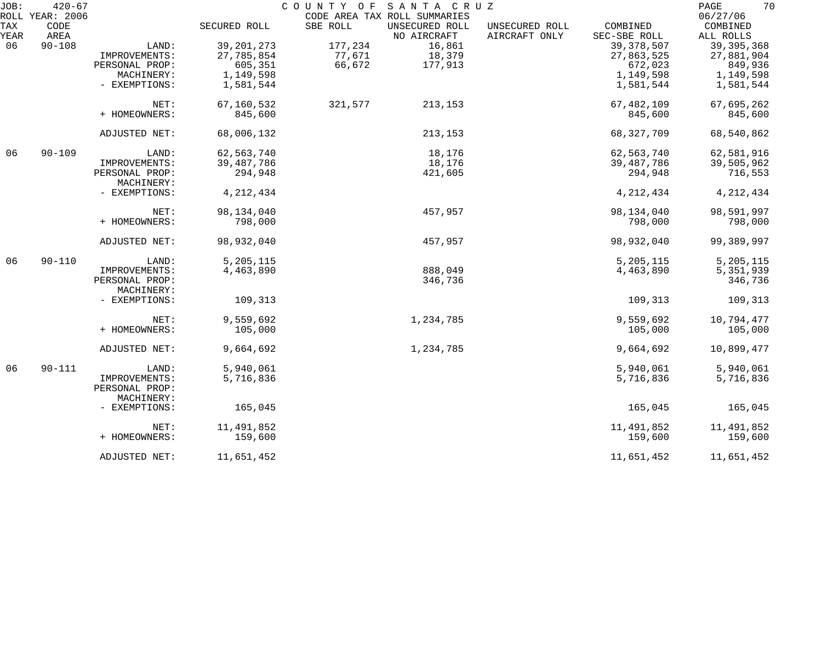| JOB: | $420 - 67$      |                              |              |          | COUNTY OF SANTA CRUZ         |                |              | 70<br>PAGE   |
|------|-----------------|------------------------------|--------------|----------|------------------------------|----------------|--------------|--------------|
|      | ROLL YEAR: 2006 |                              |              |          | CODE AREA TAX ROLL SUMMARIES |                |              | 06/27/06     |
| TAX  | CODE            |                              | SECURED ROLL | SBE ROLL | UNSECURED ROLL               | UNSECURED ROLL | COMBINED     | COMBINED     |
| YEAR | AREA            |                              |              |          | NO AIRCRAFT                  | AIRCRAFT ONLY  | SEC-SBE ROLL | ALL ROLLS    |
| 06   | $90 - 108$      | LAND:                        | 39, 201, 273 | 177,234  | 16,861                       |                | 39, 378, 507 | 39, 395, 368 |
|      |                 | IMPROVEMENTS:                | 27,785,854   | 77,671   | 18,379                       |                | 27,863,525   | 27,881,904   |
|      |                 | PERSONAL PROP:               | 605,351      | 66,672   | 177,913                      |                | 672,023      | 849,936      |
|      |                 | MACHINERY:                   | 1,149,598    |          |                              |                | 1,149,598    | 1,149,598    |
|      |                 | - EXEMPTIONS:                | 1,581,544    |          |                              |                | 1,581,544    | 1,581,544    |
|      |                 | NET:                         | 67,160,532   | 321,577  | 213,153                      |                | 67,482,109   | 67,695,262   |
|      |                 | + HOMEOWNERS:                | 845,600      |          |                              |                | 845,600      | 845,600      |
|      |                 | ADJUSTED NET:                | 68,006,132   |          | 213,153                      |                | 68, 327, 709 | 68,540,862   |
| 06   | $90 - 109$      | LAND:                        | 62, 563, 740 |          | 18,176                       |                | 62,563,740   | 62,581,916   |
|      |                 | IMPROVEMENTS:                | 39, 487, 786 |          | 18,176                       |                | 39,487,786   | 39,505,962   |
|      |                 | PERSONAL PROP:               | 294,948      |          | 421,605                      |                | 294,948      | 716,553      |
|      |                 | MACHINERY:                   |              |          |                              |                |              |              |
|      |                 | - EXEMPTIONS:                | 4, 212, 434  |          |                              |                | 4, 212, 434  | 4, 212, 434  |
|      |                 | NET:                         | 98,134,040   |          | 457,957                      |                | 98,134,040   | 98,591,997   |
|      |                 | + HOMEOWNERS:                | 798,000      |          |                              |                | 798,000      | 798,000      |
|      |                 | ADJUSTED NET:                | 98,932,040   |          | 457,957                      |                | 98,932,040   | 99,389,997   |
| 06   | $90 - 110$      | LAND:                        | 5,205,115    |          |                              |                | 5,205,115    | 5,205,115    |
|      |                 | IMPROVEMENTS:                | 4,463,890    |          | 888,049                      |                | 4,463,890    | 5,351,939    |
|      |                 | PERSONAL PROP:               |              |          | 346,736                      |                |              | 346,736      |
|      |                 | MACHINERY:                   |              |          |                              |                |              |              |
|      |                 | - EXEMPTIONS:                | 109,313      |          |                              |                | 109,313      | 109,313      |
|      |                 | NET:                         | 9,559,692    |          | 1,234,785                    |                | 9,559,692    | 10,794,477   |
|      |                 | + HOMEOWNERS:                | 105,000      |          |                              |                | 105,000      | 105,000      |
|      |                 |                              |              |          |                              |                |              |              |
|      |                 | ADJUSTED NET:                | 9,664,692    |          | 1,234,785                    |                | 9,664,692    | 10,899,477   |
| 06   | $90 - 111$      | LAND:                        | 5,940,061    |          |                              |                | 5,940,061    | 5,940,061    |
|      |                 | IMPROVEMENTS:                | 5,716,836    |          |                              |                | 5,716,836    | 5,716,836    |
|      |                 | PERSONAL PROP:<br>MACHINERY: |              |          |                              |                |              |              |
|      |                 |                              |              |          |                              |                |              |              |
|      |                 | - EXEMPTIONS:                | 165,045      |          |                              |                | 165,045      | 165,045      |
|      |                 | NET:                         | 11,491,852   |          |                              |                | 11,491,852   | 11,491,852   |
|      |                 | + HOMEOWNERS:                | 159,600      |          |                              |                | 159,600      | 159,600      |
|      |                 | ADJUSTED NET:                | 11,651,452   |          |                              |                | 11,651,452   | 11,651,452   |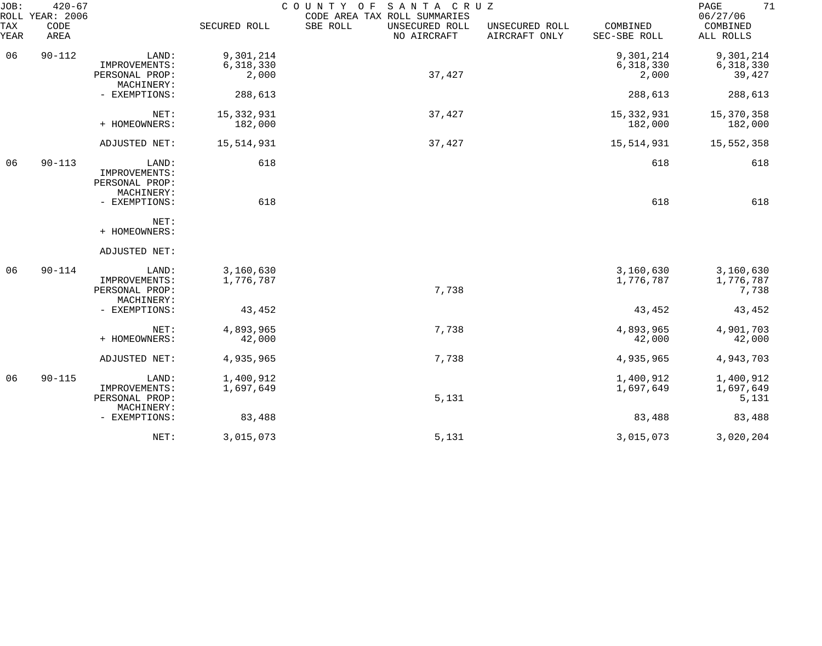| JOB:<br>ROLL | $420 - 67$<br>YEAR: 2006 |                                                        |                         | COUNTY OF SANTA CRUZ<br>CODE AREA TAX ROLL SUMMARIES |                                 |                          | 71<br>PAGE<br>06/27/06          |
|--------------|--------------------------|--------------------------------------------------------|-------------------------|------------------------------------------------------|---------------------------------|--------------------------|---------------------------------|
| TAX<br>YEAR  | CODE<br>AREA             |                                                        | SECURED ROLL            | SBE ROLL<br>UNSECURED ROLL<br>NO AIRCRAFT            | UNSECURED ROLL<br>AIRCRAFT ONLY | COMBINED<br>SEC-SBE ROLL | COMBINED<br>ALL ROLLS           |
| 06           | $90 - 112$               | LAND:                                                  | 9,301,214               |                                                      |                                 | 9,301,214                | 9,301,214                       |
|              |                          | IMPROVEMENTS:<br>PERSONAL PROP:<br>MACHINERY:          | 6,318,330<br>2,000      | 37,427                                               |                                 | 6,318,330<br>2,000       | 6,318,330<br>39,427             |
|              |                          | - EXEMPTIONS:                                          | 288,613                 |                                                      |                                 | 288,613                  | 288,613                         |
|              |                          | NET:<br>+ HOMEOWNERS:                                  | 15, 332, 931<br>182,000 | 37,427                                               |                                 | 15, 332, 931<br>182,000  | 15,370,358<br>182,000           |
|              |                          | ADJUSTED NET:                                          | 15,514,931              | 37,427                                               |                                 | 15,514,931               | 15,552,358                      |
| 06           | $90 - 113$               | LAND:<br>IMPROVEMENTS:<br>PERSONAL PROP:<br>MACHINERY: | 618                     |                                                      |                                 | 618                      | 618                             |
|              |                          | - EXEMPTIONS:                                          | 618                     |                                                      |                                 | 618                      | 618                             |
|              |                          | NET:<br>+ HOMEOWNERS:                                  |                         |                                                      |                                 |                          |                                 |
|              |                          | ADJUSTED NET:                                          |                         |                                                      |                                 |                          |                                 |
| 06           | $90 - 114$               | LAND:<br>IMPROVEMENTS:<br>PERSONAL PROP:<br>MACHINERY: | 3,160,630<br>1,776,787  | 7,738                                                |                                 | 3,160,630<br>1,776,787   | 3,160,630<br>1,776,787<br>7,738 |
|              |                          | - EXEMPTIONS:                                          | 43,452                  |                                                      |                                 | 43,452                   | 43,452                          |
|              |                          | NET:<br>+ HOMEOWNERS:                                  | 4,893,965<br>42,000     | 7,738                                                |                                 | 4,893,965<br>42,000      | 4,901,703<br>42,000             |
|              |                          | ADJUSTED NET:                                          | 4,935,965               | 7,738                                                |                                 | 4,935,965                | 4,943,703                       |
| 06           | $90 - 115$               | LAND:<br>IMPROVEMENTS:<br>PERSONAL PROP:               | 1,400,912<br>1,697,649  | 5,131                                                |                                 | 1,400,912<br>1,697,649   | 1,400,912<br>1,697,649<br>5,131 |
|              |                          | MACHINERY:<br>- EXEMPTIONS:                            | 83,488                  |                                                      |                                 | 83,488                   | 83,488                          |
|              |                          | NET:                                                   | 3,015,073               | 5,131                                                |                                 | 3,015,073                | 3,020,204                       |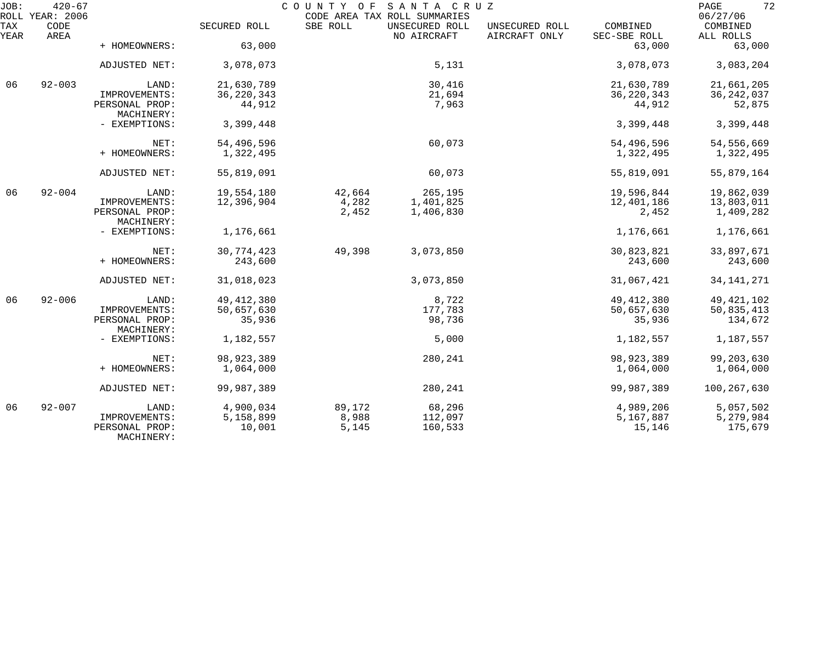| JOB:        | $420 - 67$<br>ROLL YEAR: 2006 |                                               |                     |                | COUNTY OF SANTA CRUZ<br>CODE AREA TAX ROLL SUMMARIES |                                 |                          | 72<br>PAGE<br>06/27/06 |
|-------------|-------------------------------|-----------------------------------------------|---------------------|----------------|------------------------------------------------------|---------------------------------|--------------------------|------------------------|
| TAX<br>YEAR | CODE<br>AREA                  |                                               | SECURED ROLL        | SBE ROLL       | UNSECURED ROLL<br>NO AIRCRAFT                        | UNSECURED ROLL<br>AIRCRAFT ONLY | COMBINED<br>SEC-SBE ROLL | COMBINED<br>ALL ROLLS  |
|             |                               | + HOMEOWNERS:                                 | 63,000              |                |                                                      |                                 | 63,000                   | 63,000                 |
|             |                               | ADJUSTED NET:                                 | 3,078,073           |                | 5,131                                                |                                 | 3,078,073                | 3,083,204              |
| 06          | $92 - 003$                    | LAND:                                         | 21,630,789          |                | 30,416                                               |                                 | 21,630,789               | 21,661,205             |
|             |                               | IMPROVEMENTS:                                 | 36, 220, 343        |                | 21,694                                               |                                 | 36, 220, 343             | 36, 242, 037           |
|             |                               | PERSONAL PROP:<br>MACHINERY:                  | 44,912              |                | 7,963                                                |                                 | 44,912                   | 52,875                 |
|             |                               | - EXEMPTIONS:                                 | 3,399,448           |                |                                                      |                                 | 3,399,448                | 3,399,448              |
|             |                               | NET:                                          | 54,496,596          |                | 60,073                                               |                                 | 54,496,596               | 54,556,669             |
|             |                               | + HOMEOWNERS:                                 | 1,322,495           |                |                                                      |                                 | 1,322,495                | 1,322,495              |
|             |                               | ADJUSTED NET:                                 | 55,819,091          |                | 60,073                                               |                                 | 55,819,091               | 55,879,164             |
| 06          | $92 - 004$                    | LAND:                                         | 19,554,180          | 42,664         | 265,195                                              |                                 | 19,596,844               | 19,862,039             |
|             |                               | IMPROVEMENTS:                                 | 12,396,904          | 4,282          | 1,401,825                                            |                                 | 12,401,186               | 13,803,011             |
|             |                               | PERSONAL PROP:<br>MACHINERY:                  |                     | 2,452          | 1,406,830                                            |                                 | 2,452                    | 1,409,282              |
|             |                               | - EXEMPTIONS:                                 | 1,176,661           |                |                                                      |                                 | 1,176,661                | 1,176,661              |
|             |                               | NET:                                          | 30, 774, 423        | 49,398         | 3,073,850                                            |                                 | 30,823,821               | 33,897,671             |
|             |                               | + HOMEOWNERS:                                 | 243,600             |                |                                                      |                                 | 243,600                  | 243,600                |
|             |                               | ADJUSTED NET:                                 | 31,018,023          |                | 3,073,850                                            |                                 | 31,067,421               | 34, 141, 271           |
| 06          | $92 - 006$                    | LAND:                                         | 49, 412, 380        |                | 8,722                                                |                                 | 49, 412, 380             | 49, 421, 102           |
|             |                               | IMPROVEMENTS:                                 | 50,657,630          |                | 177,783                                              |                                 | 50,657,630               | 50,835,413             |
|             |                               | PERSONAL PROP:<br>MACHINERY:                  | 35,936              |                | 98,736                                               |                                 | 35,936                   | 134,672                |
|             |                               | - EXEMPTIONS:                                 | 1,182,557           |                | 5,000                                                |                                 | 1,182,557                | 1,187,557              |
|             |                               | NET:                                          | 98, 923, 389        |                | 280,241                                              |                                 | 98, 923, 389             | 99, 203, 630           |
|             |                               | + HOMEOWNERS:                                 | 1,064,000           |                |                                                      |                                 | 1,064,000                | 1,064,000              |
|             |                               |                                               |                     |                |                                                      |                                 |                          |                        |
|             |                               | ADJUSTED NET:                                 | 99,987,389          |                | 280,241                                              |                                 | 99,987,389               | 100,267,630            |
| 06          | $92 - 007$                    | LAND:                                         | 4,900,034           | 89,172         | 68,296                                               |                                 | 4,989,206                | 5,057,502              |
|             |                               | IMPROVEMENTS:<br>PERSONAL PROP:<br>MACHINERY: | 5,158,899<br>10,001 | 8,988<br>5,145 | 112,097<br>160,533                                   |                                 | 5,167,887<br>15,146      | 5,279,984<br>175,679   |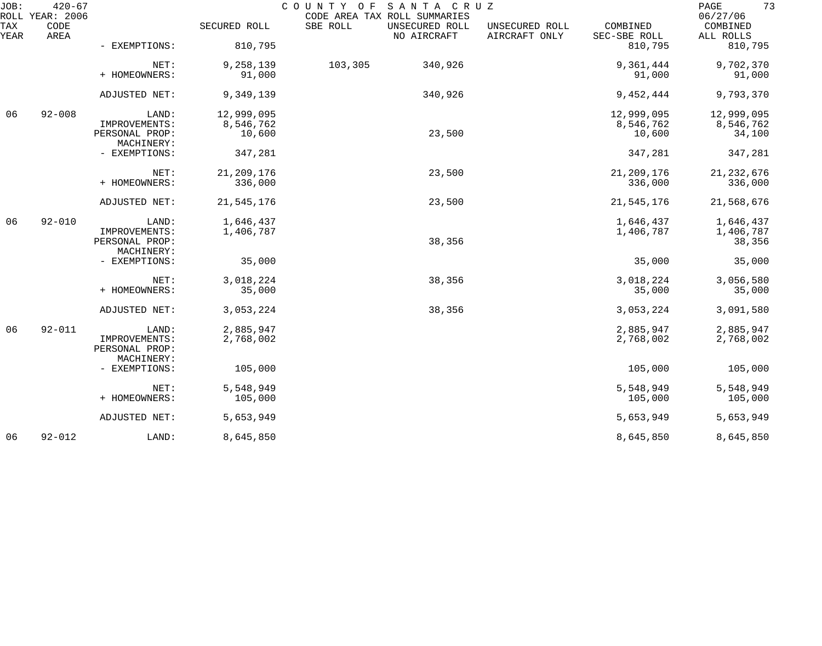| JOB:        | $420 - 67$<br>ROLL YEAR: 2006 |                                 |                     | COUNTY OF<br>CODE AREA TAX ROLL SUMMARIES | SANTA CRUZ     |                                 |                          | 73<br>PAGE<br>06/27/06 |
|-------------|-------------------------------|---------------------------------|---------------------|-------------------------------------------|----------------|---------------------------------|--------------------------|------------------------|
| TAX<br>YEAR | CODE<br>AREA                  |                                 | SECURED ROLL        | SBE ROLL<br>NO AIRCRAFT                   | UNSECURED ROLL | UNSECURED ROLL<br>AIRCRAFT ONLY | COMBINED<br>SEC-SBE ROLL | COMBINED<br>ALL ROLLS  |
|             |                               | - EXEMPTIONS:                   | 810,795             |                                           |                |                                 | 810,795                  | 810,795                |
|             |                               | NET:<br>+ HOMEOWNERS:           | 9,258,139<br>91,000 | 103,305                                   | 340,926        |                                 | 9,361,444<br>91,000      | 9,702,370<br>91,000    |
|             |                               | ADJUSTED NET:                   | 9,349,139           |                                           | 340,926        |                                 | 9,452,444                | 9,793,370              |
| 06          | $92 - 008$                    | LAND:                           | 12,999,095          |                                           |                |                                 | 12,999,095               | 12,999,095             |
|             |                               | IMPROVEMENTS:                   | 8,546,762           |                                           |                |                                 | 8,546,762                | 8,546,762              |
|             |                               | PERSONAL PROP:<br>MACHINERY:    | 10,600              |                                           | 23,500         |                                 | 10,600                   | 34,100                 |
|             |                               | - EXEMPTIONS:                   | 347,281             |                                           |                |                                 | 347,281                  | 347,281                |
|             |                               | NET:                            | 21, 209, 176        |                                           | 23,500         |                                 | 21, 209, 176             | 21, 232, 676           |
|             |                               | + HOMEOWNERS:                   | 336,000             |                                           |                |                                 | 336,000                  | 336,000                |
|             |                               | ADJUSTED NET:                   | 21,545,176          |                                           | 23,500         |                                 | 21,545,176               | 21,568,676             |
| 06          | $92 - 010$                    | LAND:                           | 1,646,437           |                                           |                |                                 | 1,646,437                | 1,646,437              |
|             |                               | IMPROVEMENTS:<br>PERSONAL PROP: | 1,406,787           |                                           | 38,356         |                                 | 1,406,787                | 1,406,787<br>38,356    |
|             |                               | MACHINERY:                      |                     |                                           |                |                                 |                          |                        |
|             |                               | - EXEMPTIONS:                   | 35,000              |                                           |                |                                 | 35,000                   | 35,000                 |
|             |                               | NET:                            | 3,018,224           |                                           | 38,356         |                                 | 3,018,224                | 3,056,580              |
|             |                               | + HOMEOWNERS:                   | 35,000              |                                           |                |                                 | 35,000                   | 35,000                 |
|             |                               | ADJUSTED NET:                   | 3,053,224           |                                           | 38,356         |                                 | 3,053,224                | 3,091,580              |
| 06          | $92 - 011$                    | LAND:                           | 2,885,947           |                                           |                |                                 | 2,885,947                | 2,885,947              |
|             |                               | IMPROVEMENTS:<br>PERSONAL PROP: | 2,768,002           |                                           |                |                                 | 2,768,002                | 2,768,002              |
|             |                               | MACHINERY:<br>- EXEMPTIONS:     | 105,000             |                                           |                |                                 | 105,000                  | 105,000                |
|             |                               | NET:                            | 5,548,949           |                                           |                |                                 | 5,548,949                | 5,548,949              |
|             |                               | + HOMEOWNERS:                   | 105,000             |                                           |                |                                 | 105,000                  | 105,000                |
|             |                               | ADJUSTED NET:                   | 5,653,949           |                                           |                |                                 | 5,653,949                | 5,653,949              |
| 06          | $92 - 012$                    | LAND:                           | 8,645,850           |                                           |                |                                 | 8,645,850                | 8,645,850              |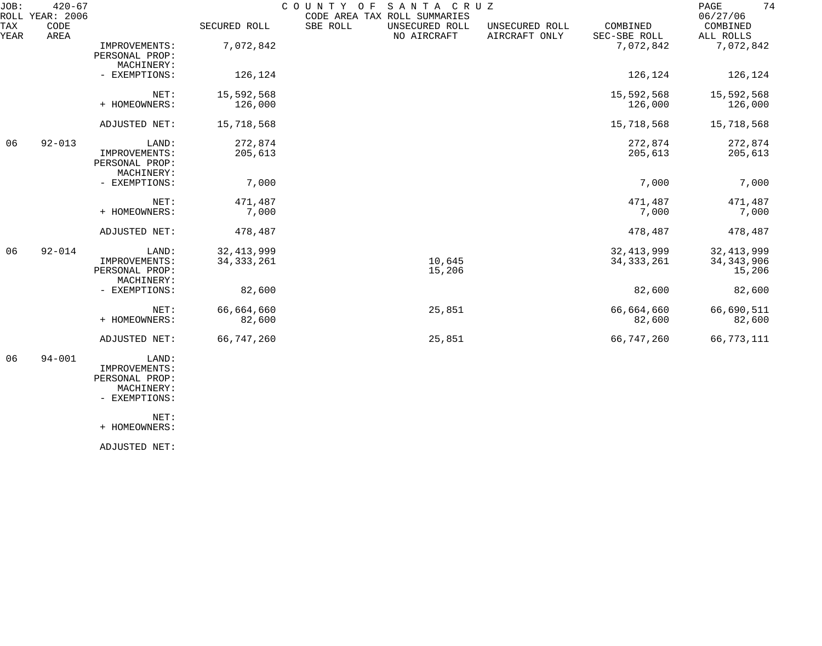| JOB:               | $420 - 67$<br>ROLL YEAR: 2006 |                                                        |                              | COUNTY OF | SANTA CRUZ<br>CODE AREA TAX ROLL SUMMARIES |                                 |                              | 74<br>PAGE<br>06/27/06                 |
|--------------------|-------------------------------|--------------------------------------------------------|------------------------------|-----------|--------------------------------------------|---------------------------------|------------------------------|----------------------------------------|
| <b>TAX</b><br>YEAR | CODE<br>AREA                  |                                                        | SECURED ROLL                 | SBE ROLL  | UNSECURED ROLL<br>NO AIRCRAFT              | UNSECURED ROLL<br>AIRCRAFT ONLY | COMBINED<br>SEC-SBE ROLL     | COMBINED<br>ALL ROLLS                  |
|                    |                               | IMPROVEMENTS:<br>PERSONAL PROP:                        | 7,072,842                    |           |                                            |                                 | 7,072,842                    | 7,072,842                              |
|                    |                               | MACHINERY:<br>- EXEMPTIONS:                            | 126,124                      |           |                                            |                                 | 126,124                      | 126,124                                |
|                    |                               | NET:<br>+ HOMEOWNERS:                                  | 15,592,568<br>126,000        |           |                                            |                                 | 15,592,568<br>126,000        | 15,592,568<br>126,000                  |
|                    |                               | ADJUSTED NET:                                          | 15,718,568                   |           |                                            |                                 | 15,718,568                   | 15,718,568                             |
| 06                 | $92 - 013$                    | LAND:<br>IMPROVEMENTS:<br>PERSONAL PROP:<br>MACHINERY: | 272,874<br>205,613           |           |                                            |                                 | 272,874<br>205,613           | 272,874<br>205,613                     |
|                    |                               | - EXEMPTIONS:                                          | 7,000                        |           |                                            |                                 | 7,000                        | 7,000                                  |
|                    |                               | NET:<br>+ HOMEOWNERS:                                  | 471,487<br>7,000             |           |                                            |                                 | 471,487<br>7,000             | 471,487<br>7,000                       |
|                    |                               | ADJUSTED NET:                                          | 478,487                      |           |                                            |                                 | 478,487                      | 478,487                                |
| 06                 | $92 - 014$                    | LAND:<br>IMPROVEMENTS:<br>PERSONAL PROP:<br>MACHINERY: | 32, 413, 999<br>34, 333, 261 |           | 10,645<br>15,206                           |                                 | 32, 413, 999<br>34, 333, 261 | 32, 413, 999<br>34, 343, 906<br>15,206 |
|                    |                               | - EXEMPTIONS:                                          | 82,600                       |           |                                            |                                 | 82,600                       | 82,600                                 |
|                    |                               | NET:<br>+ HOMEOWNERS:                                  | 66,664,660<br>82,600         |           | 25,851                                     |                                 | 66,664,660<br>82,600         | 66,690,511<br>82,600                   |
|                    |                               | ADJUSTED NET:                                          | 66,747,260                   |           | 25,851                                     |                                 | 66,747,260                   | 66,773,111                             |
| 06                 | $94 - 001$                    | LAND:                                                  |                              |           |                                            |                                 |                              |                                        |

 IMPROVEMENTS: PERSONAL PROP:

 MACHINERY: - EXEMPTIONS:

NET:

+ HOMEOWNERS:

ADJUSTED NET: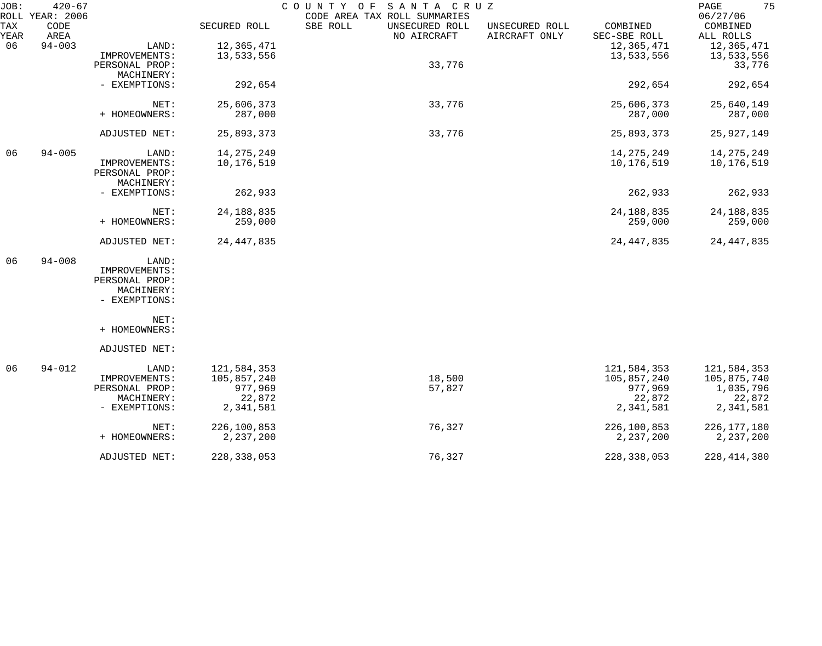| ROLL YEAR: 2006<br>06/27/06<br>TAX<br>CODE<br>SECURED ROLL<br>SBE ROLL<br>UNSECURED ROLL<br>UNSECURED ROLL<br>COMBINED<br>AIRCRAFT ONLY<br>SEC-SBE ROLL<br>YEAR<br>AREA<br>NO AIRCRAFT<br>ALL ROLLS<br>12,365,471<br>$94 - 003$<br>LAND:<br>12,365,471<br>06<br>13,533,556<br>13,533,556<br>IMPROVEMENTS:<br>33,776<br>PERSONAL PROP:<br>MACHINERY:<br>292,654<br>292,654<br>- EXEMPTIONS:<br>33,776<br>25,606,373<br>25,606,373<br>NET:<br>+ HOMEOWNERS:<br>287,000<br>287,000<br>25,893,373<br>33,776<br>25,893,373<br>ADJUSTED NET:<br>14, 275, 249<br>14, 275, 249<br>06<br>$94 - 005$<br>LAND:<br>10,176,519<br>10,176,519<br>IMPROVEMENTS:<br>PERSONAL PROP:<br>MACHINERY:<br>262,933<br>262,933<br>- EXEMPTIONS:<br>24, 188, 835<br>24, 188, 835<br>NET:<br>+ HOMEOWNERS:<br>259,000<br>259,000<br>24, 447, 835<br>ADJUSTED NET:<br>24, 447, 835<br>06<br>$94 - 008$<br>LAND:<br>IMPROVEMENTS:<br>PERSONAL PROP:<br>MACHINERY:<br>- EXEMPTIONS:<br>NET:<br>+ HOMEOWNERS:<br>ADJUSTED NET:<br>06<br>$94 - 012$<br>121,584,353<br>LAND:<br>121,584,353<br>105,857,240<br>105,857,240<br>18,500<br>IMPROVEMENTS:<br>977,969<br>977,969<br>57,827<br>PERSONAL PROP:<br>22,872<br>22,872<br>MACHINERY:<br>2,341,581<br>2,341,581<br>- EXEMPTIONS: | 75<br>PAGE    |  | SANTA CRUZ<br>COUNTY OF      |  | $420 - 67$ | JOB: |
|-----------------------------------------------------------------------------------------------------------------------------------------------------------------------------------------------------------------------------------------------------------------------------------------------------------------------------------------------------------------------------------------------------------------------------------------------------------------------------------------------------------------------------------------------------------------------------------------------------------------------------------------------------------------------------------------------------------------------------------------------------------------------------------------------------------------------------------------------------------------------------------------------------------------------------------------------------------------------------------------------------------------------------------------------------------------------------------------------------------------------------------------------------------------------------------------------------------------------------------------------------|---------------|--|------------------------------|--|------------|------|
|                                                                                                                                                                                                                                                                                                                                                                                                                                                                                                                                                                                                                                                                                                                                                                                                                                                                                                                                                                                                                                                                                                                                                                                                                                                     | COMBINED      |  | CODE AREA TAX ROLL SUMMARIES |  |            |      |
|                                                                                                                                                                                                                                                                                                                                                                                                                                                                                                                                                                                                                                                                                                                                                                                                                                                                                                                                                                                                                                                                                                                                                                                                                                                     | 12,365,471    |  |                              |  |            |      |
|                                                                                                                                                                                                                                                                                                                                                                                                                                                                                                                                                                                                                                                                                                                                                                                                                                                                                                                                                                                                                                                                                                                                                                                                                                                     | 13,533,556    |  |                              |  |            |      |
|                                                                                                                                                                                                                                                                                                                                                                                                                                                                                                                                                                                                                                                                                                                                                                                                                                                                                                                                                                                                                                                                                                                                                                                                                                                     | 33,776        |  |                              |  |            |      |
|                                                                                                                                                                                                                                                                                                                                                                                                                                                                                                                                                                                                                                                                                                                                                                                                                                                                                                                                                                                                                                                                                                                                                                                                                                                     |               |  |                              |  |            |      |
|                                                                                                                                                                                                                                                                                                                                                                                                                                                                                                                                                                                                                                                                                                                                                                                                                                                                                                                                                                                                                                                                                                                                                                                                                                                     | 292,654       |  |                              |  |            |      |
|                                                                                                                                                                                                                                                                                                                                                                                                                                                                                                                                                                                                                                                                                                                                                                                                                                                                                                                                                                                                                                                                                                                                                                                                                                                     |               |  |                              |  |            |      |
|                                                                                                                                                                                                                                                                                                                                                                                                                                                                                                                                                                                                                                                                                                                                                                                                                                                                                                                                                                                                                                                                                                                                                                                                                                                     | 25,640,149    |  |                              |  |            |      |
|                                                                                                                                                                                                                                                                                                                                                                                                                                                                                                                                                                                                                                                                                                                                                                                                                                                                                                                                                                                                                                                                                                                                                                                                                                                     | 287,000       |  |                              |  |            |      |
|                                                                                                                                                                                                                                                                                                                                                                                                                                                                                                                                                                                                                                                                                                                                                                                                                                                                                                                                                                                                                                                                                                                                                                                                                                                     | 25,927,149    |  |                              |  |            |      |
|                                                                                                                                                                                                                                                                                                                                                                                                                                                                                                                                                                                                                                                                                                                                                                                                                                                                                                                                                                                                                                                                                                                                                                                                                                                     |               |  |                              |  |            |      |
|                                                                                                                                                                                                                                                                                                                                                                                                                                                                                                                                                                                                                                                                                                                                                                                                                                                                                                                                                                                                                                                                                                                                                                                                                                                     | 14, 275, 249  |  |                              |  |            |      |
|                                                                                                                                                                                                                                                                                                                                                                                                                                                                                                                                                                                                                                                                                                                                                                                                                                                                                                                                                                                                                                                                                                                                                                                                                                                     | 10,176,519    |  |                              |  |            |      |
|                                                                                                                                                                                                                                                                                                                                                                                                                                                                                                                                                                                                                                                                                                                                                                                                                                                                                                                                                                                                                                                                                                                                                                                                                                                     |               |  |                              |  |            |      |
|                                                                                                                                                                                                                                                                                                                                                                                                                                                                                                                                                                                                                                                                                                                                                                                                                                                                                                                                                                                                                                                                                                                                                                                                                                                     |               |  |                              |  |            |      |
|                                                                                                                                                                                                                                                                                                                                                                                                                                                                                                                                                                                                                                                                                                                                                                                                                                                                                                                                                                                                                                                                                                                                                                                                                                                     | 262,933       |  |                              |  |            |      |
|                                                                                                                                                                                                                                                                                                                                                                                                                                                                                                                                                                                                                                                                                                                                                                                                                                                                                                                                                                                                                                                                                                                                                                                                                                                     | 24, 188, 835  |  |                              |  |            |      |
|                                                                                                                                                                                                                                                                                                                                                                                                                                                                                                                                                                                                                                                                                                                                                                                                                                                                                                                                                                                                                                                                                                                                                                                                                                                     | 259,000       |  |                              |  |            |      |
|                                                                                                                                                                                                                                                                                                                                                                                                                                                                                                                                                                                                                                                                                                                                                                                                                                                                                                                                                                                                                                                                                                                                                                                                                                                     | 24, 447, 835  |  |                              |  |            |      |
|                                                                                                                                                                                                                                                                                                                                                                                                                                                                                                                                                                                                                                                                                                                                                                                                                                                                                                                                                                                                                                                                                                                                                                                                                                                     |               |  |                              |  |            |      |
|                                                                                                                                                                                                                                                                                                                                                                                                                                                                                                                                                                                                                                                                                                                                                                                                                                                                                                                                                                                                                                                                                                                                                                                                                                                     |               |  |                              |  |            |      |
|                                                                                                                                                                                                                                                                                                                                                                                                                                                                                                                                                                                                                                                                                                                                                                                                                                                                                                                                                                                                                                                                                                                                                                                                                                                     |               |  |                              |  |            |      |
|                                                                                                                                                                                                                                                                                                                                                                                                                                                                                                                                                                                                                                                                                                                                                                                                                                                                                                                                                                                                                                                                                                                                                                                                                                                     |               |  |                              |  |            |      |
|                                                                                                                                                                                                                                                                                                                                                                                                                                                                                                                                                                                                                                                                                                                                                                                                                                                                                                                                                                                                                                                                                                                                                                                                                                                     |               |  |                              |  |            |      |
|                                                                                                                                                                                                                                                                                                                                                                                                                                                                                                                                                                                                                                                                                                                                                                                                                                                                                                                                                                                                                                                                                                                                                                                                                                                     |               |  |                              |  |            |      |
|                                                                                                                                                                                                                                                                                                                                                                                                                                                                                                                                                                                                                                                                                                                                                                                                                                                                                                                                                                                                                                                                                                                                                                                                                                                     |               |  |                              |  |            |      |
|                                                                                                                                                                                                                                                                                                                                                                                                                                                                                                                                                                                                                                                                                                                                                                                                                                                                                                                                                                                                                                                                                                                                                                                                                                                     |               |  |                              |  |            |      |
|                                                                                                                                                                                                                                                                                                                                                                                                                                                                                                                                                                                                                                                                                                                                                                                                                                                                                                                                                                                                                                                                                                                                                                                                                                                     | 121,584,353   |  |                              |  |            |      |
|                                                                                                                                                                                                                                                                                                                                                                                                                                                                                                                                                                                                                                                                                                                                                                                                                                                                                                                                                                                                                                                                                                                                                                                                                                                     | 105,875,740   |  |                              |  |            |      |
|                                                                                                                                                                                                                                                                                                                                                                                                                                                                                                                                                                                                                                                                                                                                                                                                                                                                                                                                                                                                                                                                                                                                                                                                                                                     | 1,035,796     |  |                              |  |            |      |
|                                                                                                                                                                                                                                                                                                                                                                                                                                                                                                                                                                                                                                                                                                                                                                                                                                                                                                                                                                                                                                                                                                                                                                                                                                                     | 22,872        |  |                              |  |            |      |
|                                                                                                                                                                                                                                                                                                                                                                                                                                                                                                                                                                                                                                                                                                                                                                                                                                                                                                                                                                                                                                                                                                                                                                                                                                                     | 2,341,581     |  |                              |  |            |      |
| 226,100,853<br>76,327<br>226,100,853<br>NET:                                                                                                                                                                                                                                                                                                                                                                                                                                                                                                                                                                                                                                                                                                                                                                                                                                                                                                                                                                                                                                                                                                                                                                                                        | 226, 177, 180 |  |                              |  |            |      |
| 2,237,200<br>2,237,200<br>+ HOMEOWNERS:                                                                                                                                                                                                                                                                                                                                                                                                                                                                                                                                                                                                                                                                                                                                                                                                                                                                                                                                                                                                                                                                                                                                                                                                             | 2, 237, 200   |  |                              |  |            |      |
| 76,327<br>228, 338, 053<br>ADJUSTED NET:<br>228,338,053                                                                                                                                                                                                                                                                                                                                                                                                                                                                                                                                                                                                                                                                                                                                                                                                                                                                                                                                                                                                                                                                                                                                                                                             | 228, 414, 380 |  |                              |  |            |      |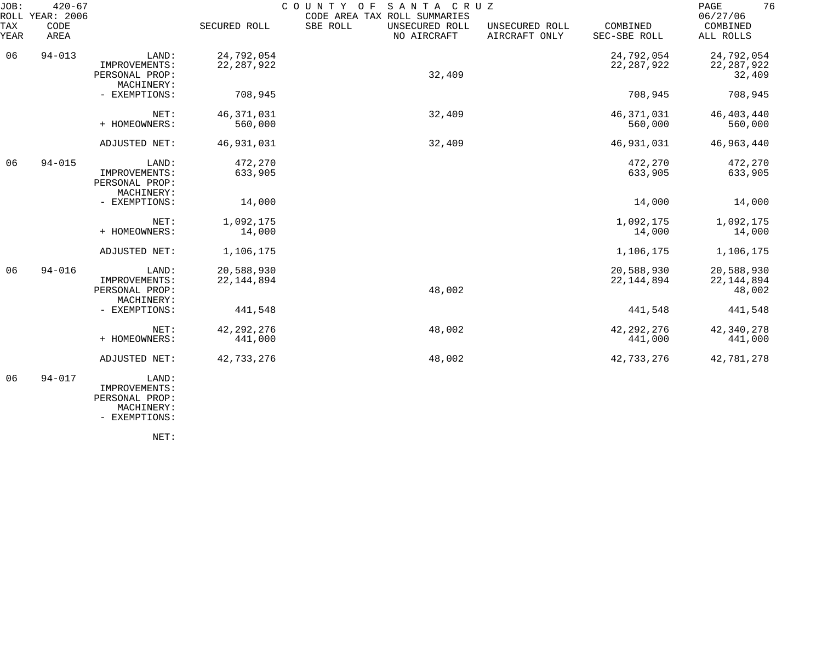| JOB:        | $420 - 67$<br>ROLL YEAR: 2006 |                                                        |                            | COUNTY<br>O F<br>SANTA CRUZ<br>CODE AREA TAX ROLL SUMMARIES |                                 |                            | 76<br>PAGE<br>06/27/06               |
|-------------|-------------------------------|--------------------------------------------------------|----------------------------|-------------------------------------------------------------|---------------------------------|----------------------------|--------------------------------------|
| TAX<br>YEAR | CODE<br>AREA                  |                                                        | SECURED ROLL               | SBE ROLL<br>UNSECURED ROLL<br>NO AIRCRAFT                   | UNSECURED ROLL<br>AIRCRAFT ONLY | COMBINED<br>SEC-SBE ROLL   | COMBINED<br>ALL ROLLS                |
| 06          | $94 - 013$                    | LAND:<br>IMPROVEMENTS:<br>PERSONAL PROP:<br>MACHINERY: | 24,792,054<br>22, 287, 922 | 32,409                                                      |                                 | 24,792,054<br>22, 287, 922 | 24,792,054<br>22, 287, 922<br>32,409 |
|             |                               | - EXEMPTIONS:                                          | 708,945                    |                                                             |                                 | 708,945                    | 708,945                              |
|             |                               | NET:<br>+ HOMEOWNERS:                                  | 46, 371, 031<br>560,000    | 32,409                                                      |                                 | 46, 371, 031<br>560,000    | 46, 403, 440<br>560,000              |
|             |                               | ADJUSTED NET:                                          | 46,931,031                 | 32,409                                                      |                                 | 46,931,031                 | 46,963,440                           |
| 06          | $94 - 015$                    | LAND:<br>IMPROVEMENTS:<br>PERSONAL PROP:<br>MACHINERY: | 472,270<br>633,905         |                                                             |                                 | 472,270<br>633,905         | 472,270<br>633,905                   |
|             |                               | - EXEMPTIONS:                                          | 14,000                     |                                                             |                                 | 14,000                     | 14,000                               |
|             |                               | NET:<br>+ HOMEOWNERS:                                  | 1,092,175<br>14,000        |                                                             |                                 | 1,092,175<br>14,000        | 1,092,175<br>14,000                  |
|             |                               | ADJUSTED NET:                                          | 1,106,175                  |                                                             |                                 | 1,106,175                  | 1,106,175                            |
| 06          | $94 - 016$                    | LAND:<br>IMPROVEMENTS:<br>PERSONAL PROP:<br>MACHINERY: | 20,588,930<br>22, 144, 894 | 48,002                                                      |                                 | 20,588,930<br>22, 144, 894 | 20,588,930<br>22, 144, 894<br>48,002 |
|             |                               | - EXEMPTIONS:                                          | 441,548                    |                                                             |                                 | 441,548                    | 441,548                              |
|             |                               | NET:<br>+ HOMEOWNERS:                                  | 42, 292, 276<br>441,000    | 48,002                                                      |                                 | 42, 292, 276<br>441,000    | 42,340,278<br>441,000                |
|             |                               | ADJUSTED NET:                                          | 42,733,276                 | 48,002                                                      |                                 | 42,733,276                 | 42,781,278                           |
| 06          | $94 - 017$                    | LAND:<br>IMPROVEMENTS:                                 |                            |                                                             |                                 |                            |                                      |

 PERSONAL PROP: MACHINERY:

- EXEMPTIONS:

NET: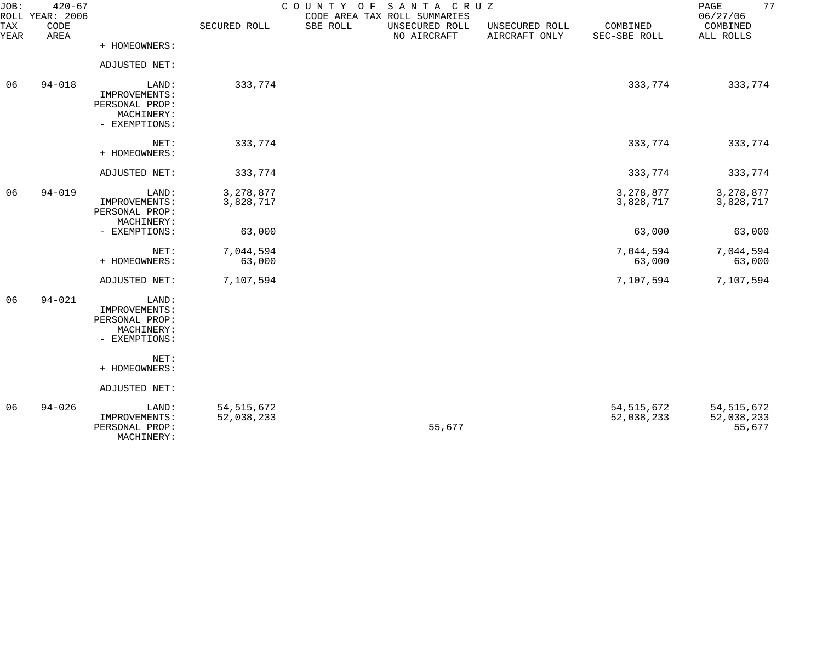| JOB:        | $420 - 67$<br>ROLL YEAR: 2006 |                                                                         |                            | COUNTY OF SANTA CRUZ | CODE AREA TAX ROLL SUMMARIES  |                                 |                            | 77<br>PAGE<br>06/27/06               |
|-------------|-------------------------------|-------------------------------------------------------------------------|----------------------------|----------------------|-------------------------------|---------------------------------|----------------------------|--------------------------------------|
| TAX<br>YEAR | CODE<br>AREA                  |                                                                         | SECURED ROLL               | SBE ROLL             | UNSECURED ROLL<br>NO AIRCRAFT | UNSECURED ROLL<br>AIRCRAFT ONLY | COMBINED<br>SEC-SBE ROLL   | COMBINED<br>ALL ROLLS                |
|             |                               | + HOMEOWNERS:                                                           |                            |                      |                               |                                 |                            |                                      |
|             |                               | ADJUSTED NET:                                                           |                            |                      |                               |                                 |                            |                                      |
| 06          | $94 - 018$                    | LAND:<br>IMPROVEMENTS:<br>PERSONAL PROP:<br>MACHINERY:<br>- EXEMPTIONS: | 333,774                    |                      |                               |                                 | 333,774                    | 333,774                              |
|             |                               | NET:<br>+ HOMEOWNERS:                                                   | 333,774                    |                      |                               |                                 | 333,774                    | 333,774                              |
|             |                               | ADJUSTED NET:                                                           | 333,774                    |                      |                               |                                 | 333,774                    | 333,774                              |
| 06          | $94 - 019$                    | LAND:<br>IMPROVEMENTS:<br>PERSONAL PROP:<br>MACHINERY:                  | 3,278,877<br>3,828,717     |                      |                               |                                 | 3,278,877<br>3,828,717     | 3, 278, 877<br>3,828,717             |
|             |                               | - EXEMPTIONS:                                                           | 63,000                     |                      |                               |                                 | 63,000                     | 63,000                               |
|             |                               | NET:<br>+ HOMEOWNERS:                                                   | 7,044,594<br>63,000        |                      |                               |                                 | 7,044,594<br>63,000        | 7,044,594<br>63,000                  |
|             |                               | ADJUSTED NET:                                                           | 7,107,594                  |                      |                               |                                 | 7,107,594                  | 7,107,594                            |
| 06          | $94 - 021$                    | LAND:<br>IMPROVEMENTS:<br>PERSONAL PROP:<br>MACHINERY:<br>- EXEMPTIONS: |                            |                      |                               |                                 |                            |                                      |
|             |                               | NET:<br>+ HOMEOWNERS:                                                   |                            |                      |                               |                                 |                            |                                      |
|             |                               | ADJUSTED NET:                                                           |                            |                      |                               |                                 |                            |                                      |
| 06          | $94 - 026$                    | LAND:<br>IMPROVEMENTS:<br>PERSONAL PROP:                                | 54, 515, 672<br>52,038,233 |                      | 55,677                        |                                 | 54, 515, 672<br>52,038,233 | 54, 515, 672<br>52,038,233<br>55,677 |

MACHINERY: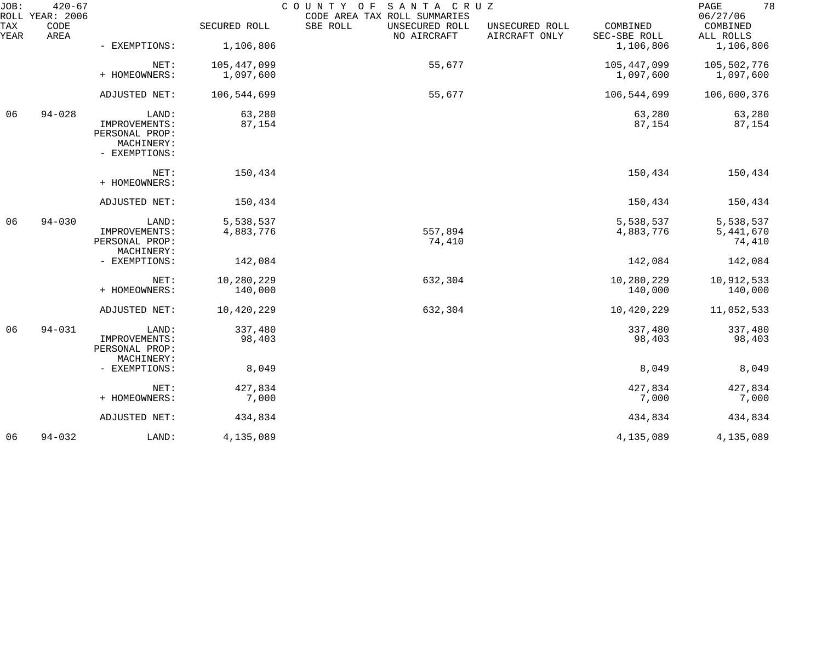| JOB:        | $420 - 67$<br>ROLL YEAR: 2006 |                                 |              | COUNTY OF<br>SANTA CRUZ<br>CODE AREA TAX ROLL SUMMARIES |                                 |                          | 78<br>PAGE<br>06/27/06 |
|-------------|-------------------------------|---------------------------------|--------------|---------------------------------------------------------|---------------------------------|--------------------------|------------------------|
| TAX<br>YEAR | CODE<br>AREA                  |                                 | SECURED ROLL | SBE ROLL<br>UNSECURED ROLL<br>NO AIRCRAFT               | UNSECURED ROLL<br>AIRCRAFT ONLY | COMBINED<br>SEC-SBE ROLL | COMBINED<br>ALL ROLLS  |
|             |                               | - EXEMPTIONS:                   | 1,106,806    |                                                         |                                 | 1,106,806                | 1,106,806              |
|             |                               | NET:                            | 105,447,099  | 55,677                                                  |                                 | 105,447,099              | 105,502,776            |
|             |                               | + HOMEOWNERS:                   | 1,097,600    |                                                         |                                 | 1,097,600                | 1,097,600              |
|             |                               | ADJUSTED NET:                   | 106,544,699  | 55,677                                                  |                                 | 106,544,699              | 106,600,376            |
| 06          | $94 - 028$                    | LAND:                           | 63,280       |                                                         |                                 | 63,280                   | 63,280                 |
|             |                               | IMPROVEMENTS:<br>PERSONAL PROP: | 87,154       |                                                         |                                 | 87,154                   | 87,154                 |
|             |                               | MACHINERY:                      |              |                                                         |                                 |                          |                        |
|             |                               | - EXEMPTIONS:                   |              |                                                         |                                 |                          |                        |
|             |                               | NET:<br>+ HOMEOWNERS:           | 150,434      |                                                         |                                 | 150,434                  | 150,434                |
|             |                               | ADJUSTED NET:                   | 150,434      |                                                         |                                 | 150,434                  | 150,434                |
| 06          | $94 - 030$                    | LAND:                           | 5,538,537    |                                                         |                                 | 5,538,537                | 5,538,537              |
|             |                               | IMPROVEMENTS:                   | 4,883,776    | 557,894                                                 |                                 | 4,883,776                | 5,441,670              |
|             |                               | PERSONAL PROP:<br>MACHINERY:    |              | 74,410                                                  |                                 |                          | 74,410                 |
|             |                               | - EXEMPTIONS:                   | 142,084      |                                                         |                                 | 142,084                  | 142,084                |
|             |                               | NET:                            | 10,280,229   | 632,304                                                 |                                 | 10,280,229               | 10,912,533             |
|             |                               | + HOMEOWNERS:                   | 140,000      |                                                         |                                 | 140,000                  | 140,000                |
|             |                               | ADJUSTED NET:                   | 10,420,229   | 632,304                                                 |                                 | 10,420,229               | 11,052,533             |
| 06          | $94 - 031$                    | LAND:                           | 337,480      |                                                         |                                 | 337,480                  | 337,480                |
|             |                               | IMPROVEMENTS:<br>PERSONAL PROP: | 98,403       |                                                         |                                 | 98,403                   | 98,403                 |
|             |                               | MACHINERY:                      |              |                                                         |                                 |                          |                        |
|             |                               | - EXEMPTIONS:                   | 8,049        |                                                         |                                 | 8,049                    | 8,049                  |
|             |                               | NET:                            | 427,834      |                                                         |                                 | 427,834                  | 427,834                |
|             |                               | + HOMEOWNERS:                   | 7,000        |                                                         |                                 | 7,000                    | 7,000                  |
|             |                               | ADJUSTED NET:                   | 434,834      |                                                         |                                 | 434,834                  | 434,834                |
| 06          | $94 - 032$                    | LAND:                           | 4,135,089    |                                                         |                                 | 4,135,089                | 4,135,089              |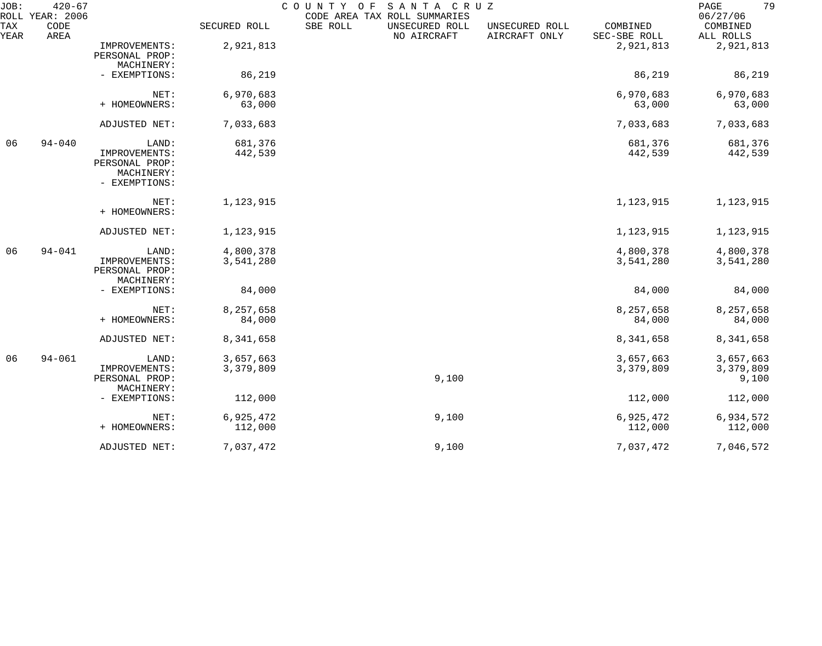| JOB:        | $420 - 67$<br>ROLL YEAR: 2006 |                                                                |                        | SANTA CRUZ<br>COUNTY OF<br>CODE AREA TAX ROLL SUMMARIES |                                 |                          | 79<br>PAGE<br>06/27/06          |
|-------------|-------------------------------|----------------------------------------------------------------|------------------------|---------------------------------------------------------|---------------------------------|--------------------------|---------------------------------|
| TAX<br>YEAR | CODE<br>AREA                  |                                                                | SECURED ROLL           | SBE ROLL<br>UNSECURED ROLL<br>NO AIRCRAFT               | UNSECURED ROLL<br>AIRCRAFT ONLY | COMBINED<br>SEC-SBE ROLL | COMBINED<br>ALL ROLLS           |
|             |                               | IMPROVEMENTS:<br>PERSONAL PROP:<br>MACHINERY:                  | 2,921,813              |                                                         |                                 | 2,921,813                | 2,921,813                       |
|             |                               | - EXEMPTIONS:                                                  | 86,219                 |                                                         |                                 | 86,219                   | 86,219                          |
|             |                               | NET:<br>+ HOMEOWNERS:                                          | 6,970,683<br>63,000    |                                                         |                                 | 6,970,683<br>63,000      | 6,970,683<br>63,000             |
|             |                               | ADJUSTED NET:                                                  | 7,033,683              |                                                         |                                 | 7,033,683                | 7,033,683                       |
| 06          | $94 - 040$                    | LAND:                                                          | 681,376                |                                                         |                                 | 681,376                  | 681,376                         |
|             |                               | IMPROVEMENTS:<br>PERSONAL PROP:<br>MACHINERY:<br>- EXEMPTIONS: | 442,539                |                                                         |                                 | 442,539                  | 442,539                         |
|             |                               | NET:<br>+ HOMEOWNERS:                                          | 1,123,915              |                                                         |                                 | 1,123,915                | 1,123,915                       |
|             |                               | ADJUSTED NET:                                                  | 1,123,915              |                                                         |                                 | 1,123,915                | 1,123,915                       |
| 06          | $94 - 041$                    | LAND:<br>IMPROVEMENTS:<br>PERSONAL PROP:<br>MACHINERY:         | 4,800,378<br>3,541,280 |                                                         |                                 | 4,800,378<br>3,541,280   | 4,800,378<br>3,541,280          |
|             |                               | - EXEMPTIONS:                                                  | 84,000                 |                                                         |                                 | 84,000                   | 84,000                          |
|             |                               | NET:<br>+ HOMEOWNERS:                                          | 8,257,658<br>84,000    |                                                         |                                 | 8,257,658<br>84,000      | 8,257,658<br>84,000             |
|             |                               | ADJUSTED NET:                                                  | 8,341,658              |                                                         |                                 | 8,341,658                | 8,341,658                       |
| 06          | $94 - 061$                    | LAND:<br>IMPROVEMENTS:<br>PERSONAL PROP:<br>MACHINERY:         | 3,657,663<br>3,379,809 | 9,100                                                   |                                 | 3,657,663<br>3,379,809   | 3,657,663<br>3,379,809<br>9,100 |
|             |                               | - EXEMPTIONS:                                                  | 112,000                |                                                         |                                 | 112,000                  | 112,000                         |
|             |                               | NET:<br>+ HOMEOWNERS:                                          | 6,925,472<br>112,000   | 9,100                                                   |                                 | 6,925,472<br>112,000     | 6,934,572<br>112,000            |
|             |                               | ADJUSTED NET:                                                  | 7,037,472              | 9,100                                                   |                                 | 7,037,472                | 7,046,572                       |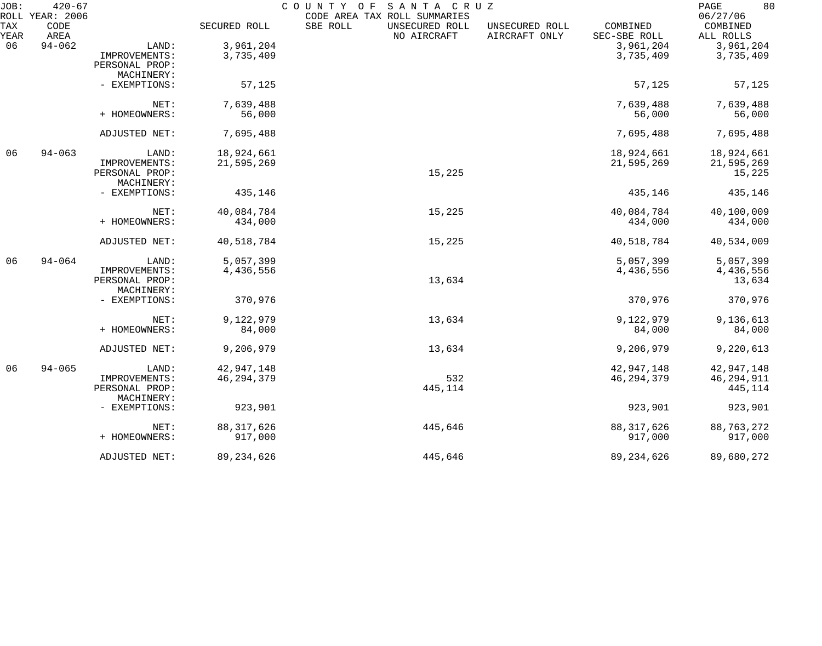| JOB:        | $420 - 67$<br>ROLL YEAR: 2006 |                              |              | COUNTY OF<br>SANTA CRUZ<br>CODE AREA TAX ROLL SUMMARIES |                                 |                          | 80<br>PAGE<br>06/27/06 |
|-------------|-------------------------------|------------------------------|--------------|---------------------------------------------------------|---------------------------------|--------------------------|------------------------|
| TAX<br>YEAR | CODE<br>AREA                  |                              | SECURED ROLL | SBE ROLL<br>UNSECURED ROLL<br>NO AIRCRAFT               | UNSECURED ROLL<br>AIRCRAFT ONLY | COMBINED<br>SEC-SBE ROLL | COMBINED<br>ALL ROLLS  |
| 06          | $94 - 062$                    | LAND:                        | 3,961,204    |                                                         |                                 | 3,961,204                | 3,961,204              |
|             |                               | IMPROVEMENTS:                | 3,735,409    |                                                         |                                 | 3,735,409                | 3,735,409              |
|             |                               | PERSONAL PROP:               |              |                                                         |                                 |                          |                        |
|             |                               | MACHINERY:                   |              |                                                         |                                 |                          |                        |
|             |                               | - EXEMPTIONS:                | 57,125       |                                                         |                                 | 57,125                   | 57,125                 |
|             |                               | NET:                         | 7,639,488    |                                                         |                                 | 7,639,488                | 7,639,488              |
|             |                               | + HOMEOWNERS:                | 56,000       |                                                         |                                 | 56,000                   | 56,000                 |
|             |                               | ADJUSTED NET:                | 7,695,488    |                                                         |                                 | 7,695,488                | 7,695,488              |
| 06          | $94 - 063$                    | LAND:                        | 18,924,661   |                                                         |                                 | 18,924,661               | 18,924,661             |
|             |                               | IMPROVEMENTS:                | 21,595,269   |                                                         |                                 | 21,595,269               | 21,595,269             |
|             |                               | PERSONAL PROP:               |              | 15,225                                                  |                                 |                          | 15,225                 |
|             |                               | MACHINERY:                   |              |                                                         |                                 |                          |                        |
|             |                               | - EXEMPTIONS:                | 435,146      |                                                         |                                 | 435,146                  | 435,146                |
|             |                               | NET:                         | 40,084,784   | 15,225                                                  |                                 | 40,084,784               | 40,100,009             |
|             |                               | + HOMEOWNERS:                | 434,000      |                                                         |                                 | 434,000                  | 434,000                |
|             |                               | ADJUSTED NET:                | 40,518,784   | 15,225                                                  |                                 | 40,518,784               | 40,534,009             |
| 06          | $94 - 064$                    | LAND:                        | 5,057,399    |                                                         |                                 | 5,057,399                | 5,057,399              |
|             |                               | IMPROVEMENTS:                | 4,436,556    |                                                         |                                 | 4,436,556                | 4,436,556              |
|             |                               | PERSONAL PROP:               |              | 13,634                                                  |                                 |                          | 13,634                 |
|             |                               | MACHINERY:                   |              |                                                         |                                 |                          |                        |
|             |                               | - EXEMPTIONS:                | 370,976      |                                                         |                                 | 370,976                  | 370,976                |
|             |                               | NET:                         | 9,122,979    | 13,634                                                  |                                 | 9,122,979                | 9,136,613              |
|             |                               | + HOMEOWNERS:                | 84,000       |                                                         |                                 | 84,000                   | 84,000                 |
|             |                               | ADJUSTED NET:                | 9,206,979    | 13,634                                                  |                                 | 9,206,979                | 9,220,613              |
| 06          | $94 - 065$                    | LAND:                        | 42,947,148   |                                                         |                                 | 42,947,148               | 42,947,148             |
|             |                               | IMPROVEMENTS:                | 46, 294, 379 | 532                                                     |                                 | 46, 294, 379             | 46,294,911             |
|             |                               | PERSONAL PROP:<br>MACHINERY: |              | 445,114                                                 |                                 |                          | 445,114                |
|             |                               | - EXEMPTIONS:                | 923,901      |                                                         |                                 | 923,901                  | 923,901                |
|             |                               | NET:                         | 88, 317, 626 | 445,646                                                 |                                 | 88, 317, 626             | 88,763,272             |
|             |                               | + HOMEOWNERS:                | 917,000      |                                                         |                                 | 917,000                  | 917,000                |
|             |                               | ADJUSTED NET:                | 89, 234, 626 | 445,646                                                 |                                 | 89, 234, 626             | 89,680,272             |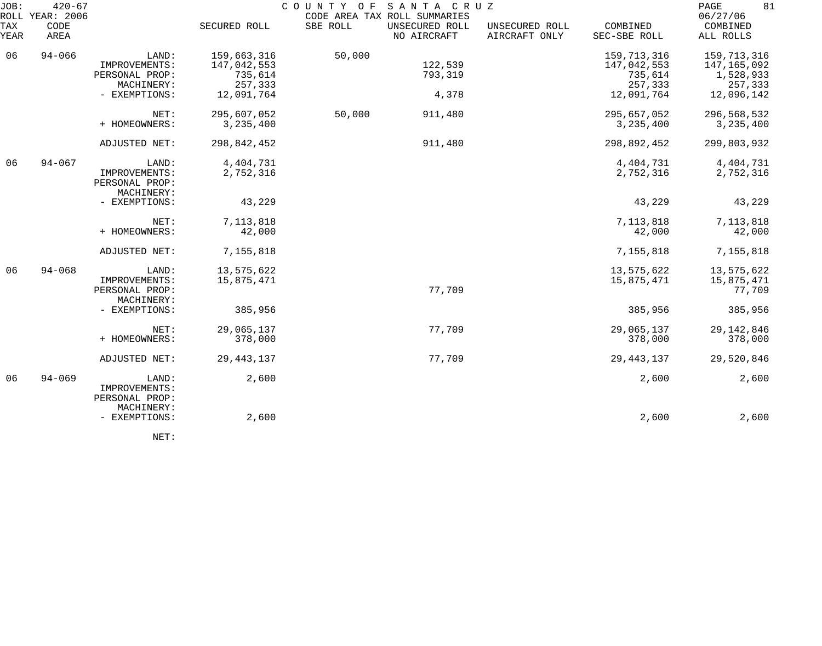| JOB:<br>ROLL | $420 - 67$<br>YEAR: 2006 |                                                        |                                       | COUNTY OF | SANTA CRUZ<br>CODE AREA TAX ROLL SUMMARIES |                                 |                                       | 81<br>PAGE<br>06/27/06                  |
|--------------|--------------------------|--------------------------------------------------------|---------------------------------------|-----------|--------------------------------------------|---------------------------------|---------------------------------------|-----------------------------------------|
| TAX<br>YEAR  | CODE<br>AREA             |                                                        | SECURED ROLL                          | SBE ROLL  | UNSECURED ROLL<br>NO AIRCRAFT              | UNSECURED ROLL<br>AIRCRAFT ONLY | COMBINED<br>SEC-SBE ROLL              | COMBINED<br>ALL ROLLS                   |
| 06           | $94 - 066$               | LAND:<br>IMPROVEMENTS:<br>PERSONAL PROP:               | 159,663,316<br>147,042,553<br>735,614 | 50,000    | 122,539<br>793,319                         |                                 | 159,713,316<br>147,042,553<br>735,614 | 159,713,316<br>147,165,092<br>1,528,933 |
|              |                          | MACHINERY:<br>- EXEMPTIONS:                            | 257,333<br>12,091,764                 |           | 4,378                                      |                                 | 257,333<br>12,091,764                 | 257,333<br>12,096,142                   |
|              |                          | NET:<br>+ HOMEOWNERS:                                  | 295,607,052<br>3, 235, 400            | 50,000    | 911,480                                    |                                 | 295,657,052<br>3, 235, 400            | 296,568,532<br>3, 235, 400              |
|              |                          | ADJUSTED NET:                                          | 298,842,452                           |           | 911,480                                    |                                 | 298,892,452                           | 299,803,932                             |
| 06           | $94 - 067$               | LAND:<br>IMPROVEMENTS:<br>PERSONAL PROP:<br>MACHINERY: | 4,404,731<br>2,752,316                |           |                                            |                                 | 4, 404, 731<br>2,752,316              | 4, 404, 731<br>2,752,316                |
|              |                          | - EXEMPTIONS:                                          | 43,229                                |           |                                            |                                 | 43,229                                | 43,229                                  |
|              |                          | NET:<br>+ HOMEOWNERS:                                  | 7, 113, 818<br>42,000                 |           |                                            |                                 | 7, 113, 818<br>42,000                 | 7, 113, 818<br>42,000                   |
|              |                          | ADJUSTED NET:                                          | 7,155,818                             |           |                                            |                                 | 7,155,818                             | 7,155,818                               |
| 06           | $94 - 068$               | LAND:<br>IMPROVEMENTS:<br>PERSONAL PROP:<br>MACHINERY: | 13,575,622<br>15,875,471              |           | 77,709                                     |                                 | 13,575,622<br>15,875,471              | 13,575,622<br>15,875,471<br>77,709      |
|              |                          | - EXEMPTIONS:                                          | 385,956                               |           |                                            |                                 | 385,956                               | 385,956                                 |
|              |                          | NET:<br>+ HOMEOWNERS:                                  | 29,065,137<br>378,000                 |           | 77,709                                     |                                 | 29,065,137<br>378,000                 | 29, 142, 846<br>378,000                 |
|              |                          | ADJUSTED NET:                                          | 29, 443, 137                          |           | 77,709                                     |                                 | 29, 443, 137                          | 29,520,846                              |
| 06           | $94 - 069$               | LAND:<br>IMPROVEMENTS:<br>PERSONAL PROP:<br>MACHINERY: | 2,600                                 |           |                                            |                                 | 2,600                                 | 2,600                                   |
|              |                          | - EXEMPTIONS:                                          | 2,600                                 |           |                                            |                                 | 2,600                                 | 2,600                                   |

NET: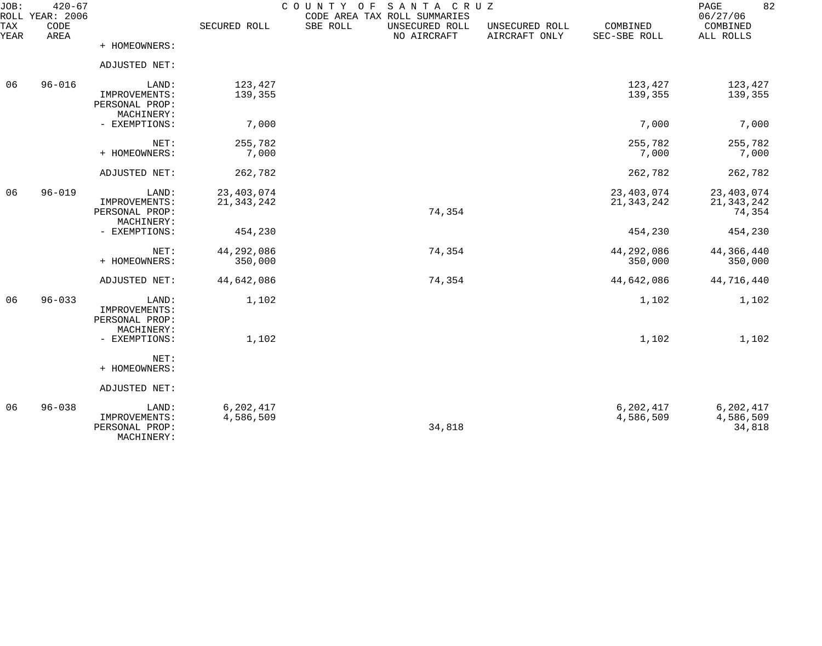| JOB:<br>ROLL | $420 - 67$<br>YEAR: 2006 |                                                        |                        | COUNTY OF<br>SANTA CRUZ<br>CODE AREA TAX ROLL SUMMARIES |                                 |                          | 82<br>PAGE<br>06/27/06           |
|--------------|--------------------------|--------------------------------------------------------|------------------------|---------------------------------------------------------|---------------------------------|--------------------------|----------------------------------|
| TAX<br>YEAR  | CODE<br>AREA             |                                                        | SECURED ROLL           | SBE ROLL<br>UNSECURED ROLL<br>NO AIRCRAFT               | UNSECURED ROLL<br>AIRCRAFT ONLY | COMBINED<br>SEC-SBE ROLL | COMBINED<br>ALL ROLLS            |
|              |                          | + HOMEOWNERS:                                          |                        |                                                         |                                 |                          |                                  |
|              |                          | ADJUSTED NET:                                          |                        |                                                         |                                 |                          |                                  |
| 06           | $96 - 016$               | LAND:                                                  | 123,427                |                                                         |                                 | 123,427                  | 123,427                          |
|              |                          | IMPROVEMENTS:<br>PERSONAL PROP:                        | 139,355                |                                                         |                                 | 139,355                  | 139,355                          |
|              |                          | MACHINERY:<br>- EXEMPTIONS:                            | 7,000                  |                                                         |                                 | 7,000                    | 7,000                            |
|              |                          | NET:                                                   | 255,782                |                                                         |                                 | 255,782                  | 255,782                          |
|              |                          | + HOMEOWNERS:                                          | 7,000                  |                                                         |                                 | 7,000                    | 7,000                            |
|              |                          | ADJUSTED NET:                                          | 262,782                |                                                         |                                 | 262,782                  | 262,782                          |
| 06           | $96 - 019$               | LAND:                                                  | 23, 403, 074           |                                                         |                                 | 23, 403, 074             | 23, 403, 074                     |
|              |                          | IMPROVEMENTS:<br>PERSONAL PROP:<br>MACHINERY:          | 21, 343, 242           | 74,354                                                  |                                 | 21, 343, 242             | 21, 343, 242<br>74,354           |
|              |                          | - EXEMPTIONS:                                          | 454,230                |                                                         |                                 | 454,230                  | 454,230                          |
|              |                          | NET:                                                   | 44,292,086             | 74,354                                                  |                                 | 44,292,086               | 44,366,440                       |
|              |                          | + HOMEOWNERS:                                          | 350,000                |                                                         |                                 | 350,000                  | 350,000                          |
|              |                          | ADJUSTED NET:                                          | 44,642,086             | 74,354                                                  |                                 | 44,642,086               | 44,716,440                       |
| 06           | $96 - 033$               | LAND:<br>IMPROVEMENTS:<br>PERSONAL PROP:<br>MACHINERY: | 1,102                  |                                                         |                                 | 1,102                    | 1,102                            |
|              |                          | - EXEMPTIONS:                                          | 1,102                  |                                                         |                                 | 1,102                    | 1,102                            |
|              |                          | NET:<br>+ HOMEOWNERS:                                  |                        |                                                         |                                 |                          |                                  |
|              |                          | ADJUSTED NET:                                          |                        |                                                         |                                 |                          |                                  |
| 06           | $96 - 038$               | LAND:<br>IMPROVEMENTS:<br>PERSONAL PROP:               | 6,202,417<br>4,586,509 | 34,818                                                  |                                 | 6,202,417<br>4,586,509   | 6,202,417<br>4,586,509<br>34,818 |

MACHINERY: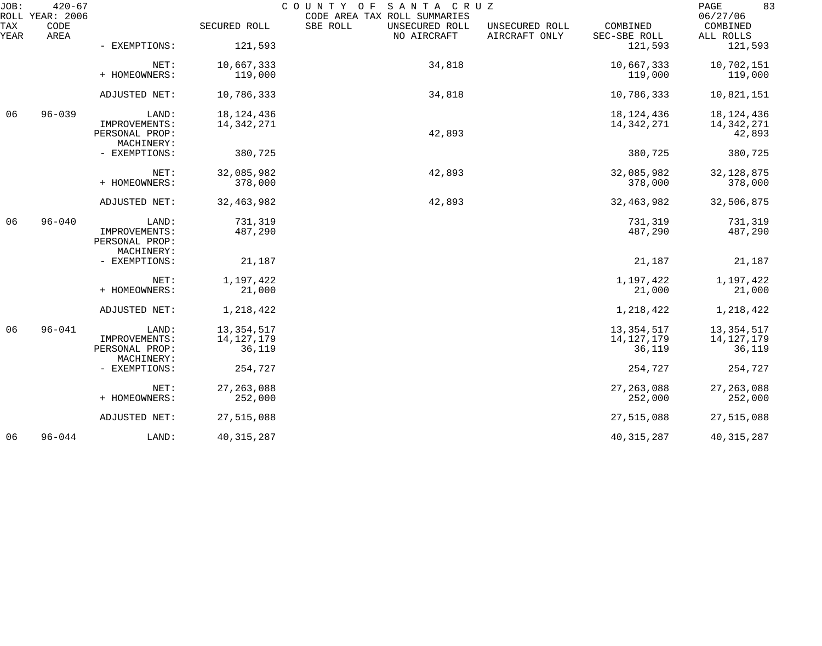| JOB:        | $420 - 67$<br>ROLL YEAR: 2006 |                                               |              | SANTA CRUZ<br>COUNTY OF<br>CODE AREA TAX ROLL SUMMARIES |                                 |                          | 83<br>PAGE<br>06/27/06 |
|-------------|-------------------------------|-----------------------------------------------|--------------|---------------------------------------------------------|---------------------------------|--------------------------|------------------------|
| TAX<br>YEAR | CODE<br>AREA                  |                                               | SECURED ROLL | SBE ROLL<br>UNSECURED ROLL<br>NO AIRCRAFT               | UNSECURED ROLL<br>AIRCRAFT ONLY | COMBINED<br>SEC-SBE ROLL | COMBINED<br>ALL ROLLS  |
|             |                               | - EXEMPTIONS:                                 | 121,593      |                                                         |                                 | 121,593                  | 121,593                |
|             |                               | NET:                                          | 10,667,333   | 34,818                                                  |                                 | 10,667,333               | 10,702,151             |
|             |                               | + HOMEOWNERS:                                 | 119,000      |                                                         |                                 | 119,000                  | 119,000                |
|             |                               | ADJUSTED NET:                                 | 10,786,333   | 34,818                                                  |                                 | 10,786,333               | 10,821,151             |
| 06          | $96 - 039$                    | LAND:                                         | 18, 124, 436 |                                                         |                                 | 18, 124, 436             | 18, 124, 436           |
|             |                               | IMPROVEMENTS:<br>PERSONAL PROP:               | 14,342,271   | 42,893                                                  |                                 | 14, 342, 271             | 14,342,271<br>42,893   |
|             |                               | MACHINERY:                                    |              |                                                         |                                 |                          |                        |
|             |                               | - EXEMPTIONS:                                 | 380,725      |                                                         |                                 | 380,725                  | 380,725                |
|             |                               | NET:                                          | 32,085,982   | 42,893                                                  |                                 | 32,085,982               | 32, 128, 875           |
|             |                               | + HOMEOWNERS:                                 | 378,000      |                                                         |                                 | 378,000                  | 378,000                |
|             |                               | ADJUSTED NET:                                 | 32, 463, 982 | 42,893                                                  |                                 | 32, 463, 982             | 32,506,875             |
| 06          | $96 - 040$                    | LAND:                                         | 731,319      |                                                         |                                 | 731,319                  | 731,319                |
|             |                               | IMPROVEMENTS:<br>PERSONAL PROP:<br>MACHINERY: | 487,290      |                                                         |                                 | 487,290                  | 487,290                |
|             |                               | - EXEMPTIONS:                                 | 21,187       |                                                         |                                 | 21,187                   | 21,187                 |
|             |                               | NET:                                          | 1,197,422    |                                                         |                                 | 1,197,422                | 1,197,422              |
|             |                               | + HOMEOWNERS:                                 | 21,000       |                                                         |                                 | 21,000                   | 21,000                 |
|             |                               | ADJUSTED NET:                                 | 1,218,422    |                                                         |                                 | 1,218,422                | 1,218,422              |
| 06          | $96 - 041$                    | LAND:                                         | 13, 354, 517 |                                                         |                                 | 13, 354, 517             | 13, 354, 517           |
|             |                               | IMPROVEMENTS:                                 | 14, 127, 179 |                                                         |                                 | 14, 127, 179             | 14, 127, 179           |
|             |                               | PERSONAL PROP:<br>MACHINERY:                  | 36,119       |                                                         |                                 | 36,119                   | 36,119                 |
|             |                               | - EXEMPTIONS:                                 | 254,727      |                                                         |                                 | 254,727                  | 254,727                |
|             |                               | NET:                                          | 27, 263, 088 |                                                         |                                 | 27, 263, 088             | 27, 263, 088           |
|             |                               | + HOMEOWNERS:                                 | 252,000      |                                                         |                                 | 252,000                  | 252,000                |
|             |                               | ADJUSTED NET:                                 | 27,515,088   |                                                         |                                 | 27,515,088               | 27,515,088             |
| 06          | $96 - 044$                    | LAND:                                         | 40, 315, 287 |                                                         |                                 | 40, 315, 287             | 40, 315, 287           |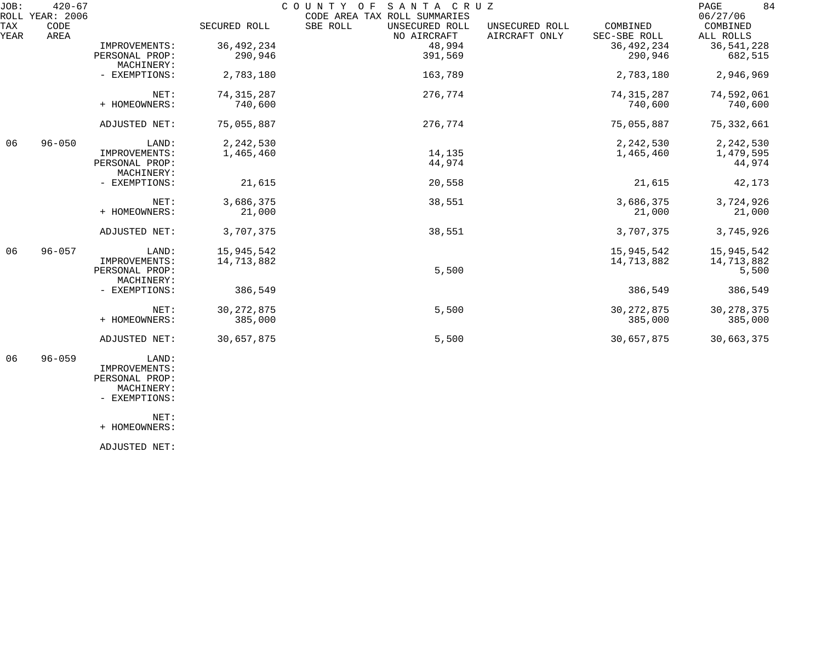| JOB: | $420 - 67$      |                        |              | COUNTY OF<br>SANTA CRUZ      |                |              | 84<br>PAGE   |
|------|-----------------|------------------------|--------------|------------------------------|----------------|--------------|--------------|
|      | ROLL YEAR: 2006 |                        |              | CODE AREA TAX ROLL SUMMARIES |                |              | 06/27/06     |
| TAX  | CODE            |                        | SECURED ROLL | SBE ROLL<br>UNSECURED ROLL   | UNSECURED ROLL | COMBINED     | COMBINED     |
| YEAR | AREA            |                        |              | NO AIRCRAFT                  | AIRCRAFT ONLY  | SEC-SBE ROLL | ALL ROLLS    |
|      |                 | IMPROVEMENTS:          | 36, 492, 234 | 48,994                       |                | 36, 492, 234 | 36, 541, 228 |
|      |                 | PERSONAL PROP:         | 290,946      | 391,569                      |                | 290,946      | 682,515      |
|      |                 | MACHINERY:             |              |                              |                |              |              |
|      |                 | - EXEMPTIONS:          | 2,783,180    | 163,789                      |                | 2,783,180    | 2,946,969    |
|      |                 | NET:                   | 74, 315, 287 | 276,774                      |                | 74, 315, 287 | 74,592,061   |
|      |                 | + HOMEOWNERS:          | 740,600      |                              |                | 740,600      | 740,600      |
|      |                 | ADJUSTED NET:          | 75,055,887   | 276,774                      |                | 75,055,887   | 75, 332, 661 |
| 06   | $96 - 050$      | LAND:                  | 2,242,530    |                              |                | 2,242,530    | 2, 242, 530  |
|      |                 | IMPROVEMENTS:          | 1,465,460    | 14,135                       |                | 1,465,460    | 1,479,595    |
|      |                 | PERSONAL PROP:         |              | 44,974                       |                |              | 44,974       |
|      |                 | MACHINERY:             |              |                              |                |              |              |
|      |                 | - EXEMPTIONS:          | 21,615       | 20,558                       |                | 21,615       | 42,173       |
|      |                 | NET:                   | 3,686,375    | 38,551                       |                | 3,686,375    | 3,724,926    |
|      |                 | + HOMEOWNERS:          | 21,000       |                              |                | 21,000       | 21,000       |
|      |                 | ADJUSTED NET:          | 3,707,375    | 38,551                       |                | 3,707,375    | 3,745,926    |
| 06   | $96 - 057$      | LAND:                  | 15,945,542   |                              |                | 15,945,542   | 15,945,542   |
|      |                 | IMPROVEMENTS:          | 14,713,882   |                              |                | 14,713,882   | 14,713,882   |
|      |                 | PERSONAL PROP:         |              | 5,500                        |                |              | 5,500        |
|      |                 | MACHINERY:             |              |                              |                |              |              |
|      |                 | - EXEMPTIONS:          | 386,549      |                              |                | 386,549      | 386,549      |
|      |                 | NET:                   | 30, 272, 875 | 5,500                        |                | 30, 272, 875 | 30, 278, 375 |
|      |                 | + HOMEOWNERS:          | 385,000      |                              |                | 385,000      | 385,000      |
|      |                 | ADJUSTED NET:          | 30,657,875   | 5,500                        |                | 30,657,875   | 30,663,375   |
| 06   | $96 - 059$      | LAND:<br>TMDROVEMENTS: |              |                              |                |              |              |

 IMPROVEMENTS: PERSONAL PROP: MACHINERY:

- EXEMPTIONS:

NET:

+ HOMEOWNERS:

ADJUSTED NET: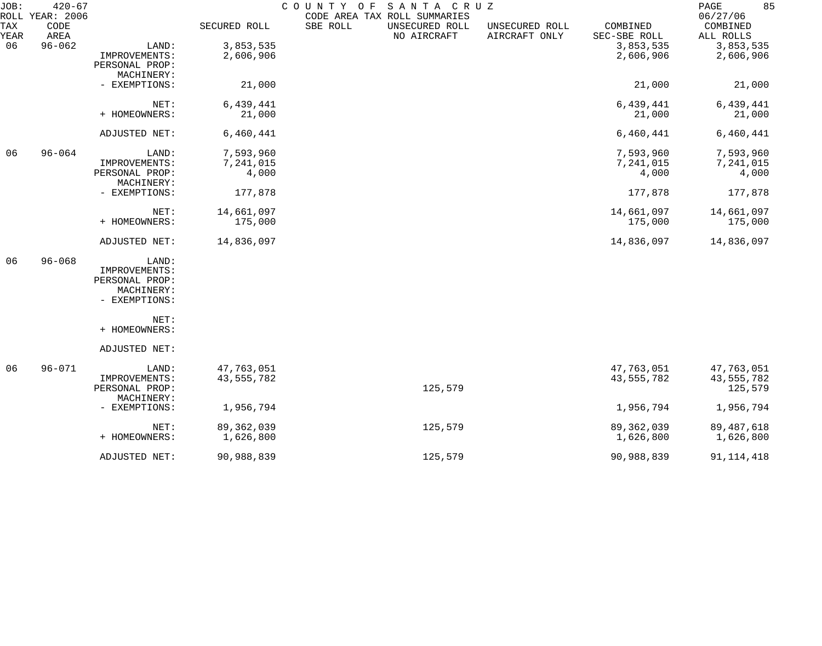| JOB:               | $420 - 67$<br>ROLL YEAR: 2006 |                |              | COUNTY OF | SANTA CRUZ<br>CODE AREA TAX ROLL SUMMARIES |                                 |                          | 85<br>PAGE<br>06/27/06 |
|--------------------|-------------------------------|----------------|--------------|-----------|--------------------------------------------|---------------------------------|--------------------------|------------------------|
| <b>TAX</b><br>YEAR | CODE<br>AREA                  |                | SECURED ROLL | SBE ROLL  | UNSECURED ROLL<br>NO AIRCRAFT              | UNSECURED ROLL<br>AIRCRAFT ONLY | COMBINED<br>SEC-SBE ROLL | COMBINED<br>ALL ROLLS  |
| 06                 | $96 - 062$                    | LAND:          | 3,853,535    |           |                                            |                                 | 3,853,535                | 3,853,535              |
|                    |                               | IMPROVEMENTS:  | 2,606,906    |           |                                            |                                 | 2,606,906                | 2,606,906              |
|                    |                               | PERSONAL PROP: |              |           |                                            |                                 |                          |                        |
|                    |                               | MACHINERY:     |              |           |                                            |                                 |                          |                        |
|                    |                               | - EXEMPTIONS:  | 21,000       |           |                                            |                                 | 21,000                   | 21,000                 |
|                    |                               | NET:           | 6,439,441    |           |                                            |                                 | 6,439,441                | 6,439,441              |
|                    |                               | + HOMEOWNERS:  | 21,000       |           |                                            |                                 | 21,000                   | 21,000                 |
|                    |                               | ADJUSTED NET:  | 6,460,441    |           |                                            |                                 | 6,460,441                | 6,460,441              |
| 06                 | $96 - 064$                    | LAND:          | 7,593,960    |           |                                            |                                 | 7,593,960                | 7,593,960              |
|                    |                               | IMPROVEMENTS:  | 7,241,015    |           |                                            |                                 | 7,241,015                | 7,241,015              |
|                    |                               | PERSONAL PROP: | 4,000        |           |                                            |                                 | 4,000                    | 4,000                  |
|                    |                               | MACHINERY:     |              |           |                                            |                                 |                          |                        |
|                    |                               | - EXEMPTIONS:  | 177,878      |           |                                            |                                 | 177,878                  | 177,878                |
|                    |                               | NET:           | 14,661,097   |           |                                            |                                 | 14,661,097               | 14,661,097             |
|                    |                               | + HOMEOWNERS:  | 175,000      |           |                                            |                                 | 175,000                  | 175,000                |
|                    |                               | ADJUSTED NET:  | 14,836,097   |           |                                            |                                 | 14,836,097               | 14,836,097             |
| 06                 | $96 - 068$                    | LAND:          |              |           |                                            |                                 |                          |                        |
|                    |                               | IMPROVEMENTS:  |              |           |                                            |                                 |                          |                        |
|                    |                               | PERSONAL PROP: |              |           |                                            |                                 |                          |                        |
|                    |                               | MACHINERY:     |              |           |                                            |                                 |                          |                        |
|                    |                               | - EXEMPTIONS:  |              |           |                                            |                                 |                          |                        |
|                    |                               | NET:           |              |           |                                            |                                 |                          |                        |
|                    |                               | + HOMEOWNERS:  |              |           |                                            |                                 |                          |                        |
|                    |                               | ADJUSTED NET:  |              |           |                                            |                                 |                          |                        |
| 06                 | $96 - 071$                    | LAND:          | 47,763,051   |           |                                            |                                 | 47,763,051               | 47,763,051             |
|                    |                               | IMPROVEMENTS:  | 43, 555, 782 |           |                                            |                                 | 43,555,782               | 43,555,782             |
|                    |                               | PERSONAL PROP: |              |           | 125,579                                    |                                 |                          | 125,579                |
|                    |                               | MACHINERY:     |              |           |                                            |                                 |                          |                        |
|                    |                               | - EXEMPTIONS:  | 1,956,794    |           |                                            |                                 | 1,956,794                | 1,956,794              |
|                    |                               | NET:           | 89, 362, 039 |           | 125,579                                    |                                 | 89, 362, 039             | 89, 487, 618           |
|                    |                               | + HOMEOWNERS:  | 1,626,800    |           |                                            |                                 | 1,626,800                | 1,626,800              |
|                    |                               | ADJUSTED NET:  | 90,988,839   |           | 125,579                                    |                                 | 90,988,839               | 91, 114, 418           |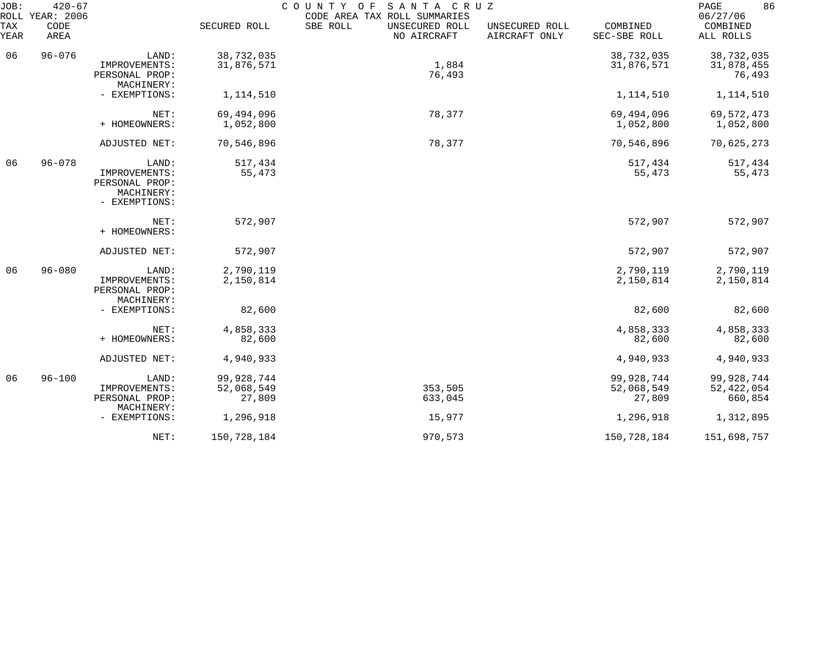| JOB:        | $420 - 67$<br>ROLL YEAR: 2006 |                                                                         |                                    | COUNTY OF<br>SANTA CRUZ<br>CODE AREA TAX ROLL SUMMARIES |                                 |                                    |                                       |  |
|-------------|-------------------------------|-------------------------------------------------------------------------|------------------------------------|---------------------------------------------------------|---------------------------------|------------------------------------|---------------------------------------|--|
| TAX<br>YEAR | CODE<br>AREA                  |                                                                         | SECURED ROLL                       | SBE ROLL<br>UNSECURED ROLL<br>NO AIRCRAFT               | UNSECURED ROLL<br>AIRCRAFT ONLY | COMBINED<br>SEC-SBE ROLL           | 06/27/06<br>COMBINED<br>ALL ROLLS     |  |
| 06          | $96 - 076$                    | LAND:<br>IMPROVEMENTS:<br>PERSONAL PROP:                                | 38,732,035<br>31,876,571           | 1,884<br>76,493                                         |                                 | 38,732,035<br>31,876,571           | 38,732,035<br>31,878,455<br>76,493    |  |
|             |                               | MACHINERY:<br>- EXEMPTIONS:                                             | 1,114,510                          |                                                         |                                 | 1,114,510                          | 1,114,510                             |  |
|             |                               | NET:<br>+ HOMEOWNERS:                                                   | 69,494,096<br>1,052,800            | 78,377                                                  |                                 | 69,494,096<br>1,052,800            | 69, 572, 473<br>1,052,800             |  |
|             |                               | ADJUSTED NET:                                                           | 70,546,896                         | 78,377                                                  |                                 | 70,546,896                         | 70,625,273                            |  |
| 06          | $96 - 078$                    | LAND:<br>IMPROVEMENTS:<br>PERSONAL PROP:<br>MACHINERY:<br>- EXEMPTIONS: | 517,434<br>55,473                  |                                                         |                                 | 517,434<br>55,473                  | 517,434<br>55,473                     |  |
|             |                               | NET:<br>+ HOMEOWNERS:                                                   | 572,907                            |                                                         |                                 | 572,907                            | 572,907                               |  |
|             |                               | ADJUSTED NET:                                                           | 572,907                            |                                                         |                                 | 572,907                            | 572,907                               |  |
| 06          | $96 - 080$                    | LAND:<br>IMPROVEMENTS:<br>PERSONAL PROP:<br>MACHINERY:                  | 2,790,119<br>2,150,814             |                                                         |                                 | 2,790,119<br>2,150,814             | 2,790,119<br>2,150,814                |  |
|             |                               | - EXEMPTIONS:                                                           | 82,600                             |                                                         |                                 | 82,600                             | 82,600                                |  |
|             |                               | NET:<br>+ HOMEOWNERS:                                                   | 4,858,333<br>82,600                |                                                         |                                 | 4,858,333<br>82,600                | 4,858,333<br>82,600                   |  |
|             |                               | ADJUSTED NET:                                                           | 4,940,933                          |                                                         |                                 | 4,940,933                          | 4,940,933                             |  |
| 06          | $96 - 100$                    | LAND:<br>IMPROVEMENTS:<br>PERSONAL PROP:                                | 99,928,744<br>52,068,549<br>27,809 | 353,505<br>633,045                                      |                                 | 99,928,744<br>52,068,549<br>27,809 | 99,928,744<br>52, 422, 054<br>660,854 |  |
|             |                               | MACHINERY:<br>- EXEMPTIONS:                                             | 1,296,918                          | 15,977                                                  |                                 | 1,296,918                          | 1,312,895                             |  |
|             |                               | NET:                                                                    | 150,728,184                        | 970,573                                                 |                                 | 150,728,184                        | 151,698,757                           |  |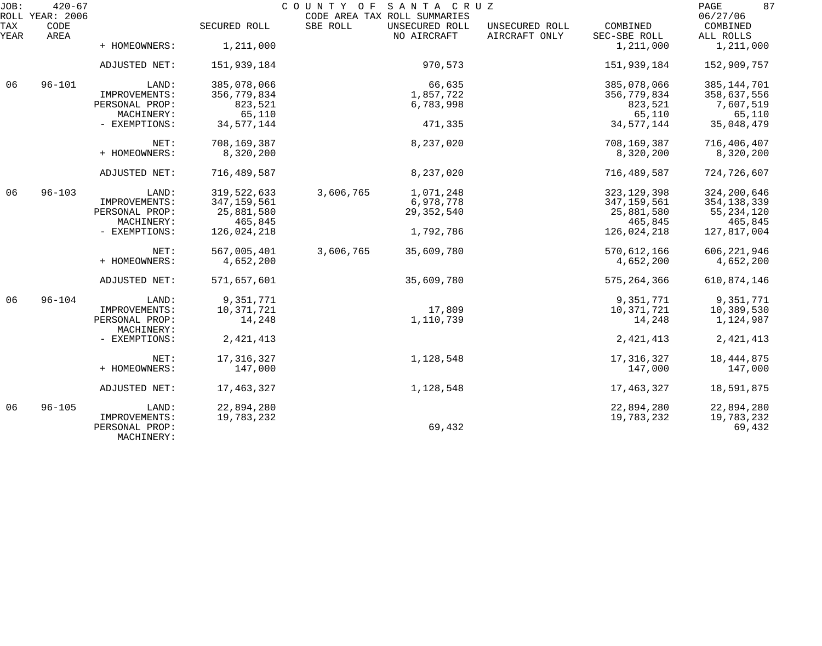| JOB:        | $420 - 67$<br>COUNTY OF SANTA CRUZ<br>ROLL YEAR: 2006<br>CODE AREA TAX ROLL SUMMARIES |                                               |               |           |                               |                                 | 87<br>PAGE<br>06/27/06   |                       |
|-------------|---------------------------------------------------------------------------------------|-----------------------------------------------|---------------|-----------|-------------------------------|---------------------------------|--------------------------|-----------------------|
| TAX<br>YEAR | CODE<br>AREA                                                                          |                                               | SECURED ROLL  | SBE ROLL  | UNSECURED ROLL<br>NO AIRCRAFT | UNSECURED ROLL<br>AIRCRAFT ONLY | COMBINED<br>SEC-SBE ROLL | COMBINED<br>ALL ROLLS |
|             |                                                                                       | + HOMEOWNERS:                                 | 1,211,000     |           |                               |                                 | 1,211,000                | 1,211,000             |
|             |                                                                                       | ADJUSTED NET:                                 | 151,939,184   |           | 970,573                       |                                 | 151,939,184              | 152,909,757           |
| 06          | $96 - 101$                                                                            | LAND:                                         | 385,078,066   |           | 66,635                        |                                 | 385,078,066              | 385, 144, 701         |
|             |                                                                                       | IMPROVEMENTS:                                 | 356,779,834   |           | 1,857,722                     |                                 | 356,779,834              | 358,637,556           |
|             |                                                                                       | PERSONAL PROP:                                | 823,521       |           | 6,783,998                     |                                 | 823,521                  | 7,607,519             |
|             |                                                                                       | MACHINERY:                                    | 65,110        |           |                               |                                 | 65,110                   | 65,110                |
|             |                                                                                       | - EXEMPTIONS:                                 | 34, 577, 144  |           | 471,335                       |                                 | 34, 577, 144             | 35,048,479            |
|             |                                                                                       | NET:                                          | 708,169,387   |           | 8,237,020                     |                                 | 708, 169, 387            | 716,406,407           |
|             |                                                                                       | + HOMEOWNERS:                                 | 8,320,200     |           |                               |                                 | 8,320,200                | 8,320,200             |
|             |                                                                                       | ADJUSTED NET:                                 | 716,489,587   |           | 8,237,020                     |                                 | 716,489,587              | 724,726,607           |
| 06          | $96 - 103$                                                                            | LAND:                                         | 319, 522, 633 | 3,606,765 | 1,071,248                     |                                 | 323, 129, 398            | 324, 200, 646         |
|             |                                                                                       | IMPROVEMENTS:                                 | 347, 159, 561 |           | 6,978,778                     |                                 | 347, 159, 561            | 354, 138, 339         |
|             |                                                                                       | PERSONAL PROP:                                | 25,881,580    |           | 29, 352, 540                  |                                 | 25,881,580               | 55, 234, 120          |
|             |                                                                                       | MACHINERY:                                    | 465,845       |           |                               |                                 | 465,845                  | 465,845               |
|             |                                                                                       | - EXEMPTIONS:                                 | 126,024,218   |           | 1,792,786                     |                                 | 126,024,218              | 127,817,004           |
|             |                                                                                       | NET:                                          | 567,005,401   | 3,606,765 | 35,609,780                    |                                 | 570,612,166              | 606, 221, 946         |
|             |                                                                                       | + HOMEOWNERS:                                 | 4,652,200     |           |                               |                                 | 4,652,200                | 4,652,200             |
|             |                                                                                       | ADJUSTED NET:                                 | 571,657,601   |           | 35,609,780                    |                                 | 575, 264, 366            | 610,874,146           |
| 06          | $96 - 104$                                                                            | LAND:                                         | 9,351,771     |           |                               |                                 | 9,351,771                | 9,351,771             |
|             |                                                                                       | IMPROVEMENTS:                                 | 10,371,721    |           | 17,809                        |                                 | 10,371,721               | 10,389,530            |
|             |                                                                                       | PERSONAL PROP:<br>MACHINERY:                  | 14,248        |           | 1,110,739                     |                                 | 14,248                   | 1,124,987             |
|             |                                                                                       | - EXEMPTIONS:                                 | 2, 421, 413   |           |                               |                                 | 2, 421, 413              | 2, 421, 413           |
|             |                                                                                       | NET:                                          | 17, 316, 327  |           | 1,128,548                     |                                 | 17, 316, 327             | 18,444,875            |
|             |                                                                                       | + HOMEOWNERS:                                 | 147,000       |           |                               |                                 | 147,000                  | 147,000               |
|             |                                                                                       | ADJUSTED NET:                                 | 17, 463, 327  |           | 1,128,548                     |                                 | 17, 463, 327             | 18,591,875            |
| 06          | $96 - 105$                                                                            | LAND:                                         | 22,894,280    |           |                               |                                 | 22,894,280               | 22,894,280            |
|             |                                                                                       | IMPROVEMENTS:<br>PERSONAL PROP:<br>MACHINERY: | 19,783,232    |           | 69,432                        |                                 | 19,783,232               | 19,783,232<br>69,432  |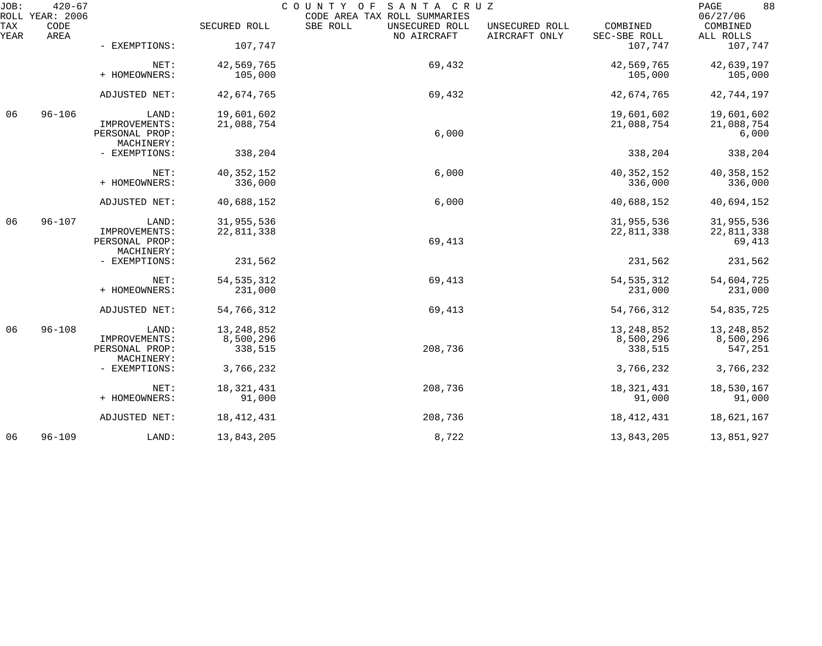| JOB:        | $420 - 67$<br>ROLL YEAR: 2006 |                                 |              | COUNTY OF<br>SANTA CRUZ<br>CODE AREA TAX ROLL SUMMARIES |                                 |                          | 88<br>PAGE<br>06/27/06 |
|-------------|-------------------------------|---------------------------------|--------------|---------------------------------------------------------|---------------------------------|--------------------------|------------------------|
| TAX<br>YEAR | CODE<br>AREA                  |                                 | SECURED ROLL | SBE ROLL<br>UNSECURED ROLL<br>NO AIRCRAFT               | UNSECURED ROLL<br>AIRCRAFT ONLY | COMBINED<br>SEC-SBE ROLL | COMBINED<br>ALL ROLLS  |
|             |                               | - EXEMPTIONS:                   | 107,747      |                                                         |                                 | 107,747                  | 107,747                |
|             |                               | NET:                            | 42,569,765   | 69,432                                                  |                                 | 42,569,765               | 42,639,197             |
|             |                               | + HOMEOWNERS:                   | 105,000      |                                                         |                                 | 105,000                  | 105,000                |
|             |                               | ADJUSTED NET:                   | 42,674,765   | 69,432                                                  |                                 | 42,674,765               | 42,744,197             |
| 06          | $96 - 106$                    | LAND:                           | 19,601,602   |                                                         |                                 | 19,601,602               | 19,601,602             |
|             |                               | IMPROVEMENTS:<br>PERSONAL PROP: | 21,088,754   | 6,000                                                   |                                 | 21,088,754               | 21,088,754<br>6,000    |
|             |                               | MACHINERY:                      |              |                                                         |                                 |                          |                        |
|             |                               | - EXEMPTIONS:                   | 338,204      |                                                         |                                 | 338,204                  | 338,204                |
|             |                               | NET:                            | 40, 352, 152 | 6,000                                                   |                                 | 40, 352, 152             | 40, 358, 152           |
|             |                               | + HOMEOWNERS:                   | 336,000      |                                                         |                                 | 336,000                  | 336,000                |
|             |                               | ADJUSTED NET:                   | 40,688,152   | 6,000                                                   |                                 | 40,688,152               | 40,694,152             |
| 06          | $96 - 107$                    | LAND:                           | 31,955,536   |                                                         |                                 | 31,955,536               | 31,955,536             |
|             |                               | IMPROVEMENTS:                   | 22,811,338   |                                                         |                                 | 22,811,338               | 22,811,338             |
|             |                               | PERSONAL PROP:<br>MACHINERY:    |              | 69,413                                                  |                                 |                          | 69,413                 |
|             |                               | - EXEMPTIONS:                   | 231,562      |                                                         |                                 | 231,562                  | 231,562                |
|             |                               | NET:                            | 54, 535, 312 | 69,413                                                  |                                 | 54, 535, 312             | 54,604,725             |
|             |                               | + HOMEOWNERS:                   | 231,000      |                                                         |                                 | 231,000                  | 231,000                |
|             |                               | ADJUSTED NET:                   | 54,766,312   | 69,413                                                  |                                 | 54,766,312               | 54,835,725             |
| 06          | $96 - 108$                    | LAND:                           | 13, 248, 852 |                                                         |                                 | 13, 248, 852             | 13, 248, 852           |
|             |                               | IMPROVEMENTS:                   | 8,500,296    |                                                         |                                 | 8,500,296                | 8,500,296              |
|             |                               | PERSONAL PROP:                  | 338,515      | 208,736                                                 |                                 | 338,515                  | 547,251                |
|             |                               | MACHINERY:                      |              |                                                         |                                 |                          |                        |
|             |                               | - EXEMPTIONS:                   | 3,766,232    |                                                         |                                 | 3,766,232                | 3,766,232              |
|             |                               | NET:                            | 18, 321, 431 | 208,736                                                 |                                 | 18, 321, 431             | 18,530,167             |
|             |                               | + HOMEOWNERS:                   | 91,000       |                                                         |                                 | 91,000                   | 91,000                 |
|             |                               | ADJUSTED NET:                   | 18, 412, 431 | 208,736                                                 |                                 | 18, 412, 431             | 18,621,167             |
| 06          | $96 - 109$                    | LAND:                           | 13,843,205   | 8,722                                                   |                                 | 13,843,205               | 13,851,927             |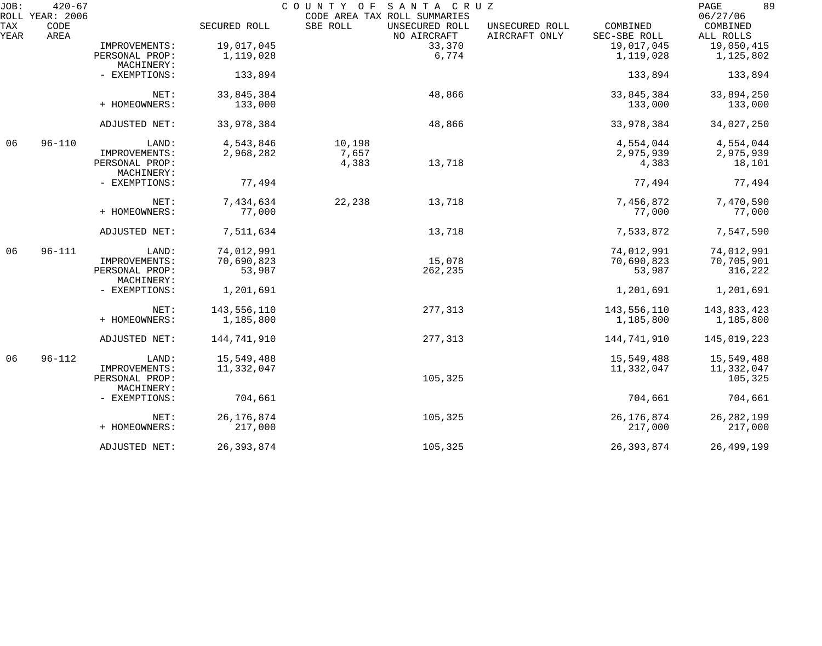| JOB:        | $420 - 67$<br>ROLL YEAR: 2006 |                              |              | COUNTY OF | SANTA CRUZ<br>CODE AREA TAX ROLL SUMMARIES |                                 |                          | 89<br>PAGE<br>06/27/06 |
|-------------|-------------------------------|------------------------------|--------------|-----------|--------------------------------------------|---------------------------------|--------------------------|------------------------|
| TAX<br>YEAR | CODE<br>AREA                  |                              | SECURED ROLL | SBE ROLL  | UNSECURED ROLL<br>NO AIRCRAFT              | UNSECURED ROLL<br>AIRCRAFT ONLY | COMBINED<br>SEC-SBE ROLL | COMBINED<br>ALL ROLLS  |
|             |                               | IMPROVEMENTS:                | 19,017,045   |           | 33,370                                     |                                 | 19,017,045               | 19,050,415             |
|             |                               | PERSONAL PROP:               | 1,119,028    |           | 6,774                                      |                                 | 1,119,028                | 1,125,802              |
|             |                               | MACHINERY:                   |              |           |                                            |                                 |                          |                        |
|             |                               | - EXEMPTIONS:                | 133,894      |           |                                            |                                 | 133,894                  | 133,894                |
|             |                               | NET:                         | 33,845,384   |           | 48,866                                     |                                 | 33,845,384               | 33,894,250             |
|             |                               | + HOMEOWNERS:                | 133,000      |           |                                            |                                 | 133,000                  | 133,000                |
|             |                               | ADJUSTED NET:                | 33,978,384   |           | 48,866                                     |                                 | 33,978,384               | 34,027,250             |
| 06          | $96 - 110$                    | LAND:                        | 4,543,846    | 10,198    |                                            |                                 | 4,554,044                | 4,554,044              |
|             |                               | IMPROVEMENTS:                | 2,968,282    | 7,657     |                                            |                                 | 2,975,939                | 2,975,939              |
|             |                               | PERSONAL PROP:<br>MACHINERY: |              | 4,383     | 13,718                                     |                                 | 4,383                    | 18,101                 |
|             |                               | - EXEMPTIONS:                | 77,494       |           |                                            |                                 | 77,494                   | 77,494                 |
|             |                               | NET:                         | 7,434,634    | 22,238    | 13,718                                     |                                 | 7,456,872                | 7,470,590              |
|             |                               | + HOMEOWNERS:                | 77,000       |           |                                            |                                 | 77,000                   | 77,000                 |
|             |                               | ADJUSTED NET:                | 7,511,634    |           | 13,718                                     |                                 | 7,533,872                | 7,547,590              |
| 06          | $96 - 111$                    | LAND:                        | 74,012,991   |           |                                            |                                 | 74,012,991               | 74,012,991             |
|             |                               | IMPROVEMENTS:                | 70,690,823   |           | 15,078                                     |                                 | 70,690,823               | 70,705,901             |
|             |                               | PERSONAL PROP:<br>MACHINERY: | 53,987       |           | 262,235                                    |                                 | 53,987                   | 316,222                |
|             |                               | - EXEMPTIONS:                | 1,201,691    |           |                                            |                                 | 1,201,691                | 1,201,691              |
|             |                               | NET:                         | 143,556,110  |           | 277,313                                    |                                 | 143,556,110              | 143,833,423            |
|             |                               | + HOMEOWNERS:                | 1,185,800    |           |                                            |                                 | 1,185,800                | 1,185,800              |
|             |                               | ADJUSTED NET:                | 144,741,910  |           | 277,313                                    |                                 | 144,741,910              | 145,019,223            |
| 06          | $96 - 112$                    | LAND:                        | 15,549,488   |           |                                            |                                 | 15,549,488               | 15,549,488             |
|             |                               | IMPROVEMENTS:                | 11,332,047   |           |                                            |                                 | 11,332,047               | 11,332,047             |
|             |                               | PERSONAL PROP:               |              |           | 105,325                                    |                                 |                          | 105,325                |
|             |                               | MACHINERY:                   |              |           |                                            |                                 |                          |                        |
|             |                               | - EXEMPTIONS:                | 704,661      |           |                                            |                                 | 704,661                  | 704,661                |
|             |                               | NET:                         | 26, 176, 874 |           | 105,325                                    |                                 | 26, 176, 874             | 26, 282, 199           |
|             |                               | + HOMEOWNERS:                | 217,000      |           |                                            |                                 | 217,000                  | 217,000                |
|             |                               | ADJUSTED NET:                | 26, 393, 874 |           | 105,325                                    |                                 | 26, 393, 874             | 26,499,199             |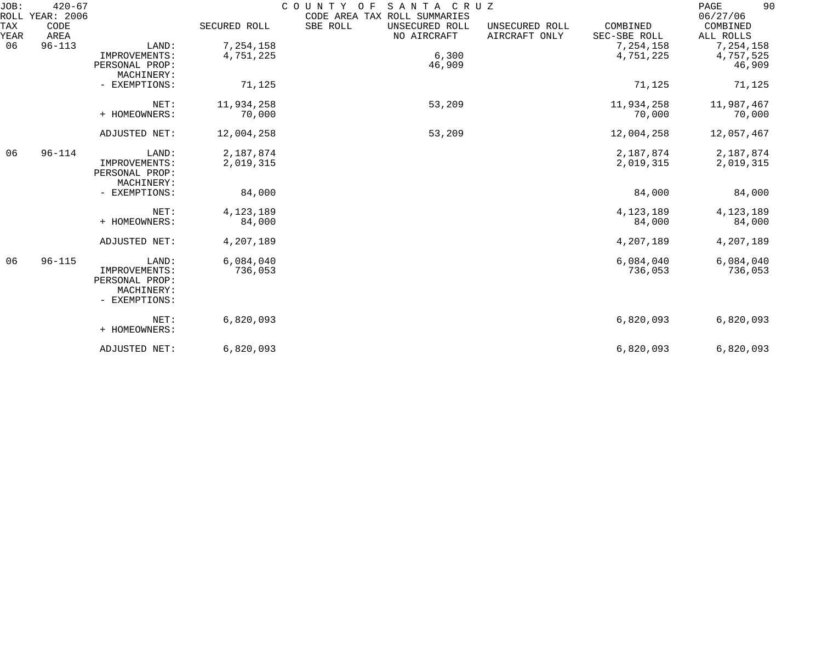| JOB:        | $420 - 67$<br>ROLL YEAR: 2006 |                                                                         |                        | COUNTY OF<br>CODE AREA TAX ROLL SUMMARIES | SANTA CRUZ                    |                                 |                          | 90<br>PAGE<br>06/27/06           |
|-------------|-------------------------------|-------------------------------------------------------------------------|------------------------|-------------------------------------------|-------------------------------|---------------------------------|--------------------------|----------------------------------|
| TAX<br>YEAR | CODE<br>AREA                  |                                                                         | SECURED ROLL           | SBE ROLL                                  | UNSECURED ROLL<br>NO AIRCRAFT | UNSECURED ROLL<br>AIRCRAFT ONLY | COMBINED<br>SEC-SBE ROLL | COMBINED<br>ALL ROLLS            |
| 06          | $96 - 113$                    | LAND:<br>IMPROVEMENTS:<br>PERSONAL PROP:<br>MACHINERY:                  | 7,254,158<br>4,751,225 |                                           | 6,300<br>46,909               |                                 | 7,254,158<br>4,751,225   | 7,254,158<br>4,757,525<br>46,909 |
|             |                               | - EXEMPTIONS:                                                           | 71,125                 |                                           |                               |                                 | 71,125                   | 71,125                           |
|             |                               | NET:<br>+ HOMEOWNERS:                                                   | 11,934,258<br>70,000   |                                           | 53,209                        |                                 | 11,934,258<br>70,000     | 11,987,467<br>70,000             |
|             |                               | ADJUSTED NET:                                                           | 12,004,258             |                                           | 53,209                        |                                 | 12,004,258               | 12,057,467                       |
| 06          | $96 - 114$                    | LAND:<br>IMPROVEMENTS:<br>PERSONAL PROP:<br>MACHINERY:                  | 2,187,874<br>2,019,315 |                                           |                               |                                 | 2,187,874<br>2,019,315   | 2,187,874<br>2,019,315           |
|             |                               | - EXEMPTIONS:                                                           | 84,000                 |                                           |                               |                                 | 84,000                   | 84,000                           |
|             |                               | NET:<br>+ HOMEOWNERS:                                                   | 4, 123, 189<br>84,000  |                                           |                               |                                 | 4, 123, 189<br>84,000    | 4, 123, 189<br>84,000            |
|             |                               | ADJUSTED NET:                                                           | 4,207,189              |                                           |                               |                                 | 4,207,189                | 4,207,189                        |
| 06          | $96 - 115$                    | LAND:<br>IMPROVEMENTS:<br>PERSONAL PROP:<br>MACHINERY:<br>- EXEMPTIONS: | 6,084,040<br>736,053   |                                           |                               |                                 | 6,084,040<br>736,053     | 6,084,040<br>736,053             |
|             |                               | NET:<br>+ HOMEOWNERS:                                                   | 6,820,093              |                                           |                               |                                 | 6,820,093                | 6,820,093                        |
|             |                               | ADJUSTED NET:                                                           | 6,820,093              |                                           |                               |                                 | 6,820,093                | 6,820,093                        |